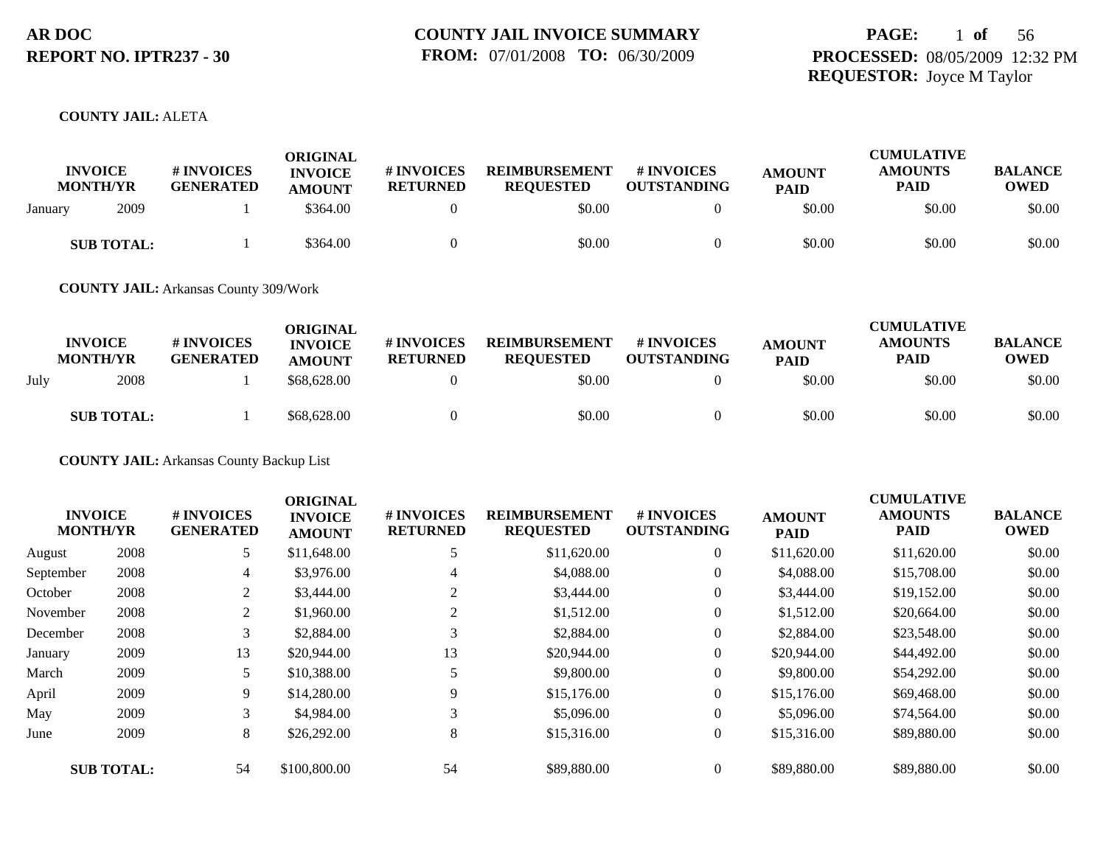## **PAGE:** 1 **of** 56 **PROCESSED:** 08/05/2009 12:32 PM **REQUESTOR:** Joyce M Taylor

#### **COUNTY JAIL:** ALETA

| <b>INVOICE</b><br><b>MONTH/YR</b> | <b># INVOICES</b><br><b>GENERATED</b> | <b>ORIGINAL</b><br><b>INVOICE</b><br><b>AMOUNT</b> | # INVOICES<br><b>RETURNED</b> | <b>REIMBURSEMENT</b><br><b>REQUESTED</b> | <b>#INVOICES</b><br><b>OUTSTANDING</b> | <b>AMOUNT</b><br><b>PAID</b> | <b>CUMULATIVE</b><br><b>AMOUNTS</b><br>PAID | <b>BALANCE</b><br><b>OWED</b> |
|-----------------------------------|---------------------------------------|----------------------------------------------------|-------------------------------|------------------------------------------|----------------------------------------|------------------------------|---------------------------------------------|-------------------------------|
| 2009<br>Januarv                   |                                       | \$364.00                                           |                               | \$0.00                                   |                                        | \$0.00                       | \$0.00                                      | \$0.00                        |
| <b>SUB TOTAL:</b>                 |                                       | \$364.00                                           |                               | \$0.00                                   |                                        | \$0.00                       | \$0.00                                      | \$0.00                        |

**COUNTY JAIL:** Arkansas County 309/Work

|      | <b>INVOICE</b><br><b>MONTH/YR</b> | <b># INVOICES</b><br><b>GENERATED</b> | <b>ORIGINAL</b><br><b>INVOICE</b><br><b>AMOUNT</b> | # INVOICES<br><b>RETURNED</b> | <b>REIMBURSEMENT</b><br><b>REOUESTED</b> | <b>#INVOICES</b><br><b>OUTSTANDING</b> | <b>AMOUNT</b><br><b>PAID</b> | <b>CUMULATIVE</b><br><b>AMOUNTS</b><br><b>PAID</b> | <b>BALANCE</b><br><b>OWED</b> |
|------|-----------------------------------|---------------------------------------|----------------------------------------------------|-------------------------------|------------------------------------------|----------------------------------------|------------------------------|----------------------------------------------------|-------------------------------|
| July | 2008                              |                                       | \$68,628,00                                        |                               | \$0.00                                   |                                        | \$0.00                       | \$0.00                                             | \$0.00                        |
|      | <b>SUB TOTAL:</b>                 |                                       | \$68,628.00                                        |                               | \$0.00                                   |                                        | \$0.00                       | \$0.00                                             | \$0.00                        |

**COUNTY JAIL:** Arkansas County Backup List

| <b>INVOICE</b><br><b>MONTH/YR</b> |                   | # INVOICES<br><b>GENERATED</b> | <b>ORIGINAL</b><br><b>INVOICE</b><br><b>AMOUNT</b> | # INVOICES<br><b>RETURNED</b> | <b>REIMBURSEMENT</b><br><b>REQUESTED</b> | <b>#INVOICES</b><br><b>OUTSTANDING</b> | <b>AMOUNT</b><br><b>PAID</b> | <b>CUMULATIVE</b><br><b>AMOUNTS</b><br>PAID | <b>BALANCE</b><br><b>OWED</b> |
|-----------------------------------|-------------------|--------------------------------|----------------------------------------------------|-------------------------------|------------------------------------------|----------------------------------------|------------------------------|---------------------------------------------|-------------------------------|
| August                            | 2008              | 5                              | \$11,648.00                                        | 5                             | \$11,620.00                              | $\overline{0}$                         | \$11,620.00                  | \$11,620.00                                 | \$0.00                        |
| September                         | 2008              | 4                              | \$3,976.00                                         | 4                             | \$4,088.00                               | $\overline{0}$                         | \$4,088.00                   | \$15,708.00                                 | \$0.00                        |
| October                           | 2008              | 2                              | \$3,444.00                                         |                               | \$3,444.00                               | $\overline{0}$                         | \$3,444.00                   | \$19,152.00                                 | \$0.00                        |
| November                          | 2008              | 2                              | \$1,960.00                                         |                               | \$1,512.00                               | $\overline{0}$                         | \$1,512.00                   | \$20,664.00                                 | \$0.00                        |
| December                          | 2008              | 3                              | \$2,884.00                                         | 3                             | \$2,884.00                               | $\overline{0}$                         | \$2,884.00                   | \$23,548.00                                 | \$0.00                        |
| January                           | 2009              | 13                             | \$20,944.00                                        | 13                            | \$20,944.00                              | $\overline{0}$                         | \$20,944.00                  | \$44,492.00                                 | \$0.00                        |
| March                             | 2009              | 5                              | \$10,388.00                                        |                               | \$9,800.00                               | $\overline{0}$                         | \$9,800.00                   | \$54,292.00                                 | \$0.00                        |
| April                             | 2009              | 9                              | \$14,280.00                                        | 9                             | \$15,176.00                              | $\overline{0}$                         | \$15,176.00                  | \$69,468.00                                 | \$0.00                        |
| May                               | 2009              | 3                              | \$4,984.00                                         | 3                             | \$5,096.00                               | $\overline{0}$                         | \$5,096.00                   | \$74,564.00                                 | \$0.00                        |
| June                              | 2009              | 8                              | \$26,292.00                                        | 8                             | \$15,316.00                              | $\overline{0}$                         | \$15,316.00                  | \$89,880.00                                 | \$0.00                        |
|                                   | <b>SUB TOTAL:</b> | 54                             | \$100,800.00                                       | 54                            | \$89,880.00                              | $\overline{0}$                         | \$89,880.00                  | \$89,880.00                                 | \$0.00                        |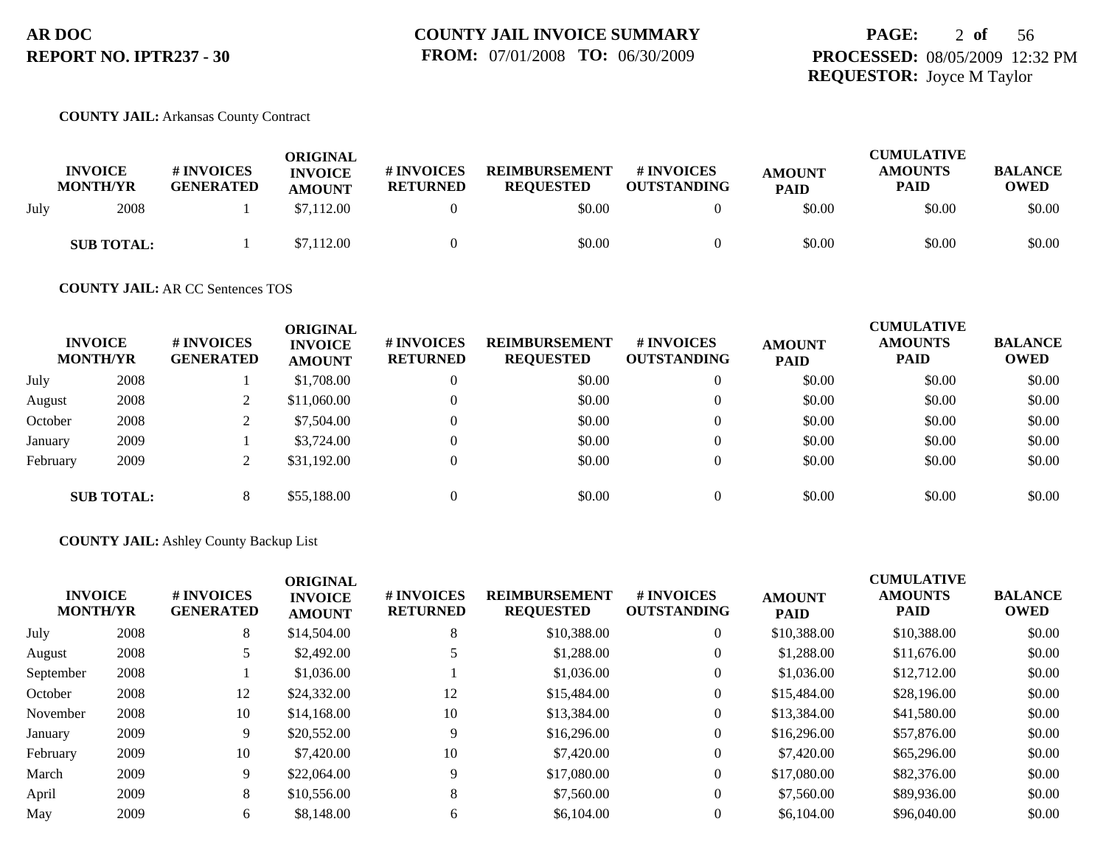## **PAGE:** 2 **of** 56 **PROCESSED:** 08/05/2009 12:32 PM **REQUESTOR:** Joyce M Taylor

#### **COUNTY JAIL:** Arkansas County Contract

|      | <b>INVOICE</b><br><b>MONTH/YR</b> | <b># INVOICES</b><br><b>GENERATED</b> | ORIGINAL<br><b>INVOICE</b><br><b>AMOUNT</b> | # INVOICES<br><b>RETURNED</b> | <b>REIMBURSEMENT</b><br><b>REOUESTED</b> | # INVOICES<br><b>OUTSTANDING</b> | <b>AMOUNT</b><br><b>PAID</b> | <b>CUMULATIVE</b><br><b>AMOUNTS</b><br><b>PAID</b> | <b>BALANCE</b><br><b>OWED</b> |
|------|-----------------------------------|---------------------------------------|---------------------------------------------|-------------------------------|------------------------------------------|----------------------------------|------------------------------|----------------------------------------------------|-------------------------------|
| July | 2008                              |                                       | \$7,112.00                                  |                               | \$0.00                                   |                                  | \$0.00                       | \$0.00                                             | \$0.00                        |
|      | <b>SUB TOTAL:</b>                 |                                       | \$7,112.00                                  |                               | \$0.00                                   |                                  | \$0.00                       | \$0.00                                             | \$0.00                        |

### **COUNTY JAIL:** AR CC Sentences TOS

|          | <b>INVOICE</b><br><b>MONTH/YR</b> | # INVOICES<br><b>GENERATED</b> | <b>ORIGINAL</b><br><b>INVOICE</b><br><b>AMOUNT</b> | # INVOICES<br><b>RETURNED</b> | <b>REIMBURSEMENT</b><br><b>REQUESTED</b> | # INVOICES<br><b>OUTSTANDING</b> | <b>AMOUNT</b><br><b>PAID</b> | <b>CUMULATIVE</b><br><b>AMOUNTS</b><br><b>PAID</b> | <b>BALANCE</b><br><b>OWED</b> |
|----------|-----------------------------------|--------------------------------|----------------------------------------------------|-------------------------------|------------------------------------------|----------------------------------|------------------------------|----------------------------------------------------|-------------------------------|
| July     | 2008                              |                                | \$1,708.00                                         | $\Omega$                      | \$0.00                                   | $\overline{0}$                   | \$0.00                       | \$0.00                                             | \$0.00                        |
| August   | 2008                              | $\overline{ }$                 | \$11,060.00                                        | $\Omega$                      | \$0.00                                   | $\overline{0}$                   | \$0.00                       | \$0.00                                             | \$0.00                        |
| October  | 2008                              | ∠                              | \$7,504.00                                         | $\Omega$                      | \$0.00                                   | $\theta$                         | \$0.00                       | \$0.00                                             | \$0.00                        |
| January  | 2009                              |                                | \$3,724.00                                         | $\Omega$                      | \$0.00                                   | $\overline{0}$                   | \$0.00                       | \$0.00                                             | \$0.00                        |
| February | 2009                              | $\bigcap$<br>∠                 | \$31,192.00                                        | $\Omega$                      | \$0.00                                   | $\overline{0}$                   | \$0.00                       | \$0.00                                             | \$0.00                        |
|          | <b>SUB TOTAL:</b>                 | 8                              | \$55,188,00                                        | $\Omega$                      | \$0.00                                   | $\Omega$                         | \$0.00                       | \$0.00                                             | \$0.00                        |

#### **COUNTY JAIL:** Ashley County Backup List

| <b>INVOICE</b><br><b>MONTH/YR</b> | # INVOICES<br><b>GENERATED</b> | <b>ORIGINAL</b><br><b>INVOICE</b><br><b>AMOUNT</b> | # INVOICES<br><b>RETURNED</b> | <b>REIMBURSEMENT</b><br><b>REQUESTED</b> | # INVOICES<br><b>OUTSTANDING</b> | <b>AMOUNT</b><br><b>PAID</b> | <b>CUMULATIVE</b><br><b>AMOUNTS</b><br><b>PAID</b> | <b>BALANCE</b><br><b>OWED</b> |
|-----------------------------------|--------------------------------|----------------------------------------------------|-------------------------------|------------------------------------------|----------------------------------|------------------------------|----------------------------------------------------|-------------------------------|
| 2008                              | 8                              | \$14,504.00                                        | 8                             | \$10,388.00                              | $\overline{0}$                   | \$10,388.00                  | \$10,388.00                                        | \$0.00                        |
| 2008                              |                                | \$2,492.00                                         |                               | \$1,288.00                               | $\overline{0}$                   | \$1,288.00                   | \$11,676.00                                        | \$0.00                        |
| 2008                              |                                | \$1,036.00                                         |                               | \$1,036.00                               | $\theta$                         | \$1,036.00                   | \$12,712.00                                        | \$0.00                        |
| 2008                              | 12                             | \$24,332.00                                        | 12                            | \$15,484.00                              | $\overline{0}$                   | \$15,484.00                  | \$28,196.00                                        | \$0.00                        |
| 2008                              | 10                             | \$14,168.00                                        | 10                            | \$13,384.00                              | $\overline{0}$                   | \$13,384.00                  | \$41,580.00                                        | \$0.00                        |
| 2009                              | 9                              | \$20,552.00                                        | 9                             | \$16,296.00                              | $\overline{0}$                   | \$16,296.00                  | \$57,876.00                                        | \$0.00                        |
| 2009                              | 10                             | \$7,420.00                                         | 10                            | \$7,420.00                               | $\overline{0}$                   | \$7,420.00                   | \$65,296.00                                        | \$0.00                        |
| 2009                              | 9                              | \$22,064.00                                        | 9                             | \$17,080.00                              | $\overline{0}$                   | \$17,080.00                  | \$82,376.00                                        | \$0.00                        |
| 2009                              | 8                              | \$10,556.00                                        | 8                             | \$7,560.00                               | $\overline{0}$                   | \$7,560.00                   | \$89,936.00                                        | \$0.00                        |
| 2009                              | 6                              | \$8,148.00                                         | 6                             | \$6,104.00                               | $\Omega$                         | \$6,104.00                   | \$96,040.00                                        | \$0.00                        |
|                                   |                                |                                                    |                               |                                          |                                  |                              |                                                    |                               |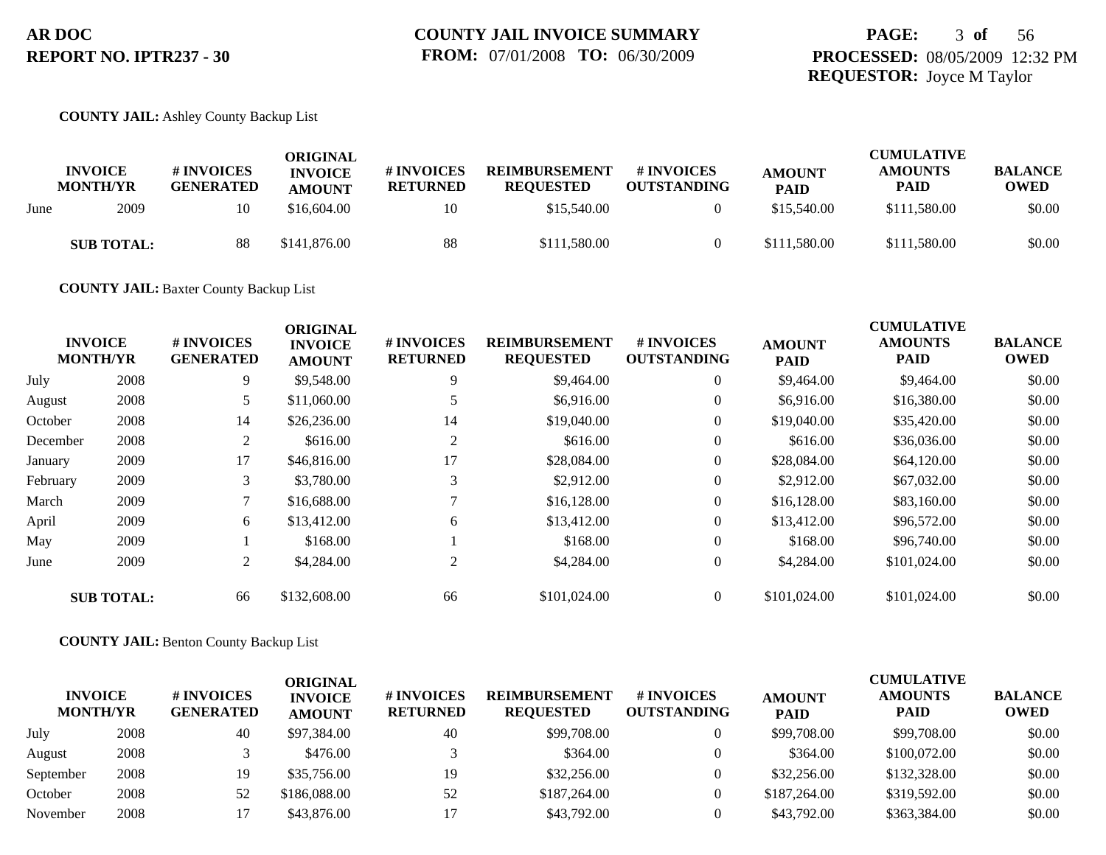## **PAGE:** 3 **of** 56 **PROCESSED:** 08/05/2009 12:32 PM **REQUESTOR:** Joyce M Taylor

### **COUNTY JAIL:** Ashley County Backup List

|      | <b>INVOICE</b><br><b>MONTH/YR</b> | # INVOICES<br><b>GENERATED</b> | ORIGINAL<br><b>INVOICE</b><br><b>AMOUNT</b> | # INVOICES<br><b>RETURNED</b> | <b>REIMBURSEMENT</b><br><b>REQUESTED</b> | # INVOICES<br><b>OUTSTANDING</b> | <b>AMOUNT</b><br><b>PAID</b> | <b>CUMULATIVE</b><br><b>AMOUNTS</b><br>PAID | <b>BALANCE</b><br><b>OWED</b> |
|------|-----------------------------------|--------------------------------|---------------------------------------------|-------------------------------|------------------------------------------|----------------------------------|------------------------------|---------------------------------------------|-------------------------------|
| June | 2009                              | 10                             | \$16,604,00                                 | 10                            | \$15,540.00                              |                                  | \$15,540.00                  | \$111,580.00                                | \$0.00                        |
|      | <b>SUB TOTAL:</b>                 | 88                             | \$141,876.00                                | 88                            | \$111,580.00                             |                                  | \$111,580.00                 | \$111,580.00                                | \$0.00                        |

**COUNTY JAIL:** Baxter County Backup List

|          | <b>INVOICE</b><br><b>MONTH/YR</b> | # INVOICES<br><b>GENERATED</b> | <b>ORIGINAL</b><br><b>INVOICE</b><br><b>AMOUNT</b> | # INVOICES<br><b>RETURNED</b> | <b>REIMBURSEMENT</b><br><b>REQUESTED</b> | <b># INVOICES</b><br><b>OUTSTANDING</b> | <b>AMOUNT</b><br><b>PAID</b> | <b>CUMULATIVE</b><br><b>AMOUNTS</b><br><b>PAID</b> | <b>BALANCE</b><br><b>OWED</b> |
|----------|-----------------------------------|--------------------------------|----------------------------------------------------|-------------------------------|------------------------------------------|-----------------------------------------|------------------------------|----------------------------------------------------|-------------------------------|
| July     | 2008                              | 9                              | \$9,548.00                                         | 9                             | \$9,464.00                               | $\overline{0}$                          | \$9,464.00                   | \$9,464.00                                         | \$0.00                        |
| August   | 2008                              | 5                              | \$11,060.00                                        |                               | \$6,916.00                               | $\overline{0}$                          | \$6,916.00                   | \$16,380.00                                        | \$0.00                        |
| October  | 2008                              | 14                             | \$26,236.00                                        | 14                            | \$19,040.00                              | $\overline{0}$                          | \$19,040.00                  | \$35,420.00                                        | \$0.00                        |
| December | 2008                              | 2                              | \$616.00                                           |                               | \$616.00                                 | $\overline{0}$                          | \$616.00                     | \$36,036.00                                        | \$0.00                        |
| January  | 2009                              | 17                             | \$46,816.00                                        | 17                            | \$28,084.00                              | $\overline{0}$                          | \$28,084.00                  | \$64,120.00                                        | \$0.00                        |
| February | 2009                              | 3                              | \$3,780.00                                         |                               | \$2,912.00                               | $\overline{0}$                          | \$2,912.00                   | \$67,032.00                                        | \$0.00                        |
| March    | 2009                              | 7                              | \$16,688.00                                        |                               | \$16,128.00                              | $\overline{0}$                          | \$16,128.00                  | \$83,160.00                                        | \$0.00                        |
| April    | 2009                              | 6                              | \$13,412.00                                        | 6                             | \$13,412.00                              | 0                                       | \$13,412.00                  | \$96,572.00                                        | \$0.00                        |
| May      | 2009                              |                                | \$168.00                                           |                               | \$168.00                                 | $\overline{0}$                          | \$168.00                     | \$96,740.00                                        | \$0.00                        |
| June     | 2009                              | $\overline{2}$                 | \$4,284.00                                         | 2                             | \$4,284.00                               | $\overline{0}$                          | \$4,284.00                   | \$101,024.00                                       | \$0.00                        |
|          | <b>SUB TOTAL:</b>                 | 66                             | \$132,608.00                                       | 66                            | \$101,024.00                             | $\Omega$                                | \$101,024.00                 | \$101,024.00                                       | \$0.00                        |

**COUNTY JAIL:** Benton County Backup List

| <b>INVOICE</b><br><b>MONTH/YR</b> |      | # INVOICES<br><b>GENERATED</b> | ORIGINAL<br><b>INVOICE</b><br><b>AMOUNT</b> | # INVOICES<br><b>RETURNED</b> | <b>REIMBURSEMENT</b><br><b>REQUESTED</b> | # INVOICES<br><b>OUTSTANDING</b> | <b>AMOUNT</b><br><b>PAID</b> | <b>CUMULATIVE</b><br><b>AMOUNTS</b><br><b>PAID</b> | <b>BALANCE</b><br><b>OWED</b> |
|-----------------------------------|------|--------------------------------|---------------------------------------------|-------------------------------|------------------------------------------|----------------------------------|------------------------------|----------------------------------------------------|-------------------------------|
| July                              | 2008 | 40                             | \$97,384.00                                 | 40                            | \$99,708.00                              |                                  | \$99,708.00                  | \$99,708.00                                        | \$0.00                        |
| August                            | 2008 |                                | \$476.00                                    |                               | \$364.00                                 |                                  | \$364.00                     | \$100,072.00                                       | \$0.00                        |
| September                         | 2008 | 19                             | \$35,756.00                                 | 19                            | \$32,256.00                              |                                  | \$32,256.00                  | \$132,328.00                                       | \$0.00                        |
| October                           | 2008 | 52                             | \$186,088,00                                | 52                            | \$187,264.00                             |                                  | \$187,264.00                 | \$319,592.00                                       | \$0.00                        |
| November                          | 2008 |                                | \$43,876.00                                 |                               | \$43,792.00                              |                                  | \$43,792.00                  | \$363,384.00                                       | \$0.00                        |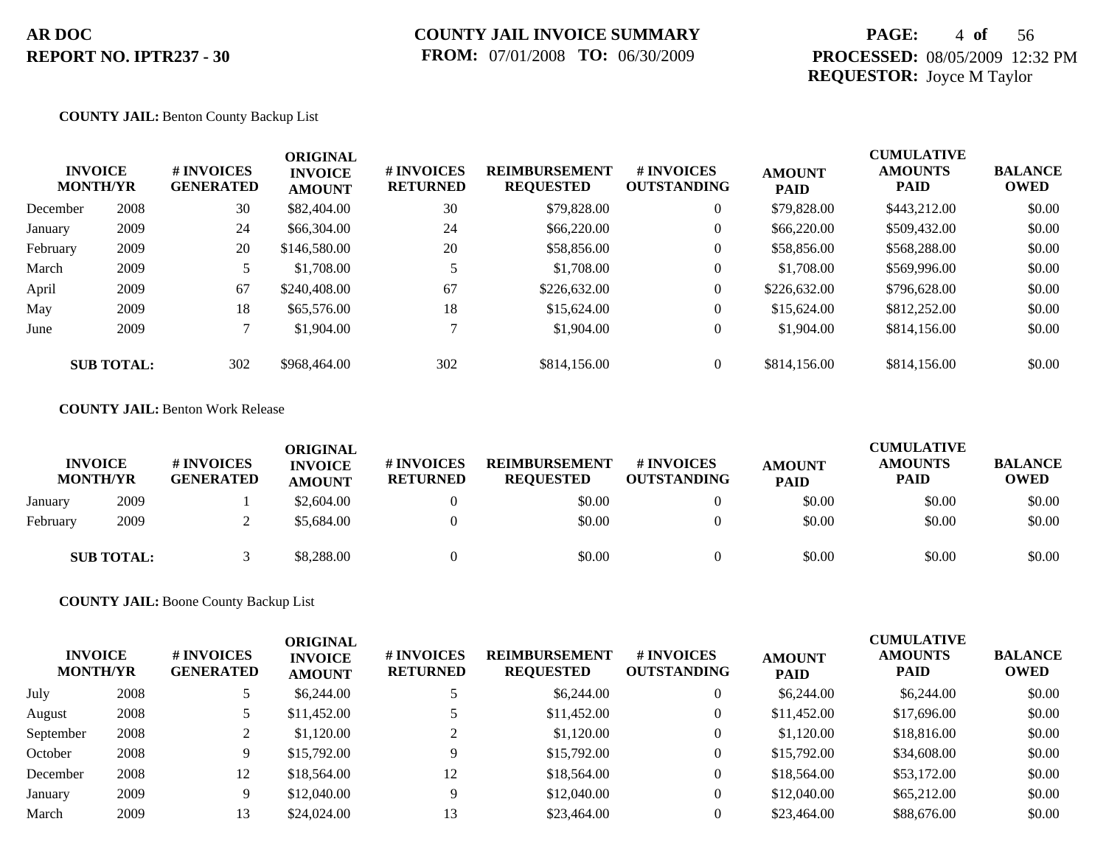## **PAGE:** 4 **of** 56 **PROCESSED:** 08/05/2009 12:32 PM **REQUESTOR:** Joyce M Taylor

#### **COUNTY JAIL:** Benton County Backup List

|          | <b>INVOICE</b><br><b>MONTH/YR</b> | # INVOICES<br><b>GENERATED</b> | <b>ORIGINAL</b><br><b>INVOICE</b><br><b>AMOUNT</b> | # INVOICES<br><b>RETURNED</b> | <b>REIMBURSEMENT</b><br><b>REQUESTED</b> | <b>#INVOICES</b><br><b>OUTSTANDING</b> | <b>AMOUNT</b><br><b>PAID</b> | <b>CUMULATIVE</b><br><b>AMOUNTS</b><br><b>PAID</b> | <b>BALANCE</b><br><b>OWED</b> |
|----------|-----------------------------------|--------------------------------|----------------------------------------------------|-------------------------------|------------------------------------------|----------------------------------------|------------------------------|----------------------------------------------------|-------------------------------|
| December | 2008                              | 30                             | \$82,404.00                                        | 30                            | \$79,828.00                              | $\overline{0}$                         | \$79,828.00                  | \$443,212.00                                       | \$0.00                        |
| January  | 2009                              | 24                             | \$66,304.00                                        | 24                            | \$66,220.00                              | $\overline{0}$                         | \$66,220.00                  | \$509,432.00                                       | \$0.00                        |
| February | 2009                              | 20                             | \$146,580.00                                       | 20                            | \$58,856.00                              | $\overline{0}$                         | \$58,856.00                  | \$568,288.00                                       | \$0.00                        |
| March    | 2009                              |                                | \$1,708.00                                         |                               | \$1,708.00                               | $\overline{0}$                         | \$1,708.00                   | \$569,996.00                                       | \$0.00                        |
| April    | 2009                              | 67                             | \$240,408.00                                       | 67                            | \$226,632.00                             | $\overline{0}$                         | \$226,632.00                 | \$796,628.00                                       | \$0.00                        |
| May      | 2009                              | 18                             | \$65,576.00                                        | 18                            | \$15,624.00                              | $\overline{0}$                         | \$15,624.00                  | \$812,252.00                                       | \$0.00                        |
| June     | 2009                              |                                | \$1,904.00                                         |                               | \$1,904.00                               | $\overline{0}$                         | \$1,904.00                   | \$814,156.00                                       | \$0.00                        |
|          | <b>SUB TOTAL:</b>                 | 302                            | \$968,464.00                                       | 302                           | \$814,156.00                             | $\overline{0}$                         | \$814,156.00                 | \$814,156.00                                       | \$0.00                        |

#### **COUNTY JAIL:** Benton Work Release

|          | <b>INVOICE</b><br><b>MONTH/YR</b> | # INVOICES<br><b>GENERATED</b> | <b>ORIGINAL</b><br><b>INVOICE</b><br><b>AMOUNT</b> | # INVOICES<br><b>RETURNED</b> | <b>REIMBURSEMENT</b><br><b>REOUESTED</b> | # INVOICES<br><b>OUTSTANDING</b> | <b>AMOUNT</b><br><b>PAID</b> | <b>CUMULATIVE</b><br><b>AMOUNTS</b><br>PAID | <b>BALANCE</b><br><b>OWED</b> |
|----------|-----------------------------------|--------------------------------|----------------------------------------------------|-------------------------------|------------------------------------------|----------------------------------|------------------------------|---------------------------------------------|-------------------------------|
| January  | 2009                              |                                | \$2,604.00                                         |                               | \$0.00                                   |                                  | \$0.00                       | \$0.00                                      | \$0.00                        |
| February | 2009                              |                                | \$5,684.00                                         |                               | \$0.00                                   |                                  | \$0.00                       | \$0.00                                      | \$0.00                        |
|          | <b>SUB TOTAL:</b>                 |                                | \$8,288.00                                         |                               | \$0.00                                   |                                  | \$0.00                       | \$0.00                                      | \$0.00                        |

**COUNTY JAIL:** Boone County Backup List

| <b>INVOICE</b><br><b>MONTH/YR</b> |      | # INVOICES<br><b>GENERATED</b> | <b>ORIGINAL</b><br><b>INVOICE</b><br><b>AMOUNT</b> | # INVOICES<br><b>RETURNED</b> | <b>REIMBURSEMENT</b><br><b>REQUESTED</b> | <b># INVOICES</b><br><b>OUTSTANDING</b> | <b>AMOUNT</b><br><b>PAID</b> | <b>CUMULATIVE</b><br><b>AMOUNTS</b><br><b>PAID</b> | <b>BALANCE</b><br>OWED |
|-----------------------------------|------|--------------------------------|----------------------------------------------------|-------------------------------|------------------------------------------|-----------------------------------------|------------------------------|----------------------------------------------------|------------------------|
| July                              | 2008 |                                | \$6,244.00                                         |                               | \$6,244.00                               | 0                                       | \$6,244.00                   | \$6,244.00                                         | \$0.00                 |
| August                            | 2008 |                                | \$11,452.00                                        |                               | \$11,452.00                              | 0                                       | \$11,452.00                  | \$17,696.00                                        | \$0.00                 |
| September                         | 2008 |                                | \$1,120.00                                         |                               | \$1,120.00                               | 0                                       | \$1,120.00                   | \$18,816.00                                        | \$0.00                 |
| October                           | 2008 | Q                              | \$15,792.00                                        |                               | \$15,792.00                              | $\overline{0}$                          | \$15,792.00                  | \$34,608.00                                        | \$0.00                 |
| December                          | 2008 | 12                             | \$18,564.00                                        | 12                            | \$18,564.00                              | 0                                       | \$18,564.00                  | \$53,172.00                                        | \$0.00                 |
| January                           | 2009 | Q                              | \$12,040.00                                        |                               | \$12,040.00                              | 0                                       | \$12,040.00                  | \$65,212.00                                        | \$0.00                 |
| March                             | 2009 |                                | \$24,024.00                                        | 13                            | \$23,464.00                              |                                         | \$23,464.00                  | \$88,676.00                                        | \$0.00                 |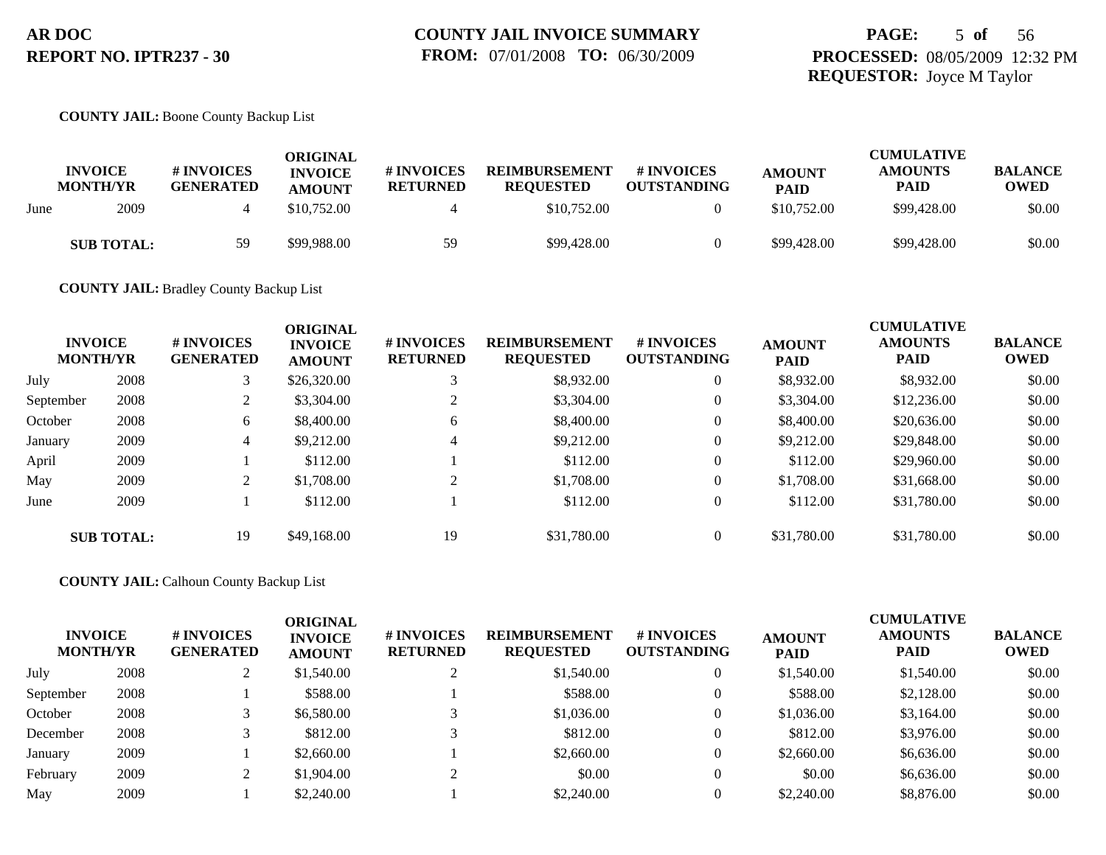## **PAGE:** 5 **of** 56 **PROCESSED:** 08/05/2009 12:32 PM **REQUESTOR:** Joyce M Taylor

#### **COUNTY JAIL:** Boone County Backup List

|      | <b>INVOICE</b><br><b>MONTH/YR</b> | <b>#INVOICES</b><br><b>GENERATED</b> | ORIGINAL<br><b>INVOICE</b><br><b>AMOUNT</b> | # INVOICES<br><b>RETURNED</b> | <b>REIMBURSEMENT</b><br><b>REQUESTED</b> | # INVOICES<br><b>OUTSTANDING</b> | <b>AMOUNT</b><br><b>PAID</b> | <b>CUMULATIVE</b><br><b>AMOUNTS</b><br>PAID | <b>BALANCE</b><br><b>OWED</b> |
|------|-----------------------------------|--------------------------------------|---------------------------------------------|-------------------------------|------------------------------------------|----------------------------------|------------------------------|---------------------------------------------|-------------------------------|
| June | 2009                              |                                      | \$10,752.00                                 |                               | \$10,752.00                              |                                  | \$10,752.00                  | \$99,428.00                                 | \$0.00                        |
|      | <b>SUB TOTAL:</b>                 | 59                                   | \$99,988.00                                 | 59                            | \$99,428.00                              |                                  | \$99,428.00                  | \$99,428.00                                 | \$0.00                        |

**COUNTY JAIL:** Bradley County Backup List

| <b>INVOICE</b><br><b>MONTH/YR</b> |                   | # INVOICES<br><b>GENERATED</b> | <b>ORIGINAL</b><br><b>INVOICE</b><br><b>AMOUNT</b> | # INVOICES<br><b>RETURNED</b> | <b>REIMBURSEMENT</b><br><b>REQUESTED</b> | <b>#INVOICES</b><br><b>OUTSTANDING</b> | <b>AMOUNT</b><br><b>PAID</b> | <b>CUMULATIVE</b><br><b>AMOUNTS</b><br><b>PAID</b> | <b>BALANCE</b><br>OWED |
|-----------------------------------|-------------------|--------------------------------|----------------------------------------------------|-------------------------------|------------------------------------------|----------------------------------------|------------------------------|----------------------------------------------------|------------------------|
| July                              | 2008              |                                | \$26,320.00                                        |                               | \$8,932.00                               | $\overline{0}$                         | \$8,932.00                   | \$8,932.00                                         | \$0.00                 |
| September                         | 2008              |                                | \$3,304.00                                         |                               | \$3,304.00                               | $\overline{0}$                         | \$3,304.00                   | \$12,236.00                                        | \$0.00                 |
| October                           | 2008              | 6                              | \$8,400.00                                         | 6                             | \$8,400.00                               | $\mathbf{0}$                           | \$8,400.00                   | \$20,636.00                                        | \$0.00                 |
| January                           | 2009              | 4                              | \$9,212.00                                         | 4                             | \$9,212.00                               | $\overline{0}$                         | \$9,212.00                   | \$29,848.00                                        | \$0.00                 |
| April                             | 2009              |                                | \$112.00                                           |                               | \$112.00                                 | $\overline{0}$                         | \$112.00                     | \$29,960.00                                        | \$0.00                 |
| May                               | 2009              | $\gamma$                       | \$1,708.00                                         | $\bigcap$                     | \$1,708.00                               | $\overline{0}$                         | \$1,708.00                   | \$31,668.00                                        | \$0.00                 |
| June                              | 2009              |                                | \$112.00                                           |                               | \$112.00                                 | $\overline{0}$                         | \$112.00                     | \$31,780.00                                        | \$0.00                 |
|                                   | <b>SUB TOTAL:</b> | 19                             | \$49,168,00                                        | 19                            | \$31,780.00                              | $\Omega$                               | \$31,780.00                  | \$31,780.00                                        | \$0.00                 |

**COUNTY JAIL:** Calhoun County Backup List

| <b>INVOICE</b><br><b>MONTH/YR</b> |      | <b># INVOICES</b><br><b>GENERATED</b> | <b>ORIGINAL</b><br><b>INVOICE</b><br><b>AMOUNT</b> | # INVOICES<br><b>RETURNED</b> | <b>REIMBURSEMENT</b><br><b>REQUESTED</b> | # INVOICES<br><b>OUTSTANDING</b> | <b>AMOUNT</b><br><b>PAID</b> | <b>CUMULATIVE</b><br><b>AMOUNTS</b><br><b>PAID</b> | <b>BALANCE</b><br><b>OWED</b> |
|-----------------------------------|------|---------------------------------------|----------------------------------------------------|-------------------------------|------------------------------------------|----------------------------------|------------------------------|----------------------------------------------------|-------------------------------|
| July                              | 2008 |                                       | \$1,540.00                                         |                               | \$1,540.00                               |                                  | \$1,540.00                   | \$1,540.00                                         | \$0.00                        |
| September                         | 2008 |                                       | \$588.00                                           |                               | \$588.00                                 |                                  | \$588.00                     | \$2,128.00                                         | \$0.00                        |
| October                           | 2008 |                                       | \$6,580.00                                         |                               | \$1,036.00                               |                                  | \$1,036.00                   | \$3,164.00                                         | \$0.00                        |
| December                          | 2008 |                                       | \$812.00                                           |                               | \$812.00                                 |                                  | \$812.00                     | \$3,976.00                                         | \$0.00                        |
| January                           | 2009 |                                       | \$2,660.00                                         |                               | \$2,660.00                               |                                  | \$2,660.00                   | \$6,636.00                                         | \$0.00                        |
| February                          | 2009 |                                       | \$1,904.00                                         |                               | \$0.00                                   |                                  | \$0.00                       | \$6,636.00                                         | \$0.00                        |
| May                               | 2009 |                                       | \$2,240.00                                         |                               | \$2,240.00                               |                                  | \$2,240.00                   | \$8,876.00                                         | \$0.00                        |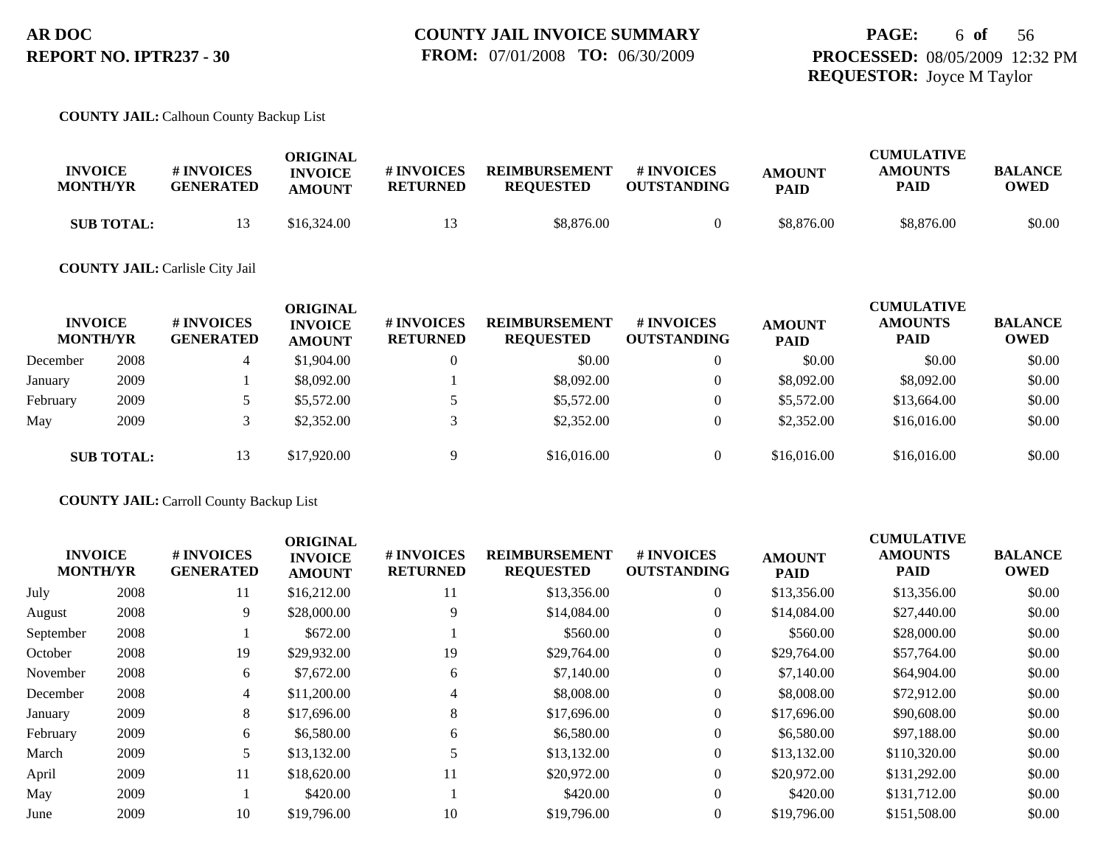#### **COUNTY JAIL:** Calhoun County Backup List

| <b>INVOICE</b><br><b>MONTH/YR</b> | <b># INVOICES</b><br><b>GENERATED</b> | ORIGINAL<br><b>INVOICE</b><br><b>AMOUNT</b> | # INVOICES<br><b>RETURNED</b> | <b>REIMBURSEMENT</b><br><b>REOUESTED</b> | # INVOICES<br><b>OUTSTANDING</b> | <b>AMOUNT</b><br><b>PAID</b> | <b>CUMULATIVE</b><br><b>AMOUNTS</b><br>PAID | <b>BALANCE</b><br><b>OWED</b> |
|-----------------------------------|---------------------------------------|---------------------------------------------|-------------------------------|------------------------------------------|----------------------------------|------------------------------|---------------------------------------------|-------------------------------|
| <b>SUB TOTAL:</b>                 |                                       | \$16,324.00                                 |                               | \$8,876.00                               |                                  | \$8,876.00                   | \$8,876.00                                  | \$0.00                        |

#### **COUNTY JAIL:** Carlisle City Jail

| <b>INVOICE</b><br><b>MONTH/YR</b> |                   | <b># INVOICES</b><br><b>GENERATED</b> | ORIGINAL<br><b>INVOICE</b><br><b>AMOUNT</b> | # INVOICES<br><b>RETURNED</b> | <b>REIMBURSEMENT</b><br><b>REQUESTED</b> | # INVOICES<br><b>OUTSTANDING</b> | <b>AMOUNT</b><br><b>PAID</b> | <b>CUMULATIVE</b><br><b>AMOUNTS</b><br><b>PAID</b> | <b>BALANCE</b><br><b>OWED</b> |
|-----------------------------------|-------------------|---------------------------------------|---------------------------------------------|-------------------------------|------------------------------------------|----------------------------------|------------------------------|----------------------------------------------------|-------------------------------|
| December                          | 2008              |                                       | \$1,904.00                                  |                               | \$0.00                                   | $\overline{0}$                   | \$0.00                       | \$0.00                                             | \$0.00                        |
| January                           | 2009              |                                       | \$8,092.00                                  |                               | \$8,092.00                               | $\overline{0}$                   | \$8,092.00                   | \$8,092.00                                         | \$0.00                        |
| February                          | 2009              |                                       | \$5,572.00                                  |                               | \$5,572.00                               | $\theta$                         | \$5,572.00                   | \$13,664.00                                        | \$0.00                        |
| May                               | 2009              |                                       | \$2,352.00                                  |                               | \$2,352.00                               | $\theta$                         | \$2,352.00                   | \$16,016.00                                        | \$0.00                        |
|                                   | <b>SUB TOTAL:</b> | 13                                    | \$17,920.00                                 | Q                             | \$16,016.00                              | $\overline{0}$                   | \$16,016.00                  | \$16,016.00                                        | \$0.00                        |

#### **COUNTY JAIL:** Carroll County Backup List

| <b>INVOICE</b><br><b>MONTH/YR</b> |      | # INVOICES<br><b>GENERATED</b> | <b>ORIGINAL</b><br><b>INVOICE</b><br><b>AMOUNT</b> | # INVOICES<br><b>RETURNED</b> | <b>REIMBURSEMENT</b><br><b>REQUESTED</b> | <b>#INVOICES</b><br><b>OUTSTANDING</b> | <b>AMOUNT</b><br><b>PAID</b> | <b>CUMULATIVE</b><br><b>AMOUNTS</b><br><b>PAID</b> | <b>BALANCE</b><br><b>OWED</b> |
|-----------------------------------|------|--------------------------------|----------------------------------------------------|-------------------------------|------------------------------------------|----------------------------------------|------------------------------|----------------------------------------------------|-------------------------------|
| July                              | 2008 | 11                             | \$16,212.00                                        | 11                            | \$13,356.00                              | $\mathbf{0}$                           | \$13,356.00                  | \$13,356.00                                        | \$0.00                        |
| August                            | 2008 | 9                              | \$28,000.00                                        | 9                             | \$14,084.00                              | $\mathbf{0}$                           | \$14,084.00                  | \$27,440.00                                        | \$0.00                        |
| September                         | 2008 |                                | \$672.00                                           |                               | \$560.00                                 | $\mathbf{0}$                           | \$560.00                     | \$28,000.00                                        | \$0.00                        |
| October                           | 2008 | 19                             | \$29,932.00                                        | 19                            | \$29,764.00                              | $\overline{0}$                         | \$29,764.00                  | \$57,764.00                                        | \$0.00                        |
| November                          | 2008 | 6                              | \$7,672.00                                         | 6                             | \$7,140.00                               | $\mathbf{0}$                           | \$7,140.00                   | \$64,904.00                                        | \$0.00                        |
| December                          | 2008 | 4                              | \$11,200.00                                        | 4                             | \$8,008.00                               | $\mathbf{0}$                           | \$8,008.00                   | \$72,912.00                                        | \$0.00                        |
| January                           | 2009 | 8                              | \$17,696.00                                        | 8                             | \$17,696.00                              | $\overline{0}$                         | \$17,696.00                  | \$90,608.00                                        | \$0.00                        |
| February                          | 2009 | 6                              | \$6,580.00                                         | 6                             | \$6,580.00                               | $\mathbf{0}$                           | \$6,580.00                   | \$97,188,00                                        | \$0.00                        |
| March                             | 2009 | 5                              | \$13,132.00                                        |                               | \$13,132.00                              | $\Omega$                               | \$13,132.00                  | \$110,320.00                                       | \$0.00                        |
| April                             | 2009 | 11                             | \$18,620.00                                        | 11                            | \$20,972.00                              | $\Omega$                               | \$20,972.00                  | \$131,292.00                                       | \$0.00                        |
| May                               | 2009 |                                | \$420.00                                           |                               | \$420.00                                 | $\overline{0}$                         | \$420.00                     | \$131,712.00                                       | \$0.00                        |
| June                              | 2009 | 10                             | \$19,796.00                                        | 10                            | \$19,796.00                              | $\Omega$                               | \$19,796.00                  | \$151,508.00                                       | \$0.00                        |
|                                   |      |                                |                                                    |                               |                                          |                                        |                              |                                                    |                               |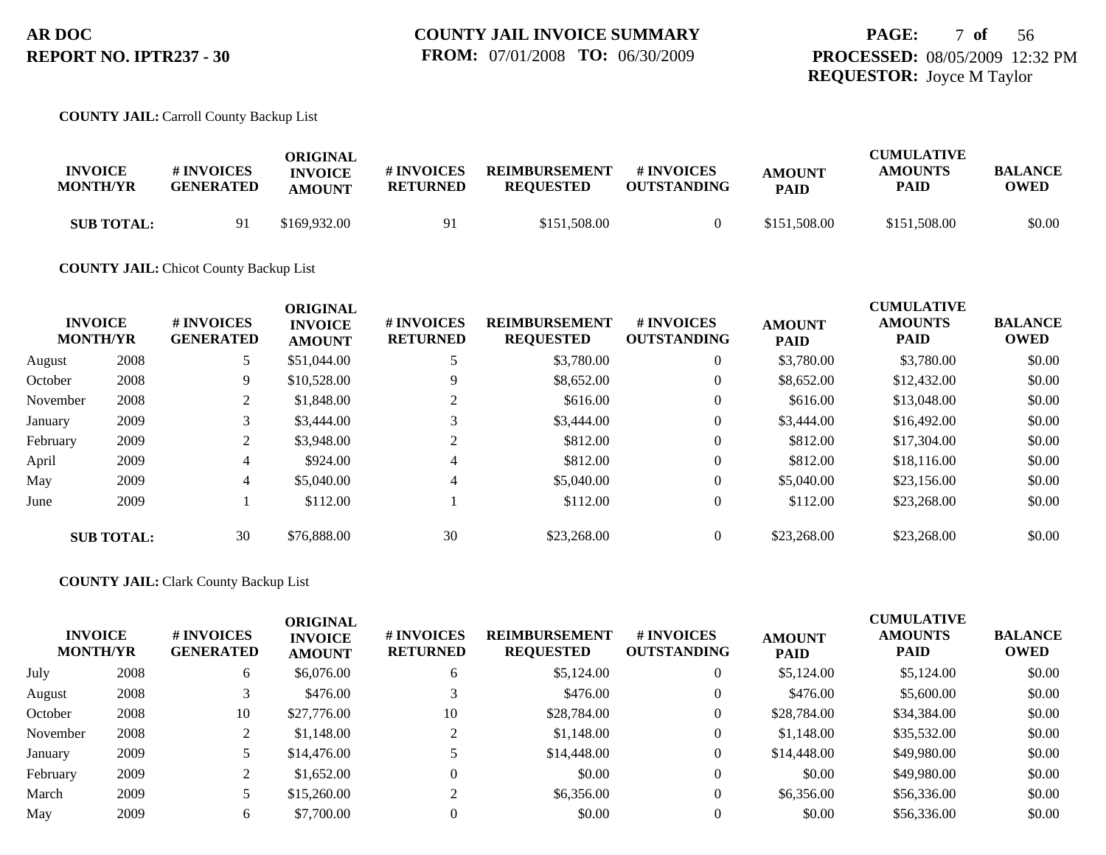#### **COUNTY JAIL:** Carroll County Backup List

| <b>INVOICE</b><br><b>MONTH/YR</b> | # INVOICES<br><b>GENERATED</b> | ORIGINAL<br><b>INVOICE</b><br><b>AMOUNT</b> | # INVOICES<br><b>RETURNED</b> | <b>REIMBURSEMENT</b><br><b>REOUESTED</b> | # INVOICES<br><b>OUTSTANDING</b> | <b>AMOUNT</b><br><b>PAID</b> | <b>CUMULATIVE</b><br><b>AMOUNTS</b><br>PAID | <b>BALANCE</b><br>OWED |
|-----------------------------------|--------------------------------|---------------------------------------------|-------------------------------|------------------------------------------|----------------------------------|------------------------------|---------------------------------------------|------------------------|
| <b>SUB TOTAL:</b>                 | Q 1                            | \$169,932.00                                | 91                            | \$151,508.00                             |                                  | \$151,508.00                 | \$151,508.00                                | \$0.00                 |

#### **COUNTY JAIL:** Chicot County Backup List

|          | <b>INVOICE</b><br><b>MONTH/YR</b> | # INVOICES<br><b>GENERATED</b> | <b>ORIGINAL</b><br><b>INVOICE</b><br><b>AMOUNT</b> | # INVOICES<br><b>RETURNED</b> | <b>REIMBURSEMENT</b><br><b>REQUESTED</b> | # INVOICES<br><b>OUTSTANDING</b> | <b>AMOUNT</b><br><b>PAID</b> | <b>CUMULATIVE</b><br><b>AMOUNTS</b><br><b>PAID</b> | <b>BALANCE</b><br><b>OWED</b> |
|----------|-----------------------------------|--------------------------------|----------------------------------------------------|-------------------------------|------------------------------------------|----------------------------------|------------------------------|----------------------------------------------------|-------------------------------|
| August   | 2008                              | 5                              | \$51,044.00                                        |                               | \$3,780.00                               | $\theta$                         | \$3,780.00                   | \$3,780.00                                         | \$0.00                        |
| October  | 2008                              | 9                              | \$10,528.00                                        | 9                             | \$8,652.00                               | $\theta$                         | \$8,652.00                   | \$12,432.00                                        | \$0.00                        |
| November | 2008                              | 2                              | \$1,848.00                                         |                               | \$616.00                                 | $\theta$                         | \$616.00                     | \$13,048.00                                        | \$0.00                        |
| January  | 2009                              | 3                              | \$3,444.00                                         |                               | \$3,444.00                               | $\mathbf{0}$                     | \$3,444.00                   | \$16,492.00                                        | \$0.00                        |
| February | 2009                              | 2                              | \$3,948.00                                         |                               | \$812.00                                 | $\theta$                         | \$812.00                     | \$17,304.00                                        | \$0.00                        |
| April    | 2009                              | 4                              | \$924.00                                           | 4                             | \$812.00                                 | $\theta$                         | \$812.00                     | \$18,116.00                                        | \$0.00                        |
| May      | 2009                              | 4                              | \$5,040.00                                         | 4                             | \$5,040.00                               | $\theta$                         | \$5,040.00                   | \$23,156.00                                        | \$0.00                        |
| June     | 2009                              |                                | \$112.00                                           |                               | \$112.00                                 | $\theta$                         | \$112.00                     | \$23,268.00                                        | \$0.00                        |
|          | <b>SUB TOTAL:</b>                 | 30                             | \$76,888,00                                        | 30                            | \$23,268.00                              | $\mathbf{0}$                     | \$23,268,00                  | \$23,268,00                                        | \$0.00                        |

#### **COUNTY JAIL:** Clark County Backup List

| <b>MONTH/YR</b> | <b>INVOICE</b> | <b>#INVOICES</b><br><b>GENERATED</b><br>6 | <b>ORIGINAL</b><br><b>INVOICE</b><br><b>AMOUNT</b> | # INVOICES<br><b>RETURNED</b> | <b>REIMBURSEMENT</b><br><b>REQUESTED</b> | # INVOICES<br><b>OUTSTANDING</b> | <b>AMOUNT</b><br><b>PAID</b> | <b>CUMULATIVE</b><br><b>AMOUNTS</b><br><b>PAID</b> | <b>BALANCE</b><br><b>OWED</b> |
|-----------------|----------------|-------------------------------------------|----------------------------------------------------|-------------------------------|------------------------------------------|----------------------------------|------------------------------|----------------------------------------------------|-------------------------------|
| July            | 2008           |                                           | \$6,076.00                                         | 6                             | \$5,124.00                               | 0                                | \$5,124.00                   | \$5,124.00                                         | \$0.00                        |
| August          | 2008           |                                           | \$476.00                                           |                               | \$476.00                                 | 0                                | \$476.00                     | \$5,600.00                                         | \$0.00                        |
| October         | 2008           | 10                                        | \$27,776.00                                        | 10                            | \$28,784.00                              | $\overline{0}$                   | \$28,784.00                  | \$34,384.00                                        | \$0.00                        |
| November        | 2008           |                                           | \$1,148.00                                         | $\bigcap$                     | \$1,148.00                               | $\overline{0}$                   | \$1,148.00                   | \$35,532.00                                        | \$0.00                        |
| January         | 2009           |                                           | \$14,476.00                                        |                               | \$14,448.00                              | 0                                | \$14,448.00                  | \$49,980.00                                        | \$0.00                        |
| February        | 2009           |                                           | \$1,652.00                                         |                               | \$0.00                                   | $\Omega$                         | \$0.00                       | \$49,980.00                                        | \$0.00                        |
| March           | 2009           |                                           | \$15,260.00                                        | $\sim$                        | \$6,356.00                               | 0                                | \$6,356.00                   | \$56,336.00                                        | \$0.00                        |
| May             | 2009           | O.                                        | \$7,700.00                                         |                               | \$0.00                                   |                                  | \$0.00                       | \$56,336.00                                        | \$0.00                        |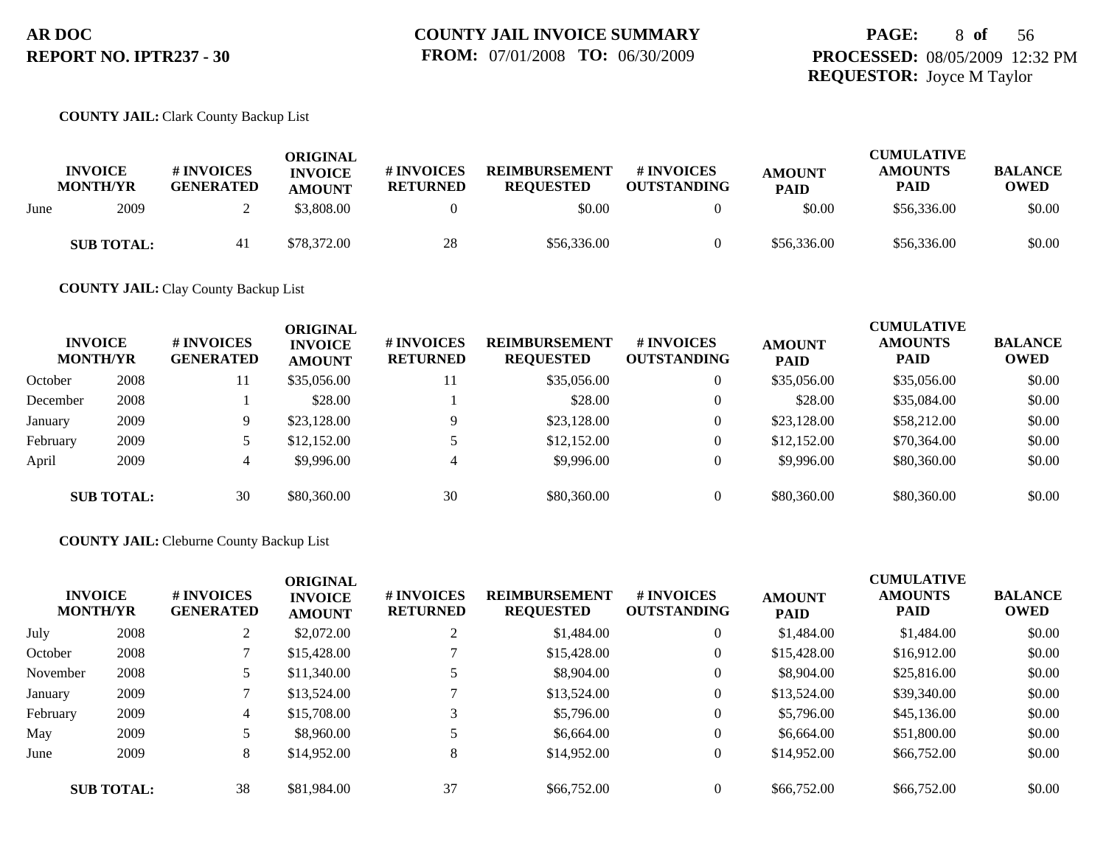## **PAGE:** 8 **of** 56 **PROCESSED:** 08/05/2009 12:32 PM **REQUESTOR:** Joyce M Taylor

#### **COUNTY JAIL:** Clark County Backup List

|      | <b>INVOICE</b><br><b>MONTH/YR</b> | # INVOICES<br><b>GENERATED</b> | ORIGINAL<br><b>INVOICE</b><br><b>AMOUNT</b> | # INVOICES<br><b>RETURNED</b> | <b>REIMBURSEMENT</b><br><b>REOUESTED</b> | # INVOICES<br><b>OUTSTANDING</b> | <b>AMOUNT</b><br><b>PAID</b> | <b>CUMULATIVE</b><br><b>AMOUNTS</b><br>PAID | <b>BALANCE</b><br>OWED |
|------|-----------------------------------|--------------------------------|---------------------------------------------|-------------------------------|------------------------------------------|----------------------------------|------------------------------|---------------------------------------------|------------------------|
| June | 2009                              |                                | \$3,808.00                                  |                               | \$0.00                                   |                                  | \$0.00                       | \$56,336.00                                 | \$0.00                 |
|      | <b>SUB TOTAL:</b>                 | 41                             | \$78,372.00                                 | 28                            | \$56,336.00                              |                                  | \$56,336.00                  | \$56,336.00                                 | \$0.00                 |

**COUNTY JAIL:** Clay County Backup List

| <b>INVOICE</b><br><b>MONTH/YR</b> |                   | <b># INVOICES</b><br><b>GENERATED</b> | <b>ORIGINAL</b><br><b>INVOICE</b><br><b>AMOUNT</b> | # INVOICES<br><b>RETURNED</b> | <b>REIMBURSEMENT</b><br><b>REQUESTED</b> | <b># INVOICES</b><br><b>OUTSTANDING</b> | <b>AMOUNT</b><br><b>PAID</b> | <b>CUMULATIVE</b><br><b>AMOUNTS</b><br><b>PAID</b> | <b>BALANCE</b><br><b>OWED</b> |
|-----------------------------------|-------------------|---------------------------------------|----------------------------------------------------|-------------------------------|------------------------------------------|-----------------------------------------|------------------------------|----------------------------------------------------|-------------------------------|
| October                           | 2008              | 11                                    | \$35,056.00                                        | 11                            | \$35,056.00                              | $\overline{0}$                          | \$35,056.00                  | \$35,056.00                                        | \$0.00                        |
| December                          | 2008              |                                       | \$28.00                                            |                               | \$28.00                                  | $\overline{0}$                          | \$28.00                      | \$35,084.00                                        | \$0.00                        |
| January                           | 2009              | 9.                                    | \$23,128.00                                        |                               | \$23,128.00                              | $\overline{0}$                          | \$23,128,00                  | \$58,212.00                                        | \$0.00                        |
| February                          | 2009              |                                       | \$12,152.00                                        |                               | \$12,152.00                              | $\overline{0}$                          | \$12,152.00                  | \$70,364.00                                        | \$0.00                        |
| April                             | 2009              | 4                                     | \$9,996.00                                         | 4                             | \$9,996.00                               | $\overline{0}$                          | \$9,996.00                   | \$80,360.00                                        | \$0.00                        |
|                                   | <b>SUB TOTAL:</b> | 30                                    | \$80,360.00                                        | 30                            | \$80,360.00                              | $\Omega$                                | \$80,360.00                  | \$80,360.00                                        | \$0.00                        |

#### **COUNTY JAIL:** Cleburne County Backup List

| <b>INVOICE</b><br><b>MONTH/YR</b> |                   | # INVOICES<br><b>GENERATED</b> | <b>ORIGINAL</b><br><b>INVOICE</b><br><b>AMOUNT</b> | <b># INVOICES</b><br><b>RETURNED</b> | <b>REIMBURSEMENT</b><br><b>REQUESTED</b> | # INVOICES<br><b>OUTSTANDING</b> | <b>AMOUNT</b><br><b>PAID</b> | <b>CUMULATIVE</b><br><b>AMOUNTS</b><br><b>PAID</b> | <b>BALANCE</b><br><b>OWED</b> |
|-----------------------------------|-------------------|--------------------------------|----------------------------------------------------|--------------------------------------|------------------------------------------|----------------------------------|------------------------------|----------------------------------------------------|-------------------------------|
| July                              | 2008              |                                | \$2,072.00                                         | 2                                    | \$1,484.00                               |                                  | \$1,484.00                   | \$1,484.00                                         | \$0.00                        |
| October                           | 2008              |                                | \$15,428.00                                        |                                      | \$15,428.00                              | $\theta$                         | \$15,428.00                  | \$16,912.00                                        | \$0.00                        |
| November                          | 2008              |                                | \$11,340.00                                        | 5                                    | \$8,904.00                               |                                  | \$8,904.00                   | \$25,816.00                                        | \$0.00                        |
| January                           | 2009              |                                | \$13,524.00                                        |                                      | \$13,524.00                              |                                  | \$13,524.00                  | \$39,340.00                                        | \$0.00                        |
| February                          | 2009              | 4                              | \$15,708.00                                        | 3                                    | \$5,796.00                               |                                  | \$5,796.00                   | \$45,136.00                                        | \$0.00                        |
| May                               | 2009              |                                | \$8,960.00                                         |                                      | \$6,664.00                               | $\theta$                         | \$6,664.00                   | \$51,800.00                                        | \$0.00                        |
| June                              | 2009              | 8                              | \$14,952.00                                        | 8                                    | \$14,952.00                              |                                  | \$14,952.00                  | \$66,752.00                                        | \$0.00                        |
|                                   | <b>SUB TOTAL:</b> | 38                             | \$81,984.00                                        | 37                                   | \$66,752.00                              |                                  | \$66,752.00                  | \$66,752.00                                        | \$0.00                        |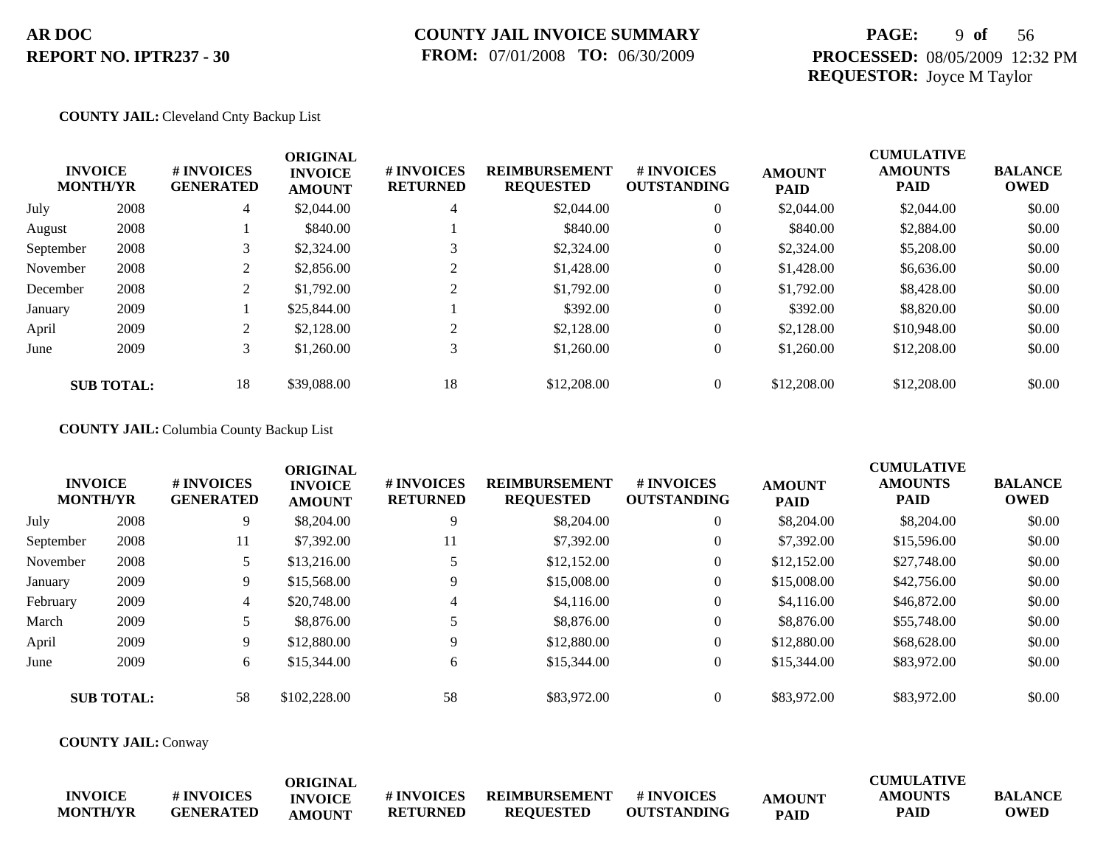### **COUNTY JAIL INVOICE SUMMARY FROM:** 07/01/2008 **TO:** 06/30/2009

## **PAGE:** 9 **of** 56 **PROCESSED:** 08/05/2009 12:32 PM **REQUESTOR:** Joyce M Taylor

#### **COUNTY JAIL:** Cleveland Cnty Backup List

|           | <b>INVOICE</b><br><b>MONTH/YR</b> | # INVOICES<br><b>GENERATED</b> | <b>ORIGINAL</b><br><b>INVOICE</b><br><b>AMOUNT</b> | # INVOICES<br><b>RETURNED</b> | <b>REIMBURSEMENT</b><br><b>REQUESTED</b> | <b>#INVOICES</b><br><b>OUTSTANDING</b> | <b>AMOUNT</b><br><b>PAID</b> | <b>CUMULATIVE</b><br><b>AMOUNTS</b><br><b>PAID</b> | <b>BALANCE</b><br><b>OWED</b> |
|-----------|-----------------------------------|--------------------------------|----------------------------------------------------|-------------------------------|------------------------------------------|----------------------------------------|------------------------------|----------------------------------------------------|-------------------------------|
| July      | 2008                              | 4                              | \$2,044.00                                         | 4                             | \$2,044.00                               | $\overline{0}$                         | \$2,044.00                   | \$2,044.00                                         | \$0.00                        |
| August    | 2008                              |                                | \$840.00                                           |                               | \$840.00                                 | $\overline{0}$                         | \$840.00                     | \$2,884.00                                         | \$0.00                        |
| September | 2008                              |                                | \$2,324.00                                         |                               | \$2,324.00                               | $\theta$                               | \$2,324.00                   | \$5,208.00                                         | \$0.00                        |
| November  | 2008                              | 2                              | \$2,856.00                                         |                               | \$1,428.00                               | $\overline{0}$                         | \$1,428.00                   | \$6,636.00                                         | \$0.00                        |
| December  | 2008                              | 2                              | \$1,792.00                                         | $\gamma$                      | \$1,792.00                               | $\overline{0}$                         | \$1,792.00                   | \$8,428.00                                         | \$0.00                        |
| January   | 2009                              |                                | \$25,844.00                                        |                               | \$392.00                                 | $\overline{0}$                         | \$392.00                     | \$8,820.00                                         | \$0.00                        |
| April     | 2009                              | $\bigcap$<br>∠                 | \$2,128.00                                         | 2                             | \$2,128.00                               | $\theta$                               | \$2,128.00                   | \$10,948.00                                        | \$0.00                        |
| June      | 2009                              | 3                              | \$1,260.00                                         | 3                             | \$1,260.00                               | $\theta$                               | \$1,260.00                   | \$12,208.00                                        | \$0.00                        |
|           | <b>SUB TOTAL:</b>                 | 18                             | \$39,088.00                                        | 18                            | \$12,208,00                              | $\theta$                               | \$12,208.00                  | \$12,208.00                                        | \$0.00                        |

### **COUNTY JAIL:** Columbia County Backup List

|           | <b>INVOICE</b><br><b>MONTH/YR</b> | # INVOICES<br><b>GENERATED</b> | <b>ORIGINAL</b><br><b>INVOICE</b><br><b>AMOUNT</b> | # INVOICES<br><b>RETURNED</b> | <b>REIMBURSEMENT</b><br><b>REQUESTED</b> | # INVOICES<br><b>OUTSTANDING</b> | <b>AMOUNT</b><br><b>PAID</b> | <b>CUMULATIVE</b><br><b>AMOUNTS</b><br><b>PAID</b> | <b>BALANCE</b><br><b>OWED</b> |
|-----------|-----------------------------------|--------------------------------|----------------------------------------------------|-------------------------------|------------------------------------------|----------------------------------|------------------------------|----------------------------------------------------|-------------------------------|
| July      | 2008                              | 9                              | \$8,204.00                                         | 9                             | \$8,204.00                               | $\overline{0}$                   | \$8,204.00                   | \$8,204.00                                         | \$0.00                        |
| September | 2008                              | 11                             | \$7,392.00                                         | 11                            | \$7,392.00                               | $\overline{0}$                   | \$7,392.00                   | \$15,596.00                                        | \$0.00                        |
| November  | 2008                              |                                | \$13,216.00                                        |                               | \$12,152.00                              | $\overline{0}$                   | \$12,152.00                  | \$27,748.00                                        | \$0.00                        |
| January   | 2009                              | 9                              | \$15,568.00                                        | 9                             | \$15,008.00                              | $\overline{0}$                   | \$15,008.00                  | \$42,756.00                                        | \$0.00                        |
| February  | 2009                              | 4                              | \$20,748.00                                        | 4                             | \$4,116.00                               | $\theta$                         | \$4,116.00                   | \$46,872.00                                        | \$0.00                        |
| March     | 2009                              |                                | \$8,876.00                                         |                               | \$8,876.00                               | $\theta$                         | \$8,876.00                   | \$55,748.00                                        | \$0.00                        |
| April     | 2009                              | 9                              | \$12,880.00                                        | 9                             | \$12,880.00                              | $\overline{0}$                   | \$12,880.00                  | \$68,628.00                                        | \$0.00                        |
| June      | 2009                              | 6                              | \$15,344.00                                        | 6                             | \$15,344.00                              | $\theta$                         | \$15,344.00                  | \$83,972.00                                        | \$0.00                        |
|           | <b>SUB TOTAL:</b>                 | 58                             | \$102,228.00                                       | 58                            | \$83,972.00                              | $\theta$                         | \$83,972.00                  | \$83,972.00                                        | \$0.00                        |

**COUNTY JAIL:** Conway

|                                   |                                | ORIGINAL       |                                     |                                          |                                  |             | CUMULATIVE                    |                               |
|-----------------------------------|--------------------------------|----------------|-------------------------------------|------------------------------------------|----------------------------------|-------------|-------------------------------|-------------------------------|
| <b>INVOICE</b><br><b>MONTH/YR</b> | # INVOICES<br><b>GENERATED</b> | <b>INVOICE</b> | <b>#INVOICES</b><br><b>RETURNED</b> | <b>REIMBURSEMENT</b><br><b>REOUESTED</b> | # INVOICES<br><b>OUTSTANDING</b> | AMOUNT      | <b>AMOUNTS</b><br><b>PAID</b> | <b>BALANCE</b><br><b>OWED</b> |
|                                   |                                | <b>AMOUNT</b>  |                                     |                                          |                                  | <b>PAID</b> |                               |                               |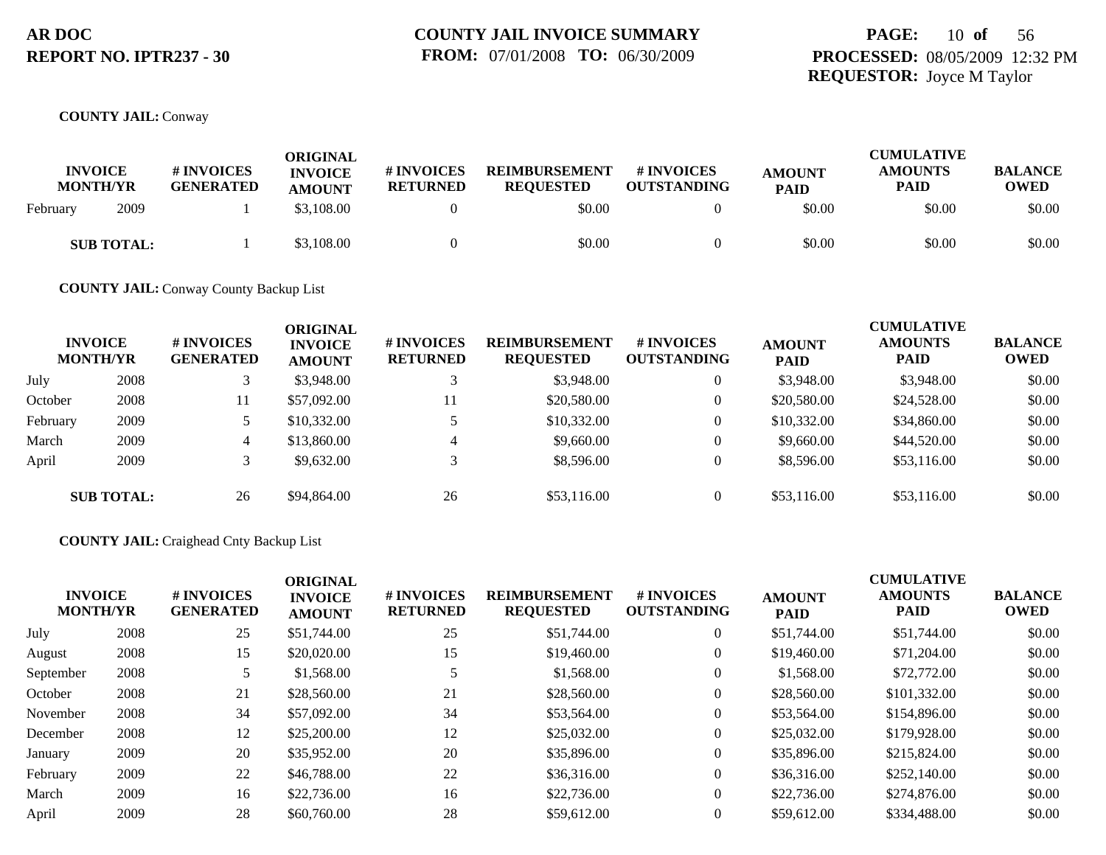## **PAGE:** 10 **of** 56 **PROCESSED:** 08/05/2009 12:32 PM **REQUESTOR:** Joyce M Taylor

#### **COUNTY JAIL:** Conway

| <b>INVOICE</b><br><b>MONTH/YR</b> | # INVOICES<br><b>GENERATED</b> | ORIGINAL<br><b>INVOICE</b><br><b>AMOUNT</b> | <b>#INVOICES</b><br><b>RETURNED</b> | <b>REIMBURSEMENT</b><br><b>REOUESTED</b> | <b>#INVOICES</b><br><b>OUTSTANDING</b> | <b>AMOUNT</b><br><b>PAID</b> | <b>CUMULATIVE</b><br><b>AMOUNTS</b><br><b>PAID</b> | <b>BALANCE</b><br><b>OWED</b> |
|-----------------------------------|--------------------------------|---------------------------------------------|-------------------------------------|------------------------------------------|----------------------------------------|------------------------------|----------------------------------------------------|-------------------------------|
| 2009<br>February                  |                                | \$3,108.00                                  |                                     | \$0.00                                   |                                        | \$0.00                       | \$0.00                                             | \$0.00                        |
| <b>SUB TOTAL:</b>                 |                                | \$3,108.00                                  |                                     | \$0.00                                   |                                        | \$0.00                       | \$0.00                                             | \$0.00                        |

**COUNTY JAIL:** Conway County Backup List

|          | <b>INVOICE</b><br><b>MONTH/YR</b> | <b># INVOICES</b><br><b>GENERATED</b> | <b>ORIGINAL</b><br><b>INVOICE</b><br><b>AMOUNT</b> | # INVOICES<br><b>RETURNED</b> | <b>REIMBURSEMENT</b><br><b>REQUESTED</b> | <b># INVOICES</b><br><b>OUTSTANDING</b> | <b>AMOUNT</b><br><b>PAID</b> | <b>CUMULATIVE</b><br><b>AMOUNTS</b><br><b>PAID</b> | <b>BALANCE</b><br><b>OWED</b> |
|----------|-----------------------------------|---------------------------------------|----------------------------------------------------|-------------------------------|------------------------------------------|-----------------------------------------|------------------------------|----------------------------------------------------|-------------------------------|
| July     | 2008                              |                                       | \$3,948.00                                         |                               | \$3,948.00                               | $\overline{0}$                          | \$3,948.00                   | \$3,948.00                                         | \$0.00                        |
| October  | 2008                              | 11                                    | \$57,092.00                                        | 11                            | \$20,580.00                              | $\overline{0}$                          | \$20,580.00                  | \$24,528.00                                        | \$0.00                        |
| February | 2009                              |                                       | \$10,332.00                                        |                               | \$10,332.00                              | $\overline{0}$                          | \$10,332.00                  | \$34,860.00                                        | \$0.00                        |
| March    | 2009                              | 4                                     | \$13,860.00                                        |                               | \$9,660.00                               | $\overline{0}$                          | \$9,660.00                   | \$44,520.00                                        | \$0.00                        |
| April    | 2009                              |                                       | \$9,632.00                                         |                               | \$8,596.00                               | $\overline{0}$                          | \$8,596.00                   | \$53,116.00                                        | \$0.00                        |
|          | <b>SUB TOTAL:</b>                 | 26                                    | \$94,864.00                                        | 26                            | \$53,116.00                              | $\overline{0}$                          | \$53,116.00                  | \$53,116.00                                        | \$0.00                        |

#### **COUNTY JAIL:** Craighead Cnty Backup List

| <b>INVOICE</b><br><b>MONTH/YR</b> |      | # INVOICES<br><b>GENERATED</b> | <b>ORIGINAL</b><br><b>INVOICE</b><br><b>AMOUNT</b> | # INVOICES<br><b>RETURNED</b> | <b>REIMBURSEMENT</b><br><b>REQUESTED</b> | # INVOICES<br><b>OUTSTANDING</b> | <b>AMOUNT</b><br><b>PAID</b> | <b>CUMULATIVE</b><br><b>AMOUNTS</b><br><b>PAID</b> | <b>BALANCE</b><br><b>OWED</b> |
|-----------------------------------|------|--------------------------------|----------------------------------------------------|-------------------------------|------------------------------------------|----------------------------------|------------------------------|----------------------------------------------------|-------------------------------|
| July                              | 2008 | 25                             | \$51,744.00                                        | 25                            | \$51,744.00                              | $\theta$                         | \$51,744.00                  | \$51,744.00                                        | \$0.00                        |
| August                            | 2008 | 15                             | \$20,020.00                                        | 15                            | \$19,460.00                              | $\theta$                         | \$19,460.00                  | \$71,204.00                                        | \$0.00                        |
| September                         | 2008 |                                | \$1,568.00                                         |                               | \$1,568.00                               | $\theta$                         | \$1,568.00                   | \$72,772.00                                        | \$0.00                        |
| October                           | 2008 | 21                             | \$28,560.00                                        | 21                            | \$28,560.00                              | $\theta$                         | \$28,560.00                  | \$101,332.00                                       | \$0.00                        |
| November                          | 2008 | 34                             | \$57,092.00                                        | 34                            | \$53,564.00                              | $\Omega$                         | \$53,564.00                  | \$154,896.00                                       | \$0.00                        |
| December                          | 2008 | 12                             | \$25,200.00                                        | 12                            | \$25,032.00                              | $\theta$                         | \$25,032.00                  | \$179,928.00                                       | \$0.00                        |
| January                           | 2009 | 20                             | \$35,952.00                                        | 20                            | \$35,896.00                              | $\Omega$                         | \$35,896.00                  | \$215,824.00                                       | \$0.00                        |
| February                          | 2009 | 22                             | \$46,788.00                                        | 22                            | \$36,316.00                              | $\Omega$                         | \$36,316.00                  | \$252,140.00                                       | \$0.00                        |
| March                             | 2009 | 16                             | \$22,736.00                                        | 16                            | \$22,736.00                              | $\theta$                         | \$22,736.00                  | \$274,876.00                                       | \$0.00                        |
| April                             | 2009 | 28                             | \$60,760.00                                        | 28                            | \$59,612.00                              | $\Omega$                         | \$59,612.00                  | \$334,488.00                                       | \$0.00                        |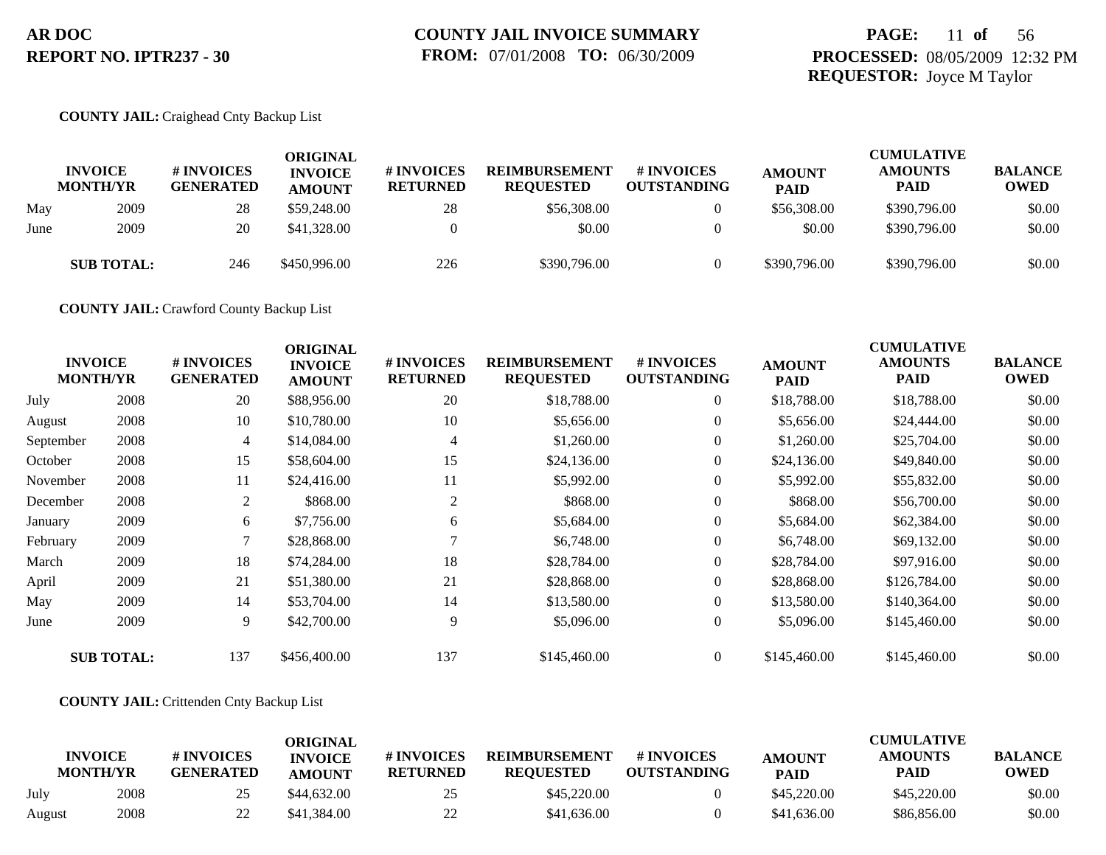## **PAGE:** 11 **of** 56 **PROCESSED:** 08/05/2009 12:32 PM **REQUESTOR:** Joyce M Taylor

#### **COUNTY JAIL:** Craighead Cnty Backup List

|      | <b>INVOICE</b><br><b>MONTH/YR</b> | <b># INVOICES</b><br><b>GENERATED</b> | <b>ORIGINAL</b><br><b>INVOICE</b><br><b>AMOUNT</b> | # INVOICES<br><b>RETURNED</b> | <b>REIMBURSEMENT</b><br><b>REQUESTED</b> | <b># INVOICES</b><br><b>OUTSTANDING</b> | <b>AMOUNT</b><br><b>PAID</b> | <b>CUMULATIVE</b><br><b>AMOUNTS</b><br>PAID | <b>BALANCE</b><br><b>OWED</b> |
|------|-----------------------------------|---------------------------------------|----------------------------------------------------|-------------------------------|------------------------------------------|-----------------------------------------|------------------------------|---------------------------------------------|-------------------------------|
| May  | 2009                              | 28                                    | \$59,248.00                                        | 28                            | \$56,308,00                              | 0                                       | \$56,308.00                  | \$390,796.00                                | \$0.00                        |
| June | 2009                              | 20                                    | \$41,328.00                                        |                               | \$0.00                                   | $\Omega$                                | \$0.00                       | \$390,796.00                                | \$0.00                        |
|      | <b>SUB TOTAL:</b>                 | 246                                   | \$450,996.00                                       | 226                           | \$390,796.00                             | $\theta$                                | \$390,796.00                 | \$390,796.00                                | \$0.00                        |

**COUNTY JAIL:** Crawford County Backup List

|           | <b>INVOICE</b><br><b>MONTH/YR</b> | # INVOICES<br><b>GENERATED</b> | <b>ORIGINAL</b><br><b>INVOICE</b><br><b>AMOUNT</b> | <b>#INVOICES</b><br><b>RETURNED</b> | <b>REIMBURSEMENT</b><br><b>REQUESTED</b> | <b>#INVOICES</b><br><b>OUTSTANDING</b> | <b>AMOUNT</b><br><b>PAID</b> | <b>CUMULATIVE</b><br><b>AMOUNTS</b><br><b>PAID</b> | <b>BALANCE</b><br><b>OWED</b> |
|-----------|-----------------------------------|--------------------------------|----------------------------------------------------|-------------------------------------|------------------------------------------|----------------------------------------|------------------------------|----------------------------------------------------|-------------------------------|
| July      | 2008                              | 20                             | \$88,956.00                                        | 20                                  | \$18,788.00                              | $\overline{0}$                         | \$18,788.00                  | \$18,788.00                                        | \$0.00                        |
| August    | 2008                              | 10                             | \$10,780.00                                        | 10                                  | \$5,656.00                               | $\overline{0}$                         | \$5,656.00                   | \$24,444.00                                        | \$0.00                        |
| September | 2008                              | 4                              | \$14,084.00                                        | 4                                   | \$1,260.00                               | $\overline{0}$                         | \$1,260.00                   | \$25,704.00                                        | \$0.00                        |
| October   | 2008                              | 15                             | \$58,604.00                                        | 15                                  | \$24,136.00                              | $\boldsymbol{0}$                       | \$24,136.00                  | \$49,840.00                                        | \$0.00                        |
| November  | 2008                              | 11                             | \$24,416.00                                        | 11                                  | \$5,992.00                               | $\overline{0}$                         | \$5,992.00                   | \$55,832.00                                        | \$0.00                        |
| December  | 2008                              | 2                              | \$868.00                                           | 2                                   | \$868.00                                 | $\overline{0}$                         | \$868.00                     | \$56,700.00                                        | \$0.00                        |
| January   | 2009                              | 6                              | \$7,756.00                                         | 6                                   | \$5,684.00                               | $\mathbf{0}$                           | \$5,684.00                   | \$62,384.00                                        | \$0.00                        |
| February  | 2009                              | 7                              | \$28,868.00                                        |                                     | \$6,748.00                               | $\overline{0}$                         | \$6,748.00                   | \$69,132.00                                        | \$0.00                        |
| March     | 2009                              | 18                             | \$74,284.00                                        | 18                                  | \$28,784.00                              | $\overline{0}$                         | \$28,784.00                  | \$97,916.00                                        | \$0.00                        |
| April     | 2009                              | 21                             | \$51,380.00                                        | 21                                  | \$28,868.00                              | $\mathbf{0}$                           | \$28,868.00                  | \$126,784.00                                       | \$0.00                        |
| May       | 2009                              | 14                             | \$53,704.00                                        | 14                                  | \$13,580.00                              | $\overline{0}$                         | \$13,580.00                  | \$140,364.00                                       | \$0.00                        |
| June      | 2009                              | 9                              | \$42,700.00                                        | 9                                   | \$5,096.00                               | $\overline{0}$                         | \$5,096.00                   | \$145,460.00                                       | \$0.00                        |
|           | <b>SUB TOTAL:</b>                 | 137                            | \$456,400.00                                       | 137                                 | \$145,460.00                             | $\overline{0}$                         | \$145,460.00                 | \$145,460.00                                       | \$0.00                        |

#### **COUNTY JAIL:** Crittenden Cnty Backup List

|        | <b>INVOICE</b><br><b>MONTH/YR</b> | # INVOICES<br><b>GENERATED</b> | ORIGINAL<br><b>INVOICE</b><br><b>AMOUNT</b> | # INVOICES<br><b>RETURNED</b> | <b>REIMBURSEMENT</b><br><b>REOUESTED</b> | # INVOICES<br><b>OUTSTANDING</b> | <b>AMOUNT</b><br><b>PAID</b> | <b>CUMULATIVE</b><br><b>AMOUNTS</b><br>PAID | <b>BALANCE</b><br><b>OWED</b> |
|--------|-----------------------------------|--------------------------------|---------------------------------------------|-------------------------------|------------------------------------------|----------------------------------|------------------------------|---------------------------------------------|-------------------------------|
| July   | 2008                              | 25                             | \$44,632.00                                 | 25                            | \$45,220.00                              |                                  | \$45,220.00                  | \$45,220.00                                 | \$0.00                        |
| August | 2008                              | 22                             | \$41,384.00                                 | 22                            | \$41,636.00                              |                                  | \$41,636.00                  | \$86,856.00                                 | \$0.00                        |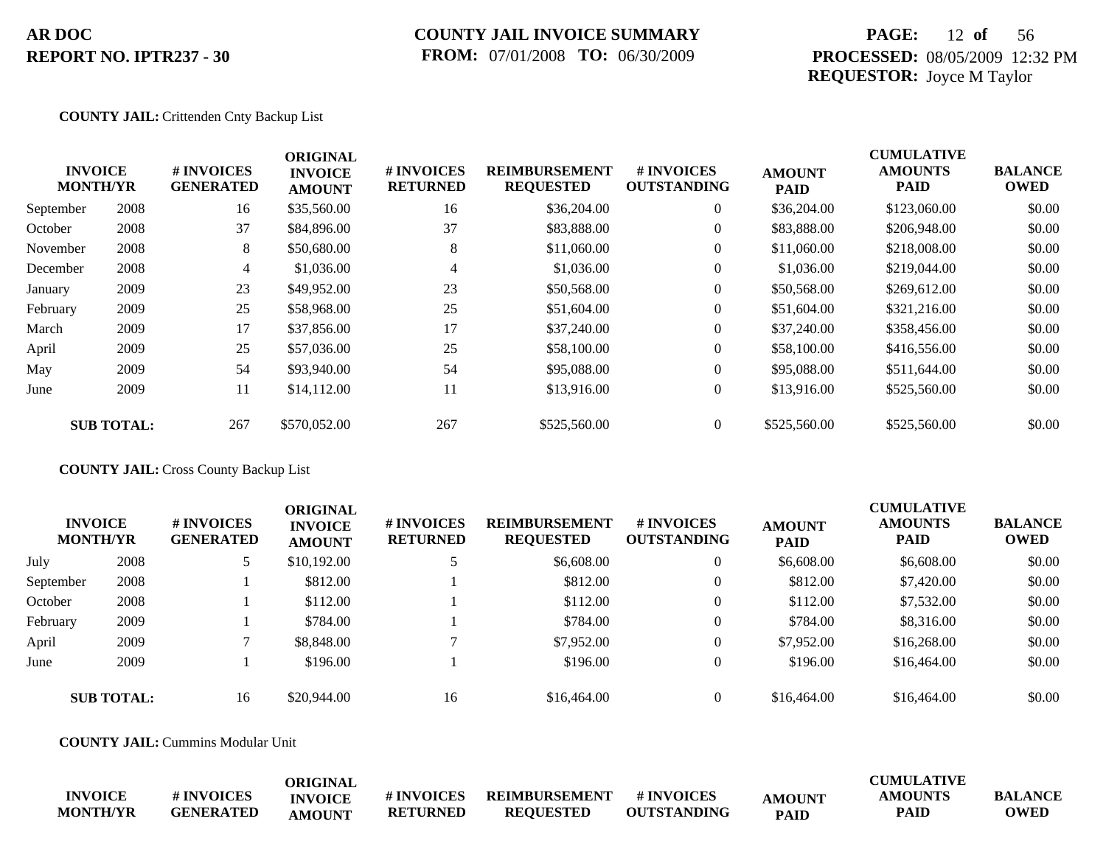### **COUNTY JAIL INVOICE SUMMARY FROM:** 07/01/2008 **TO:** 06/30/2009

## **PAGE:** 12 **of** 56 **PROCESSED:** 08/05/2009 12:32 PM **REQUESTOR:** Joyce M Taylor

#### **COUNTY JAIL:** Crittenden Cnty Backup List

| <b>CUMULATIVE</b><br><b>ORIGINAL</b> |                                   |                                |                                 |                               |                                          |                                        |                              |                        |                               |
|--------------------------------------|-----------------------------------|--------------------------------|---------------------------------|-------------------------------|------------------------------------------|----------------------------------------|------------------------------|------------------------|-------------------------------|
|                                      | <b>INVOICE</b><br><b>MONTH/YR</b> | # INVOICES<br><b>GENERATED</b> | <b>INVOICE</b><br><b>AMOUNT</b> | # INVOICES<br><b>RETURNED</b> | <b>REIMBURSEMENT</b><br><b>REQUESTED</b> | <b>#INVOICES</b><br><b>OUTSTANDING</b> | <b>AMOUNT</b><br><b>PAID</b> | <b>AMOUNTS</b><br>PAID | <b>BALANCE</b><br><b>OWED</b> |
| September                            | 2008                              | 16                             | \$35,560.00                     | 16                            | \$36,204.00                              | $\overline{0}$                         | \$36,204.00                  | \$123,060.00           | \$0.00                        |
| October                              | 2008                              | 37                             | \$84,896.00                     | 37                            | \$83,888.00                              | $\overline{0}$                         | \$83,888.00                  | \$206,948.00           | \$0.00                        |
| November                             | 2008                              | 8                              | \$50,680.00                     | 8                             | \$11,060.00                              | $\overline{0}$                         | \$11,060.00                  | \$218,008.00           | \$0.00                        |
| December                             | 2008                              | $\overline{4}$                 | \$1,036.00                      | 4                             | \$1,036.00                               | $\overline{0}$                         | \$1,036.00                   | \$219,044.00           | \$0.00                        |
| January                              | 2009                              | 23                             | \$49,952.00                     | 23                            | \$50,568.00                              | $\overline{0}$                         | \$50,568.00                  | \$269,612.00           | \$0.00                        |
| February                             | 2009                              | 25                             | \$58,968.00                     | 25                            | \$51,604.00                              | $\overline{0}$                         | \$51,604.00                  | \$321,216.00           | \$0.00                        |
| March                                | 2009                              | 17                             | \$37,856.00                     | 17                            | \$37,240.00                              | $\overline{0}$                         | \$37,240.00                  | \$358,456.00           | \$0.00                        |
| April                                | 2009                              | 25                             | \$57,036.00                     | 25                            | \$58,100.00                              | $\overline{0}$                         | \$58,100.00                  | \$416,556.00           | \$0.00                        |
| May                                  | 2009                              | 54                             | \$93,940.00                     | 54                            | \$95,088.00                              | $\overline{0}$                         | \$95,088.00                  | \$511,644.00           | \$0.00                        |
| June                                 | 2009                              | 11                             | \$14,112.00                     | 11                            | \$13,916.00                              | $\overline{0}$                         | \$13,916.00                  | \$525,560.00           | \$0.00                        |
|                                      | <b>SUB TOTAL:</b>                 | 267                            | \$570,052.00                    | 267                           | \$525,560.00                             | $\Omega$                               | \$525,560.00                 | \$525,560.00           | \$0.00                        |

#### **COUNTY JAIL:** Cross County Backup List

|           | <b>INVOICE</b><br><b>MONTH/YR</b> | # INVOICES<br><b>GENERATED</b> | <b>ORIGINAL</b><br><b>INVOICE</b><br><b>AMOUNT</b> | # INVOICES<br><b>RETURNED</b> | <b>REIMBURSEMENT</b><br><b>REQUESTED</b> | <b># INVOICES</b><br><b>OUTSTANDING</b> | <b>AMOUNT</b><br><b>PAID</b> | <b>CUMULATIVE</b><br><b>AMOUNTS</b><br><b>PAID</b> | <b>BALANCE</b><br><b>OWED</b> |
|-----------|-----------------------------------|--------------------------------|----------------------------------------------------|-------------------------------|------------------------------------------|-----------------------------------------|------------------------------|----------------------------------------------------|-------------------------------|
| July      | 2008                              |                                | \$10,192.00                                        |                               | \$6,608.00                               |                                         | \$6,608.00                   | \$6,608.00                                         | \$0.00                        |
| September | 2008                              |                                | \$812.00                                           |                               | \$812.00                                 | $\theta$                                | \$812.00                     | \$7,420.00                                         | \$0.00                        |
| October   | 2008                              |                                | \$112.00                                           |                               | \$112.00                                 |                                         | \$112.00                     | \$7,532.00                                         | \$0.00                        |
| February  | 2009                              |                                | \$784.00                                           |                               | \$784.00                                 |                                         | \$784.00                     | \$8,316.00                                         | \$0.00                        |
| April     | 2009                              |                                | \$8,848,00                                         |                               | \$7,952.00                               | $\theta$                                | \$7,952.00                   | \$16,268.00                                        | \$0.00                        |
| June      | 2009                              |                                | \$196.00                                           |                               | \$196.00                                 |                                         | \$196.00                     | \$16,464.00                                        | \$0.00                        |
|           | <b>SUB TOTAL:</b>                 | 16                             | \$20,944.00                                        | 16                            | \$16,464.00                              |                                         | \$16,464.00                  | \$16,464.00                                        | \$0.00                        |

**COUNTY JAIL:** Cummins Modular Unit

|                 |                   | <b>ORIGINAL</b> |                 |                  |                    |               | <b>CUMULATIVE</b> |                |
|-----------------|-------------------|-----------------|-----------------|------------------|--------------------|---------------|-------------------|----------------|
| <b>INVOICE</b>  | <b># INVOICES</b> | <b>INVOICE</b>  | # INVOICES      | REIMBURSEMENT    | # INVOICES         | <b>AMOUNT</b> | <b>AMOUNTS</b>    | <b>BALANCE</b> |
| <b>MONTH/YR</b> | <b>GENERATED</b>  | AMOUNT          | <b>RETURNED</b> | <b>REOUESTED</b> | <b>OUTSTANDING</b> | <b>PAID</b>   | PAID              | <b>OWED</b>    |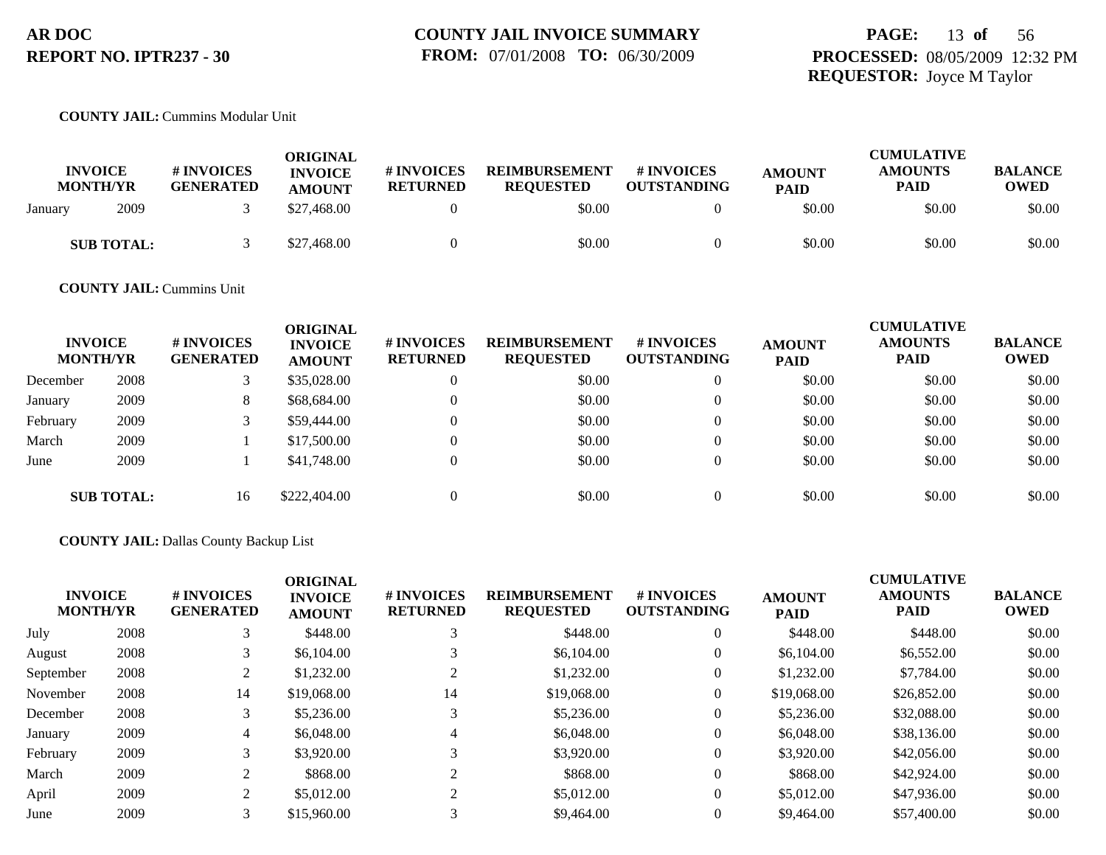# **PAGE:** 13 **of** 56 **PROCESSED:** 08/05/2009 12:32 PM **REQUESTOR:** Joyce M Taylor

### **COUNTY JAIL:** Cummins Modular Unit

| <b>INVOICE</b><br><b>MONTH/YR</b> |                   | <b># INVOICES</b><br><b>GENERATED</b> | ORIGINAL<br><b>INVOICE</b><br><b>AMOUNT</b> | # INVOICES<br><b>RETURNED</b> | <b>REIMBURSEMENT</b><br><b>REQUESTED</b> | # INVOICES<br><b>OUTSTANDING</b> | <b>AMOUNT</b><br><b>PAID</b> | <b>CUMULATIVE</b><br><b>AMOUNTS</b><br>PAID | <b>BALANCE</b><br><b>OWED</b> |
|-----------------------------------|-------------------|---------------------------------------|---------------------------------------------|-------------------------------|------------------------------------------|----------------------------------|------------------------------|---------------------------------------------|-------------------------------|
| January                           | 2009              |                                       | \$27,468.00                                 |                               | \$0.00                                   |                                  | \$0.00                       | \$0.00                                      | \$0.00                        |
|                                   | <b>SUB TOTAL:</b> |                                       | \$27,468.00                                 |                               | \$0.00                                   |                                  | \$0.00                       | \$0.00                                      | \$0.00                        |

#### **COUNTY JAIL:** Cummins Unit

| <b>INVOICE</b><br><b>MONTH/YR</b> |                   | # INVOICES<br><b>GENERATED</b> | <b>ORIGINAL</b><br><b>INVOICE</b><br><b>AMOUNT</b> | # INVOICES<br><b>RETURNED</b> | <b>REIMBURSEMENT</b><br><b>REQUESTED</b> | # INVOICES<br><b>OUTSTANDING</b> | <b>AMOUNT</b><br><b>PAID</b> | <b>CUMULATIVE</b><br><b>AMOUNTS</b><br><b>PAID</b> | <b>BALANCE</b><br><b>OWED</b> |
|-----------------------------------|-------------------|--------------------------------|----------------------------------------------------|-------------------------------|------------------------------------------|----------------------------------|------------------------------|----------------------------------------------------|-------------------------------|
| December                          | 2008              |                                | \$35,028.00                                        | v                             | \$0.00                                   | $\theta$                         | \$0.00                       | \$0.00                                             | \$0.00                        |
| January                           | 2009              | 8                              | \$68,684.00                                        | $\Omega$                      | \$0.00                                   | $\theta$                         | \$0.00                       | \$0.00                                             | \$0.00                        |
| February                          | 2009              |                                | \$59,444.00                                        | $\Omega$                      | \$0.00                                   | $\overline{0}$                   | \$0.00                       | \$0.00                                             | \$0.00                        |
| March                             | 2009              |                                | \$17,500.00                                        | $\Omega$                      | \$0.00                                   | $\theta$                         | \$0.00                       | \$0.00                                             | \$0.00                        |
| June                              | 2009              |                                | \$41,748.00                                        | $\Omega$                      | \$0.00                                   | $\mathbf{0}$                     | \$0.00                       | \$0.00                                             | \$0.00                        |
|                                   | <b>SUB TOTAL:</b> | 16                             | \$222,404.00                                       |                               | \$0.00                                   | $\Omega$                         | \$0.00                       | \$0.00                                             | \$0.00                        |

#### **COUNTY JAIL:** Dallas County Backup List

| <b>INVOICE</b><br><b>MONTH/YR</b> |      | # INVOICES<br><b>GENERATED</b> | <b>ORIGINAL</b><br><b>INVOICE</b><br><b>AMOUNT</b> | # INVOICES<br><b>RETURNED</b> | <b>REIMBURSEMENT</b><br><b>REQUESTED</b> | <b># INVOICES</b><br><b>OUTSTANDING</b> | <b>AMOUNT</b><br><b>PAID</b> | <b>CUMULATIVE</b><br><b>AMOUNTS</b><br><b>PAID</b> | <b>BALANCE</b><br><b>OWED</b> |
|-----------------------------------|------|--------------------------------|----------------------------------------------------|-------------------------------|------------------------------------------|-----------------------------------------|------------------------------|----------------------------------------------------|-------------------------------|
| July                              | 2008 |                                | \$448.00                                           |                               | \$448.00                                 | $\theta$                                | \$448.00                     | \$448.00                                           | \$0.00                        |
| August                            | 2008 |                                | \$6,104.00                                         |                               | \$6,104.00                               | $\theta$                                | \$6,104.00                   | \$6,552.00                                         | \$0.00                        |
| September                         | 2008 |                                | \$1,232.00                                         |                               | \$1,232.00                               | $\theta$                                | \$1,232.00                   | \$7,784.00                                         | \$0.00                        |
| November                          | 2008 | 14                             | \$19,068.00                                        | 14                            | \$19,068.00                              | $\overline{0}$                          | \$19,068.00                  | \$26,852.00                                        | \$0.00                        |
| December                          | 2008 |                                | \$5,236.00                                         |                               | \$5,236.00                               | $\theta$                                | \$5,236.00                   | \$32,088.00                                        | \$0.00                        |
| January                           | 2009 | 4                              | \$6,048.00                                         | 4                             | \$6,048.00                               | $\theta$                                | \$6,048.00                   | \$38,136.00                                        | \$0.00                        |
| February                          | 2009 |                                | \$3,920.00                                         |                               | \$3,920.00                               | $\theta$                                | \$3,920.00                   | \$42,056.00                                        | \$0.00                        |
| March                             | 2009 |                                | \$868.00                                           |                               | \$868.00                                 | $\theta$                                | \$868.00                     | \$42,924.00                                        | \$0.00                        |
| April                             | 2009 |                                | \$5,012.00                                         | ◠                             | \$5,012.00                               | $\Omega$                                | \$5,012.00                   | \$47,936.00                                        | \$0.00                        |
| June                              | 2009 | 3                              | \$15,960.00                                        | 3                             | \$9,464.00                               | $\Omega$                                | \$9,464.00                   | \$57,400.00                                        | \$0.00                        |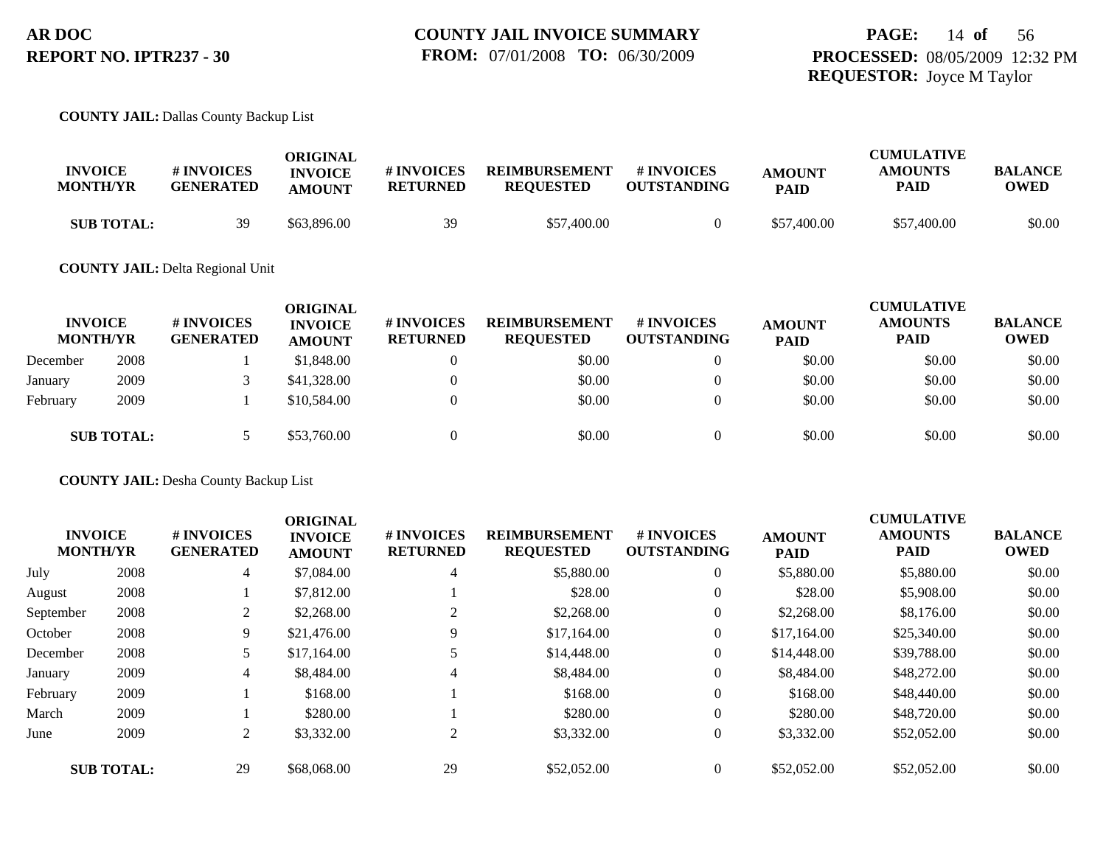#### **COUNTY JAIL:** Dallas County Backup List

| <b>INVOICE</b><br><b>MONTH/YR</b> | <b># INVOICES</b><br><b>GENERATED</b> | ORIGINAL<br><b>INVOICE</b><br><b>AMOUNT</b> | # INVOICES<br><b>RETURNED</b> | <b>REIMBURSEMENT</b><br><b>REQUESTED</b> | # INVOICES<br><b>OUTSTANDING</b> | <b>AMOUNT</b><br><b>PAID</b> | <b>CUMULATIVE</b><br><b>AMOUNTS</b><br>PAID | <b>BALANCE</b><br>OWED |
|-----------------------------------|---------------------------------------|---------------------------------------------|-------------------------------|------------------------------------------|----------------------------------|------------------------------|---------------------------------------------|------------------------|
| <b>SUB TOTAL:</b>                 | 39                                    | \$63,896.00                                 | 39                            | \$57,400.00                              |                                  | \$57,400.00                  | \$57,400.00                                 | \$0.00                 |

#### **COUNTY JAIL:** Delta Regional Unit

| <b>MONTH/YR</b> | <b>INVOICE</b>    | # INVOICES<br><b>GENERATED</b> | <b>ORIGINAL</b><br><b>INVOICE</b><br><b>AMOUNT</b> | # INVOICES<br><b>RETURNED</b> | <b>REIMBURSEMENT</b><br><b>REQUESTED</b> | <b>#INVOICES</b><br><b>OUTSTANDING</b> | <b>AMOUNT</b><br><b>PAID</b> | <b>CUMULATIVE</b><br><b>AMOUNTS</b><br><b>PAID</b> | <b>BALANCE</b><br><b>OWED</b> |
|-----------------|-------------------|--------------------------------|----------------------------------------------------|-------------------------------|------------------------------------------|----------------------------------------|------------------------------|----------------------------------------------------|-------------------------------|
| December        | 2008              |                                | \$1,848.00                                         |                               | \$0.00                                   | $\theta$                               | \$0.00                       | \$0.00                                             | \$0.00                        |
| January         | 2009              |                                | \$41,328.00                                        |                               | \$0.00                                   |                                        | \$0.00                       | \$0.00                                             | \$0.00                        |
| February        | 2009              |                                | \$10,584.00                                        |                               | \$0.00                                   |                                        | \$0.00                       | \$0.00                                             | \$0.00                        |
|                 | <b>SUB TOTAL:</b> |                                | \$53,760.00                                        |                               | \$0.00                                   |                                        | \$0.00                       | \$0.00                                             | \$0.00                        |

**COUNTY JAIL:** Desha County Backup List

|           | <b>INVOICE</b><br><b>MONTH/YR</b> | # INVOICES<br><b>GENERATED</b> | <b>ORIGINAL</b><br><b>INVOICE</b><br><b>AMOUNT</b> | # INVOICES<br><b>RETURNED</b> | <b>REIMBURSEMENT</b><br><b>REQUESTED</b> | # INVOICES<br><b>OUTSTANDING</b> | <b>AMOUNT</b><br><b>PAID</b> | <b>CUMULATIVE</b><br><b>AMOUNTS</b><br><b>PAID</b> | <b>BALANCE</b><br><b>OWED</b> |
|-----------|-----------------------------------|--------------------------------|----------------------------------------------------|-------------------------------|------------------------------------------|----------------------------------|------------------------------|----------------------------------------------------|-------------------------------|
| July      | 2008                              | 4                              | \$7,084.00                                         | $\overline{4}$                | \$5,880.00                               | $\theta$                         | \$5,880.00                   | \$5,880.00                                         | \$0.00                        |
| August    | 2008                              |                                | \$7,812.00                                         |                               | \$28.00                                  | $\theta$                         | \$28.00                      | \$5,908.00                                         | \$0.00                        |
| September | 2008                              |                                | \$2,268.00                                         | 2                             | \$2,268.00                               | $\mathbf{0}$                     | \$2,268.00                   | \$8,176.00                                         | \$0.00                        |
| October   | 2008                              | 9                              | \$21,476.00                                        | 9                             | \$17,164.00                              | $\theta$                         | \$17,164.00                  | \$25,340.00                                        | \$0.00                        |
| December  | 2008                              |                                | \$17,164.00                                        | 5                             | \$14,448.00                              | $\theta$                         | \$14,448.00                  | \$39,788.00                                        | \$0.00                        |
| January   | 2009                              | 4                              | \$8,484.00                                         | 4                             | \$8,484.00                               | $\mathbf{0}$                     | \$8,484.00                   | \$48,272.00                                        | \$0.00                        |
| February  | 2009                              |                                | \$168.00                                           |                               | \$168.00                                 | $\mathbf{0}$                     | \$168.00                     | \$48,440.00                                        | \$0.00                        |
| March     | 2009                              |                                | \$280.00                                           |                               | \$280.00                                 | $\theta$                         | \$280.00                     | \$48,720.00                                        | \$0.00                        |
| June      | 2009                              | 2                              | \$3,332.00                                         | 2                             | \$3,332.00                               | $\mathbf{0}$                     | \$3,332.00                   | \$52,052.00                                        | \$0.00                        |
|           | <b>SUB TOTAL:</b>                 | 29                             | \$68,068.00                                        | 29                            | \$52,052.00                              | $\Omega$                         | \$52,052.00                  | \$52,052.00                                        | \$0.00                        |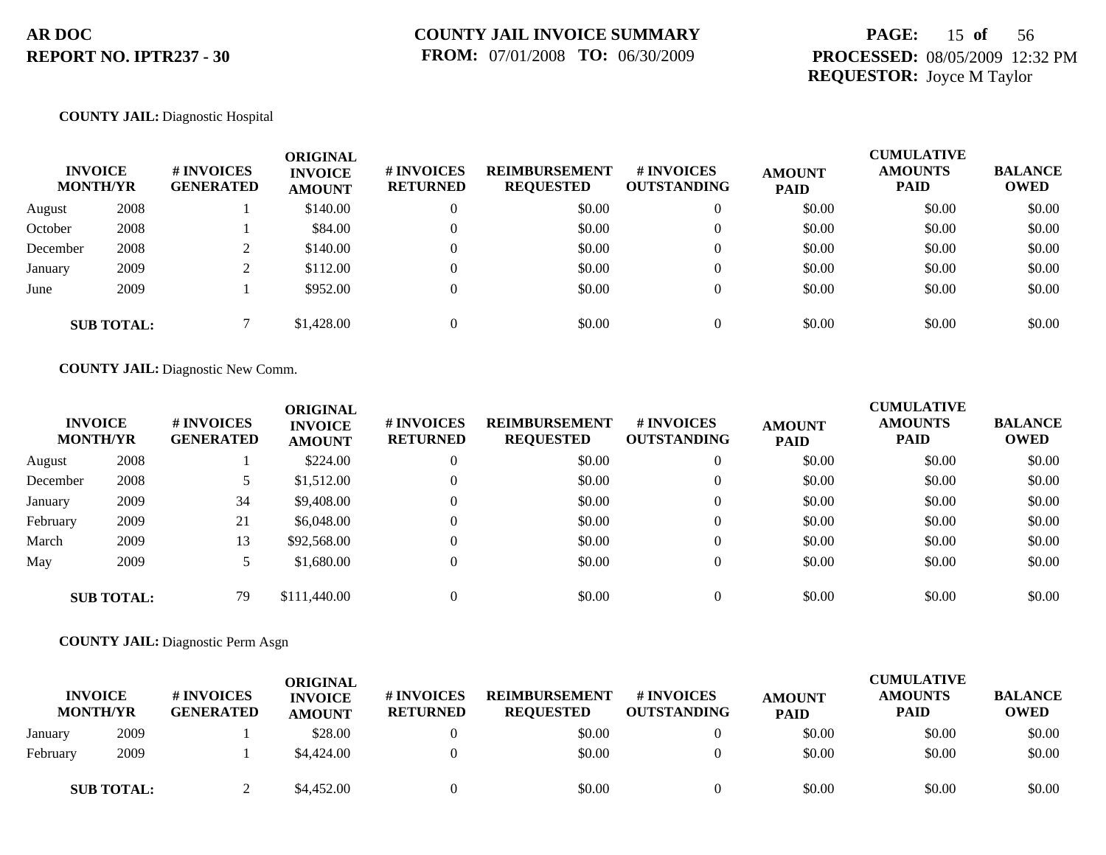## **PAGE:** 15 **of** 56 **PROCESSED:** 08/05/2009 12:32 PM **REQUESTOR:** Joyce M Taylor

#### **COUNTY JAIL:** Diagnostic Hospital

| <b>INVOICE</b><br><b>MONTH/YR</b> |                   | <b>#INVOICES</b><br><b>GENERATED</b> | <b>ORIGINAL</b><br><b>INVOICE</b><br><b>AMOUNT</b> | # INVOICES<br><b>RETURNED</b> | <b>REIMBURSEMENT</b><br><b>REQUESTED</b> | # INVOICES<br><b>OUTSTANDING</b> | <b>AMOUNT</b><br><b>PAID</b> | <b>CUMULATIVE</b><br><b>AMOUNTS</b><br><b>PAID</b> | <b>BALANCE</b><br><b>OWED</b> |
|-----------------------------------|-------------------|--------------------------------------|----------------------------------------------------|-------------------------------|------------------------------------------|----------------------------------|------------------------------|----------------------------------------------------|-------------------------------|
| August                            | 2008              |                                      | \$140.00                                           | 0                             | \$0.00                                   | $\overline{0}$                   | \$0.00                       | \$0.00                                             | \$0.00                        |
| October                           | 2008              |                                      | \$84.00                                            | 0                             | \$0.00                                   | $\overline{0}$                   | \$0.00                       | \$0.00                                             | \$0.00                        |
| December                          | 2008              |                                      | \$140.00                                           |                               | \$0.00                                   | $\overline{0}$                   | \$0.00                       | \$0.00                                             | \$0.00                        |
| January                           | 2009              |                                      | \$112.00                                           |                               | \$0.00                                   | $\overline{0}$                   | \$0.00                       | \$0.00                                             | \$0.00                        |
| June                              | 2009              |                                      | \$952.00                                           |                               | \$0.00                                   | $\overline{0}$                   | \$0.00                       | \$0.00                                             | \$0.00                        |
|                                   | <b>SUB TOTAL:</b> |                                      | \$1,428.00                                         |                               | \$0.00                                   | $\Omega$                         | \$0.00                       | \$0.00                                             | \$0.00                        |

**COUNTY JAIL:** Diagnostic New Comm.

|          | <b>INVOICE</b><br><b>MONTH/YR</b> | # INVOICES<br><b>GENERATED</b> | <b>ORIGINAL</b><br><b>INVOICE</b><br><b>AMOUNT</b> | <b># INVOICES</b><br><b>RETURNED</b> | <b>REIMBURSEMENT</b><br><b>REQUESTED</b> | <b>#INVOICES</b><br><b>OUTSTANDING</b> | <b>AMOUNT</b><br><b>PAID</b> | <b>CUMULATIVE</b><br><b>AMOUNTS</b><br><b>PAID</b> | <b>BALANCE</b><br><b>OWED</b> |
|----------|-----------------------------------|--------------------------------|----------------------------------------------------|--------------------------------------|------------------------------------------|----------------------------------------|------------------------------|----------------------------------------------------|-------------------------------|
| August   | 2008                              |                                | \$224.00                                           | $\theta$                             | \$0.00                                   | $\overline{0}$                         | \$0.00                       | \$0.00                                             | \$0.00                        |
| December | 2008                              |                                | \$1,512.00                                         | $\theta$                             | \$0.00                                   | $\theta$                               | \$0.00                       | \$0.00                                             | \$0.00                        |
| January  | 2009                              | 34                             | \$9,408.00                                         | $\overline{0}$                       | \$0.00                                   | $\theta$                               | \$0.00                       | \$0.00                                             | \$0.00                        |
| February | 2009                              | 21                             | \$6,048.00                                         | $\mathbf{0}$                         | \$0.00                                   | $\overline{0}$                         | \$0.00                       | \$0.00                                             | \$0.00                        |
| March    | 2009                              | 13                             | \$92,568.00                                        | $\Omega$                             | \$0.00                                   | $\theta$                               | \$0.00                       | \$0.00                                             | \$0.00                        |
| May      | 2009                              |                                | \$1,680.00                                         | $\overline{0}$                       | \$0.00                                   | $\overline{0}$                         | \$0.00                       | \$0.00                                             | \$0.00                        |
|          | <b>SUB TOTAL:</b>                 | 79                             | \$111,440.00                                       |                                      | \$0.00                                   |                                        | \$0.00                       | \$0.00                                             | \$0.00                        |

**COUNTY JAIL:** Diagnostic Perm Asgn

|          | <b>INVOICE</b><br><b>MONTH/YR</b> | <b># INVOICES</b><br>GENERATED | ORIGINAL<br><b>INVOICE</b><br><b>AMOUNT</b> | <b>#INVOICES</b><br><b>RETURNED</b> | <b>REIMBURSEMENT</b><br><b>REQUESTED</b> | # INVOICES<br>OUTSTANDING | <b>AMOUNT</b><br><b>PAID</b> | <b>CUMULATIVE</b><br><b>AMOUNTS</b><br><b>PAID</b> | <b>BALANCE</b><br><b>OWED</b> |
|----------|-----------------------------------|--------------------------------|---------------------------------------------|-------------------------------------|------------------------------------------|---------------------------|------------------------------|----------------------------------------------------|-------------------------------|
| January  | 2009                              |                                | \$28.00                                     |                                     | \$0.00                                   |                           | \$0.00                       | \$0.00                                             | \$0.00                        |
| February | 2009                              |                                | \$4,424.00                                  |                                     | \$0.00                                   |                           | \$0.00                       | \$0.00                                             | \$0.00                        |
|          | <b>SUB TOTAL:</b>                 |                                | \$4,452.00                                  |                                     | \$0.00                                   |                           | \$0.00                       | \$0.00                                             | \$0.00                        |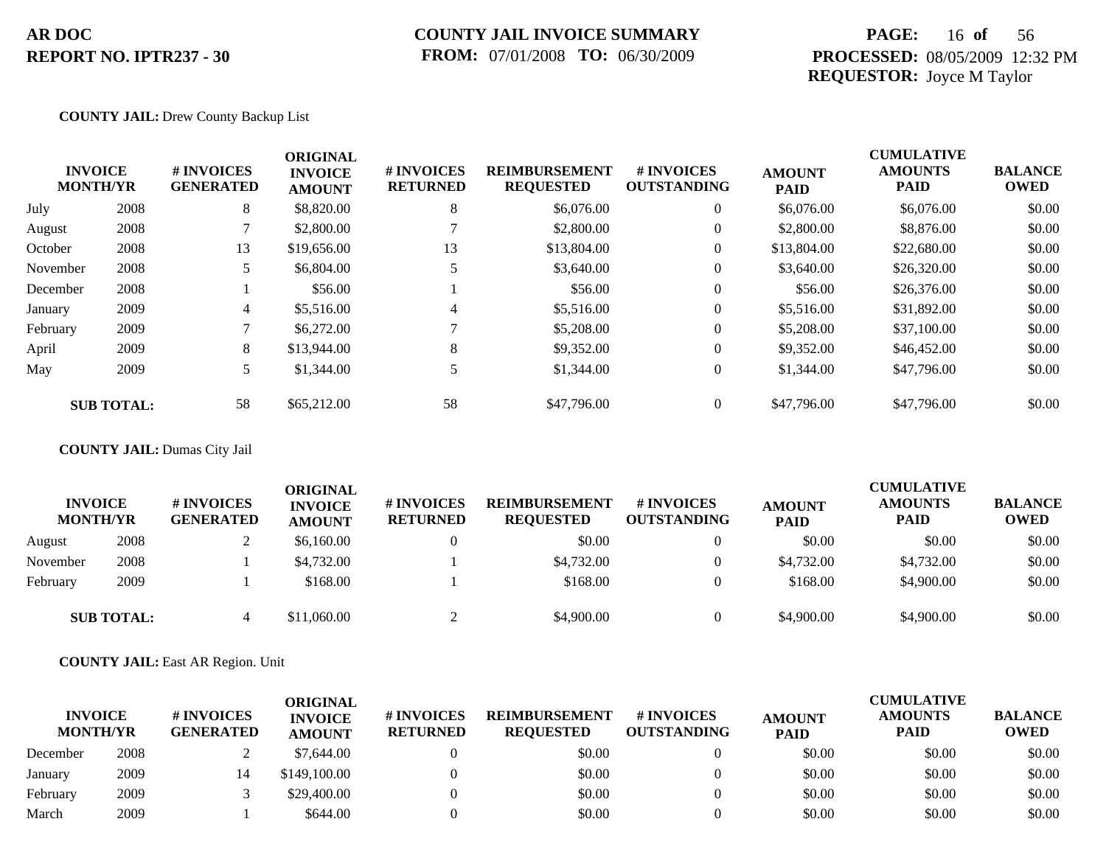### **COUNTY JAIL INVOICE SUMMARY FROM:** 07/01/2008 **TO:** 06/30/2009

## **PAGE:** 16 **of** 56 **PROCESSED:** 08/05/2009 12:32 PM **REQUESTOR:** Joyce M Taylor

#### **COUNTY JAIL:** Drew County Backup List

|          | <b>INVOICE</b><br><b>MONTH/YR</b> | # INVOICES<br><b>GENERATED</b> | <b>ORIGINAL</b><br><b>INVOICE</b><br><b>AMOUNT</b> | # INVOICES<br><b>RETURNED</b> | <b>REIMBURSEMENT</b><br><b>REQUESTED</b> | <b>#INVOICES</b><br><b>OUTSTANDING</b> | <b>AMOUNT</b><br><b>PAID</b> | <b>CUMULATIVE</b><br><b>AMOUNTS</b><br><b>PAID</b> | <b>BALANCE</b><br><b>OWED</b> |
|----------|-----------------------------------|--------------------------------|----------------------------------------------------|-------------------------------|------------------------------------------|----------------------------------------|------------------------------|----------------------------------------------------|-------------------------------|
| July     | 2008                              | 8                              | \$8,820.00                                         | 8                             | \$6,076.00                               | $\overline{0}$                         | \$6,076.00                   | \$6,076.00                                         | \$0.00                        |
| August   | 2008                              |                                | \$2,800.00                                         |                               | \$2,800.00                               | $\overline{0}$                         | \$2,800.00                   | \$8,876.00                                         | \$0.00                        |
| October  | 2008                              | 13                             | \$19,656.00                                        | 13                            | \$13,804.00                              | $\overline{0}$                         | \$13,804.00                  | \$22,680.00                                        | \$0.00                        |
| November | 2008                              |                                | \$6,804.00                                         |                               | \$3,640.00                               | $\boldsymbol{0}$                       | \$3,640.00                   | \$26,320.00                                        | \$0.00                        |
| December | 2008                              |                                | \$56.00                                            |                               | \$56.00                                  | $\overline{0}$                         | \$56.00                      | \$26,376.00                                        | \$0.00                        |
| January  | 2009                              | 4                              | \$5,516.00                                         | 4                             | \$5,516.00                               | $\overline{0}$                         | \$5,516.00                   | \$31,892.00                                        | \$0.00                        |
| February | 2009                              |                                | \$6,272.00                                         |                               | \$5,208.00                               | $\overline{0}$                         | \$5,208.00                   | \$37,100.00                                        | \$0.00                        |
| April    | 2009                              | 8                              | \$13,944.00                                        | 8                             | \$9,352.00                               | $\overline{0}$                         | \$9,352.00                   | \$46,452.00                                        | \$0.00                        |
| May      | 2009                              | 5.                             | \$1,344.00                                         | 5                             | \$1,344.00                               | $\overline{0}$                         | \$1,344.00                   | \$47,796.00                                        | \$0.00                        |
|          | <b>SUB TOTAL:</b>                 | 58                             | \$65,212.00                                        | 58                            | \$47,796.00                              | $\overline{0}$                         | \$47,796.00                  | \$47,796.00                                        | \$0.00                        |

#### **COUNTY JAIL:** Dumas City Jail

| <b>INVOICE</b><br><b>MONTH/YR</b> |                   | # INVOICES<br><b>GENERATED</b> | ORIGINAL<br><b>INVOICE</b><br><b>AMOUNT</b> | <b>#INVOICES</b><br><b>RETURNED</b> | <b>REIMBURSEMENT</b><br><b>REQUESTED</b> | <b># INVOICES</b><br><b>OUTSTANDING</b> | <b>AMOUNT</b><br><b>PAID</b> | <b>CUMULATIVE</b><br><b>AMOUNTS</b><br><b>PAID</b> | <b>BALANCE</b><br><b>OWED</b> |
|-----------------------------------|-------------------|--------------------------------|---------------------------------------------|-------------------------------------|------------------------------------------|-----------------------------------------|------------------------------|----------------------------------------------------|-------------------------------|
| August                            | 2008              |                                | \$6,160.00                                  |                                     | \$0.00                                   |                                         | \$0.00                       | \$0.00                                             | \$0.00                        |
| November                          | 2008              |                                | \$4,732.00                                  |                                     | \$4,732.00                               |                                         | \$4,732.00                   | \$4,732.00                                         | \$0.00                        |
| February                          | 2009              |                                | \$168.00                                    |                                     | \$168.00                                 |                                         | \$168.00                     | \$4,900.00                                         | \$0.00                        |
|                                   | <b>SUB TOTAL:</b> | 4                              | \$11,060.00                                 |                                     | \$4,900.00                               |                                         | \$4,900.00                   | \$4,900.00                                         | \$0.00                        |

#### **COUNTY JAIL:** East AR Region. Unit

| <b>INVOICE</b><br><b>MONTH/YR</b> |      | <b># INVOICES</b><br><b>GENERATED</b> | ORIGINAL<br><b>INVOICE</b><br><b>AMOUNT</b> | # INVOICES<br><b>RETURNED</b> | <b>REIMBURSEMENT</b><br><b>REOUESTED</b> | <b>#INVOICES</b><br><b>OUTSTANDING</b> | <b>AMOUNT</b><br><b>PAID</b> | <b>CUMULATIVE</b><br><b>AMOUNTS</b><br>PAID | <b>BALANCE</b><br><b>OWED</b> |
|-----------------------------------|------|---------------------------------------|---------------------------------------------|-------------------------------|------------------------------------------|----------------------------------------|------------------------------|---------------------------------------------|-------------------------------|
| December                          | 2008 |                                       | \$7,644.00                                  |                               | \$0.00                                   |                                        | \$0.00                       | \$0.00                                      | \$0.00                        |
| January                           | 2009 |                                       | \$149,100.00                                |                               | \$0.00                                   |                                        | \$0.00                       | \$0.00                                      | \$0.00                        |
| February                          | 2009 |                                       | \$29,400.00                                 |                               | \$0.00                                   |                                        | \$0.00                       | \$0.00                                      | \$0.00                        |
| March                             | 2009 |                                       | \$644.00                                    |                               | \$0.00                                   |                                        | \$0.00                       | \$0.00                                      | \$0.00                        |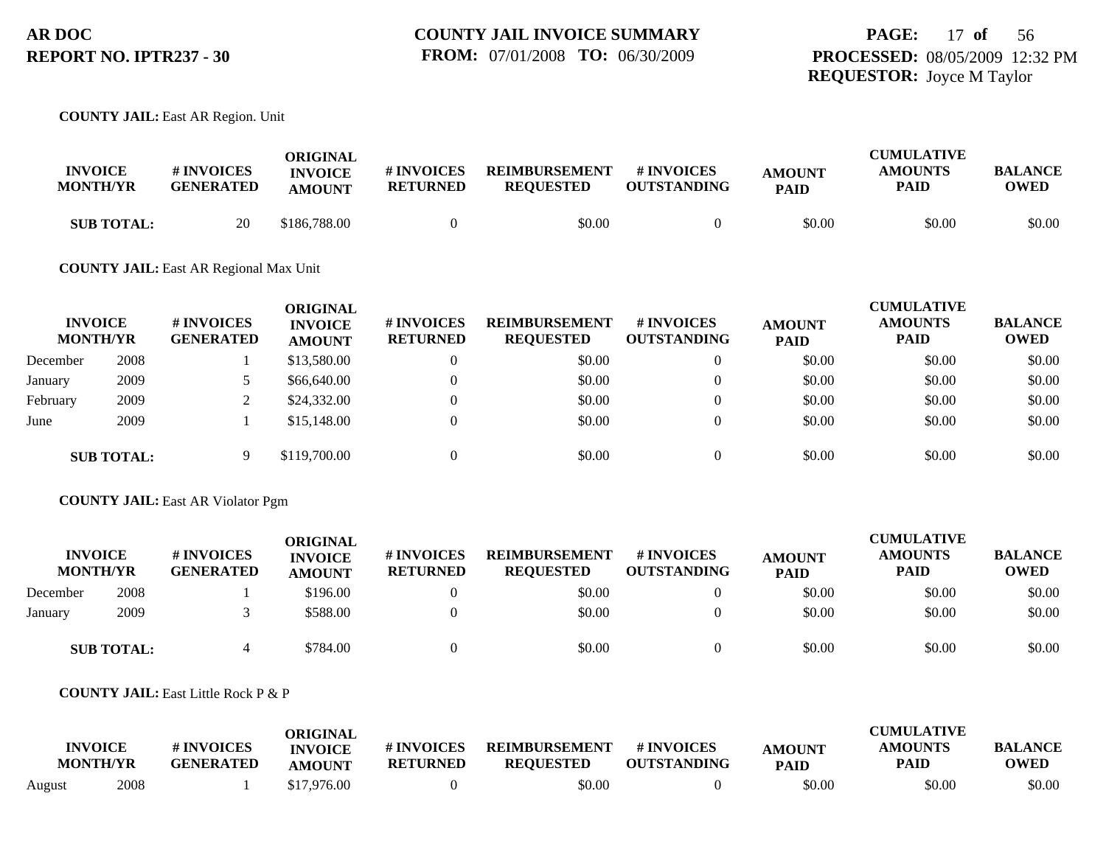**COUNTY JAIL:** East AR Region. Unit

| <b>INVOICE</b><br><b>MONTH/YR</b> | <b># INVOICES</b><br><b>GENERATED</b> | ORIGINAL<br><b>INVOICE</b><br><b>AMOUNT</b> | # INVOICES<br><b>RETURNED</b> | <b>REIMBURSEMENT</b><br><b>REOUESTED</b> | <b>#INVOICES</b><br><b>OUTSTANDING</b> | <b>AMOUNT</b><br><b>PAID</b> | <b>CUMULATIVE</b><br><b>AMOUNTS</b><br>PAID | <b>BALANCE</b><br><b>OWED</b> |
|-----------------------------------|---------------------------------------|---------------------------------------------|-------------------------------|------------------------------------------|----------------------------------------|------------------------------|---------------------------------------------|-------------------------------|
| <b>SUB TOTAL:</b>                 | 20                                    | \$186,788.00                                |                               | \$0.00                                   |                                        | \$0.00                       | \$0.00                                      | \$0.00                        |

#### **COUNTY JAIL:** East AR Regional Max Unit

| <b>INVOICE</b><br><b>MONTH/YR</b> |                   | # INVOICES<br><b>GENERATED</b> | ORIGINAL<br><b>INVOICE</b><br><b>AMOUNT</b> | # INVOICES<br><b>RETURNED</b> | <b>REIMBURSEMENT</b><br><b>REQUESTED</b> | # INVOICES<br><b>OUTSTANDING</b> | <b>AMOUNT</b><br><b>PAID</b> | <b>CUMULATIVE</b><br><b>AMOUNTS</b><br><b>PAID</b> | <b>BALANCE</b><br><b>OWED</b> |
|-----------------------------------|-------------------|--------------------------------|---------------------------------------------|-------------------------------|------------------------------------------|----------------------------------|------------------------------|----------------------------------------------------|-------------------------------|
| December                          | 2008              |                                | \$13,580.00                                 | 0                             | \$0.00                                   | $\theta$                         | \$0.00                       | \$0.00                                             | \$0.00                        |
| January                           | 2009              |                                | \$66,640.00                                 | $\Omega$                      | \$0.00                                   |                                  | \$0.00                       | \$0.00                                             | \$0.00                        |
| February                          | 2009              |                                | \$24,332.00                                 | $\Omega$                      | \$0.00                                   | $\Omega$                         | \$0.00                       | \$0.00                                             | \$0.00                        |
| June                              | 2009              |                                | \$15,148.00                                 | $\Omega$                      | \$0.00                                   |                                  | \$0.00                       | \$0.00                                             | \$0.00                        |
|                                   | <b>SUB TOTAL:</b> |                                | \$119,700.00                                | $\Omega$                      | \$0.00                                   |                                  | \$0.00                       | \$0.00                                             | \$0.00                        |

**COUNTY JAIL:** East AR Violator Pgm

| <b>INVOICE</b><br><b>MONTH/YR</b> |                   | # INVOICES<br><b>GENERATED</b> | <b>ORIGINAL</b><br><b>INVOICE</b><br><b>AMOUNT</b> | # INVOICES<br><b>RETURNED</b> | <b>REIMBURSEMENT</b><br><b>REQUESTED</b> | <b># INVOICES</b><br><b>OUTSTANDING</b> | <b>AMOUNT</b><br><b>PAID</b> | <b>CUMULATIVE</b><br><b>AMOUNTS</b><br><b>PAID</b> | <b>BALANCE</b><br><b>OWED</b> |
|-----------------------------------|-------------------|--------------------------------|----------------------------------------------------|-------------------------------|------------------------------------------|-----------------------------------------|------------------------------|----------------------------------------------------|-------------------------------|
| December                          | 2008              |                                | \$196.00                                           |                               | \$0.00                                   |                                         | \$0.00                       | \$0.00                                             | \$0.00                        |
| January                           | 2009              |                                | \$588.00                                           |                               | \$0.00                                   |                                         | \$0.00                       | \$0.00                                             | \$0.00                        |
|                                   | <b>SUB TOTAL:</b> |                                | \$784.00                                           |                               | \$0.00                                   |                                         | \$0.00                       | \$0.00                                             | \$0.00                        |

**COUNTY JAIL:** East Little Rock P & P

| <b>INVOICE</b> |                 | # INVOICES       | ORIGINAL<br><b>INVOICE</b> | # INVOICES      | <b>REIMBURSEMENT</b> | # INVOICES         | <b>AMOUNT</b> | <b>CUMULATIVE</b><br><b>AMOUNTS</b> | <b>BALANCE</b> |
|----------------|-----------------|------------------|----------------------------|-----------------|----------------------|--------------------|---------------|-------------------------------------|----------------|
|                | <b>MONTH/YR</b> | <b>GENERATED</b> | <b>AMOUNT</b>              | <b>RETURNED</b> | <b>REQUESTED</b>     | <b>OUTSTANDING</b> | <b>PAID</b>   | <b>PAID</b>                         | <b>OWED</b>    |
| August         | 2008            |                  | \$17,976.00                |                 | \$0.00               |                    | \$0.00        | \$0.00                              | \$0.00         |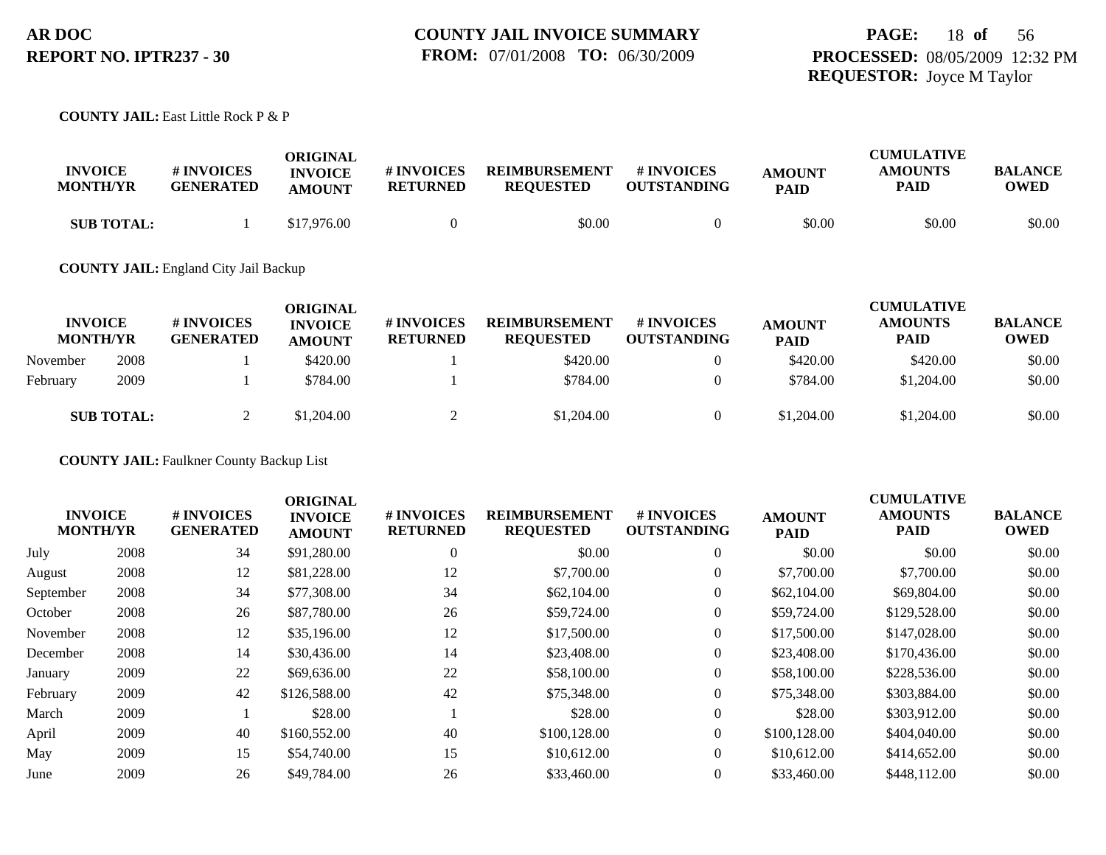**COUNTY JAIL:** East Little Rock P & P

| <b>INVOICE</b><br><b>MONTH/YR</b> | <b># INVOICES</b><br><b>GENERATED</b> | ORIGINAL<br><b>INVOICE</b><br><b>AMOUNT</b> | # INVOICES<br><b>RETURNED</b> | <b>REIMBURSEMENT</b><br><b>REQUESTED</b> | # INVOICES<br><b>OUTSTANDING</b> | <b>AMOUNT</b><br><b>PAID</b> | <b>CUMULATIVE</b><br><b>AMOUNTS</b><br>PAID | <b>BALANCE</b><br><b>OWED</b> |
|-----------------------------------|---------------------------------------|---------------------------------------------|-------------------------------|------------------------------------------|----------------------------------|------------------------------|---------------------------------------------|-------------------------------|
| <b>SUB TOTAL:</b>                 |                                       | \$17,976.00                                 |                               | \$0.00                                   |                                  | \$0.00                       | \$0.00                                      | \$0.00                        |

**COUNTY JAIL:** England City Jail Backup

| <b>INVOICE</b><br><b>MONTH/YR</b> |                   | # INVOICES<br><b>GENERATED</b> | <b>ORIGINAL</b><br><b>INVOICE</b><br><b>AMOUNT</b> | <b># INVOICES</b><br><b>RETURNED</b> | <b>REIMBURSEMENT</b><br><b>REQUESTED</b> | <b>#INVOICES</b><br><b>OUTSTANDING</b> | <b>AMOUNT</b><br><b>PAID</b> | <b>CUMULATIVE</b><br><b>AMOUNTS</b><br>PAID | <b>BALANCE</b><br><b>OWED</b> |
|-----------------------------------|-------------------|--------------------------------|----------------------------------------------------|--------------------------------------|------------------------------------------|----------------------------------------|------------------------------|---------------------------------------------|-------------------------------|
| November                          | 2008              |                                | \$420.00                                           |                                      | \$420.00                                 |                                        | \$420.00                     | \$420.00                                    | \$0.00                        |
| February                          | 2009              |                                | \$784.00                                           |                                      | \$784.00                                 |                                        | \$784.00                     | \$1,204.00                                  | \$0.00                        |
|                                   | <b>SUB TOTAL:</b> |                                | \$1,204.00                                         |                                      | \$1,204.00                               |                                        | \$1,204.00                   | \$1,204.00                                  | \$0.00                        |

**COUNTY JAIL:** Faulkner County Backup List

|           | <b>INVOICE</b><br><b>MONTH/YR</b> | # INVOICES<br><b>GENERATED</b> | <b>ORIGINAL</b><br><b>INVOICE</b><br><b>AMOUNT</b> | # INVOICES<br><b>RETURNED</b> | <b>REIMBURSEMENT</b><br><b>REQUESTED</b> | <b># INVOICES</b><br><b>OUTSTANDING</b> | <b>AMOUNT</b><br><b>PAID</b> | <b>CUMULATIVE</b><br><b>AMOUNTS</b><br><b>PAID</b> | <b>BALANCE</b><br><b>OWED</b> |
|-----------|-----------------------------------|--------------------------------|----------------------------------------------------|-------------------------------|------------------------------------------|-----------------------------------------|------------------------------|----------------------------------------------------|-------------------------------|
| July      | 2008                              | 34                             | \$91,280.00                                        |                               | \$0.00                                   | $\overline{0}$                          | \$0.00                       | \$0.00                                             | \$0.00                        |
| August    | 2008                              | 12                             | \$81,228.00                                        | 12                            | \$7,700.00                               | $\overline{0}$                          | \$7,700.00                   | \$7,700.00                                         | \$0.00                        |
| September | 2008                              | 34                             | \$77,308.00                                        | 34                            | \$62,104.00                              | $\overline{0}$                          | \$62,104.00                  | \$69,804.00                                        | \$0.00                        |
| October   | 2008                              | 26                             | \$87,780.00                                        | 26                            | \$59,724.00                              | $\overline{0}$                          | \$59,724.00                  | \$129,528.00                                       | \$0.00                        |
| November  | 2008                              | 12                             | \$35,196.00                                        | 12                            | \$17,500.00                              | $\overline{0}$                          | \$17,500.00                  | \$147,028.00                                       | \$0.00                        |
| December  | 2008                              | 14                             | \$30,436.00                                        | 14                            | \$23,408.00                              | 0                                       | \$23,408.00                  | \$170,436.00                                       | \$0.00                        |
| January   | 2009                              | 22                             | \$69,636.00                                        | 22                            | \$58,100.00                              | $\overline{0}$                          | \$58,100.00                  | \$228,536.00                                       | \$0.00                        |
| February  | 2009                              | 42                             | \$126,588.00                                       | 42                            | \$75,348.00                              | $\overline{0}$                          | \$75,348.00                  | \$303,884.00                                       | \$0.00                        |
| March     | 2009                              |                                | \$28.00                                            |                               | \$28.00                                  | $\overline{0}$                          | \$28.00                      | \$303,912.00                                       | \$0.00                        |
| April     | 2009                              | 40                             | \$160,552.00                                       | 40                            | \$100,128.00                             | $\Omega$                                | \$100,128.00                 | \$404,040.00                                       | \$0.00                        |
| May       | 2009                              | 15                             | \$54,740.00                                        | 15                            | \$10,612.00                              | $\Omega$                                | \$10,612.00                  | \$414,652.00                                       | \$0.00                        |
| June      | 2009                              | 26                             | \$49,784.00                                        | 26                            | \$33,460.00                              | $\overline{0}$                          | \$33,460.00                  | \$448,112.00                                       | \$0.00                        |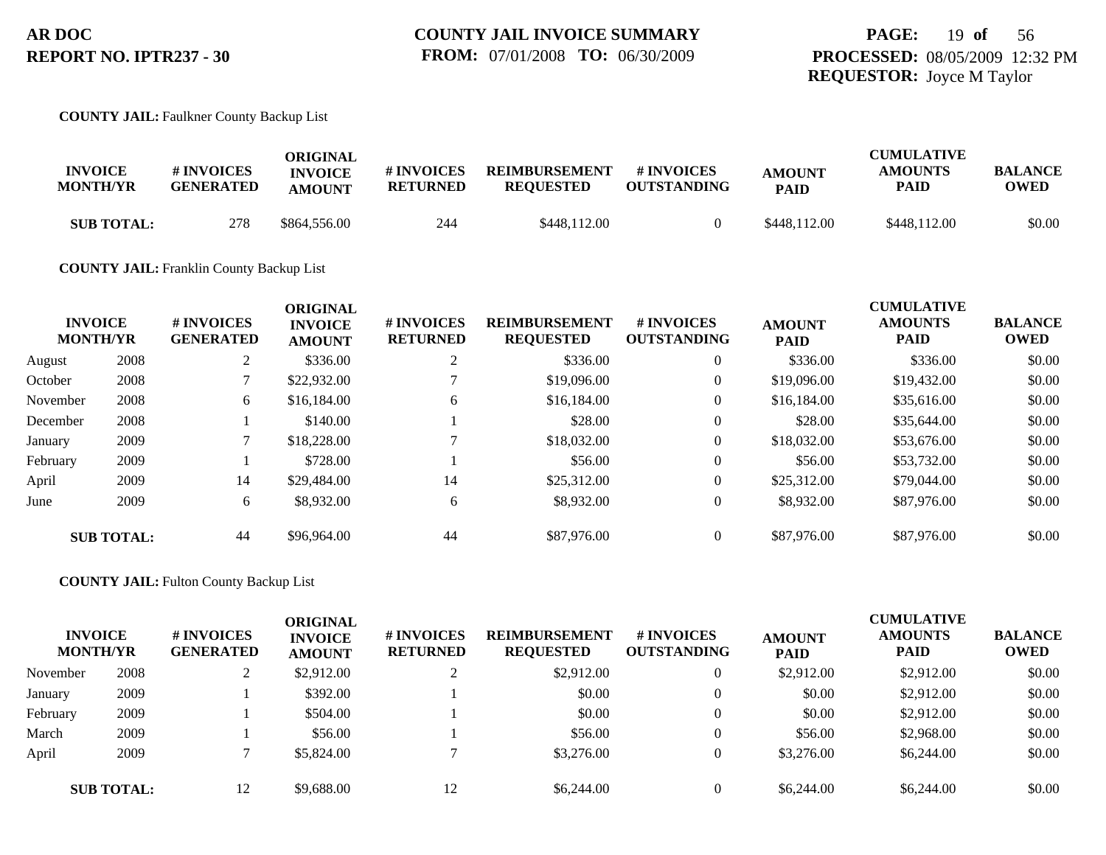#### **COUNTY JAIL:** Faulkner County Backup List

| <b>INVOICE</b><br><b>MONTH/YR</b> | <b># INVOICES</b><br><b>GENERATED</b> | ORIGINAL<br><b>INVOICE</b><br><b>AMOUNT</b> | # INVOICES<br>RETURNED | <b>REIMBURSEMENT</b><br><b>REQUESTED</b> | # INVOICES<br><b>OUTSTANDING</b> | <b>AMOUNT</b><br><b>PAID</b> | <b>CUMULATIVE</b><br><b>AMOUNTS</b><br>PAID | <b>BALANCE</b><br>OWED |
|-----------------------------------|---------------------------------------|---------------------------------------------|------------------------|------------------------------------------|----------------------------------|------------------------------|---------------------------------------------|------------------------|
| <b>SUB TOTAL:</b>                 | 278                                   | \$864,556.00                                | 244                    | \$448,112.00                             |                                  | \$448,112.00                 | \$448,112.00                                | \$0.00                 |

#### **COUNTY JAIL:** Franklin County Backup List

|          | <b>INVOICE</b><br><b>MONTH/YR</b> | # INVOICES<br><b>GENERATED</b> | <b>ORIGINAL</b><br><b>INVOICE</b><br><b>AMOUNT</b> | # INVOICES<br><b>RETURNED</b> | <b>REIMBURSEMENT</b><br><b>REQUESTED</b> | # INVOICES<br><b>OUTSTANDING</b> | <b>AMOUNT</b><br><b>PAID</b> | <b>CUMULATIVE</b><br><b>AMOUNTS</b><br><b>PAID</b> | <b>BALANCE</b><br><b>OWED</b> |
|----------|-----------------------------------|--------------------------------|----------------------------------------------------|-------------------------------|------------------------------------------|----------------------------------|------------------------------|----------------------------------------------------|-------------------------------|
| August   | 2008                              | ◠<br>∠                         | \$336.00                                           | ↑                             | \$336.00                                 | $\theta$                         | \$336.00                     | \$336.00                                           | \$0.00                        |
| October  | 2008                              |                                | \$22,932.00                                        |                               | \$19,096.00                              | $\theta$                         | \$19,096.00                  | \$19,432.00                                        | \$0.00                        |
| November | 2008                              | 6                              | \$16,184.00                                        | 6                             | \$16,184.00                              | $\overline{0}$                   | \$16,184.00                  | \$35,616.00                                        | \$0.00                        |
| December | 2008                              |                                | \$140.00                                           |                               | \$28.00                                  | $\overline{0}$                   | \$28.00                      | \$35,644.00                                        | \$0.00                        |
| January  | 2009                              |                                | \$18,228.00                                        |                               | \$18,032.00                              | $\theta$                         | \$18,032.00                  | \$53,676.00                                        | \$0.00                        |
| February | 2009                              |                                | \$728.00                                           |                               | \$56.00                                  | $\overline{0}$                   | \$56.00                      | \$53,732.00                                        | \$0.00                        |
| April    | 2009                              | 14                             | \$29,484.00                                        | 14                            | \$25,312.00                              | $\theta$                         | \$25,312.00                  | \$79,044.00                                        | \$0.00                        |
| June     | 2009                              | 6                              | \$8,932.00                                         | 6                             | \$8,932.00                               | $\theta$                         | \$8,932.00                   | \$87,976.00                                        | \$0.00                        |
|          | <b>SUB TOTAL:</b>                 | 44                             | \$96,964.00                                        | 44                            | \$87,976.00                              | $\theta$                         | \$87,976.00                  | \$87,976.00                                        | \$0.00                        |

#### **COUNTY JAIL:** Fulton County Backup List

| <b>INVOICE</b><br><b>MONTH/YR</b> |                   | # INVOICES<br><b>GENERATED</b> | <b>ORIGINAL</b><br><b>INVOICE</b><br><b>AMOUNT</b> | # INVOICES<br><b>RETURNED</b> | <b>REIMBURSEMENT</b><br><b>REQUESTED</b> | # INVOICES<br><b>OUTSTANDING</b> | <b>AMOUNT</b><br><b>PAID</b> | <b>CUMULATIVE</b><br><b>AMOUNTS</b><br><b>PAID</b> | <b>BALANCE</b><br><b>OWED</b> |
|-----------------------------------|-------------------|--------------------------------|----------------------------------------------------|-------------------------------|------------------------------------------|----------------------------------|------------------------------|----------------------------------------------------|-------------------------------|
| November                          | 2008              |                                | \$2,912.00                                         |                               | \$2,912.00                               |                                  | \$2,912.00                   | \$2,912.00                                         | \$0.00                        |
| January                           | 2009              |                                | \$392.00                                           |                               | \$0.00                                   |                                  | \$0.00                       | \$2,912.00                                         | \$0.00                        |
| February                          | 2009              |                                | \$504.00                                           |                               | \$0.00                                   |                                  | \$0.00                       | \$2,912.00                                         | \$0.00                        |
| March                             | 2009              |                                | \$56.00                                            |                               | \$56.00                                  |                                  | \$56.00                      | \$2,968.00                                         | \$0.00                        |
| April                             | 2009              |                                | \$5,824.00                                         |                               | \$3,276.00                               |                                  | \$3,276.00                   | \$6,244.00                                         | \$0.00                        |
|                                   | <b>SUB TOTAL:</b> | 12                             | \$9,688.00                                         |                               | \$6,244.00                               |                                  | \$6,244.00                   | \$6,244.00                                         | \$0.00                        |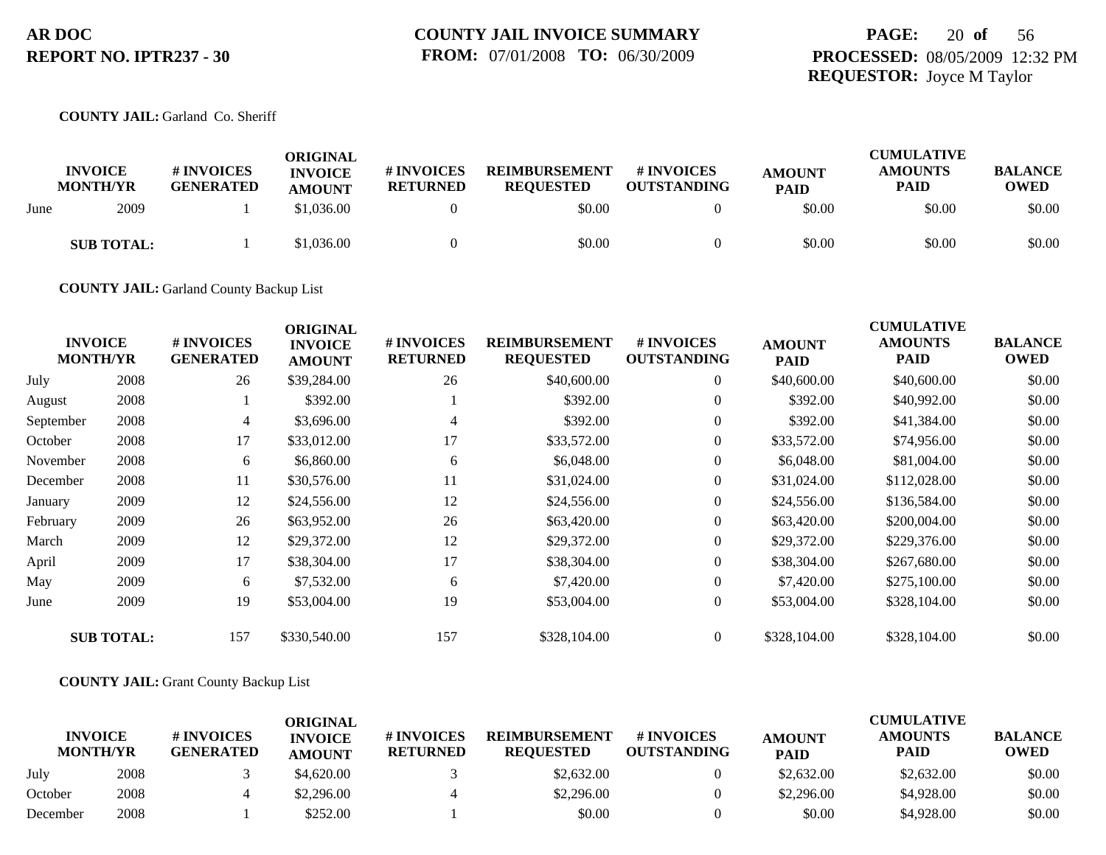## **PAGE:** 20 **of** 56 **PROCESSED:** 08/05/2009 12:32 PM **REQUESTOR:** Joyce M Taylor

**COUNTY JAIL:** Garland Co. Sheriff

|      | <b>INVOICE</b><br><b>MONTH/YR</b> | # INVOICES<br><b>GENERATED</b> | ORIGINAL<br><b>INVOICE</b><br><b>AMOUNT</b> | # INVOICES<br><b>RETURNED</b> | <b>REIMBURSEMENT</b><br><b>REOUESTED</b> | # INVOICES<br><b>OUTSTANDING</b> | <b>AMOUNT</b><br><b>PAID</b> | <b>CUMULATIVE</b><br><b>AMOUNTS</b><br><b>PAID</b> | <b>BALANCE</b><br><b>OWED</b> |
|------|-----------------------------------|--------------------------------|---------------------------------------------|-------------------------------|------------------------------------------|----------------------------------|------------------------------|----------------------------------------------------|-------------------------------|
| June | 2009                              |                                | \$1,036.00                                  |                               | \$0.00                                   |                                  | \$0.00                       | \$0.00                                             | \$0.00                        |
|      | <b>SUB TOTAL:</b>                 |                                | \$1,036.00                                  |                               | \$0.00                                   |                                  | \$0.00                       | \$0.00                                             | \$0.00                        |

**COUNTY JAIL:** Garland County Backup List

|           | <b>INVOICE</b><br><b>MONTH/YR</b> | # INVOICES<br><b>GENERATED</b> | <b>ORIGINAL</b><br><b>INVOICE</b><br><b>AMOUNT</b> | <b>#INVOICES</b><br><b>RETURNED</b> | <b>REIMBURSEMENT</b><br><b>REQUESTED</b> | # INVOICES<br><b>OUTSTANDING</b> | <b>AMOUNT</b><br><b>PAID</b> | <b>CUMULATIVE</b><br><b>AMOUNTS</b><br><b>PAID</b> | <b>BALANCE</b><br><b>OWED</b> |
|-----------|-----------------------------------|--------------------------------|----------------------------------------------------|-------------------------------------|------------------------------------------|----------------------------------|------------------------------|----------------------------------------------------|-------------------------------|
| July      | 2008                              | 26                             | \$39,284.00                                        | 26                                  | \$40,600.00                              | $\overline{0}$                   | \$40,600.00                  | \$40,600.00                                        | \$0.00                        |
| August    | 2008                              |                                | \$392.00                                           |                                     | \$392.00                                 | $\overline{0}$                   | \$392.00                     | \$40,992.00                                        | \$0.00                        |
| September | 2008                              | 4                              | \$3,696.00                                         | 4                                   | \$392.00                                 | $\overline{0}$                   | \$392.00                     | \$41,384.00                                        | \$0.00                        |
| October   | 2008                              | 17                             | \$33,012.00                                        | 17                                  | \$33,572.00                              | $\overline{0}$                   | \$33,572.00                  | \$74,956.00                                        | \$0.00                        |
| November  | 2008                              | 6                              | \$6,860.00                                         | 6                                   | \$6,048.00                               | $\overline{0}$                   | \$6,048.00                   | \$81,004.00                                        | \$0.00                        |
| December  | 2008                              | 11                             | \$30,576.00                                        | 11                                  | \$31,024.00                              | $\overline{0}$                   | \$31,024.00                  | \$112,028.00                                       | \$0.00                        |
| January   | 2009                              | 12                             | \$24,556.00                                        | 12                                  | \$24,556.00                              | $\overline{0}$                   | \$24,556.00                  | \$136,584.00                                       | \$0.00                        |
| February  | 2009                              | 26                             | \$63,952.00                                        | 26                                  | \$63,420.00                              | $\overline{0}$                   | \$63,420.00                  | \$200,004.00                                       | \$0.00                        |
| March     | 2009                              | 12                             | \$29,372.00                                        | 12                                  | \$29,372.00                              | $\overline{0}$                   | \$29,372.00                  | \$229,376.00                                       | \$0.00                        |
| April     | 2009                              | 17                             | \$38,304.00                                        | 17                                  | \$38,304.00                              | $\overline{0}$                   | \$38,304.00                  | \$267,680.00                                       | \$0.00                        |
| May       | 2009                              | 6                              | \$7,532.00                                         | 6                                   | \$7,420.00                               | $\overline{0}$                   | \$7,420.00                   | \$275,100.00                                       | \$0.00                        |
| June      | 2009                              | 19                             | \$53,004.00                                        | 19                                  | \$53,004.00                              | $\overline{0}$                   | \$53,004.00                  | \$328,104.00                                       | \$0.00                        |
|           | <b>SUB TOTAL:</b>                 | 157                            | \$330,540.00                                       | 157                                 | \$328,104.00                             | $\overline{0}$                   | \$328,104.00                 | \$328,104.00                                       | \$0.00                        |

**COUNTY JAIL:** Grant County Backup List

| <b>INVOICE</b><br><b>MONTH/YR</b> |      | # INVOICES<br><b>GENERATED</b> | ORIGINAL<br><b>INVOICE</b><br><b>AMOUNT</b> | # INVOICES<br><b>RETURNED</b> | <b>REIMBURSEMENT</b><br><b>REOUESTED</b> | # INVOICES<br><b>OUTSTANDING</b> | <b>AMOUNT</b><br><b>PAID</b> | <b>CUMULATIVE</b><br><b>AMOUNTS</b><br><b>PAID</b> | <b>BALANCE</b><br>OWED |
|-----------------------------------|------|--------------------------------|---------------------------------------------|-------------------------------|------------------------------------------|----------------------------------|------------------------------|----------------------------------------------------|------------------------|
| July                              | 2008 |                                | \$4,620.00                                  |                               | \$2,632.00                               |                                  | \$2,632.00                   | \$2,632.00                                         | \$0.00                 |
| October                           | 2008 |                                | \$2.296.00                                  |                               | \$2,296.00                               |                                  | \$2,296.00                   | \$4,928.00                                         | \$0.00                 |
| December                          | 2008 |                                | \$252.00                                    |                               | \$0.00                                   |                                  | \$0.00                       | \$4,928.00                                         | \$0.00                 |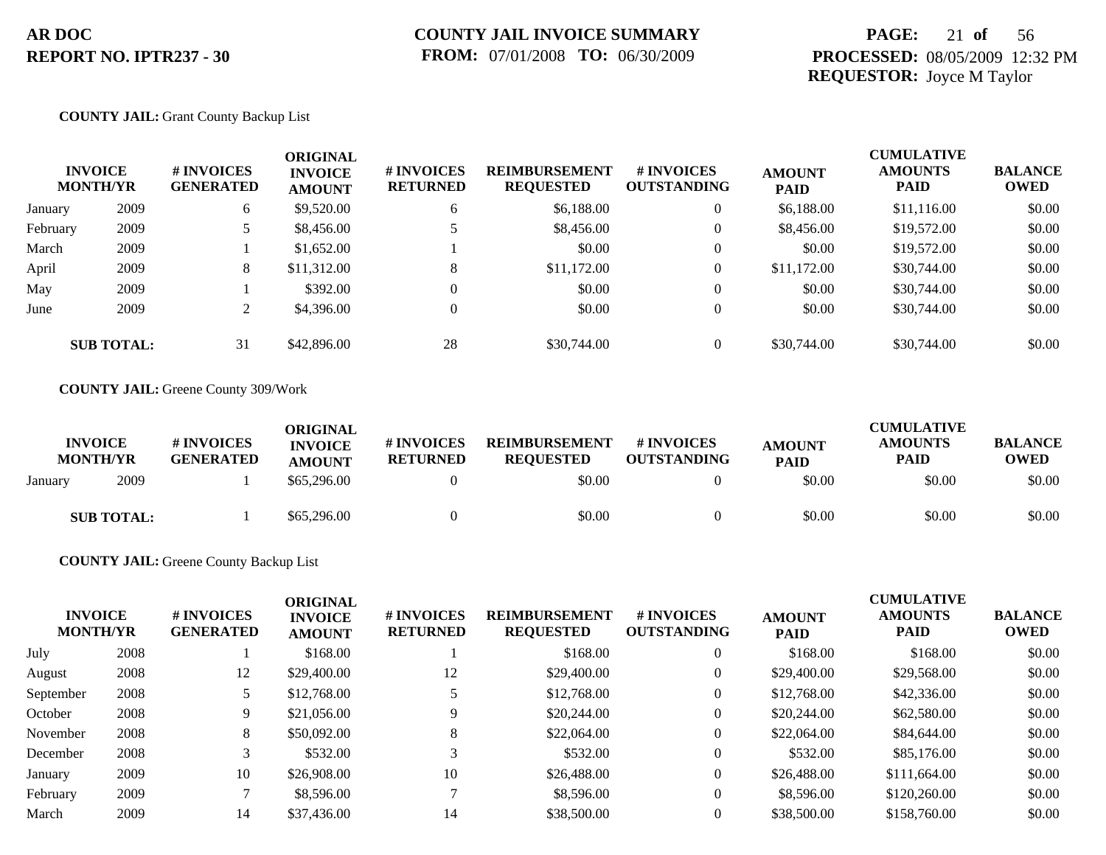## **PAGE:** 21 **of** 56 **PROCESSED:** 08/05/2009 12:32 PM **REQUESTOR:** Joyce M Taylor

#### **COUNTY JAIL:** Grant County Backup List

| <b>INVOICE</b><br><b>MONTH/YR</b> |                   | # INVOICES<br><b>GENERATED</b> | <b>ORIGINAL</b><br><b>INVOICE</b><br><b>AMOUNT</b> | # INVOICES<br><b>RETURNED</b> | <b>REIMBURSEMENT</b><br><b>REQUESTED</b> | <b># INVOICES</b><br><b>OUTSTANDING</b> | <b>AMOUNT</b><br><b>PAID</b> | <b>CUMULATIVE</b><br><b>AMOUNTS</b><br><b>PAID</b> | <b>BALANCE</b><br><b>OWED</b> |
|-----------------------------------|-------------------|--------------------------------|----------------------------------------------------|-------------------------------|------------------------------------------|-----------------------------------------|------------------------------|----------------------------------------------------|-------------------------------|
| January                           | 2009              | 6                              | \$9,520.00                                         | 6                             | \$6,188.00                               | $\overline{0}$                          | \$6,188.00                   | \$11,116.00                                        | \$0.00                        |
| February                          | 2009              | 5                              | \$8,456.00                                         |                               | \$8,456.00                               | $\overline{0}$                          | \$8,456.00                   | \$19,572.00                                        | \$0.00                        |
| March                             | 2009              |                                | \$1,652.00                                         |                               | \$0.00                                   | $\overline{0}$                          | \$0.00                       | \$19,572.00                                        | \$0.00                        |
| April                             | 2009              | 8                              | \$11,312.00                                        |                               | \$11,172.00                              | $\overline{0}$                          | \$11,172.00                  | \$30,744.00                                        | \$0.00                        |
| May                               | 2009              |                                | \$392.00                                           |                               | \$0.00                                   | $\overline{0}$                          | \$0.00                       | \$30,744.00                                        | \$0.00                        |
| June                              | 2009              | $\gamma$<br>$\overline{a}$     | \$4,396.00                                         |                               | \$0.00                                   | $\overline{0}$                          | \$0.00                       | \$30,744.00                                        | \$0.00                        |
|                                   | <b>SUB TOTAL:</b> | 31                             | \$42,896.00                                        | 28                            | \$30,744.00                              | $\Omega$                                | \$30,744.00                  | \$30,744.00                                        | \$0.00                        |

**COUNTY JAIL:** Greene County 309/Work

| <b>INVOICE</b><br><b>MONTH/YR</b> | # INVOICES<br><b>GENERATED</b> | <b>ORIGINAL</b><br><b>INVOICE</b><br><b>AMOUNT</b> | # INVOICES<br><b>RETURNED</b> | <b>REIMBURSEMENT</b><br><b>REOUESTED</b> | # INVOICES<br><b>OUTSTANDING</b> | <b>AMOUNT</b><br><b>PAID</b> | <b>CUMULATIVE</b><br><b>AMOUNTS</b><br>PAID | <b>BALANCE</b><br>OWED |
|-----------------------------------|--------------------------------|----------------------------------------------------|-------------------------------|------------------------------------------|----------------------------------|------------------------------|---------------------------------------------|------------------------|
| 2009<br>January                   |                                | \$65,296,00                                        |                               | \$0.00                                   |                                  | \$0.00                       | \$0.00                                      | \$0.00                 |
| <b>SUB TOTAL:</b>                 |                                | \$65,296.00                                        |                               | \$0.00                                   |                                  | \$0.00                       | \$0.00                                      | \$0.00                 |

#### **COUNTY JAIL:** Greene County Backup List

| <b>INVOICE</b><br><b>MONTH/YR</b> |      | # INVOICES<br><b>GENERATED</b> | <b>ORIGINAL</b><br><b>INVOICE</b><br><b>AMOUNT</b> | # INVOICES<br><b>RETURNED</b> | <b>REIMBURSEMENT</b><br><b>REQUESTED</b> | # INVOICES<br><b>OUTSTANDING</b> | <b>AMOUNT</b><br><b>PAID</b> | <b>CUMULATIVE</b><br><b>AMOUNTS</b><br><b>PAID</b> | <b>BALANCE</b><br><b>OWED</b> |
|-----------------------------------|------|--------------------------------|----------------------------------------------------|-------------------------------|------------------------------------------|----------------------------------|------------------------------|----------------------------------------------------|-------------------------------|
| July                              | 2008 |                                | \$168.00                                           |                               | \$168.00                                 | $\theta$                         | \$168.00                     | \$168.00                                           | \$0.00                        |
| August                            | 2008 | 12                             | \$29,400.00                                        | 12                            | \$29,400.00                              | $\theta$                         | \$29,400.00                  | \$29,568.00                                        | \$0.00                        |
| September                         | 2008 | 5                              | \$12,768.00                                        |                               | \$12,768.00                              | $\theta$                         | \$12,768.00                  | \$42,336.00                                        | \$0.00                        |
| October                           | 2008 | 9                              | \$21,056.00                                        | 9                             | \$20,244.00                              | $\theta$                         | \$20,244.00                  | \$62,580.00                                        | \$0.00                        |
| November                          | 2008 | 8                              | \$50,092.00                                        | 8                             | \$22,064.00                              | $\theta$                         | \$22,064.00                  | \$84,644.00                                        | \$0.00                        |
| December                          | 2008 |                                | \$532.00                                           | 3                             | \$532.00                                 | $\theta$                         | \$532.00                     | \$85,176.00                                        | \$0.00                        |
| January                           | 2009 | 10                             | \$26,908.00                                        | 10                            | \$26,488.00                              | $\overline{0}$                   | \$26,488.00                  | \$111,664.00                                       | \$0.00                        |
| February                          | 2009 |                                | \$8,596.00                                         | −                             | \$8,596.00                               | $\overline{0}$                   | \$8,596.00                   | \$120,260.00                                       | \$0.00                        |
| March                             | 2009 | 14                             | \$37,436.00                                        | 14                            | \$38,500.00                              | $\Omega$                         | \$38,500.00                  | \$158,760.00                                       | \$0.00                        |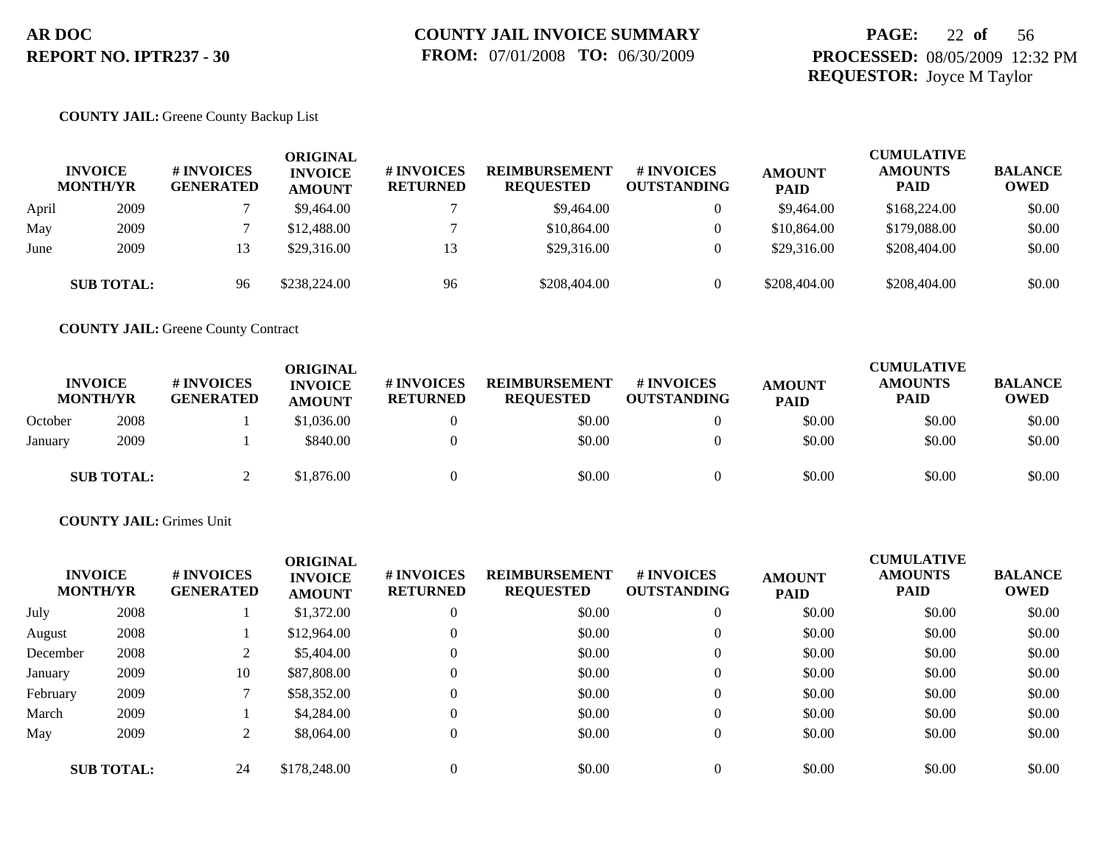## **PAGE:** 22 **of** 56 **PROCESSED:** 08/05/2009 12:32 PM **REQUESTOR:** Joyce M Taylor

#### **COUNTY JAIL:** Greene County Backup List

|       | <b>INVOICE</b><br><b>MONTH/YR</b> | # INVOICES<br><b>GENERATED</b> | ORIGINAL<br><b>INVOICE</b><br><b>AMOUNT</b> | # INVOICES<br><b>RETURNED</b> | <b>REIMBURSEMENT</b><br><b>REQUESTED</b> | <b># INVOICES</b><br><b>OUTSTANDING</b> | <b>AMOUNT</b><br><b>PAID</b> | <b>CUMULATIVE</b><br><b>AMOUNTS</b><br><b>PAID</b> | <b>BALANCE</b><br><b>OWED</b> |
|-------|-----------------------------------|--------------------------------|---------------------------------------------|-------------------------------|------------------------------------------|-----------------------------------------|------------------------------|----------------------------------------------------|-------------------------------|
| April | 2009                              |                                | \$9,464.00                                  |                               | \$9,464.00                               | $\overline{0}$                          | \$9,464.00                   | \$168,224.00                                       | \$0.00                        |
| May   | 2009                              |                                | \$12,488.00                                 |                               | \$10,864.00                              | $\overline{0}$                          | \$10,864.00                  | \$179,088.00                                       | \$0.00                        |
| June  | 2009                              | 13                             | \$29,316.00                                 | 13                            | \$29,316.00                              | $\overline{0}$                          | \$29,316.00                  | \$208,404.00                                       | \$0.00                        |
|       | <b>SUB TOTAL:</b>                 | 96                             | \$238,224.00                                | 96                            | \$208,404.00                             |                                         | \$208,404.00                 | \$208,404.00                                       | \$0.00                        |

**COUNTY JAIL:** Greene County Contract

|         | <b>INVOICE</b><br><b>MONTH/YR</b> | <b># INVOICES</b><br><b>GENERATED</b> | <b>ORIGINAL</b><br><b>INVOICE</b><br><b>AMOUNT</b> | <b># INVOICES</b><br><b>RETURNED</b> | <b>REIMBURSEMENT</b><br><b>REQUESTED</b> | <b># INVOICES</b><br>OUTSTANDING | <b>AMOUNT</b><br><b>PAID</b> | <b>CUMULATIVE</b><br><b>AMOUNTS</b><br>PAID | <b>BALANCE</b><br><b>OWED</b> |
|---------|-----------------------------------|---------------------------------------|----------------------------------------------------|--------------------------------------|------------------------------------------|----------------------------------|------------------------------|---------------------------------------------|-------------------------------|
| October | 2008                              |                                       | \$1,036.00                                         |                                      | \$0.00                                   |                                  | \$0.00                       | \$0.00                                      | \$0.00                        |
| January | 2009                              |                                       | \$840.00                                           |                                      | \$0.00                                   |                                  | \$0.00                       | \$0.00                                      | \$0.00                        |
|         | <b>SUB TOTAL:</b>                 |                                       | \$1,876.00                                         |                                      | \$0.00                                   |                                  | \$0.00                       | \$0.00                                      | \$0.00                        |

#### **COUNTY JAIL:** Grimes Unit

|          | <b>INVOICE</b><br><b>MONTH/YR</b> | # INVOICES<br><b>GENERATED</b> | <b>ORIGINAL</b><br><b>INVOICE</b><br><b>AMOUNT</b> | # INVOICES<br><b>RETURNED</b> | <b>REIMBURSEMENT</b><br><b>REQUESTED</b> | # INVOICES<br><b>OUTSTANDING</b> | <b>AMOUNT</b><br><b>PAID</b> | <b>CUMULATIVE</b><br><b>AMOUNTS</b><br><b>PAID</b> | <b>BALANCE</b><br><b>OWED</b> |
|----------|-----------------------------------|--------------------------------|----------------------------------------------------|-------------------------------|------------------------------------------|----------------------------------|------------------------------|----------------------------------------------------|-------------------------------|
| July     | 2008                              |                                | \$1,372.00                                         | $\overline{0}$                | \$0.00                                   | $\overline{0}$                   | \$0.00                       | \$0.00                                             | \$0.00                        |
| August   | 2008                              |                                | \$12,964.00                                        | $\mathbf{0}$                  | \$0.00                                   |                                  | \$0.00                       | \$0.00                                             | \$0.00                        |
| December | 2008                              |                                | \$5,404.00                                         | $\mathbf{0}$                  | \$0.00                                   |                                  | \$0.00                       | \$0.00                                             | \$0.00                        |
| January  | 2009                              | 10                             | \$87,808.00                                        | $\mathbf{0}$                  | \$0.00                                   |                                  | \$0.00                       | \$0.00                                             | \$0.00                        |
| February | 2009                              |                                | \$58,352.00                                        | $\overline{0}$                | \$0.00                                   |                                  | \$0.00                       | \$0.00                                             | \$0.00                        |
| March    | 2009                              |                                | \$4,284.00                                         | $\mathbf{0}$                  | \$0.00                                   | $\theta$                         | \$0.00                       | \$0.00                                             | \$0.00                        |
| May      | 2009                              |                                | \$8,064.00                                         | $\overline{0}$                | \$0.00                                   | $\Omega$                         | \$0.00                       | \$0.00                                             | \$0.00                        |
|          | <b>SUB TOTAL:</b>                 | 24                             | \$178,248.00                                       | $\overline{0}$                | \$0.00                                   |                                  | \$0.00                       | \$0.00                                             | \$0.00                        |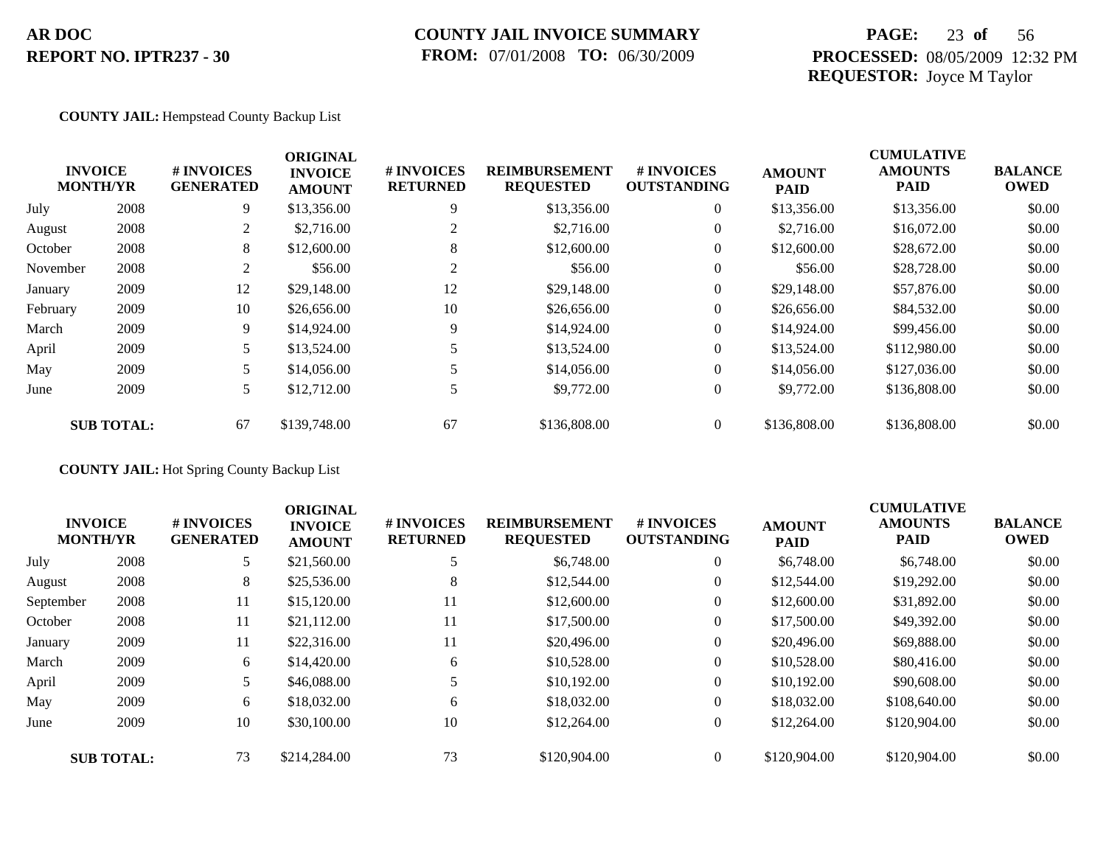### **COUNTY JAIL INVOICE SUMMARY FROM:** 07/01/2008 **TO:** 06/30/2009

## **PAGE:** 23 **of** 56 **PROCESSED:** 08/05/2009 12:32 PM **REQUESTOR:** Joyce M Taylor

#### **COUNTY JAIL:** Hempstead County Backup List

|          |                                   |                                | <b>ORIGINAL</b>                 |                               |                                          |                                        |                              | <b>CUMULATIVE</b>             |                               |
|----------|-----------------------------------|--------------------------------|---------------------------------|-------------------------------|------------------------------------------|----------------------------------------|------------------------------|-------------------------------|-------------------------------|
|          | <b>INVOICE</b><br><b>MONTH/YR</b> | # INVOICES<br><b>GENERATED</b> | <b>INVOICE</b><br><b>AMOUNT</b> | # INVOICES<br><b>RETURNED</b> | <b>REIMBURSEMENT</b><br><b>REQUESTED</b> | <b>#INVOICES</b><br><b>OUTSTANDING</b> | <b>AMOUNT</b><br><b>PAID</b> | <b>AMOUNTS</b><br><b>PAID</b> | <b>BALANCE</b><br><b>OWED</b> |
| July     | 2008                              | 9                              | \$13,356.00                     | 9                             | \$13,356.00                              | $\overline{0}$                         | \$13,356.00                  | \$13,356.00                   | \$0.00                        |
| August   | 2008                              | 2                              | \$2,716.00                      | 2                             | \$2,716.00                               | $\overline{0}$                         | \$2,716.00                   | \$16,072.00                   | \$0.00                        |
| October  | 2008                              | 8                              | \$12,600.00                     | 8                             | \$12,600.00                              | $\overline{0}$                         | \$12,600.00                  | \$28,672.00                   | \$0.00                        |
| November | 2008                              | 2                              | \$56.00                         |                               | \$56.00                                  | $\overline{0}$                         | \$56.00                      | \$28,728.00                   | \$0.00                        |
| January  | 2009                              | 12                             | \$29,148.00                     | 12                            | \$29,148.00                              | $\overline{0}$                         | \$29,148.00                  | \$57,876.00                   | \$0.00                        |
| February | 2009                              | 10                             | \$26,656.00                     | 10                            | \$26,656.00                              | $\overline{0}$                         | \$26,656.00                  | \$84,532.00                   | \$0.00                        |
| March    | 2009                              | 9                              | \$14,924.00                     | 9                             | \$14,924.00                              | $\overline{0}$                         | \$14,924.00                  | \$99,456.00                   | \$0.00                        |
| April    | 2009                              | 5                              | \$13,524.00                     |                               | \$13,524.00                              | $\overline{0}$                         | \$13,524.00                  | \$112,980.00                  | \$0.00                        |
| May      | 2009                              | 5                              | \$14,056.00                     |                               | \$14,056.00                              | $\overline{0}$                         | \$14,056.00                  | \$127,036.00                  | \$0.00                        |
| June     | 2009                              | 5                              | \$12,712.00                     |                               | \$9,772.00                               | $\overline{0}$                         | \$9,772.00                   | \$136,808.00                  | \$0.00                        |
|          | <b>SUB TOTAL:</b>                 | 67                             | \$139,748.00                    | 67                            | \$136,808.00                             | $\theta$                               | \$136,808.00                 | \$136,808.00                  | \$0.00                        |

### **COUNTY JAIL:** Hot Spring County Backup List

|           | <b>INVOICE</b><br><b>MONTH/YR</b> | # INVOICES<br><b>GENERATED</b> | <b>ORIGINAL</b><br><b>INVOICE</b><br><b>AMOUNT</b> | # INVOICES<br><b>RETURNED</b> | <b>REIMBURSEMENT</b><br><b>REQUESTED</b> | <b>#INVOICES</b><br><b>OUTSTANDING</b> | <b>AMOUNT</b><br><b>PAID</b> | <b>CUMULATIVE</b><br><b>AMOUNTS</b><br><b>PAID</b> | <b>BALANCE</b><br><b>OWED</b> |
|-----------|-----------------------------------|--------------------------------|----------------------------------------------------|-------------------------------|------------------------------------------|----------------------------------------|------------------------------|----------------------------------------------------|-------------------------------|
| July      | 2008                              |                                | \$21,560.00                                        |                               | \$6,748.00                               | $\overline{0}$                         | \$6,748.00                   | \$6,748.00                                         | \$0.00                        |
| August    | 2008                              | 8                              | \$25,536.00                                        | 8                             | \$12,544.00                              | $\overline{0}$                         | \$12,544.00                  | \$19,292.00                                        | \$0.00                        |
| September | 2008                              | 11                             | \$15,120.00                                        | 11                            | \$12,600.00                              | $\overline{0}$                         | \$12,600.00                  | \$31,892.00                                        | \$0.00                        |
| October   | 2008                              | 11                             | \$21,112.00                                        | 11                            | \$17,500.00                              | $\overline{0}$                         | \$17,500.00                  | \$49,392.00                                        | \$0.00                        |
| January   | 2009                              | 11                             | \$22,316.00                                        | 11                            | \$20,496.00                              | $\overline{0}$                         | \$20,496.00                  | \$69,888.00                                        | \$0.00                        |
| March     | 2009                              | 6                              | \$14,420.00                                        | 6                             | \$10,528.00                              | $\mathbf{0}$                           | \$10,528.00                  | \$80,416.00                                        | \$0.00                        |
| April     | 2009                              |                                | \$46,088.00                                        |                               | \$10,192,00                              | $\overline{0}$                         | \$10,192.00                  | \$90,608.00                                        | \$0.00                        |
| May       | 2009                              | 6                              | \$18,032.00                                        | 6                             | \$18,032.00                              | $\overline{0}$                         | \$18,032.00                  | \$108,640.00                                       | \$0.00                        |
| June      | 2009                              | 10                             | \$30,100.00                                        | 10                            | \$12,264.00                              | $\overline{0}$                         | \$12,264.00                  | \$120,904.00                                       | \$0.00                        |
|           | <b>SUB TOTAL:</b>                 | 73                             | \$214,284.00                                       | 73                            | \$120,904.00                             | $\theta$                               | \$120,904.00                 | \$120,904.00                                       | \$0.00                        |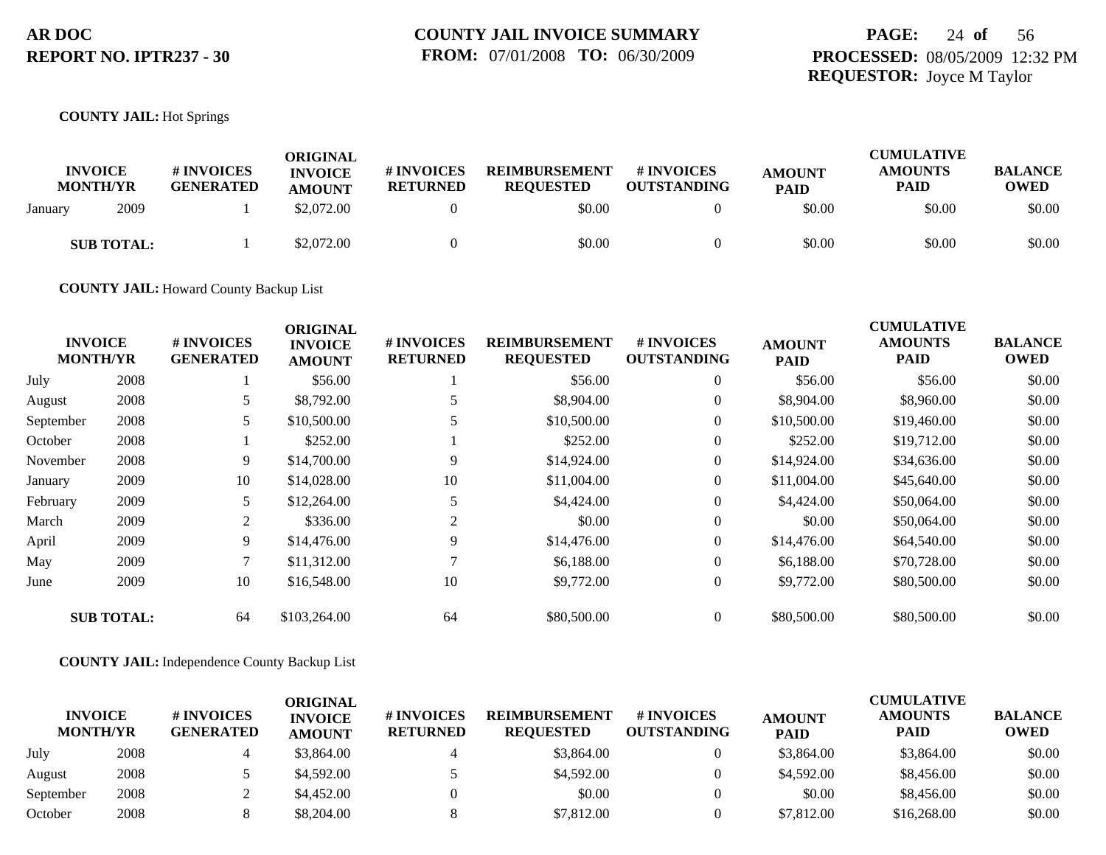## **PAGE:** 24 **of** 56 **PROCESSED:** 08/05/2009 12:32 PM **REQUESTOR:** Joyce M Taylor

#### **COUNTY JAIL:** Hot Springs

| <b>INVOICE</b><br><b>MONTH/YR</b> | <b># INVOICES</b><br><b>GENERATED</b> | ORIGINAL<br><b>INVOICE</b><br><b>AMOUNT</b> | # INVOICES<br><b>RETURNED</b> | <b>REIMBURSEMENT</b><br><b>REQUESTED</b> | <b>#INVOICES</b><br><b>OUTSTANDING</b> | <b>AMOUNT</b><br><b>PAID</b> | <b>CUMULATIVE</b><br><b>AMOUNTS</b><br>PAID | <b>BALANCE</b><br>OWED |
|-----------------------------------|---------------------------------------|---------------------------------------------|-------------------------------|------------------------------------------|----------------------------------------|------------------------------|---------------------------------------------|------------------------|
| 2009<br>January                   |                                       | \$2,072.00                                  |                               | \$0.00                                   |                                        | \$0.00                       | \$0.00                                      | \$0.00                 |
| <b>SUB TOTAL:</b>                 |                                       | \$2,072.00                                  |                               | \$0.00                                   |                                        | \$0.00                       | \$0.00                                      | \$0.00                 |

**COUNTY JAIL:** Howard County Backup List

|           |                                   |                                | <b>ORIGINAL</b>                 |                               |                                          |                                         |                              | <b>CUMULATIVE</b>             |                               |
|-----------|-----------------------------------|--------------------------------|---------------------------------|-------------------------------|------------------------------------------|-----------------------------------------|------------------------------|-------------------------------|-------------------------------|
|           | <b>INVOICE</b><br><b>MONTH/YR</b> | # INVOICES<br><b>GENERATED</b> | <b>INVOICE</b><br><b>AMOUNT</b> | # INVOICES<br><b>RETURNED</b> | <b>REIMBURSEMENT</b><br><b>REQUESTED</b> | <b># INVOICES</b><br><b>OUTSTANDING</b> | <b>AMOUNT</b><br><b>PAID</b> | <b>AMOUNTS</b><br><b>PAID</b> | <b>BALANCE</b><br><b>OWED</b> |
| July      | 2008                              |                                | \$56.00                         |                               | \$56.00                                  | $\overline{0}$                          | \$56.00                      | \$56.00                       | \$0.00                        |
| August    | 2008                              | 5                              | \$8,792.00                      |                               | \$8,904.00                               | $\overline{0}$                          | \$8,904.00                   | \$8,960.00                    | \$0.00                        |
| September | 2008                              | 5                              | \$10,500.00                     |                               | \$10,500.00                              | $\overline{0}$                          | \$10,500.00                  | \$19,460.00                   | \$0.00                        |
| October   | 2008                              |                                | \$252.00                        |                               | \$252.00                                 | $\overline{0}$                          | \$252.00                     | \$19,712.00                   | \$0.00                        |
| November  | 2008                              | 9                              | \$14,700.00                     | 9                             | \$14,924.00                              | $\overline{0}$                          | \$14,924.00                  | \$34,636.00                   | \$0.00                        |
| January   | 2009                              | 10                             | \$14,028.00                     | 10                            | \$11,004.00                              | $\overline{0}$                          | \$11,004.00                  | \$45,640.00                   | \$0.00                        |
| February  | 2009                              | 5                              | \$12,264.00                     | 5                             | \$4,424.00                               | $\overline{0}$                          | \$4,424.00                   | \$50,064.00                   | \$0.00                        |
| March     | 2009                              | 2                              | \$336.00                        | 2                             | \$0.00                                   | $\overline{0}$                          | \$0.00                       | \$50,064.00                   | \$0.00                        |
| April     | 2009                              | 9                              | \$14,476.00                     | 9                             | \$14,476.00                              | $\overline{0}$                          | \$14,476.00                  | \$64,540.00                   | \$0.00                        |
| May       | 2009                              |                                | \$11,312.00                     |                               | \$6,188.00                               | $\overline{0}$                          | \$6,188.00                   | \$70,728.00                   | \$0.00                        |
| June      | 2009                              | 10                             | \$16,548.00                     | 10                            | \$9,772.00                               | $\overline{0}$                          | \$9,772.00                   | \$80,500.00                   | \$0.00                        |
|           | <b>SUB TOTAL:</b>                 | 64                             | \$103,264.00                    | 64                            | \$80,500.00                              | $\overline{0}$                          | \$80,500.00                  | \$80,500.00                   | \$0.00                        |

**COUNTY JAIL:** Independence County Backup List

| <b>INVOICE</b><br><b>MONTH/YR</b> |      | # INVOICES<br><b>GENERATED</b> | ORIGINAL<br><b>INVOICE</b><br><b>AMOUNT</b> | # INVOICES<br><b>RETURNED</b> | <b>REIMBURSEMENT</b><br><b>REOUESTED</b> | # INVOICES<br><b>OUTSTANDING</b> | <b>AMOUNT</b><br><b>PAID</b> | <b>CUMULATIVE</b><br><b>AMOUNTS</b><br>PAID | <b>BALANCE</b><br><b>OWED</b> |
|-----------------------------------|------|--------------------------------|---------------------------------------------|-------------------------------|------------------------------------------|----------------------------------|------------------------------|---------------------------------------------|-------------------------------|
| July                              | 2008 |                                | \$3,864.00                                  |                               | \$3,864.00                               |                                  | \$3,864.00                   | \$3,864.00                                  | \$0.00                        |
| August                            | 2008 |                                | \$4,592.00                                  |                               | \$4,592.00                               |                                  | \$4,592.00                   | \$8,456.00                                  | \$0.00                        |
| September                         | 2008 |                                | \$4,452.00                                  |                               | \$0.00                                   |                                  | \$0.00                       | \$8,456.00                                  | \$0.00                        |
| October                           | 2008 |                                | \$8,204.00                                  |                               | \$7,812.00                               |                                  | \$7,812.00                   | \$16,268.00                                 | \$0.00                        |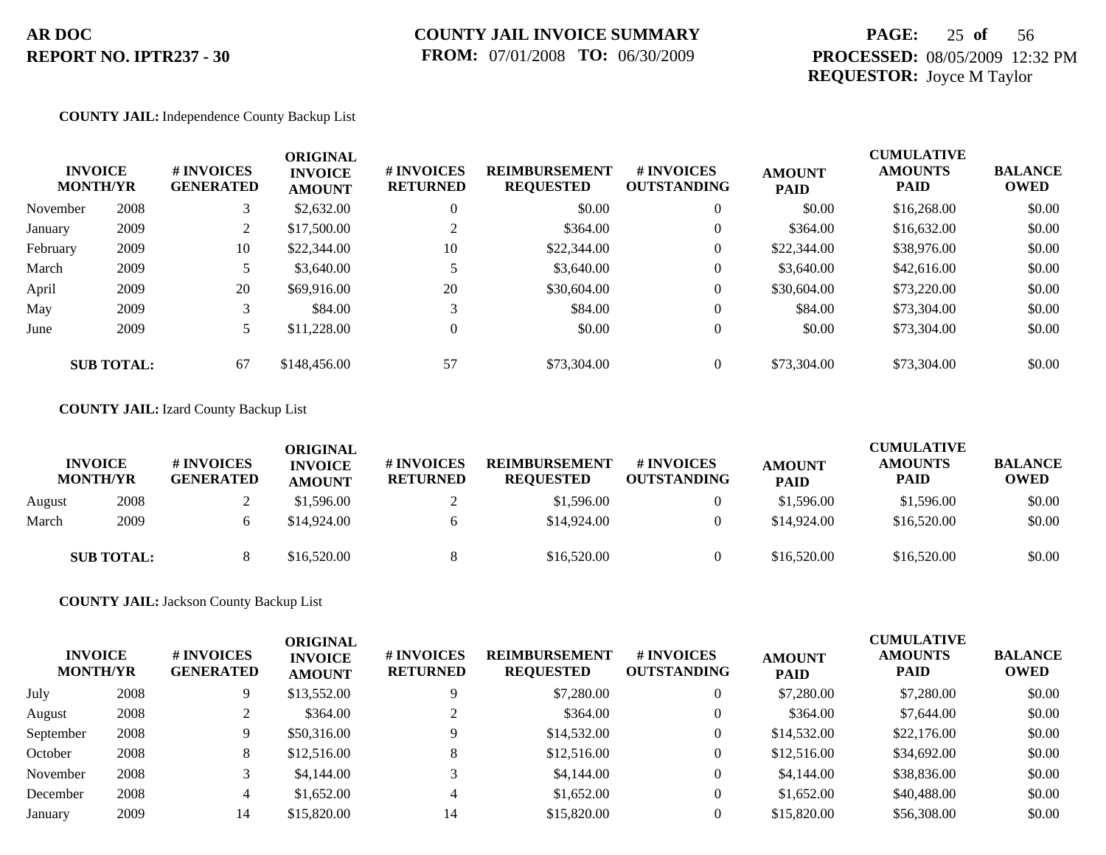## **PAGE:** 25 **of** 56 **PROCESSED:** 08/05/2009 12:32 PM **REQUESTOR:** Joyce M Taylor

#### **COUNTY JAIL:** Independence County Backup List

| <b>INVOICE</b><br><b>MONTH/YR</b> |                   | # INVOICES<br><b>GENERATED</b> | <b>ORIGINAL</b><br><b>INVOICE</b><br><b>AMOUNT</b> | # INVOICES<br><b>RETURNED</b> | <b>REIMBURSEMENT</b><br><b>REQUESTED</b> | <b>#INVOICES</b><br><b>OUTSTANDING</b> | <b>AMOUNT</b><br><b>PAID</b> | <b>CUMULATIVE</b><br><b>AMOUNTS</b><br><b>PAID</b> | <b>BALANCE</b><br>OWED |
|-----------------------------------|-------------------|--------------------------------|----------------------------------------------------|-------------------------------|------------------------------------------|----------------------------------------|------------------------------|----------------------------------------------------|------------------------|
| November                          | 2008              | 3                              | \$2,632.00                                         | $\overline{0}$                | \$0.00                                   | $\overline{0}$                         | \$0.00                       | \$16,268.00                                        | \$0.00                 |
| January                           | 2009              | $\overline{2}$                 | \$17,500.00                                        |                               | \$364.00                                 | $\overline{0}$                         | \$364.00                     | \$16,632.00                                        | \$0.00                 |
| February                          | 2009              | 10                             | \$22,344.00                                        | 10                            | \$22,344.00                              | $\overline{0}$                         | \$22,344.00                  | \$38,976.00                                        | \$0.00                 |
| March                             | 2009              | 5                              | \$3,640.00                                         |                               | \$3,640.00                               | $\overline{0}$                         | \$3,640.00                   | \$42,616.00                                        | \$0.00                 |
| April                             | 2009              | 20                             | \$69,916.00                                        | 20                            | \$30,604.00                              | $\overline{0}$                         | \$30,604.00                  | \$73,220.00                                        | \$0.00                 |
| May                               | 2009              | 3                              | \$84.00                                            | 3                             | \$84.00                                  | $\overline{0}$                         | \$84.00                      | \$73,304.00                                        | \$0.00                 |
| June                              | 2009              |                                | \$11,228.00                                        | $\Omega$                      | \$0.00                                   | $\overline{0}$                         | \$0.00                       | \$73,304.00                                        | \$0.00                 |
|                                   | <b>SUB TOTAL:</b> | 67                             | \$148,456.00                                       | 57                            | \$73,304.00                              | $\overline{0}$                         | \$73,304.00                  | \$73,304.00                                        | \$0.00                 |

#### **COUNTY JAIL:** Izard County Backup List

|        | <b>INVOICE</b><br><b>MONTH/YR</b> | # INVOICES<br><b>GENERATED</b> | <b>ORIGINAL</b><br><b>INVOICE</b><br><b>AMOUNT</b> | # INVOICES<br><b>RETURNED</b> | <b>REIMBURSEMENT</b><br><b>REQUESTED</b> | <b>#INVOICES</b><br><b>OUTSTANDING</b> | <b>AMOUNT</b><br><b>PAID</b> | <b>CUMULATIVE</b><br><b>AMOUNTS</b><br><b>PAID</b> | <b>BALANCE</b><br><b>OWED</b> |
|--------|-----------------------------------|--------------------------------|----------------------------------------------------|-------------------------------|------------------------------------------|----------------------------------------|------------------------------|----------------------------------------------------|-------------------------------|
| August | 2008                              |                                | \$1,596.00                                         |                               | \$1,596.00                               |                                        | \$1,596.00                   | \$1,596.00                                         | \$0.00                        |
| March  | 2009                              |                                | \$14,924.00                                        |                               | \$14,924.00                              | $\Omega$                               | \$14,924.00                  | \$16,520.00                                        | \$0.00                        |
|        | <b>SUB TOTAL:</b>                 |                                | \$16,520.00                                        |                               | \$16,520.00                              | $\theta$                               | \$16,520.00                  | \$16,520.00                                        | \$0.00                        |

**COUNTY JAIL:** Jackson County Backup List

| <b>INVOICE</b><br><b>MONTH/YR</b> |      | # INVOICES<br><b>GENERATED</b> | <b>ORIGINAL</b><br><b>INVOICE</b><br><b>AMOUNT</b> | # INVOICES<br><b>RETURNED</b> | <b>REIMBURSEMENT</b><br><b>REQUESTED</b> | <b># INVOICES</b><br><b>OUTSTANDING</b> | <b>AMOUNT</b><br><b>PAID</b> | <b>CUMULATIVE</b><br><b>AMOUNTS</b><br><b>PAID</b> | <b>BALANCE</b><br>OWED |
|-----------------------------------|------|--------------------------------|----------------------------------------------------|-------------------------------|------------------------------------------|-----------------------------------------|------------------------------|----------------------------------------------------|------------------------|
| July                              | 2008 | 9.                             | \$13,552.00                                        |                               | \$7,280.00                               | $\overline{0}$                          | \$7,280.00                   | \$7,280.00                                         | \$0.00                 |
| August                            | 2008 |                                | \$364.00                                           |                               | \$364.00                                 | $\theta$                                | \$364.00                     | \$7,644.00                                         | \$0.00                 |
| September                         | 2008 | Q                              | \$50,316.00                                        |                               | \$14,532.00                              | $\overline{0}$                          | \$14,532.00                  | \$22,176.00                                        | \$0.00                 |
| October                           | 2008 | 8                              | \$12,516.00                                        |                               | \$12,516.00                              | $\overline{0}$                          | \$12,516.00                  | \$34,692.00                                        | \$0.00                 |
| November                          | 2008 |                                | \$4,144.00                                         |                               | \$4,144.00                               | $\overline{0}$                          | \$4,144.00                   | \$38,836.00                                        | \$0.00                 |
| December                          | 2008 | 4                              | \$1,652.00                                         | 4                             | \$1,652.00                               | $\overline{0}$                          | \$1,652.00                   | \$40,488.00                                        | \$0.00                 |
| January                           | 2009 | 14                             | \$15,820.00                                        | 14                            | \$15,820.00                              | $\Omega$                                | \$15,820.00                  | \$56,308,00                                        | \$0.00                 |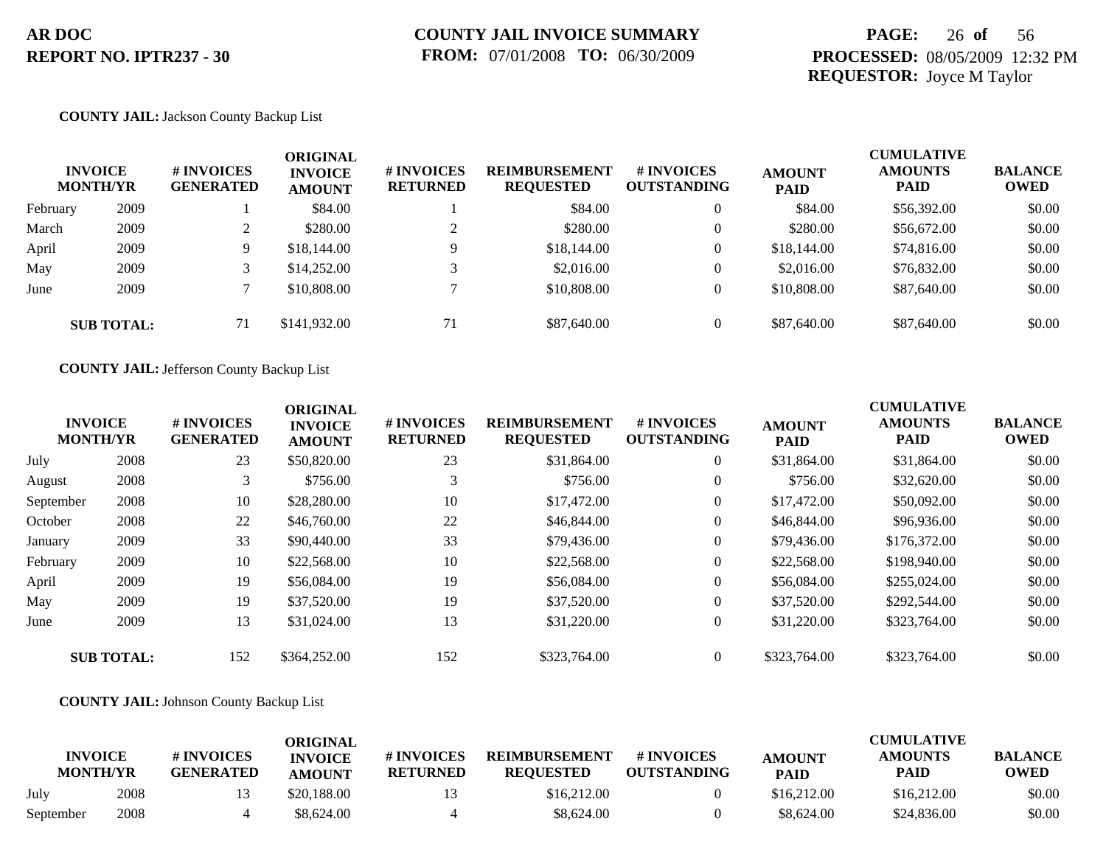## **PAGE:** 26 **of** 56 **PROCESSED:** 08/05/2009 12:32 PM **REQUESTOR:** Joyce M Taylor

#### **COUNTY JAIL:** Jackson County Backup List

|          | <b>INVOICE</b><br><b>MONTH/YR</b> | # INVOICES<br><b>GENERATED</b> | ORIGINAL<br><b>INVOICE</b><br><b>AMOUNT</b> | # INVOICES<br><b>RETURNED</b> | <b>REIMBURSEMENT</b><br><b>REQUESTED</b> | <b># INVOICES</b><br><b>OUTSTANDING</b> | <b>AMOUNT</b><br><b>PAID</b> | <b>CUMULATIVE</b><br><b>AMOUNTS</b><br><b>PAID</b> | <b>BALANCE</b><br><b>OWED</b> |
|----------|-----------------------------------|--------------------------------|---------------------------------------------|-------------------------------|------------------------------------------|-----------------------------------------|------------------------------|----------------------------------------------------|-------------------------------|
| February | 2009                              |                                | \$84.00                                     |                               | \$84.00                                  | $\theta$                                | \$84.00                      | \$56,392.00                                        | \$0.00                        |
| March    | 2009                              |                                | \$280.00                                    | $\bigcap$                     | \$280.00                                 | $\theta$                                | \$280.00                     | \$56,672.00                                        | \$0.00                        |
| April    | 2009                              |                                | \$18,144.00                                 | 9                             | \$18,144.00                              | $\overline{0}$                          | \$18,144.00                  | \$74,816.00                                        | \$0.00                        |
| May      | 2009                              |                                | \$14,252.00                                 |                               | \$2,016.00                               | $\overline{0}$                          | \$2,016.00                   | \$76,832.00                                        | \$0.00                        |
| June     | 2009                              |                                | \$10,808.00                                 |                               | \$10,808.00                              | $\overline{0}$                          | \$10,808.00                  | \$87,640.00                                        | \$0.00                        |
|          | <b>SUB TOTAL:</b>                 | 71                             | \$141,932.00                                | 71                            | \$87,640.00                              | $\overline{0}$                          | \$87,640.00                  | \$87,640.00                                        | \$0.00                        |

**COUNTY JAIL:** Jefferson County Backup List

|           | <b>INVOICE</b><br><b>MONTH/YR</b> | # INVOICES<br><b>GENERATED</b> | <b>ORIGINAL</b><br><b>INVOICE</b><br><b>AMOUNT</b> | # INVOICES<br><b>RETURNED</b> | <b>REIMBURSEMENT</b><br><b>REQUESTED</b> | <b>#INVOICES</b><br><b>OUTSTANDING</b> | <b>AMOUNT</b><br><b>PAID</b> | <b>CUMULATIVE</b><br><b>AMOUNTS</b><br><b>PAID</b> | <b>BALANCE</b><br><b>OWED</b> |
|-----------|-----------------------------------|--------------------------------|----------------------------------------------------|-------------------------------|------------------------------------------|----------------------------------------|------------------------------|----------------------------------------------------|-------------------------------|
| July      | 2008                              | 23                             | \$50,820.00                                        | 23                            | \$31,864.00                              | $\overline{0}$                         | \$31,864.00                  | \$31,864.00                                        | \$0.00                        |
| August    | 2008                              |                                | \$756.00                                           |                               | \$756.00                                 | $\overline{0}$                         | \$756.00                     | \$32,620.00                                        | \$0.00                        |
| September | 2008                              | 10                             | \$28,280.00                                        | 10                            | \$17,472.00                              | $\overline{0}$                         | \$17,472.00                  | \$50,092.00                                        | \$0.00                        |
| October   | 2008                              | 22                             | \$46,760.00                                        | 22                            | \$46,844.00                              | $\overline{0}$                         | \$46,844.00                  | \$96,936.00                                        | \$0.00                        |
| January   | 2009                              | 33                             | \$90,440.00                                        | 33                            | \$79,436.00                              | $\overline{0}$                         | \$79,436.00                  | \$176,372.00                                       | \$0.00                        |
| February  | 2009                              | 10                             | \$22,568.00                                        | 10                            | \$22,568.00                              | $\overline{0}$                         | \$22,568.00                  | \$198,940.00                                       | \$0.00                        |
| April     | 2009                              | 19                             | \$56,084.00                                        | 19                            | \$56,084.00                              | $\overline{0}$                         | \$56,084.00                  | \$255,024.00                                       | \$0.00                        |
| May       | 2009                              | 19                             | \$37,520.00                                        | 19                            | \$37,520.00                              | $\overline{0}$                         | \$37,520.00                  | \$292,544.00                                       | \$0.00                        |
| June      | 2009                              | 13                             | \$31,024.00                                        | 13                            | \$31,220.00                              | $\overline{0}$                         | \$31,220.00                  | \$323,764.00                                       | \$0.00                        |
|           | <b>SUB TOTAL:</b>                 | 152                            | \$364,252.00                                       | 152                           | \$323,764.00                             | $\theta$                               | \$323,764.00                 | \$323,764.00                                       | \$0.00                        |

#### **COUNTY JAIL:** Johnson County Backup List

| <b>INVOICE</b><br><b>MONTH/YR</b> |      | # INVOICES<br><b>GENERATED</b> | ORIGINAL<br><b>INVOICE</b><br><b>AMOUNT</b> | # INVOICES<br><b>RETURNED</b> | <b>REIMBURSEMENT</b><br><b>REOUESTED</b> | # INVOICES<br><b>OUTSTANDING</b> | <b>AMOUNT</b><br><b>PAID</b> | <b>CUMULATIVE</b><br><b>AMOUNTS</b><br><b>PAID</b> | <b>BALANCE</b><br><b>OWED</b> |
|-----------------------------------|------|--------------------------------|---------------------------------------------|-------------------------------|------------------------------------------|----------------------------------|------------------------------|----------------------------------------------------|-------------------------------|
| July                              | 2008 |                                | \$20,188,00                                 | 13                            | \$16,212.00                              |                                  | \$16,212.00                  | \$16,212.00                                        | \$0.00                        |
| September                         | 2008 |                                | \$8,624.00                                  |                               | \$8,624.00                               |                                  | \$8,624.00                   | \$24,836.00                                        | \$0.00                        |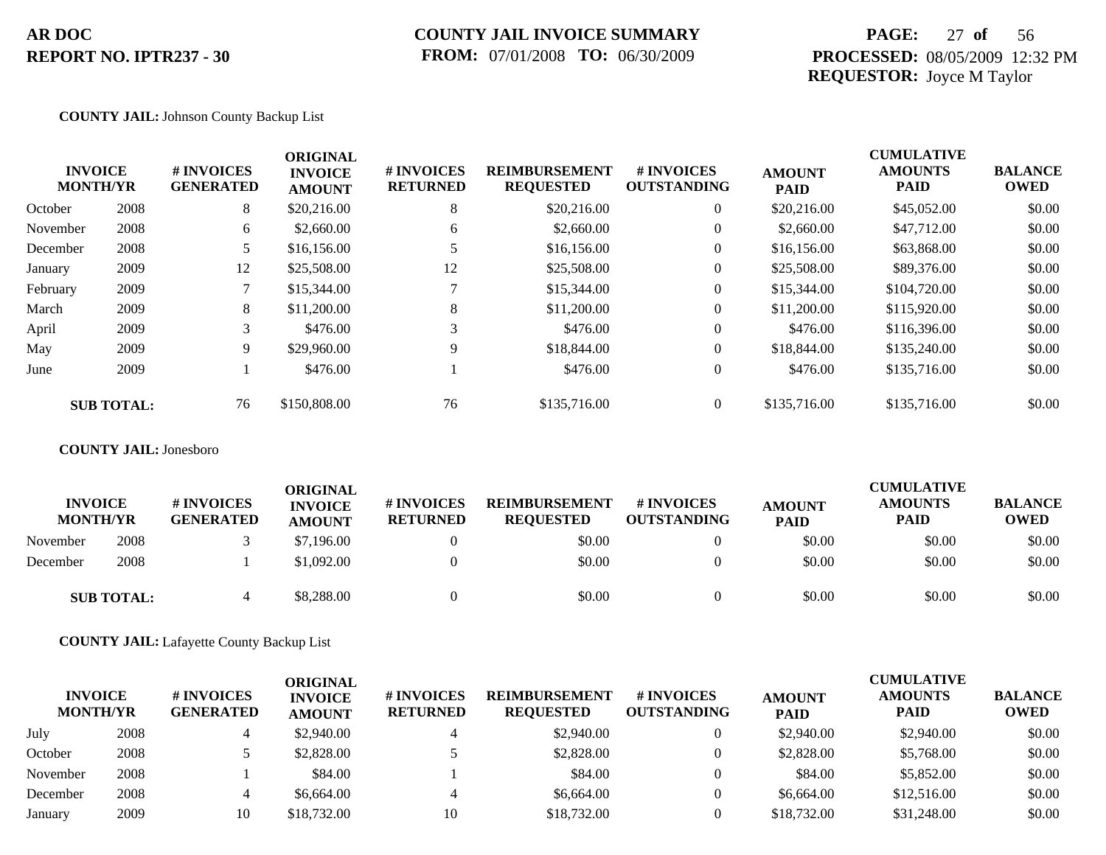### **COUNTY JAIL INVOICE SUMMARY FROM:** 07/01/2008 **TO:** 06/30/2009

## **PAGE:** 27 **of** 56 **PROCESSED:** 08/05/2009 12:32 PM **REQUESTOR:** Joyce M Taylor

#### **COUNTY JAIL:** Johnson County Backup List

|          | <b>INVOICE</b><br><b>MONTH/YR</b> | # INVOICES<br><b>GENERATED</b> | <b>ORIGINAL</b><br><b>INVOICE</b><br><b>AMOUNT</b> | # INVOICES<br><b>RETURNED</b> | <b>REIMBURSEMENT</b><br><b>REQUESTED</b> | <b>#INVOICES</b><br><b>OUTSTANDING</b> | <b>AMOUNT</b><br><b>PAID</b> | <b>CUMULATIVE</b><br><b>AMOUNTS</b><br><b>PAID</b> | <b>BALANCE</b><br><b>OWED</b> |
|----------|-----------------------------------|--------------------------------|----------------------------------------------------|-------------------------------|------------------------------------------|----------------------------------------|------------------------------|----------------------------------------------------|-------------------------------|
| October  | 2008                              | 8                              | \$20,216.00                                        | 8                             | \$20,216.00                              | $\overline{0}$                         | \$20,216.00                  | \$45,052.00                                        | \$0.00                        |
| November | 2008                              | 6                              | \$2,660.00                                         | 6                             | \$2,660.00                               | $\overline{0}$                         | \$2,660.00                   | \$47,712.00                                        | \$0.00                        |
| December | 2008                              |                                | \$16,156.00                                        |                               | \$16,156.00                              | $\overline{0}$                         | \$16,156.00                  | \$63,868.00                                        | \$0.00                        |
| January  | 2009                              | 12                             | \$25,508.00                                        | 12                            | \$25,508.00                              | $\overline{0}$                         | \$25,508.00                  | \$89,376.00                                        | \$0.00                        |
| February | 2009                              |                                | \$15,344.00                                        |                               | \$15,344.00                              | $\overline{0}$                         | \$15,344.00                  | \$104,720.00                                       | \$0.00                        |
| March    | 2009                              | 8                              | \$11,200.00                                        | 8                             | \$11,200.00                              | $\overline{0}$                         | \$11,200.00                  | \$115,920.00                                       | \$0.00                        |
| April    | 2009                              | 3                              | \$476.00                                           | 3                             | \$476.00                                 | $\overline{0}$                         | \$476.00                     | \$116,396.00                                       | \$0.00                        |
| May      | 2009                              | 9                              | \$29,960.00                                        | 9                             | \$18,844.00                              | $\overline{0}$                         | \$18,844.00                  | \$135,240.00                                       | \$0.00                        |
| June     | 2009                              |                                | \$476.00                                           |                               | \$476.00                                 | $\overline{0}$                         | \$476.00                     | \$135,716.00                                       | \$0.00                        |
|          | <b>SUB TOTAL:</b>                 | 76                             | \$150,808.00                                       | 76                            | \$135,716.00                             | $\overline{0}$                         | \$135,716.00                 | \$135,716.00                                       | \$0.00                        |

#### **COUNTY JAIL:** Jonesboro

| <b>INVOICE</b><br><b>MONTH/YR</b> |                   | # INVOICES<br><b>GENERATED</b> | ORIGINAL<br><b>INVOICE</b><br><b>AMOUNT</b> | # INVOICES<br><b>RETURNED</b> | <b>REIMBURSEMENT</b><br><b>REQUESTED</b> | # INVOICES<br><b>OUTSTANDING</b> | <b>AMOUNT</b><br><b>PAID</b> | <b>CUMULATIVE</b><br><b>AMOUNTS</b><br><b>PAID</b> | <b>BALANCE</b><br><b>OWED</b> |
|-----------------------------------|-------------------|--------------------------------|---------------------------------------------|-------------------------------|------------------------------------------|----------------------------------|------------------------------|----------------------------------------------------|-------------------------------|
| November                          | 2008              |                                | \$7,196.00                                  |                               | \$0.00                                   |                                  | \$0.00                       | \$0.00                                             | \$0.00                        |
| December                          | 2008              |                                | \$1,092.00                                  |                               | \$0.00                                   |                                  | \$0.00                       | \$0.00                                             | \$0.00                        |
|                                   | <b>SUB TOTAL:</b> | $\overline{4}$                 | \$8,288.00                                  |                               | \$0.00                                   |                                  | \$0.00                       | \$0.00                                             | \$0.00                        |

**COUNTY JAIL:** Lafayette County Backup List

| <b>INVOICE</b><br><b>MONTH/YR</b> |      | # INVOICES<br><b>GENERATED</b> | ORIGINAL<br><b>INVOICE</b><br><b>AMOUNT</b> | <b>#INVOICES</b><br><b>RETURNED</b> | <b>REIMBURSEMENT</b><br><b>REQUESTED</b> | <b>#INVOICES</b><br><b>OUTSTANDING</b> | <b>AMOUNT</b><br><b>PAID</b> | <b>CUMULATIVE</b><br><b>AMOUNTS</b><br><b>PAID</b> | <b>BALANCE</b><br><b>OWED</b> |
|-----------------------------------|------|--------------------------------|---------------------------------------------|-------------------------------------|------------------------------------------|----------------------------------------|------------------------------|----------------------------------------------------|-------------------------------|
| July                              | 2008 |                                | \$2,940.00                                  |                                     | \$2,940.00                               |                                        | \$2,940.00                   | \$2,940.00                                         | \$0.00                        |
| October                           | 2008 |                                | \$2,828.00                                  |                                     | \$2,828.00                               |                                        | \$2,828.00                   | \$5,768.00                                         | \$0.00                        |
| November                          | 2008 |                                | \$84.00                                     |                                     | \$84.00                                  |                                        | \$84.00                      | \$5,852.00                                         | \$0.00                        |
| December                          | 2008 |                                | \$6,664.00                                  |                                     | \$6,664.00                               |                                        | \$6,664.00                   | \$12,516.00                                        | \$0.00                        |
| January                           | 2009 | 10                             | \$18,732.00                                 | 10                                  | \$18,732.00                              |                                        | \$18,732.00                  | \$31,248.00                                        | \$0.00                        |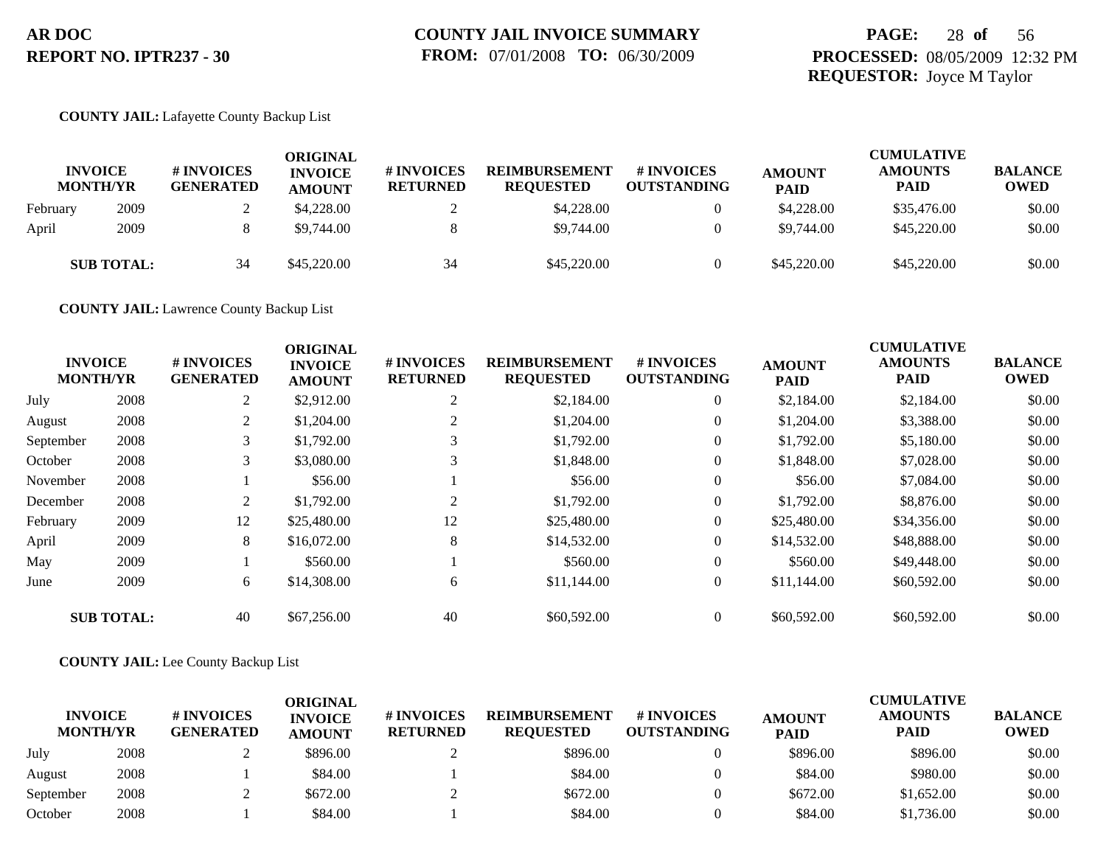## **PAGE:** 28 **of** 56 **PROCESSED:** 08/05/2009 12:32 PM **REQUESTOR:** Joyce M Taylor

#### **COUNTY JAIL:** Lafayette County Backup List

|          | <b>INVOICE</b><br><b>MONTH/YR</b> | # INVOICES<br><b>GENERATED</b> | <b>ORIGINAL</b><br><b>INVOICE</b><br><b>AMOUNT</b> | # INVOICES<br><b>RETURNED</b> | <b>REIMBURSEMENT</b><br><b>REQUESTED</b> | <b># INVOICES</b><br><b>OUTSTANDING</b> | <b>AMOUNT</b><br><b>PAID</b> | <b>CUMULATIVE</b><br><b>AMOUNTS</b><br><b>PAID</b> | <b>BALANCE</b><br><b>OWED</b> |
|----------|-----------------------------------|--------------------------------|----------------------------------------------------|-------------------------------|------------------------------------------|-----------------------------------------|------------------------------|----------------------------------------------------|-------------------------------|
| February | 2009                              |                                | \$4,228.00                                         |                               | \$4,228.00                               |                                         | \$4,228,00                   | \$35,476.00                                        | \$0.00                        |
| April    | 2009                              |                                | \$9,744.00                                         |                               | \$9,744.00                               |                                         | \$9,744.00                   | \$45,220.00                                        | \$0.00                        |
|          | <b>SUB TOTAL:</b>                 | 34                             | \$45,220.00                                        | 34                            | \$45,220.00                              |                                         | \$45,220.00                  | \$45,220.00                                        | \$0.00                        |

**COUNTY JAIL:** Lawrence County Backup List

| <b>MONTH/YR</b> | <b>INVOICE</b>    | # INVOICES<br><b>GENERATED</b> | <b>ORIGINAL</b><br><b>INVOICE</b><br><b>AMOUNT</b> | # INVOICES<br><b>RETURNED</b> | <b>REIMBURSEMENT</b><br><b>REQUESTED</b> | <b># INVOICES</b><br><b>OUTSTANDING</b> | <b>AMOUNT</b><br><b>PAID</b> | <b>CUMULATIVE</b><br><b>AMOUNTS</b><br><b>PAID</b> | <b>BALANCE</b><br><b>OWED</b> |
|-----------------|-------------------|--------------------------------|----------------------------------------------------|-------------------------------|------------------------------------------|-----------------------------------------|------------------------------|----------------------------------------------------|-------------------------------|
| July            | 2008              | 2                              | \$2,912.00                                         | $\overline{2}$                | \$2,184.00                               | $\overline{0}$                          | \$2,184.00                   | \$2,184.00                                         | \$0.00                        |
| August          | 2008              | 2                              | \$1,204.00                                         | 2                             | \$1,204.00                               | $\overline{0}$                          | \$1,204.00                   | \$3,388.00                                         | \$0.00                        |
| September       | 2008              | 3                              | \$1,792.00                                         |                               | \$1,792.00                               | $\overline{0}$                          | \$1,792.00                   | \$5,180.00                                         | \$0.00                        |
| October         | 2008              | 3                              | \$3,080.00                                         | 3                             | \$1,848.00                               | $\overline{0}$                          | \$1,848.00                   | \$7,028.00                                         | \$0.00                        |
| November        | 2008              |                                | \$56.00                                            |                               | \$56.00                                  | $\overline{0}$                          | \$56.00                      | \$7,084.00                                         | \$0.00                        |
| December        | 2008              | 2                              | \$1,792.00                                         | 2                             | \$1,792.00                               | $\overline{0}$                          | \$1,792.00                   | \$8,876.00                                         | \$0.00                        |
| February        | 2009              | 12                             | \$25,480.00                                        | 12                            | \$25,480.00                              | $\overline{0}$                          | \$25,480.00                  | \$34,356.00                                        | \$0.00                        |
| April           | 2009              | 8                              | \$16,072.00                                        | 8                             | \$14,532.00                              | $\overline{0}$                          | \$14,532.00                  | \$48,888.00                                        | \$0.00                        |
| May             | 2009              |                                | \$560.00                                           |                               | \$560.00                                 | $\overline{0}$                          | \$560.00                     | \$49,448.00                                        | \$0.00                        |
| June            | 2009              | 6                              | \$14,308.00                                        | 6                             | \$11,144.00                              | $\overline{0}$                          | \$11,144.00                  | \$60,592.00                                        | \$0.00                        |
|                 | <b>SUB TOTAL:</b> | 40                             | \$67,256.00                                        | 40                            | \$60,592.00                              | $\overline{0}$                          | \$60,592.00                  | \$60,592.00                                        | \$0.00                        |

#### **COUNTY JAIL:** Lee County Backup List

| <b>INVOICE</b><br><b>MONTH/YR</b> |      | # INVOICES<br><b>GENERATED</b> | ORIGINAL<br><b>INVOICE</b><br><b>AMOUNT</b> | # INVOICES<br><b>RETURNED</b> | <b>REIMBURSEMENT</b><br><b>REQUESTED</b> | # INVOICES<br><b>OUTSTANDING</b> | <b>AMOUNT</b><br><b>PAID</b> | <b>CUMULATIVE</b><br><b>AMOUNTS</b><br><b>PAID</b> | <b>BALANCE</b><br><b>OWED</b> |
|-----------------------------------|------|--------------------------------|---------------------------------------------|-------------------------------|------------------------------------------|----------------------------------|------------------------------|----------------------------------------------------|-------------------------------|
| July                              | 2008 |                                | \$896.00                                    |                               | \$896.00                                 |                                  | \$896.00                     | \$896.00                                           | \$0.00                        |
| August                            | 2008 |                                | \$84.00                                     |                               | \$84.00                                  |                                  | \$84.00                      | \$980.00                                           | \$0.00                        |
| September                         | 2008 |                                | \$672.00                                    |                               | \$672.00                                 |                                  | \$672.00                     | \$1,652.00                                         | \$0.00                        |
| October                           | 2008 |                                | \$84.00                                     |                               | \$84.00                                  |                                  | \$84.00                      | \$1,736.00                                         | \$0.00                        |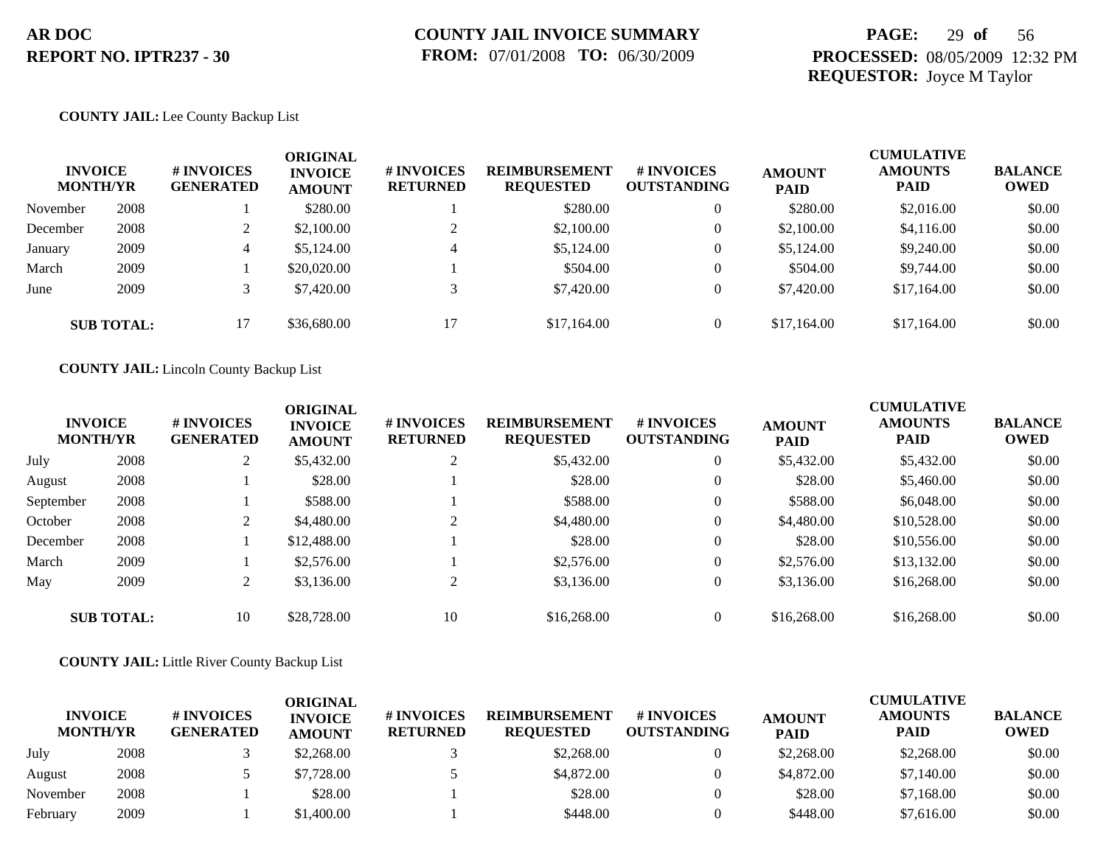## **PAGE:** 29 **of** 56 **PROCESSED:** 08/05/2009 12:32 PM **REQUESTOR:** Joyce M Taylor

#### **COUNTY JAIL:** Lee County Backup List

| <b>INVOICE</b><br><b>MONTH/YR</b> |                   | <b>#INVOICES</b><br><b>GENERATED</b> | <b>ORIGINAL</b><br><b>INVOICE</b><br><b>AMOUNT</b> | # INVOICES<br><b>RETURNED</b> | <b>REIMBURSEMENT</b><br><b>REQUESTED</b> | # INVOICES<br><b>OUTSTANDING</b> | <b>AMOUNT</b><br><b>PAID</b> | <b>CUMULATIVE</b><br><b>AMOUNTS</b><br><b>PAID</b> | <b>BALANCE</b><br><b>OWED</b> |
|-----------------------------------|-------------------|--------------------------------------|----------------------------------------------------|-------------------------------|------------------------------------------|----------------------------------|------------------------------|----------------------------------------------------|-------------------------------|
| November                          | 2008              |                                      | \$280.00                                           |                               | \$280.00                                 | $\theta$                         | \$280.00                     | \$2,016.00                                         | \$0.00                        |
| December                          | 2008              |                                      | \$2,100.00                                         | $\sim$                        | \$2,100.00                               | $\theta$                         | \$2,100.00                   | \$4,116.00                                         | \$0.00                        |
| January                           | 2009              | 4                                    | \$5,124.00                                         | $\overline{4}$                | \$5,124.00                               | $\theta$                         | \$5,124.00                   | \$9,240.00                                         | \$0.00                        |
| March                             | 2009              |                                      | \$20,020.00                                        |                               | \$504.00                                 | $\overline{0}$                   | \$504.00                     | \$9,744.00                                         | \$0.00                        |
| June                              | 2009              |                                      | \$7,420.00                                         |                               | \$7,420.00                               | $\mathbf{0}$                     | \$7,420.00                   | \$17,164.00                                        | \$0.00                        |
|                                   | <b>SUB TOTAL:</b> | 17                                   | \$36,680.00                                        | 17                            | \$17,164.00                              | $\theta$                         | \$17,164.00                  | \$17,164.00                                        | \$0.00                        |

**COUNTY JAIL:** Lincoln County Backup List

| <b>INVOICE</b><br><b>MONTH/YR</b> |                   | <b>#INVOICES</b><br><b>GENERATED</b> | <b>ORIGINAL</b><br><b>INVOICE</b><br><b>AMOUNT</b> | # INVOICES<br><b>RETURNED</b> | <b>REIMBURSEMENT</b><br><b>REQUESTED</b> | # INVOICES<br><b>OUTSTANDING</b> | <b>AMOUNT</b><br><b>PAID</b> | <b>CUMULATIVE</b><br><b>AMOUNTS</b><br><b>PAID</b> | <b>BALANCE</b><br><b>OWED</b> |
|-----------------------------------|-------------------|--------------------------------------|----------------------------------------------------|-------------------------------|------------------------------------------|----------------------------------|------------------------------|----------------------------------------------------|-------------------------------|
| July                              | 2008              | $\overline{2}$                       | \$5,432.00                                         | 2                             | \$5,432.00                               | $\theta$                         | \$5,432.00                   | \$5,432.00                                         | \$0.00                        |
| August                            | 2008              |                                      | \$28.00                                            |                               | \$28.00                                  | $\theta$                         | \$28.00                      | \$5,460.00                                         | \$0.00                        |
| September                         | 2008              |                                      | \$588.00                                           |                               | \$588.00                                 | $\theta$                         | \$588.00                     | \$6,048,00                                         | \$0.00                        |
| October                           | 2008              |                                      | \$4,480.00                                         | 2                             | \$4,480.00                               | $\theta$                         | \$4,480.00                   | \$10,528.00                                        | \$0.00                        |
| December                          | 2008              |                                      | \$12,488.00                                        |                               | \$28.00                                  | $\theta$                         | \$28.00                      | \$10,556.00                                        | \$0.00                        |
| March                             | 2009              |                                      | \$2,576.00                                         |                               | \$2,576.00                               | $\theta$                         | \$2,576.00                   | \$13,132.00                                        | \$0.00                        |
| May                               | 2009              |                                      | \$3,136.00                                         | $\overline{2}$                | \$3,136.00                               | $\mathbf{0}$                     | \$3,136.00                   | \$16,268.00                                        | \$0.00                        |
|                                   | <b>SUB TOTAL:</b> | 10                                   | \$28,728.00                                        | 10                            | \$16,268.00                              | $\theta$                         | \$16,268.00                  | \$16,268.00                                        | \$0.00                        |

**COUNTY JAIL:** Little River County Backup List

| <b>INVOICE</b><br><b>MONTH/YR</b> |      | # INVOICES<br><b>GENERATED</b> | ORIGINAL<br><b>INVOICE</b><br><b>AMOUNT</b> | <b># INVOICES</b><br><b>RETURNED</b> | <b>REIMBURSEMENT</b><br><b>REOUESTED</b> | <b>#INVOICES</b><br><b>OUTSTANDING</b> | <b>AMOUNT</b><br><b>PAID</b> | <b>CUMULATIVE</b><br><b>AMOUNTS</b><br>PAID | <b>BALANCE</b><br><b>OWED</b> |
|-----------------------------------|------|--------------------------------|---------------------------------------------|--------------------------------------|------------------------------------------|----------------------------------------|------------------------------|---------------------------------------------|-------------------------------|
| July                              | 2008 |                                | \$2,268.00                                  |                                      | \$2,268,00                               |                                        | \$2,268.00                   | \$2,268.00                                  | \$0.00                        |
| August                            | 2008 |                                | \$7,728.00                                  |                                      | \$4,872.00                               |                                        | \$4,872.00                   | \$7,140.00                                  | \$0.00                        |
| November                          | 2008 |                                | \$28.00                                     |                                      | \$28.00                                  |                                        | \$28.00                      | \$7,168.00                                  | \$0.00                        |
| February                          | 2009 |                                | \$1,400.00                                  |                                      | \$448.00                                 |                                        | \$448.00                     | \$7,616.00                                  | \$0.00                        |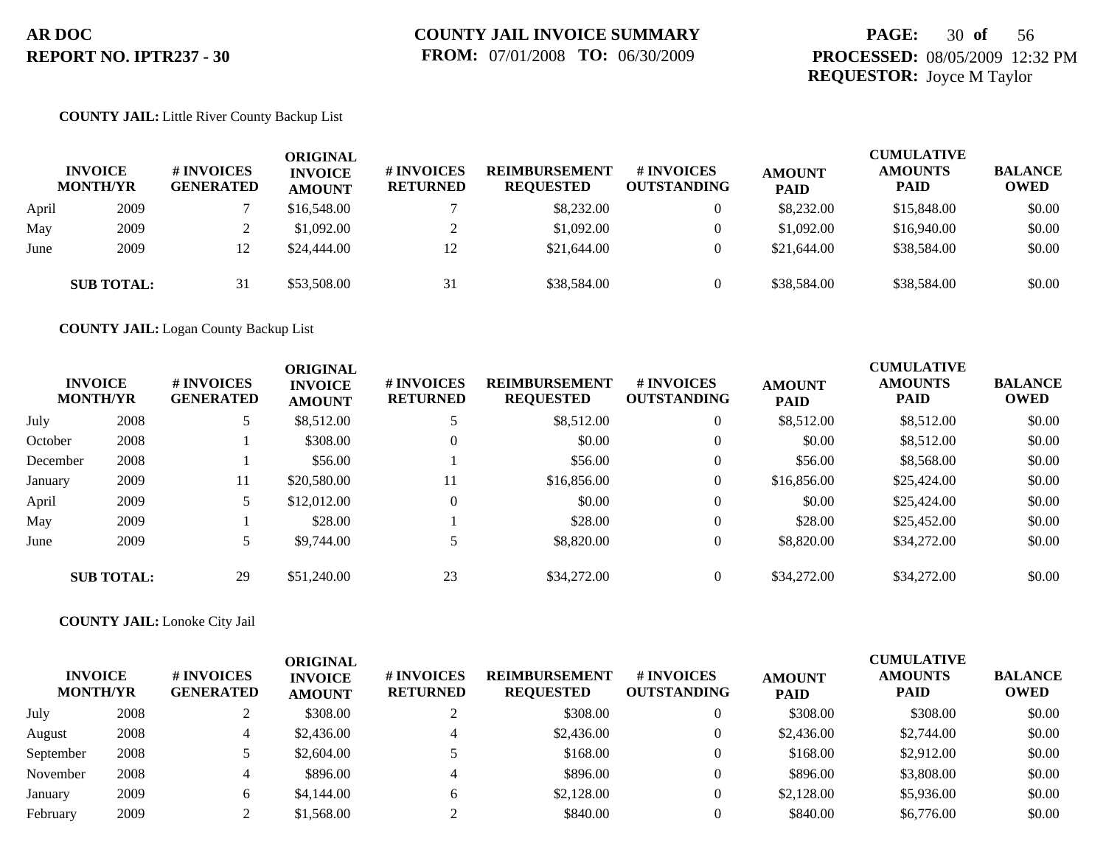## **PAGE:** 30 **of** 56 **PROCESSED:** 08/05/2009 12:32 PM **REQUESTOR:** Joyce M Taylor

#### **COUNTY JAIL:** Little River County Backup List

|       | <b>INVOICE</b><br><b>MONTH/YR</b> | # INVOICES<br><b>GENERATED</b> | ORIGINAL<br><b>INVOICE</b><br><b>AMOUNT</b> | # INVOICES<br><b>RETURNED</b> | <b>REIMBURSEMENT</b><br><b>REQUESTED</b> | # INVOICES<br><b>OUTSTANDING</b> | <b>AMOUNT</b><br><b>PAID</b> | <b>CUMULATIVE</b><br><b>AMOUNTS</b><br><b>PAID</b> | <b>BALANCE</b><br><b>OWED</b> |
|-------|-----------------------------------|--------------------------------|---------------------------------------------|-------------------------------|------------------------------------------|----------------------------------|------------------------------|----------------------------------------------------|-------------------------------|
| April | 2009                              |                                | \$16,548.00                                 |                               | \$8,232.00                               | $\overline{0}$                   | \$8,232.00                   | \$15,848.00                                        | \$0.00                        |
| May   | 2009                              |                                | \$1,092.00                                  |                               | \$1,092.00                               |                                  | \$1,092.00                   | \$16,940.00                                        | \$0.00                        |
| June  | 2009                              |                                | \$24,444.00                                 | 12                            | \$21,644.00                              | $\theta$                         | \$21,644.00                  | \$38,584.00                                        | \$0.00                        |
|       | <b>SUB TOTAL:</b>                 | 31                             | \$53,508.00                                 | 31                            | \$38,584.00                              |                                  | \$38,584.00                  | \$38,584.00                                        | \$0.00                        |

**COUNTY JAIL:** Logan County Backup List

|          | <b>INVOICE</b><br><b>MONTH/YR</b> | <b># INVOICES</b><br><b>GENERATED</b> | <b>ORIGINAL</b><br><b>INVOICE</b><br><b>AMOUNT</b> | # INVOICES<br><b>RETURNED</b> | <b>REIMBURSEMENT</b><br><b>REQUESTED</b> | # INVOICES<br><b>OUTSTANDING</b> | <b>AMOUNT</b><br><b>PAID</b> | <b>CUMULATIVE</b><br><b>AMOUNTS</b><br><b>PAID</b> | <b>BALANCE</b><br><b>OWED</b> |
|----------|-----------------------------------|---------------------------------------|----------------------------------------------------|-------------------------------|------------------------------------------|----------------------------------|------------------------------|----------------------------------------------------|-------------------------------|
| July     | 2008                              |                                       | \$8,512.00                                         |                               | \$8,512.00                               | $\overline{0}$                   | \$8,512.00                   | \$8,512.00                                         | \$0.00                        |
| October  | 2008                              |                                       | \$308.00                                           | $\Omega$                      | \$0.00                                   | $\overline{0}$                   | \$0.00                       | \$8,512.00                                         | \$0.00                        |
| December | 2008                              |                                       | \$56.00                                            |                               | \$56.00                                  | $\overline{0}$                   | \$56.00                      | \$8,568.00                                         | \$0.00                        |
| January  | 2009                              | 11                                    | \$20,580.00                                        | 11                            | \$16,856.00                              | $\overline{0}$                   | \$16,856.00                  | \$25,424.00                                        | \$0.00                        |
| April    | 2009                              |                                       | \$12,012.00                                        | $\Omega$                      | \$0.00                                   | $\overline{0}$                   | \$0.00                       | \$25,424.00                                        | \$0.00                        |
| May      | 2009                              |                                       | \$28.00                                            |                               | \$28.00                                  | $\overline{0}$                   | \$28.00                      | \$25,452.00                                        | \$0.00                        |
| June     | 2009                              | 5                                     | \$9,744.00                                         |                               | \$8,820.00                               | $\Omega$                         | \$8,820.00                   | \$34,272.00                                        | \$0.00                        |
|          | <b>SUB TOTAL:</b>                 | 29                                    | \$51,240.00                                        | 23                            | \$34,272.00                              | $\overline{0}$                   | \$34,272.00                  | \$34,272.00                                        | \$0.00                        |

**COUNTY JAIL:** Lonoke City Jail

| <b>INVOICE</b><br><b>MONTH/YR</b> |      | # INVOICES<br><b>GENERATED</b> | ORIGINAL<br><b>INVOICE</b><br><b>AMOUNT</b> | # INVOICES<br><b>RETURNED</b> | <b>REIMBURSEMENT</b><br><b>REQUESTED</b> | # INVOICES<br><b>OUTSTANDING</b> | <b>AMOUNT</b><br><b>PAID</b> | <b>CUMULATIVE</b><br><b>AMOUNTS</b><br><b>PAID</b> | <b>BALANCE</b><br><b>OWED</b> |
|-----------------------------------|------|--------------------------------|---------------------------------------------|-------------------------------|------------------------------------------|----------------------------------|------------------------------|----------------------------------------------------|-------------------------------|
| July                              | 2008 |                                | \$308.00                                    |                               | \$308.00                                 |                                  | \$308.00                     | \$308.00                                           | \$0.00                        |
| August                            | 2008 |                                | \$2,436.00                                  | 4                             | \$2,436.00                               | $\mathbf{0}$                     | \$2,436.00                   | \$2,744.00                                         | \$0.00                        |
| September                         | 2008 |                                | \$2,604.00                                  |                               | \$168.00                                 | $\mathbf{0}$                     | \$168.00                     | \$2,912.00                                         | \$0.00                        |
| November                          | 2008 |                                | \$896.00                                    | 4                             | \$896.00                                 | $\mathbf{0}$                     | \$896.00                     | \$3,808.00                                         | \$0.00                        |
| January                           | 2009 | 6                              | \$4,144,00                                  | 6                             | \$2,128.00                               | $\mathbf{0}$                     | \$2,128.00                   | \$5,936.00                                         | \$0.00                        |
| February                          | 2009 |                                | \$1,568.00                                  |                               | \$840.00                                 |                                  | \$840.00                     | \$6,776.00                                         | \$0.00                        |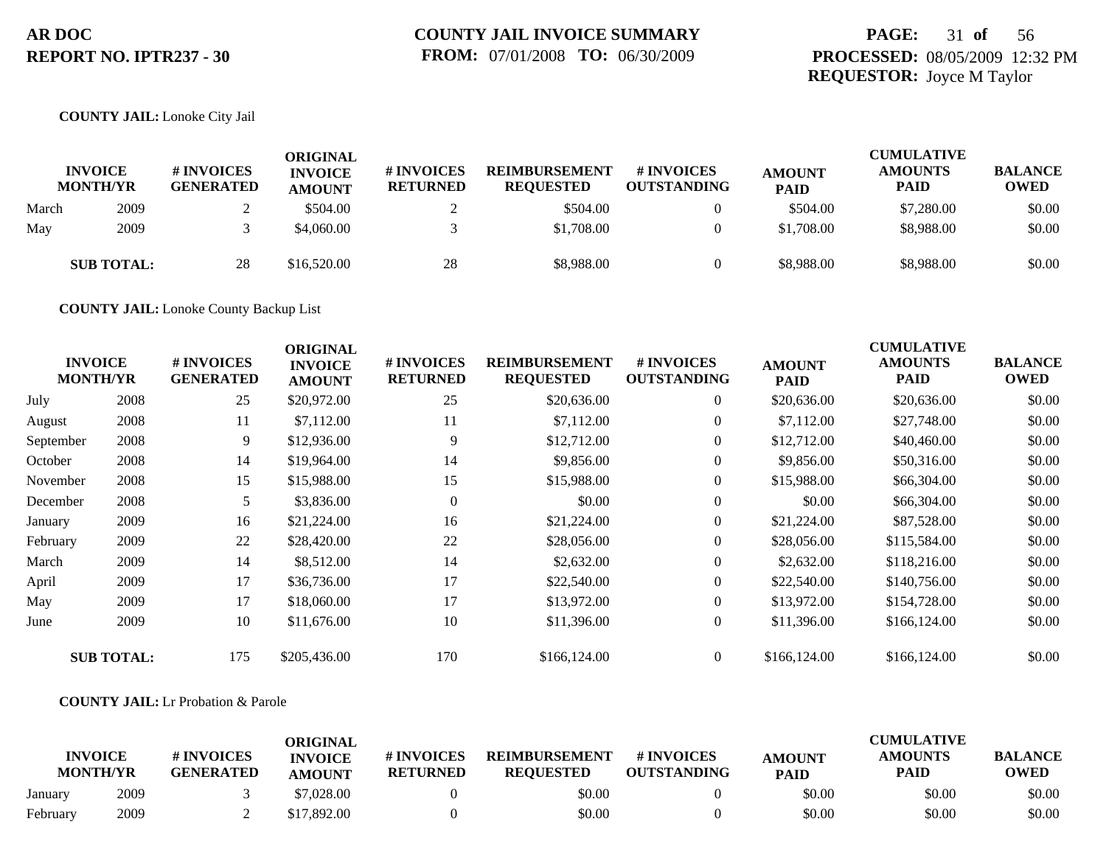## **PAGE:** 31 **of** 56 **PROCESSED:** 08/05/2009 12:32 PM **REQUESTOR:** Joyce M Taylor

#### **COUNTY JAIL:** Lonoke City Jail

|       | <b>INVOICE</b><br><b>MONTH/YR</b> | # INVOICES<br><b>GENERATED</b> | <b>ORIGINAL</b><br><b>INVOICE</b><br><b>AMOUNT</b> | <b># INVOICES</b><br><b>RETURNED</b> | <b>REIMBURSEMENT</b><br><b>REQUESTED</b> | <b>#INVOICES</b><br><b>OUTSTANDING</b> | <b>AMOUNT</b><br><b>PAID</b> | <b>CUMULATIVE</b><br><b>AMOUNTS</b><br><b>PAID</b> | <b>BALANCE</b><br><b>OWED</b> |
|-------|-----------------------------------|--------------------------------|----------------------------------------------------|--------------------------------------|------------------------------------------|----------------------------------------|------------------------------|----------------------------------------------------|-------------------------------|
| March | 2009                              |                                | \$504.00                                           |                                      | \$504.00                                 |                                        | \$504.00                     | \$7,280.00                                         | \$0.00                        |
| May   | 2009                              |                                | \$4,060.00                                         |                                      | \$1,708.00                               |                                        | \$1,708.00                   | \$8,988.00                                         | \$0.00                        |
|       | <b>SUB TOTAL:</b>                 | 28                             | \$16,520.00                                        | 28                                   | \$8,988.00                               |                                        | \$8,988.00                   | \$8,988.00                                         | \$0.00                        |

**COUNTY JAIL:** Lonoke County Backup List

|           | <b>INVOICE</b><br><b>MONTH/YR</b> | # INVOICES<br><b>GENERATED</b> | <b>ORIGINAL</b><br><b>INVOICE</b><br><b>AMOUNT</b> | # INVOICES<br><b>RETURNED</b> | <b>REIMBURSEMENT</b><br><b>REQUESTED</b> | <b>#INVOICES</b><br><b>OUTSTANDING</b> | <b>AMOUNT</b><br><b>PAID</b> | <b>CUMULATIVE</b><br><b>AMOUNTS</b><br><b>PAID</b> | <b>BALANCE</b><br><b>OWED</b> |
|-----------|-----------------------------------|--------------------------------|----------------------------------------------------|-------------------------------|------------------------------------------|----------------------------------------|------------------------------|----------------------------------------------------|-------------------------------|
| July      | 2008                              | 25                             | \$20,972.00                                        | 25                            | \$20,636.00                              | $\overline{0}$                         | \$20,636.00                  | \$20,636.00                                        | \$0.00                        |
| August    | 2008                              | 11                             | \$7,112.00                                         | 11                            | \$7,112.00                               | $\overline{0}$                         | \$7,112.00                   | \$27,748.00                                        | \$0.00                        |
| September | 2008                              | 9                              | \$12,936.00                                        | 9                             | \$12,712.00                              | $\overline{0}$                         | \$12,712.00                  | \$40,460.00                                        | \$0.00                        |
| October   | 2008                              | 14                             | \$19,964.00                                        | 14                            | \$9,856.00                               | $\overline{0}$                         | \$9,856.00                   | \$50,316.00                                        | \$0.00                        |
| November  | 2008                              | 15                             | \$15,988.00                                        | 15                            | \$15,988.00                              | $\overline{0}$                         | \$15,988.00                  | \$66,304.00                                        | \$0.00                        |
| December  | 2008                              | 5                              | \$3,836.00                                         | $\overline{0}$                | \$0.00                                   | $\overline{0}$                         | \$0.00                       | \$66,304.00                                        | \$0.00                        |
| January   | 2009                              | 16                             | \$21,224.00                                        | 16                            | \$21,224.00                              | $\boldsymbol{0}$                       | \$21,224.00                  | \$87,528.00                                        | \$0.00                        |
| February  | 2009                              | 22                             | \$28,420.00                                        | 22                            | \$28,056.00                              | $\overline{0}$                         | \$28,056.00                  | \$115,584.00                                       | \$0.00                        |
| March     | 2009                              | 14                             | \$8,512.00                                         | 14                            | \$2,632.00                               | $\overline{0}$                         | \$2,632.00                   | \$118,216.00                                       | \$0.00                        |
| April     | 2009                              | 17                             | \$36,736.00                                        | 17                            | \$22,540.00                              | $\boldsymbol{0}$                       | \$22,540.00                  | \$140,756.00                                       | \$0.00                        |
| May       | 2009                              | 17                             | \$18,060.00                                        | 17                            | \$13,972.00                              | $\overline{0}$                         | \$13,972.00                  | \$154,728.00                                       | \$0.00                        |
| June      | 2009                              | 10                             | \$11,676.00                                        | 10                            | \$11,396.00                              | $\overline{0}$                         | \$11,396.00                  | \$166,124.00                                       | \$0.00                        |
|           | <b>SUB TOTAL:</b>                 | 175                            | \$205,436.00                                       | 170                           | \$166,124.00                             | $\overline{0}$                         | \$166,124.00                 | \$166,124.00                                       | \$0.00                        |

#### **COUNTY JAIL:** Lr Probation & Parole

| <b>INVOICE</b><br><b>MONTH/YR</b> |      | # INVOICES<br><b>GENERATED</b> | ORIGINAL<br><b>INVOICE</b><br><b>AMOUNT</b> | <b>#INVOICES</b><br><b>RETURNED</b> | <b>REIMBURSEMENT</b><br><b>REOUESTED</b> | # INVOICES<br><b>OUTSTANDING</b> | <b>AMOUNT</b><br><b>PAID</b> | <b>CUMULATIVE</b><br><b>AMOUNTS</b><br><b>PAID</b> | <b>BALANCE</b><br><b>OWED</b> |
|-----------------------------------|------|--------------------------------|---------------------------------------------|-------------------------------------|------------------------------------------|----------------------------------|------------------------------|----------------------------------------------------|-------------------------------|
| January                           | 2009 |                                | \$7,028.00                                  |                                     | \$0.00                                   |                                  | \$0.00                       | \$0.00                                             | \$0.00                        |
| February                          | 2009 |                                | \$17,892.00                                 |                                     | \$0.00                                   |                                  | \$0.00                       | \$0.00                                             | \$0.00                        |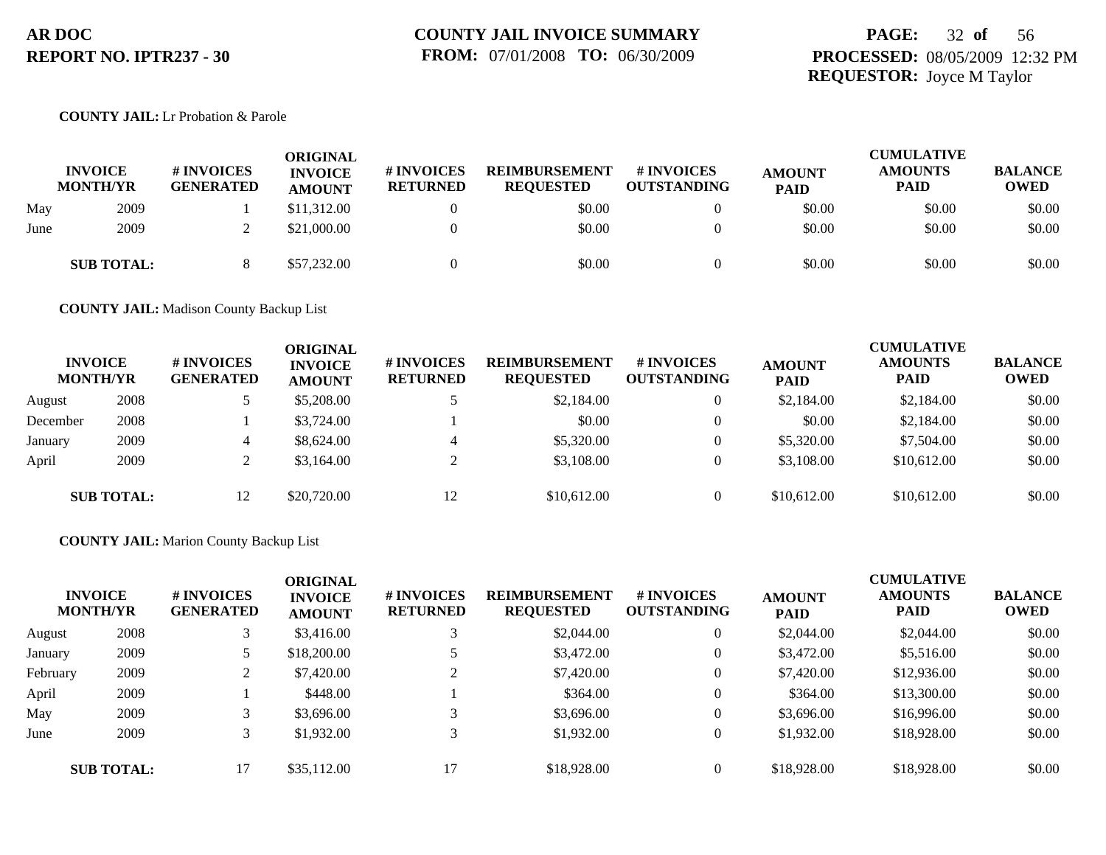## **PAGE:** 32 **of** 56 **PROCESSED:** 08/05/2009 12:32 PM **REQUESTOR:** Joyce M Taylor

#### **COUNTY JAIL:** Lr Probation & Parole

|      | <b>INVOICE</b><br><b>MONTH/YR</b> | <b># INVOICES</b><br><b>GENERATED</b> | <b>ORIGINAL</b><br><b>INVOICE</b><br><b>AMOUNT</b> | # INVOICES<br><b>RETURNED</b> | <b>REIMBURSEMENT</b><br><b>REQUESTED</b> | # INVOICES<br><b>OUTSTANDING</b> | <b>AMOUNT</b><br><b>PAID</b> | <b>CUMULATIVE</b><br><b>AMOUNTS</b><br><b>PAID</b> | <b>BALANCE</b><br><b>OWED</b> |
|------|-----------------------------------|---------------------------------------|----------------------------------------------------|-------------------------------|------------------------------------------|----------------------------------|------------------------------|----------------------------------------------------|-------------------------------|
| May  | 2009                              |                                       | \$11,312.00                                        |                               | \$0.00                                   | $\Omega$                         | \$0.00                       | \$0.00                                             | \$0.00                        |
| June | 2009                              |                                       | \$21,000.00                                        |                               | \$0.00                                   | $\Omega$                         | \$0.00                       | \$0.00                                             | \$0.00                        |
|      | <b>SUB TOTAL:</b>                 |                                       | \$57,232.00                                        |                               | \$0.00                                   | $\Omega$                         | \$0.00                       | \$0.00                                             | \$0.00                        |

**COUNTY JAIL:** Madison County Backup List

| <b>INVOICE</b><br><b>MONTH/YR</b> |                   | # INVOICES<br><b>GENERATED</b> | ORIGINAL<br><b>INVOICE</b><br><b>AMOUNT</b> | # INVOICES<br><b>RETURNED</b> | <b>REIMBURSEMENT</b><br><b>REQUESTED</b> | <b>#INVOICES</b><br><b>OUTSTANDING</b> | <b>AMOUNT</b><br><b>PAID</b> | <b>CUMULATIVE</b><br><b>AMOUNTS</b><br><b>PAID</b> | <b>BALANCE</b><br><b>OWED</b> |
|-----------------------------------|-------------------|--------------------------------|---------------------------------------------|-------------------------------|------------------------------------------|----------------------------------------|------------------------------|----------------------------------------------------|-------------------------------|
| August                            | 2008              |                                | \$5,208.00                                  |                               | \$2,184.00                               | $\overline{0}$                         | \$2,184.00                   | \$2,184.00                                         | \$0.00                        |
| December                          | 2008              |                                | \$3,724.00                                  |                               | \$0.00                                   | $\Omega$                               | \$0.00                       | \$2,184.00                                         | \$0.00                        |
| January                           | 2009              | 4                              | \$8,624.00                                  |                               | \$5,320.00                               | $\theta$                               | \$5,320.00                   | \$7,504.00                                         | \$0.00                        |
| April                             | 2009              |                                | \$3,164.00                                  |                               | \$3,108.00                               | $\overline{0}$                         | \$3,108.00                   | \$10,612.00                                        | \$0.00                        |
|                                   | <b>SUB TOTAL:</b> | 12                             | \$20,720.00                                 | 12                            | \$10,612.00                              | $\Omega$                               | \$10,612.00                  | \$10,612.00                                        | \$0.00                        |

#### **COUNTY JAIL:** Marion County Backup List

|          | <b>INVOICE</b><br><b>MONTH/YR</b> | # INVOICES<br><b>GENERATED</b> | <b>ORIGINAL</b><br><b>INVOICE</b><br><b>AMOUNT</b> | <b>#INVOICES</b><br><b>RETURNED</b> | <b>REIMBURSEMENT</b><br><b>REQUESTED</b> | # INVOICES<br><b>OUTSTANDING</b> | <b>AMOUNT</b><br><b>PAID</b> | <b>CUMULATIVE</b><br><b>AMOUNTS</b><br><b>PAID</b> | <b>BALANCE</b><br><b>OWED</b> |
|----------|-----------------------------------|--------------------------------|----------------------------------------------------|-------------------------------------|------------------------------------------|----------------------------------|------------------------------|----------------------------------------------------|-------------------------------|
| August   | 2008                              |                                | \$3,416.00                                         | 3                                   | \$2,044.00                               |                                  | \$2,044.00                   | \$2,044.00                                         | \$0.00                        |
| January  | 2009                              |                                | \$18,200.00                                        |                                     | \$3,472.00                               |                                  | \$3,472.00                   | \$5,516.00                                         | \$0.00                        |
| February | 2009                              |                                | \$7,420.00                                         | $\bigcap$                           | \$7,420.00                               |                                  | \$7,420.00                   | \$12,936.00                                        | \$0.00                        |
| April    | 2009                              |                                | \$448.00                                           |                                     | \$364.00                                 |                                  | \$364.00                     | \$13,300.00                                        | \$0.00                        |
| May      | 2009                              |                                | \$3,696.00                                         | 3                                   | \$3,696.00                               |                                  | \$3,696.00                   | \$16,996.00                                        | \$0.00                        |
| June     | 2009                              |                                | \$1,932.00                                         | 3                                   | \$1,932.00                               |                                  | \$1,932.00                   | \$18,928.00                                        | \$0.00                        |
|          | <b>SUB TOTAL:</b>                 | 17                             | \$35,112.00                                        | 17                                  | \$18,928.00                              |                                  | \$18,928.00                  | \$18,928.00                                        | \$0.00                        |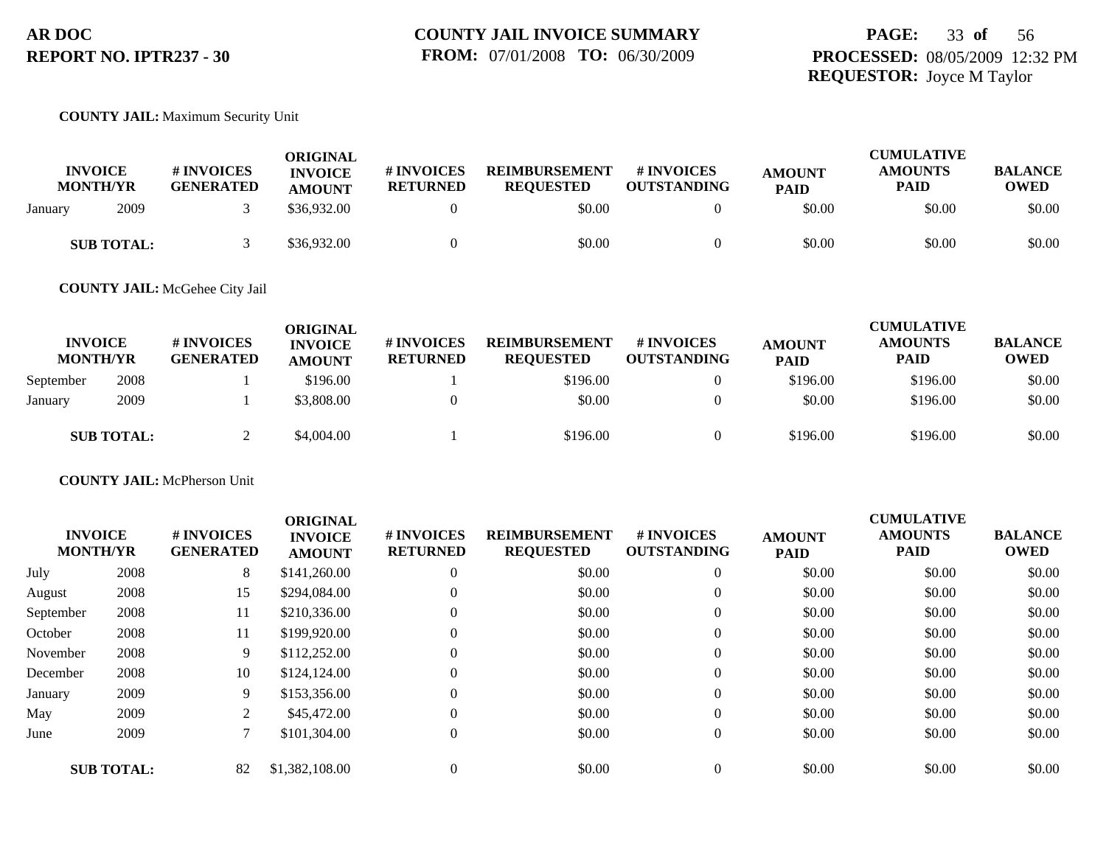#### **COUNTY JAIL:** Maximum Security Unit

| <b>INVOICE</b><br><b>MONTH/YR</b> | # INVOICES<br><b>GENERATED</b> | ORIGINAL<br><b>INVOICE</b><br><b>AMOUNT</b> | # INVOICES<br><b>RETURNED</b> | <b>REIMBURSEMENT</b><br><b>REOUESTED</b> | # INVOICES<br><b>OUTSTANDING</b> | <b>AMOUNT</b><br><b>PAID</b> | <b>CUMULATIVE</b><br><b>AMOUNTS</b><br>PAID | <b>BALANCE</b><br><b>OWED</b> |
|-----------------------------------|--------------------------------|---------------------------------------------|-------------------------------|------------------------------------------|----------------------------------|------------------------------|---------------------------------------------|-------------------------------|
| 2009<br>January                   |                                | \$36,932.00                                 |                               | \$0.00                                   |                                  | \$0.00                       | \$0.00                                      | \$0.00                        |
| <b>SUB TOTAL:</b>                 |                                | \$36,932.00                                 |                               | \$0.00                                   |                                  | \$0.00                       | \$0.00                                      | \$0.00                        |

**COUNTY JAIL:** McGehee City Jail

| <b>INVOICE</b><br><b>MONTH/YR</b> |                   | # INVOICES<br><b>GENERATED</b> | <b>ORIGINAL</b><br><b>INVOICE</b><br><b>AMOUNT</b> | <b># INVOICES</b><br><b>RETURNED</b> | <b>REIMBURSEMENT</b><br><b>REOUESTED</b> | <b>#INVOICES</b><br><b>OUTSTANDING</b> | <b>AMOUNT</b><br><b>PAID</b> | <b>CUMULATIVE</b><br><b>AMOUNTS</b><br><b>PAID</b> | <b>BALANCE</b><br><b>OWED</b> |
|-----------------------------------|-------------------|--------------------------------|----------------------------------------------------|--------------------------------------|------------------------------------------|----------------------------------------|------------------------------|----------------------------------------------------|-------------------------------|
| September                         | 2008              |                                | \$196.00                                           |                                      | \$196.00                                 |                                        | \$196.00                     | \$196.00                                           | \$0.00                        |
| January                           | 2009              |                                | \$3,808.00                                         |                                      | \$0.00                                   |                                        | \$0.00                       | \$196.00                                           | \$0.00                        |
|                                   | <b>SUB TOTAL:</b> |                                | \$4,004.00                                         |                                      | \$196.00                                 |                                        | \$196.00                     | \$196.00                                           | \$0.00                        |

**COUNTY JAIL:** McPherson Unit

|           | <b>INVOICE</b><br><b>MONTH/YR</b> | # INVOICES<br><b>GENERATED</b> | <b>ORIGINAL</b><br><b>INVOICE</b><br><b>AMOUNT</b> | # INVOICES<br><b>RETURNED</b> | <b>REIMBURSEMENT</b><br><b>REQUESTED</b> | # INVOICES<br><b>OUTSTANDING</b> | <b>AMOUNT</b><br><b>PAID</b> | <b>CUMULATIVE</b><br><b>AMOUNTS</b><br><b>PAID</b> | <b>BALANCE</b><br><b>OWED</b> |
|-----------|-----------------------------------|--------------------------------|----------------------------------------------------|-------------------------------|------------------------------------------|----------------------------------|------------------------------|----------------------------------------------------|-------------------------------|
| July      | 2008                              | 8                              | \$141,260.00                                       | $\theta$                      | \$0.00                                   | $\Omega$                         | \$0.00                       | \$0.00                                             | \$0.00                        |
| August    | 2008                              | 15                             | \$294,084.00                                       | $\theta$                      | \$0.00                                   | $\overline{0}$                   | \$0.00                       | \$0.00                                             | \$0.00                        |
| September | 2008                              | 11                             | \$210,336.00                                       | $\Omega$                      | \$0.00                                   | $\overline{0}$                   | \$0.00                       | \$0.00                                             | \$0.00                        |
| October   | 2008                              | 11                             | \$199,920.00                                       | $\theta$                      | \$0.00                                   | $\overline{0}$                   | \$0.00                       | \$0.00                                             | \$0.00                        |
| November  | 2008                              | 9                              | \$112,252.00                                       | $\mathbf{0}$                  | \$0.00                                   | $\overline{0}$                   | \$0.00                       | \$0.00                                             | \$0.00                        |
| December  | 2008                              | 10                             | \$124,124.00                                       | $\Omega$                      | \$0.00                                   | $\Omega$                         | \$0.00                       | \$0.00                                             | \$0.00                        |
| January   | 2009                              | 9                              | \$153,356.00                                       | $\Omega$                      | \$0.00                                   | $\overline{0}$                   | \$0.00                       | \$0.00                                             | \$0.00                        |
| May       | 2009                              | 2                              | \$45,472.00                                        | $\Omega$                      | \$0.00                                   | $\Omega$                         | \$0.00                       | \$0.00                                             | \$0.00                        |
| June      | 2009                              |                                | \$101,304.00                                       | $\overline{0}$                | \$0.00                                   | $\overline{0}$                   | \$0.00                       | \$0.00                                             | \$0.00                        |
|           | <b>SUB TOTAL:</b>                 | 82                             | \$1,382,108.00                                     | $\Omega$                      | \$0.00                                   | $\Omega$                         | \$0.00                       | \$0.00                                             | \$0.00                        |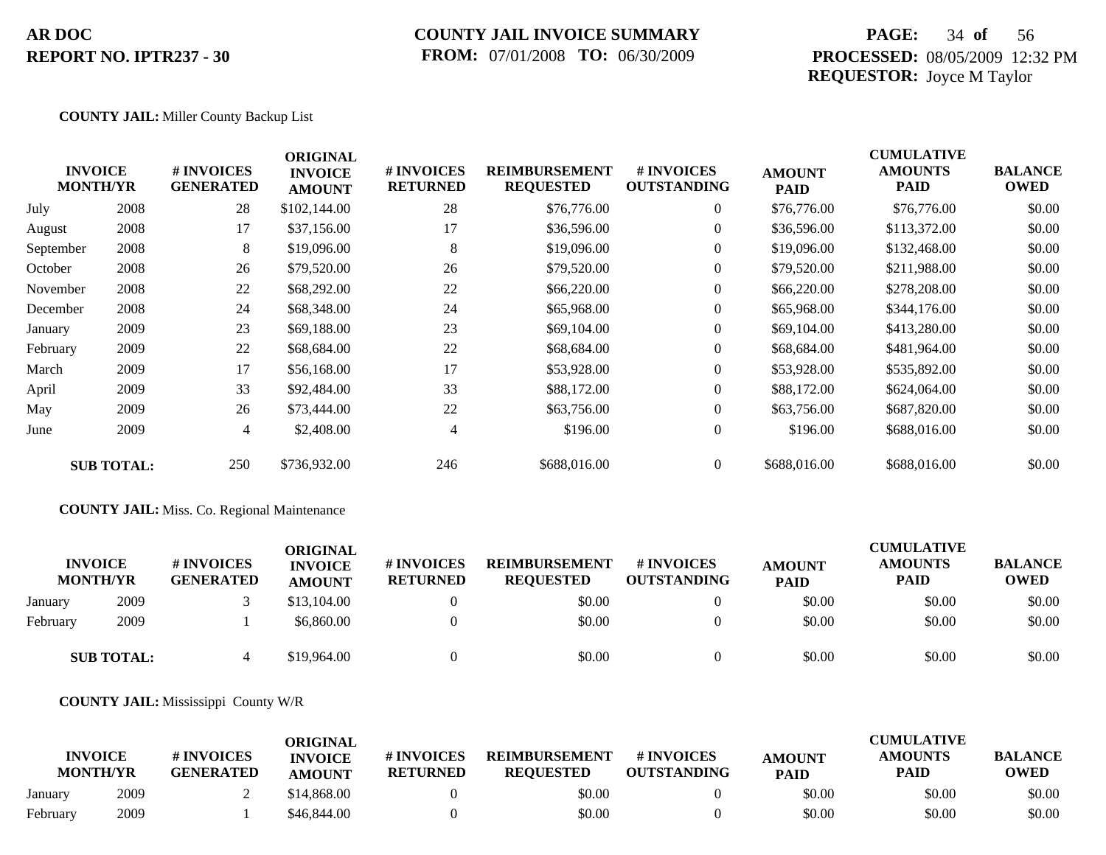### **COUNTY JAIL INVOICE SUMMARY FROM:** 07/01/2008 **TO:** 06/30/2009

## **PAGE:** 34 **of** 56 **PROCESSED:** 08/05/2009 12:32 PM **REQUESTOR:** Joyce M Taylor

CUMU<del>LATIVE</del>

#### **COUNTY JAIL:** Miller County Backup List

|           | <b>INVOICE</b><br><b>MONTH/YR</b> | # INVOICES<br><b>GENERATED</b> | <b>ORIGINAL</b><br><b>INVOICE</b><br><b>AMOUNT</b> | # INVOICES<br><b>RETURNED</b> | <b>REIMBURSEMENT</b><br><b>REQUESTED</b> | <b># INVOICES</b><br><b>OUTSTANDING</b> | <b>AMOUNT</b><br><b>PAID</b> | <b>CUMULATIVE</b><br><b>AMOUNTS</b><br><b>PAID</b> | <b>BALANCE</b><br><b>OWED</b> |
|-----------|-----------------------------------|--------------------------------|----------------------------------------------------|-------------------------------|------------------------------------------|-----------------------------------------|------------------------------|----------------------------------------------------|-------------------------------|
| July      | 2008                              | 28                             | \$102,144.00                                       | 28                            | \$76,776.00                              | $\overline{0}$                          | \$76,776.00                  | \$76,776.00                                        | \$0.00                        |
| August    | 2008                              | 17                             | \$37,156.00                                        | 17                            | \$36,596.00                              | $\overline{0}$                          | \$36,596.00                  | \$113,372.00                                       | \$0.00                        |
| September | 2008                              | 8                              | \$19,096.00                                        | 8                             | \$19,096.00                              | $\overline{0}$                          | \$19,096.00                  | \$132,468.00                                       | \$0.00                        |
| October   | 2008                              | 26                             | \$79,520.00                                        | 26                            | \$79,520.00                              | $\overline{0}$                          | \$79,520.00                  | \$211,988.00                                       | \$0.00                        |
| November  | 2008                              | 22                             | \$68,292.00                                        | 22                            | \$66,220.00                              | $\overline{0}$                          | \$66,220.00                  | \$278,208.00                                       | \$0.00                        |
| December  | 2008                              | 24                             | \$68,348.00                                        | 24                            | \$65,968.00                              | $\overline{0}$                          | \$65,968.00                  | \$344,176.00                                       | \$0.00                        |
| January   | 2009                              | 23                             | \$69,188.00                                        | 23                            | \$69,104.00                              | $\Omega$                                | \$69,104.00                  | \$413,280.00                                       | \$0.00                        |
| February  | 2009                              | 22                             | \$68,684.00                                        | 22                            | \$68,684.00                              | $\overline{0}$                          | \$68,684.00                  | \$481,964.00                                       | \$0.00                        |
| March     | 2009                              | 17                             | \$56,168.00                                        | 17                            | \$53,928.00                              | $\overline{0}$                          | \$53,928.00                  | \$535,892.00                                       | \$0.00                        |
| April     | 2009                              | 33                             | \$92,484.00                                        | 33                            | \$88,172.00                              | $\overline{0}$                          | \$88,172.00                  | \$624,064.00                                       | \$0.00                        |
| May       | 2009                              | 26                             | \$73,444.00                                        | 22                            | \$63,756.00                              | $\overline{0}$                          | \$63,756.00                  | \$687,820.00                                       | \$0.00                        |
| June      | 2009                              | $\overline{4}$                 | \$2,408.00                                         | 4                             | \$196.00                                 | $\boldsymbol{0}$                        | \$196.00                     | \$688,016.00                                       | \$0.00                        |
|           | <b>SUB TOTAL:</b>                 | 250                            | \$736,932.00                                       | 246                           | \$688,016.00                             | $\overline{0}$                          | \$688,016.00                 | \$688,016.00                                       | \$0.00                        |

#### **COUNTY JAIL:** Miss. Co. Regional Maintenance

|          | <b>INVOICE</b><br><b>MONTH/YR</b> | # INVOICES<br><b>GENERATED</b> | ORIGINAL<br><b>INVOICE</b><br><b>AMOUNT</b> | # INVOICES<br><b>RETURNED</b> | <b>REIMBURSEMENT</b><br><b>REOUESTED</b> | <b>#INVOICES</b><br><b>OUTSTANDING</b> | <b>AMOUNT</b><br><b>PAID</b> | <b>CUMULATIVE</b><br><b>AMOUNTS</b><br><b>PAID</b> | <b>BALANCE</b><br><b>OWED</b> |
|----------|-----------------------------------|--------------------------------|---------------------------------------------|-------------------------------|------------------------------------------|----------------------------------------|------------------------------|----------------------------------------------------|-------------------------------|
| January  | 2009                              |                                | \$13,104.00                                 |                               | \$0.00                                   |                                        | \$0.00                       | \$0.00                                             | \$0.00                        |
| February | 2009                              |                                | \$6,860.00                                  |                               | \$0.00                                   | $\Omega$                               | \$0.00                       | \$0.00                                             | \$0.00                        |
|          | <b>SUB TOTAL:</b>                 |                                | \$19,964.00                                 |                               | \$0.00                                   |                                        | \$0.00                       | \$0.00                                             | \$0.00                        |

#### **COUNTY JAIL:** Mississippi County W/R

|          | <b>INVOICE</b><br><b>MONTH/YR</b> | # INVOICES<br><b>GENERATED</b> | ORIGINAL<br><b>INVOICE</b><br><b>AMOUNT</b> | # INVOICES<br><b>RETURNED</b> | <b>REIMBURSEMENT</b><br><b>REOUESTED</b> | # INVOICES<br><b>OUTSTANDING</b> | <b>AMOUNT</b><br><b>PAID</b> | <b>CUMULATIVE</b><br><b>AMOUNTS</b><br>PAID | <b>BALANCE</b><br><b>OWED</b> |
|----------|-----------------------------------|--------------------------------|---------------------------------------------|-------------------------------|------------------------------------------|----------------------------------|------------------------------|---------------------------------------------|-------------------------------|
| January  | 2009                              |                                | \$14,868.00                                 |                               | \$0.00                                   |                                  | \$0.00                       | \$0.00                                      | \$0.00                        |
| February | 2009                              |                                | \$46,844.00                                 |                               | \$0.00                                   |                                  | \$0.00                       | \$0.00                                      | \$0.00                        |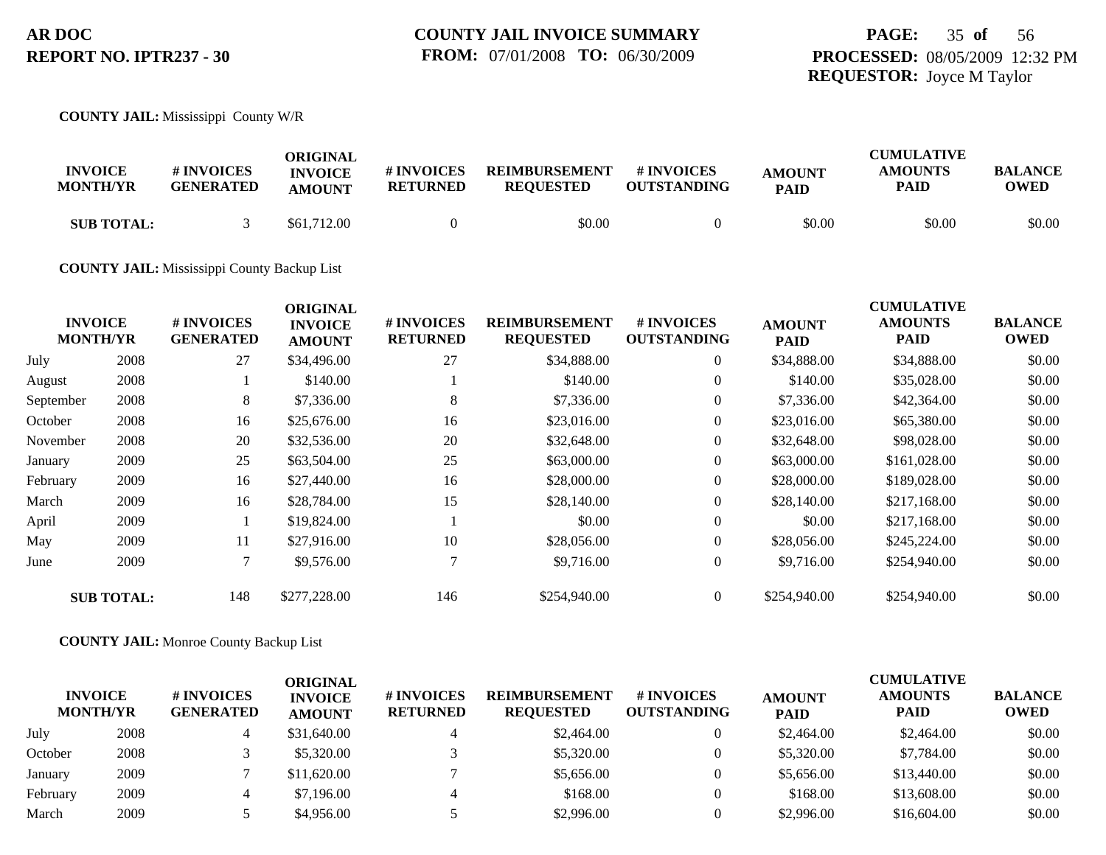## **PAGE:** 35 **of** 56 **PROCESSED:** 08/05/2009 12:32 PM **REQUESTOR:** Joyce M Taylor

#### **COUNTY JAIL:** Mississippi County W/R

| <b>INVOICE</b><br><b>MONTH/YR</b> | <b>#INVOICES</b><br><b>GENERATED</b> | ORIGINAL<br><b>INVOICE</b><br><b>AMOUNT</b> | # INVOICES<br>RETURNED | <b>REIMBURSEMENT</b><br><b>REOUESTED</b> | # INVOICES<br><b>OUTSTANDING</b> | <b>AMOUNT</b><br><b>PAID</b> | <b>CUMULATIVE</b><br><b>AMOUNTS</b><br><b>PAID</b> | <b>BALANCE</b><br><b>OWED</b> |
|-----------------------------------|--------------------------------------|---------------------------------------------|------------------------|------------------------------------------|----------------------------------|------------------------------|----------------------------------------------------|-------------------------------|
| <b>SUB TOTAL:</b>                 |                                      | \$61,712.00                                 |                        | \$0.00                                   |                                  | \$0.00                       | \$0.00                                             | \$0.00                        |

#### **COUNTY JAIL:** Mississippi County Backup List

|           | <b>INVOICE</b><br><b>MONTH/YR</b> | # INVOICES<br><b>GENERATED</b> | <b>ORIGINAL</b><br><b>INVOICE</b> | # INVOICES<br><b>RETURNED</b> | <b>REIMBURSEMENT</b><br><b>REQUESTED</b> | # INVOICES<br><b>OUTSTANDING</b> | <b>AMOUNT</b> | <b>CUMULATIVE</b><br><b>AMOUNTS</b><br><b>PAID</b> | <b>BALANCE</b><br><b>OWED</b> |
|-----------|-----------------------------------|--------------------------------|-----------------------------------|-------------------------------|------------------------------------------|----------------------------------|---------------|----------------------------------------------------|-------------------------------|
|           |                                   |                                | <b>AMOUNT</b>                     |                               |                                          |                                  | <b>PAID</b>   |                                                    |                               |
| July      | 2008                              | 27                             | \$34,496.00                       | 27                            | \$34,888.00                              | $\overline{0}$                   | \$34,888.00   | \$34,888.00                                        | \$0.00                        |
| August    | 2008                              |                                | \$140.00                          |                               | \$140.00                                 | $\overline{0}$                   | \$140.00      | \$35,028.00                                        | \$0.00                        |
| September | 2008                              | 8                              | \$7,336.00                        | 8                             | \$7,336.00                               | $\overline{0}$                   | \$7,336.00    | \$42,364.00                                        | \$0.00                        |
| October   | 2008                              | 16                             | \$25,676.00                       | 16                            | \$23,016.00                              | $\overline{0}$                   | \$23,016.00   | \$65,380.00                                        | \$0.00                        |
| November  | 2008                              | 20                             | \$32,536.00                       | 20                            | \$32,648.00                              | $\overline{0}$                   | \$32,648.00   | \$98,028.00                                        | \$0.00                        |
| January   | 2009                              | 25                             | \$63,504.00                       | 25                            | \$63,000.00                              | $\overline{0}$                   | \$63,000.00   | \$161,028.00                                       | \$0.00                        |
| February  | 2009                              | 16                             | \$27,440.00                       | 16                            | \$28,000.00                              | $\overline{0}$                   | \$28,000.00   | \$189,028.00                                       | \$0.00                        |
| March     | 2009                              | 16                             | \$28,784.00                       | 15                            | \$28,140.00                              | $\overline{0}$                   | \$28,140.00   | \$217,168.00                                       | \$0.00                        |
| April     | 2009                              |                                | \$19,824.00                       |                               | \$0.00                                   | $\theta$                         | \$0.00        | \$217,168.00                                       | \$0.00                        |
| May       | 2009                              | 11                             | \$27,916.00                       | 10                            | \$28,056.00                              | $\overline{0}$                   | \$28,056.00   | \$245,224.00                                       | \$0.00                        |
| June      | 2009                              |                                | \$9,576.00                        |                               | \$9,716.00                               | $\boldsymbol{0}$                 | \$9,716.00    | \$254,940.00                                       | \$0.00                        |
|           | <b>SUB TOTAL:</b>                 | 148                            | \$277,228.00                      | 146                           | \$254,940.00                             | $\overline{0}$                   | \$254,940.00  | \$254,940.00                                       | \$0.00                        |

#### **COUNTY JAIL:** Monroe County Backup List

|          | <b>INVOICE</b><br><b>MONTH/YR</b> | <b>#INVOICES</b><br><b>GENERATED</b> | ORIGINAL<br><b>INVOICE</b><br><b>AMOUNT</b> | # INVOICES<br><b>RETURNED</b> | <b>REIMBURSEMENT</b><br><b>REQUESTED</b> | <b>#INVOICES</b><br><b>OUTSTANDING</b> | <b>AMOUNT</b><br><b>PAID</b> | <b>CUMULATIVE</b><br><b>AMOUNTS</b><br><b>PAID</b> | <b>BALANCE</b><br><b>OWED</b> |
|----------|-----------------------------------|--------------------------------------|---------------------------------------------|-------------------------------|------------------------------------------|----------------------------------------|------------------------------|----------------------------------------------------|-------------------------------|
| July     | 2008                              |                                      | \$31,640.00                                 | 4                             | \$2,464.00                               | $\theta$                               | \$2,464.00                   | \$2,464.00                                         | \$0.00                        |
| October  | 2008                              |                                      | \$5,320.00                                  |                               | \$5,320.00                               | 0                                      | \$5,320.00                   | \$7,784.00                                         | \$0.00                        |
| January  | 2009                              |                                      | \$11,620.00                                 |                               | \$5,656.00                               | 0                                      | \$5,656.00                   | \$13,440.00                                        | \$0.00                        |
| February | 2009                              |                                      | \$7,196.00                                  | 4                             | \$168.00                                 | 0                                      | \$168.00                     | \$13,608.00                                        | \$0.00                        |
| March    | 2009                              |                                      | \$4,956.00                                  |                               | \$2,996.00                               |                                        | \$2,996.00                   | \$16,604.00                                        | \$0.00                        |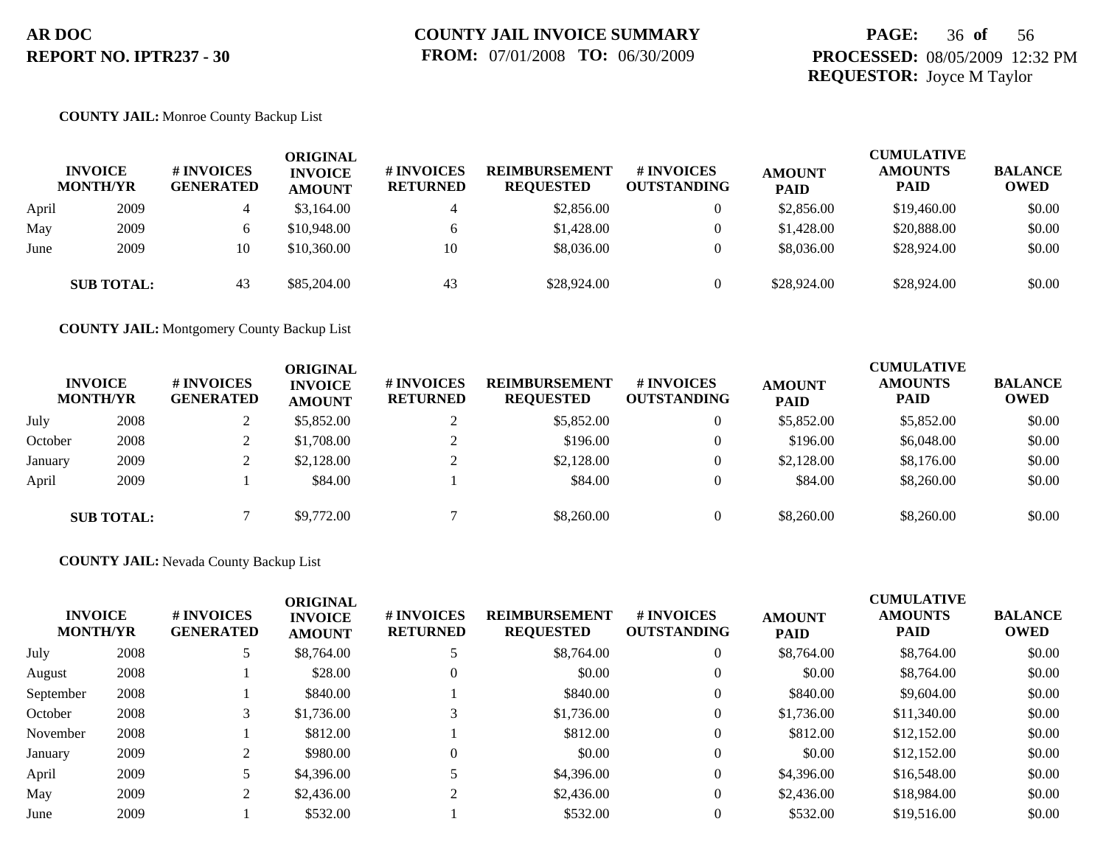## **PAGE:** 36 **of** 56 **PROCESSED:** 08/05/2009 12:32 PM **REQUESTOR:** Joyce M Taylor

#### **COUNTY JAIL:** Monroe County Backup List

|       | <b>INVOICE</b><br><b>MONTH/YR</b> | # INVOICES<br><b>GENERATED</b> | ORIGINAL<br><b>INVOICE</b><br><b>AMOUNT</b> | # INVOICES<br><b>RETURNED</b> | <b>REIMBURSEMENT</b><br><b>REQUESTED</b> | # INVOICES<br><b>OUTSTANDING</b> | <b>AMOUNT</b><br><b>PAID</b> | <b>CUMULATIVE</b><br><b>AMOUNTS</b><br><b>PAID</b> | <b>BALANCE</b><br><b>OWED</b> |
|-------|-----------------------------------|--------------------------------|---------------------------------------------|-------------------------------|------------------------------------------|----------------------------------|------------------------------|----------------------------------------------------|-------------------------------|
| April | 2009                              | 4                              | \$3,164.00                                  | 4                             | \$2,856.00                               | $\overline{0}$                   | \$2,856.00                   | \$19,460.00                                        | \$0.00                        |
| May   | 2009                              |                                | \$10,948.00                                 | <sub>6</sub>                  | \$1,428.00                               | $\overline{0}$                   | \$1,428.00                   | \$20,888.00                                        | \$0.00                        |
| June  | 2009                              | 10                             | \$10,360.00                                 | 10                            | \$8,036.00                               | 0                                | \$8,036.00                   | \$28,924.00                                        | \$0.00                        |
|       | <b>SUB TOTAL:</b>                 | 43                             | \$85,204.00                                 | 43                            | \$28,924.00                              |                                  | \$28,924.00                  | \$28,924.00                                        | \$0.00                        |

**COUNTY JAIL:** Montgomery County Backup List

|         | <b>INVOICE</b><br><b>MONTH/YR</b> | # INVOICES<br><b>GENERATED</b> | ORIGINAL<br><b>INVOICE</b><br><b>AMOUNT</b> | # INVOICES<br><b>RETURNED</b> | <b>REIMBURSEMENT</b><br><b>REQUESTED</b> | # INVOICES<br><b>OUTSTANDING</b> | <b>AMOUNT</b><br><b>PAID</b> | <b>CUMULATIVE</b><br><b>AMOUNTS</b><br><b>PAID</b> | <b>BALANCE</b><br><b>OWED</b> |
|---------|-----------------------------------|--------------------------------|---------------------------------------------|-------------------------------|------------------------------------------|----------------------------------|------------------------------|----------------------------------------------------|-------------------------------|
| July    | 2008                              |                                | \$5,852.00                                  |                               | \$5,852.00                               |                                  | \$5,852.00                   | \$5,852.00                                         | \$0.00                        |
| October | 2008                              |                                | \$1,708.00                                  |                               | \$196.00                                 |                                  | \$196.00                     | \$6,048.00                                         | \$0.00                        |
| January | 2009                              |                                | \$2,128.00                                  |                               | \$2,128.00                               |                                  | \$2,128,00                   | \$8,176.00                                         | \$0.00                        |
| April   | 2009                              |                                | \$84.00                                     |                               | \$84.00                                  |                                  | \$84.00                      | \$8,260.00                                         | \$0.00                        |
|         | <b>SUB TOTAL:</b>                 |                                | \$9,772.00                                  |                               | \$8,260.00                               |                                  | \$8,260.00                   | \$8,260.00                                         | \$0.00                        |

#### **COUNTY JAIL:** Nevada County Backup List

| <b>INVOICE</b><br><b>MONTH/YR</b> |      | # INVOICES<br><b>GENERATED</b> | <b>ORIGINAL</b><br><b>INVOICE</b><br><b>AMOUNT</b> | # INVOICES<br><b>RETURNED</b> | <b>REIMBURSEMENT</b><br><b>REQUESTED</b> | # INVOICES<br><b>OUTSTANDING</b> | <b>AMOUNT</b><br><b>PAID</b> | <b>CUMULATIVE</b><br><b>AMOUNTS</b><br><b>PAID</b> | <b>BALANCE</b><br><b>OWED</b> |
|-----------------------------------|------|--------------------------------|----------------------------------------------------|-------------------------------|------------------------------------------|----------------------------------|------------------------------|----------------------------------------------------|-------------------------------|
| July                              | 2008 |                                | \$8,764.00                                         |                               | \$8,764.00                               | $\theta$                         | \$8,764.00                   | \$8,764.00                                         | \$0.00                        |
| August                            | 2008 |                                | \$28.00                                            | $\theta$                      | \$0.00                                   | $\theta$                         | \$0.00                       | \$8,764.00                                         | \$0.00                        |
| September                         | 2008 |                                | \$840.00                                           |                               | \$840.00                                 | $\theta$                         | \$840.00                     | \$9,604.00                                         | \$0.00                        |
| October                           | 2008 |                                | \$1,736.00                                         | 3                             | \$1,736.00                               | $\overline{0}$                   | \$1,736.00                   | \$11,340.00                                        | \$0.00                        |
| November                          | 2008 |                                | \$812.00                                           |                               | \$812.00                                 | $\theta$                         | \$812.00                     | \$12,152.00                                        | \$0.00                        |
| January                           | 2009 |                                | \$980.00                                           | $\Omega$                      | \$0.00                                   | $\theta$                         | \$0.00                       | \$12,152.00                                        | \$0.00                        |
| April                             | 2009 |                                | \$4,396.00                                         |                               | \$4,396.00                               | $\theta$                         | \$4,396.00                   | \$16,548.00                                        | \$0.00                        |
| May                               | 2009 |                                | \$2,436.00                                         | $\bigcap$                     | \$2,436.00                               | $\theta$                         | \$2,436.00                   | \$18,984.00                                        | \$0.00                        |
| June                              | 2009 |                                | \$532.00                                           |                               | \$532.00                                 | $\Omega$                         | \$532.00                     | \$19,516.00                                        | \$0.00                        |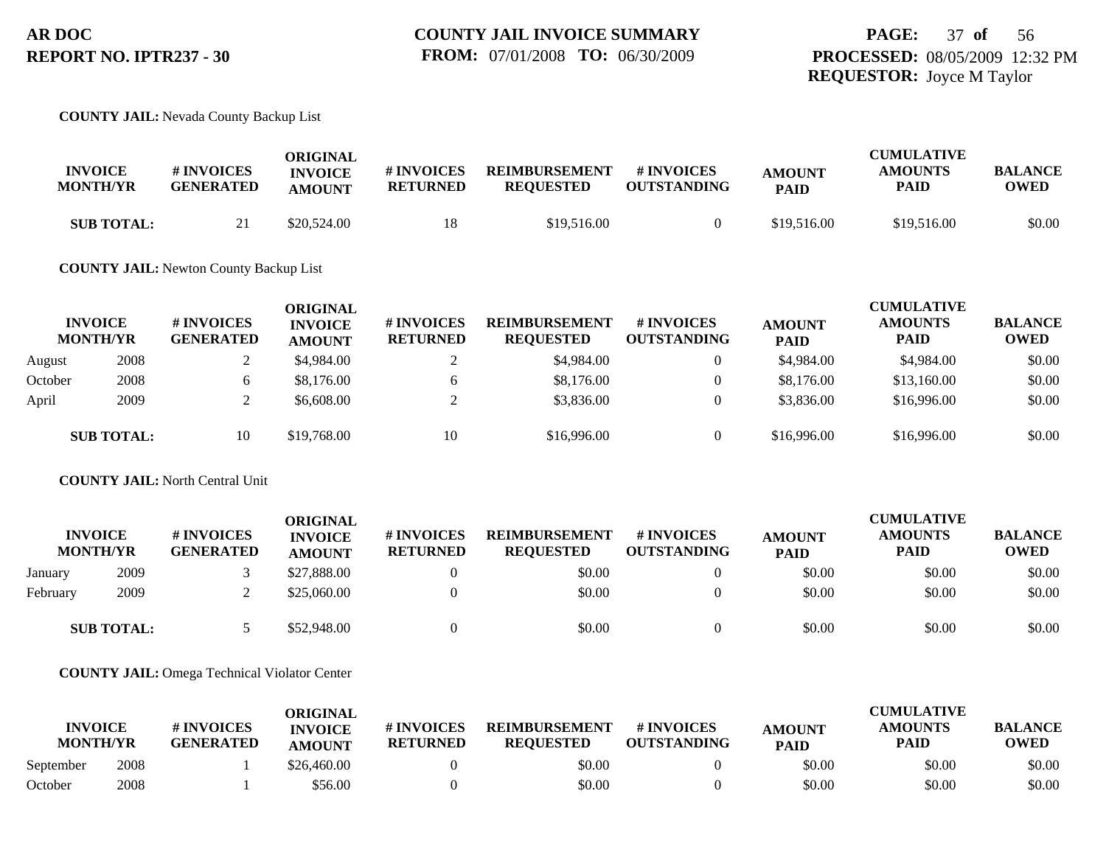#### **COUNTY JAIL:** Nevada County Backup List

| <b>INVOICE</b><br><b>MONTH/YR</b> | # INVOICES<br><b>GENERATED</b> | ORIGINAL<br><b>INVOICE</b><br><b>AMOUNT</b> | # INVOICES<br><b>RETURNED</b> | <b>REIMBURSEMENT</b><br><b>REOUESTED</b> | <b>#INVOICES</b><br><b>OUTSTANDING</b> | <b>AMOUNT</b><br><b>PAID</b> | <b>CUMULATIVE</b><br><b>AMOUNTS</b><br>PAID | <b>BALANCE</b><br><b>OWED</b> |
|-----------------------------------|--------------------------------|---------------------------------------------|-------------------------------|------------------------------------------|----------------------------------------|------------------------------|---------------------------------------------|-------------------------------|
| <b>SUB TOTAL:</b>                 | $\sim$ 1                       | \$20,524.00                                 | 18                            | \$19,516.00                              |                                        | \$19,516.00                  | \$19,516.00                                 | \$0.00                        |

**COUNTY JAIL:** Newton County Backup List

|         | <b>INVOICE</b><br><b>MONTH/YR</b> | <b>#INVOICES</b><br><b>GENERATED</b> | <b>ORIGINAL</b><br><b>INVOICE</b><br><b>AMOUNT</b> | <b>#INVOICES</b><br><b>RETURNED</b> | <b>REIMBURSEMENT</b><br><b>REOUESTED</b> | # INVOICES<br><b>OUTSTANDING</b> | <b>AMOUNT</b><br><b>PAID</b> | <b>CUMULATIVE</b><br><b>AMOUNTS</b><br><b>PAID</b> | <b>BALANCE</b><br><b>OWED</b> |
|---------|-----------------------------------|--------------------------------------|----------------------------------------------------|-------------------------------------|------------------------------------------|----------------------------------|------------------------------|----------------------------------------------------|-------------------------------|
| August  | 2008                              |                                      | \$4,984.00                                         |                                     | \$4,984.00                               | 0                                | \$4,984.00                   | \$4,984.00                                         | \$0.00                        |
| October | 2008                              |                                      | \$8,176.00                                         |                                     | \$8,176.00                               | $\theta$                         | \$8,176.00                   | \$13,160.00                                        | \$0.00                        |
| April   | 2009                              |                                      | \$6,608.00                                         |                                     | \$3,836.00                               | $\theta$                         | \$3,836.00                   | \$16,996.00                                        | \$0.00                        |
|         | <b>SUB TOTAL:</b>                 | 10                                   | \$19,768.00                                        | 10                                  | \$16,996.00                              | $\theta$                         | \$16,996.00                  | \$16,996.00                                        | \$0.00                        |

**COUNTY JAIL:** North Central Unit

|          | <b>INVOICE</b><br><b>MONTH/YR</b> | <b>#INVOICES</b><br>GENERATED | ORIGINAL<br><b>INVOICE</b><br><b>AMOUNT</b> | <b>#INVOICES</b><br><b>RETURNED</b> | <b>REIMBURSEMENT</b><br><b>REQUESTED</b> | # INVOICES<br><b>OUTSTANDING</b> | <b>AMOUNT</b><br><b>PAID</b> | <b>CUMULATIVE</b><br><b>AMOUNTS</b><br>PAID | <b>BALANCE</b><br><b>OWED</b> |
|----------|-----------------------------------|-------------------------------|---------------------------------------------|-------------------------------------|------------------------------------------|----------------------------------|------------------------------|---------------------------------------------|-------------------------------|
| January  | 2009                              |                               | \$27,888.00                                 |                                     | \$0.00                                   |                                  | \$0.00                       | \$0.00                                      | \$0.00                        |
| February | 2009                              |                               | \$25,060.00                                 |                                     | \$0.00                                   |                                  | \$0.00                       | \$0.00                                      | \$0.00                        |
|          | <b>SUB TOTAL:</b>                 |                               | \$52,948.00                                 |                                     | \$0.00                                   |                                  | \$0.00                       | \$0.00                                      | \$0.00                        |

**COUNTY JAIL:** Omega Technical Violator Center

| <b>INVOICE</b><br><b>MONTH/YR</b> |      | <b>#INVOICES</b><br><b>GENERATED</b> | ORIGINAL<br><b>INVOICE</b><br><b>AMOUNT</b> | # INVOICES<br><b>RETURNED</b> | <b>REIMBURSEMENT</b><br><b>REOUESTED</b> | # INVOICES<br><b>OUTSTANDING</b> | <b>AMOUNT</b><br><b>PAID</b> | <b>CUMULATIVE</b><br><b>AMOUNTS</b><br><b>PAID</b> | <b>BALANCE</b><br><b>OWED</b> |
|-----------------------------------|------|--------------------------------------|---------------------------------------------|-------------------------------|------------------------------------------|----------------------------------|------------------------------|----------------------------------------------------|-------------------------------|
| September                         | 2008 |                                      | \$26,460.00                                 |                               | \$0.00                                   |                                  | \$0.00                       | \$0.00                                             | \$0.00                        |
| October                           | 2008 |                                      | \$56.00                                     |                               | \$0.00                                   |                                  | \$0.00                       | \$0.00                                             | \$0.00                        |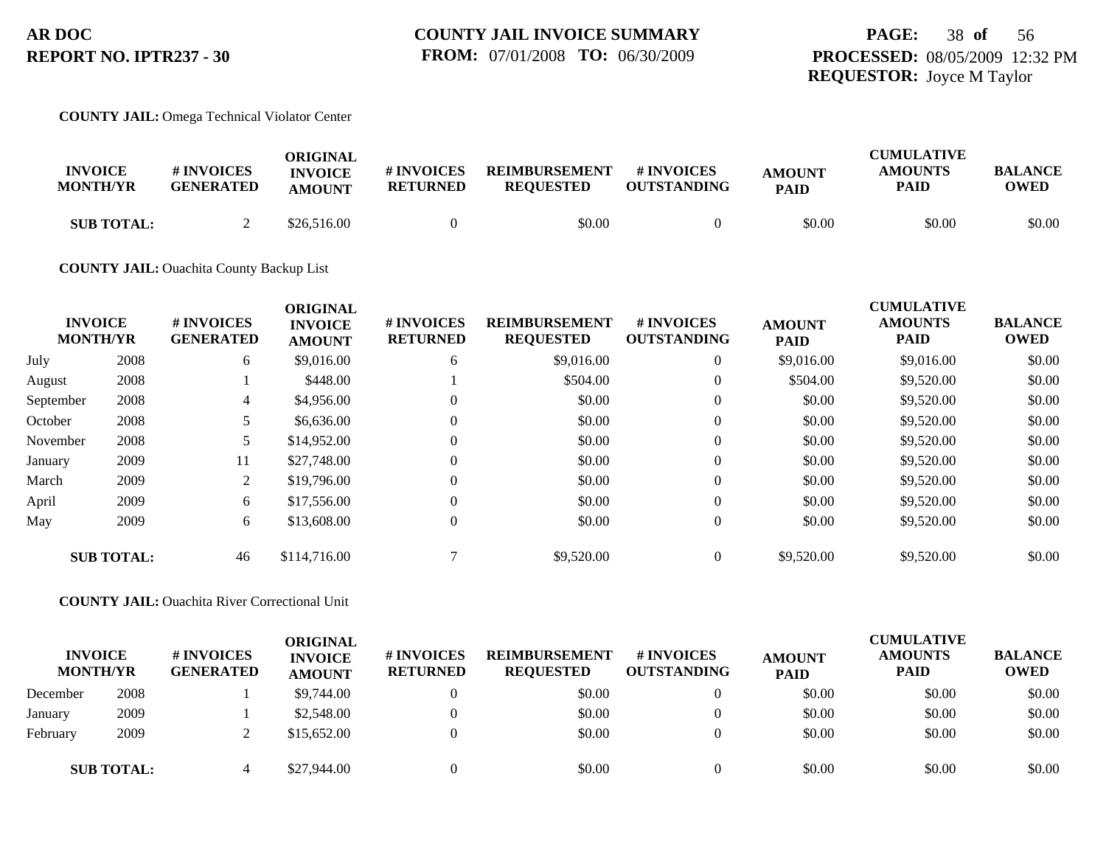#### **COUNTY JAIL:** Omega Technical Violator Center

| <b>INVOICE</b><br><b>MONTH/YR</b> | <b>#INVOICES</b><br><b>GENERATED</b> | ORIGINAL<br><b>INVOICE</b><br><b>AMOUNT</b> | # INVOICES<br><b>RETURNED</b> | <b>REIMBURSEMENT</b><br><b>REOUESTED</b> | # INVOICES<br><b>OUTSTANDING</b> | <b>AMOUNT</b><br><b>PAID</b> | <b>CUMULATIVE</b><br><b>AMOUNTS</b><br><b>PAID</b> | <b>BALANCE</b><br><b>OWED</b> |
|-----------------------------------|--------------------------------------|---------------------------------------------|-------------------------------|------------------------------------------|----------------------------------|------------------------------|----------------------------------------------------|-------------------------------|
| <b>SUB TOTAL:</b>                 |                                      | \$26,516.00                                 |                               | \$0.00                                   |                                  | \$0.00                       | \$0.00                                             | \$0.00                        |

#### **COUNTY JAIL:** Ouachita County Backup List

|           | <b>INVOICE</b><br><b>MONTH/YR</b> | # INVOICES<br><b>GENERATED</b> | <b>ORIGINAL</b><br><b>INVOICE</b><br><b>AMOUNT</b> | # INVOICES<br><b>RETURNED</b> | <b>REIMBURSEMENT</b><br><b>REQUESTED</b> | # INVOICES<br><b>OUTSTANDING</b> | <b>AMOUNT</b><br><b>PAID</b> | <b>CUMULATIVE</b><br><b>AMOUNTS</b><br><b>PAID</b> | <b>BALANCE</b><br><b>OWED</b> |
|-----------|-----------------------------------|--------------------------------|----------------------------------------------------|-------------------------------|------------------------------------------|----------------------------------|------------------------------|----------------------------------------------------|-------------------------------|
| July      | 2008                              | 6                              | \$9,016.00                                         | 6                             | \$9,016.00                               | $\overline{0}$                   | \$9,016.00                   | \$9,016.00                                         | \$0.00                        |
| August    | 2008                              |                                | \$448.00                                           |                               | \$504.00                                 | $\overline{0}$                   | \$504.00                     | \$9,520.00                                         | \$0.00                        |
| September | 2008                              | 4                              | \$4,956.00                                         | $\overline{0}$                | \$0.00                                   | $\overline{0}$                   | \$0.00                       | \$9,520.00                                         | \$0.00                        |
| October   | 2008                              |                                | \$6,636.00                                         | $\overline{0}$                | \$0.00                                   | $\overline{0}$                   | \$0.00                       | \$9,520.00                                         | \$0.00                        |
| November  | 2008                              | 5                              | \$14,952.00                                        | $\Omega$                      | \$0.00                                   | $\overline{0}$                   | \$0.00                       | \$9,520.00                                         | \$0.00                        |
| January   | 2009                              | 11                             | \$27,748.00                                        | $\Omega$                      | \$0.00                                   | $\overline{0}$                   | \$0.00                       | \$9,520.00                                         | \$0.00                        |
| March     | 2009                              | 2                              | \$19,796.00                                        | $\Omega$                      | \$0.00                                   | $\overline{0}$                   | \$0.00                       | \$9,520.00                                         | \$0.00                        |
| April     | 2009                              | 6                              | \$17,556.00                                        | $\Omega$                      | \$0.00                                   | $\overline{0}$                   | \$0.00                       | \$9,520.00                                         | \$0.00                        |
| May       | 2009                              | 6                              | \$13,608.00                                        | $\overline{0}$                | \$0.00                                   | $\overline{0}$                   | \$0.00                       | \$9,520.00                                         | \$0.00                        |
|           | <b>SUB TOTAL:</b>                 | 46                             | \$114,716.00                                       | $\mathbf{r}$                  | \$9,520.00                               | $\overline{0}$                   | \$9,520.00                   | \$9,520.00                                         | \$0.00                        |

#### **COUNTY JAIL:** Ouachita River Correctional Unit

| <b>INVOICE</b><br><b>MONTH/YR</b> |                   | # INVOICES<br><b>GENERATED</b> | <b>ORIGINAL</b><br><b>INVOICE</b><br><b>AMOUNT</b> | # INVOICES<br><b>RETURNED</b> | <b>REIMBURSEMENT</b><br><b>REQUESTED</b> | # INVOICES<br><b>OUTSTANDING</b> | <b>AMOUNT</b><br><b>PAID</b> | <b>CUMULATIVE</b><br><b>AMOUNTS</b><br><b>PAID</b> | <b>BALANCE</b><br><b>OWED</b> |
|-----------------------------------|-------------------|--------------------------------|----------------------------------------------------|-------------------------------|------------------------------------------|----------------------------------|------------------------------|----------------------------------------------------|-------------------------------|
| December                          | 2008              |                                | \$9,744.00                                         |                               | \$0.00                                   | $\left($                         | \$0.00                       | \$0.00                                             | \$0.00                        |
| January                           | 2009              |                                | \$2,548.00                                         |                               | \$0.00                                   | $\Omega$                         | \$0.00                       | \$0.00                                             | \$0.00                        |
| February                          | 2009              |                                | \$15,652.00                                        |                               | \$0.00                                   |                                  | \$0.00                       | \$0.00                                             | \$0.00                        |
|                                   | <b>SUB TOTAL:</b> |                                | \$27,944.00                                        |                               | \$0.00                                   |                                  | \$0.00                       | \$0.00                                             | \$0.00                        |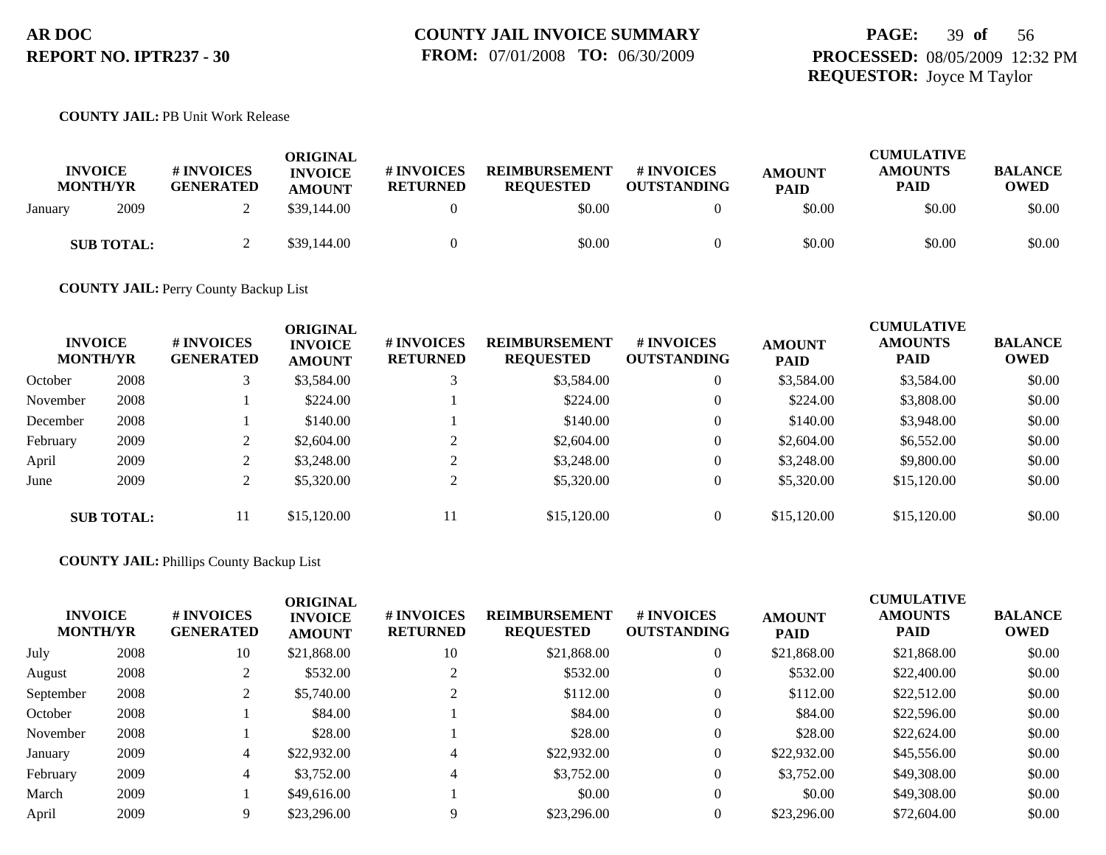## **PAGE:** 39 **of** 56 **PROCESSED:** 08/05/2009 12:32 PM **REQUESTOR:** Joyce M Taylor

#### **COUNTY JAIL:** PB Unit Work Release

| <b>INVOICE</b><br><b>MONTH/YR</b> | # INVOICES<br><b>GENERATED</b> | <b>ORIGINAL</b><br><b>INVOICE</b><br><b>AMOUNT</b> | # INVOICES<br><b>RETURNED</b> | <b>REIMBURSEMENT</b><br><b>REQUESTED</b> | # INVOICES<br><b>OUTSTANDING</b> | <b>AMOUNT</b><br><b>PAID</b> | <b>CUMULATIVE</b><br><b>AMOUNTS</b><br><b>PAID</b> | <b>BALANCE</b><br><b>OWED</b> |
|-----------------------------------|--------------------------------|----------------------------------------------------|-------------------------------|------------------------------------------|----------------------------------|------------------------------|----------------------------------------------------|-------------------------------|
| 2009<br>January                   |                                | \$39,144.00                                        |                               | \$0.00                                   |                                  | \$0.00                       | \$0.00                                             | \$0.00                        |
| <b>SUB TOTAL:</b>                 |                                | \$39,144.00                                        |                               | \$0.00                                   |                                  | \$0.00                       | \$0.00                                             | \$0.00                        |

**COUNTY JAIL:** Perry County Backup List

| <b>INVOICE</b><br><b>MONTH/YR</b> |                   | <b># INVOICES</b><br><b>GENERATED</b> | <b>ORIGINAL</b><br><b>INVOICE</b><br><b>AMOUNT</b> | # INVOICES<br><b>RETURNED</b> | <b>REIMBURSEMENT</b><br><b>REQUESTED</b> | # INVOICES<br><b>OUTSTANDING</b> | <b>AMOUNT</b><br><b>PAID</b> | <b>CUMULATIVE</b><br><b>AMOUNTS</b><br><b>PAID</b> | <b>BALANCE</b><br><b>OWED</b> |
|-----------------------------------|-------------------|---------------------------------------|----------------------------------------------------|-------------------------------|------------------------------------------|----------------------------------|------------------------------|----------------------------------------------------|-------------------------------|
| October                           | 2008              |                                       | \$3,584.00                                         |                               | \$3,584.00                               |                                  | \$3,584.00                   | \$3,584.00                                         | \$0.00                        |
| November                          | 2008              |                                       | \$224.00                                           |                               | \$224.00                                 |                                  | \$224.00                     | \$3,808.00                                         | \$0.00                        |
| December                          | 2008              |                                       | \$140.00                                           |                               | \$140.00                                 |                                  | \$140.00                     | \$3,948.00                                         | \$0.00                        |
| February                          | 2009              |                                       | \$2,604.00                                         |                               | \$2,604.00                               |                                  | \$2,604.00                   | \$6,552.00                                         | \$0.00                        |
| April                             | 2009              | $\sim$                                | \$3,248.00                                         |                               | \$3,248.00                               | $\theta$                         | \$3,248.00                   | \$9,800.00                                         | \$0.00                        |
| June                              | 2009              | ◠                                     | \$5,320.00                                         |                               | \$5,320.00                               |                                  | \$5,320.00                   | \$15,120.00                                        | \$0.00                        |
|                                   | <b>SUB TOTAL:</b> | 11                                    | \$15,120.00                                        | 11                            | \$15,120.00                              |                                  | \$15,120.00                  | \$15,120.00                                        | \$0.00                        |

### **COUNTY JAIL:** Phillips County Backup List

| <b>INVOICE</b><br><b>MONTH/YR</b> |      | # INVOICES<br><b>GENERATED</b> | <b>ORIGINAL</b><br><b>INVOICE</b><br><b>AMOUNT</b> | # INVOICES<br><b>RETURNED</b> | <b>REIMBURSEMENT</b><br><b>REQUESTED</b> | # INVOICES<br><b>OUTSTANDING</b> | <b>AMOUNT</b><br><b>PAID</b> | <b>CUMULATIVE</b><br><b>AMOUNTS</b><br><b>PAID</b> | <b>BALANCE</b><br><b>OWED</b> |
|-----------------------------------|------|--------------------------------|----------------------------------------------------|-------------------------------|------------------------------------------|----------------------------------|------------------------------|----------------------------------------------------|-------------------------------|
| July                              | 2008 | 10                             | \$21,868.00                                        | 10                            | \$21,868.00                              | $\overline{0}$                   | \$21,868.00                  | \$21,868.00                                        | \$0.00                        |
| August                            | 2008 |                                | \$532.00                                           | ◠                             | \$532.00                                 | $\theta$                         | \$532.00                     | \$22,400.00                                        | \$0.00                        |
| September                         | 2008 |                                | \$5,740.00                                         | ◠                             | \$112.00                                 | $\theta$                         | \$112.00                     | \$22,512.00                                        | \$0.00                        |
| October                           | 2008 |                                | \$84.00                                            |                               | \$84.00                                  | $\theta$                         | \$84.00                      | \$22,596.00                                        | \$0.00                        |
| November                          | 2008 |                                | \$28.00                                            |                               | \$28.00                                  | $\theta$                         | \$28.00                      | \$22,624.00                                        | \$0.00                        |
| January                           | 2009 | 4                              | \$22,932.00                                        | 4                             | \$22,932.00                              | $\theta$                         | \$22,932.00                  | \$45,556.00                                        | \$0.00                        |
| February                          | 2009 | 4                              | \$3,752.00                                         | 4                             | \$3,752.00                               | $\overline{0}$                   | \$3,752.00                   | \$49,308,00                                        | \$0.00                        |
| March                             | 2009 |                                | \$49,616.00                                        |                               | \$0.00                                   | $\overline{0}$                   | \$0.00                       | \$49,308,00                                        | \$0.00                        |
| April                             | 2009 |                                | \$23,296.00                                        | 9                             | \$23,296.00                              | $\Omega$                         | \$23,296.00                  | \$72,604.00                                        | \$0.00                        |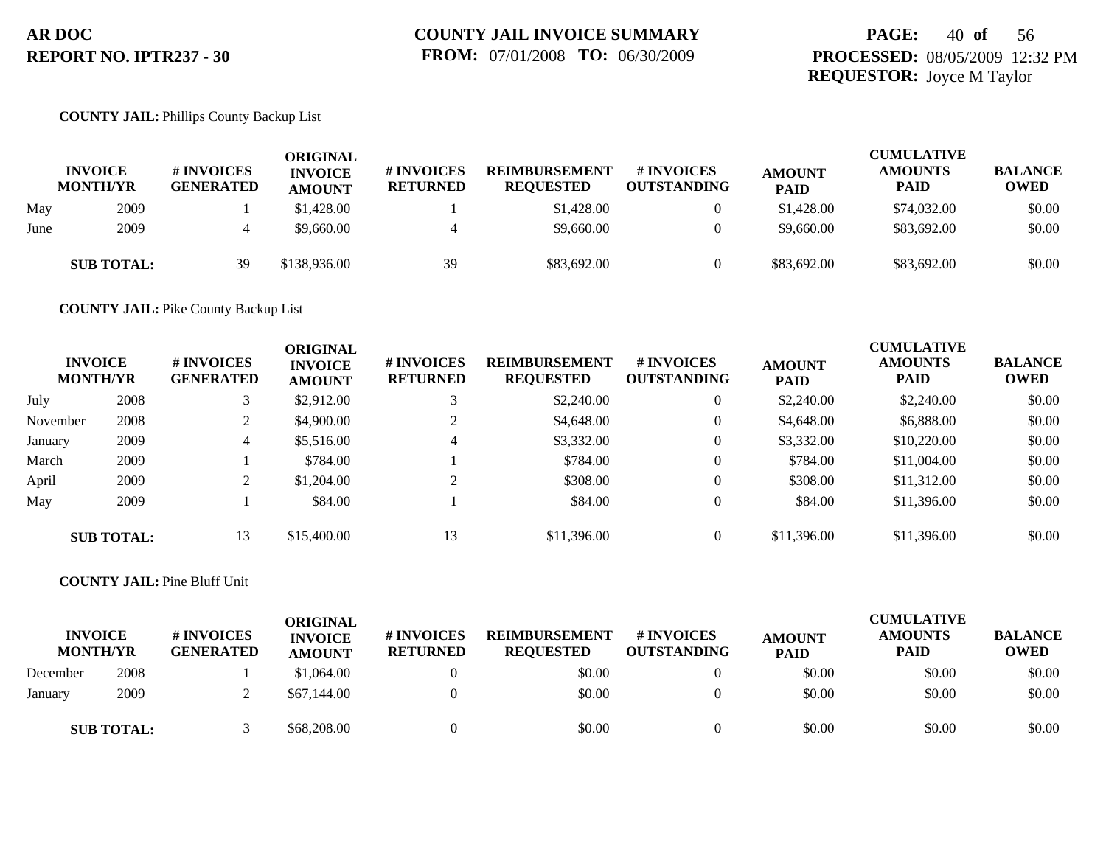## **PAGE:** 40 **of** 56 **PROCESSED:** 08/05/2009 12:32 PM **REQUESTOR:** Joyce M Taylor

#### **COUNTY JAIL:** Phillips County Backup List

|      | <b>INVOICE</b><br><b>MONTH/YR</b> | <b># INVOICES</b><br><b>GENERATED</b> | <b>ORIGINAL</b><br><b>INVOICE</b><br><b>AMOUNT</b> | <b>#INVOICES</b><br><b>RETURNED</b> | REIMBURSEMENT<br><b>REQUESTED</b> | <b>#INVOICES</b><br><b>OUTSTANDING</b> | <b>AMOUNT</b><br><b>PAID</b> | <b>CUMULATIVE</b><br><b>AMOUNTS</b><br>PAID | <b>BALANCE</b><br><b>OWED</b> |
|------|-----------------------------------|---------------------------------------|----------------------------------------------------|-------------------------------------|-----------------------------------|----------------------------------------|------------------------------|---------------------------------------------|-------------------------------|
| May  | 2009                              |                                       | \$1,428.00                                         |                                     | \$1,428.00                        | $\overline{0}$                         | \$1,428.00                   | \$74,032.00                                 | \$0.00                        |
| June | 2009                              |                                       | \$9,660.00                                         |                                     | \$9,660.00                        | $\theta$                               | \$9,660.00                   | \$83,692.00                                 | \$0.00                        |
|      | <b>SUB TOTAL:</b>                 | 39                                    | \$138,936.00                                       | 39                                  | \$83,692.00                       | $\Omega$                               | \$83,692,00                  | \$83,692.00                                 | \$0.00                        |

**COUNTY JAIL:** Pike County Backup List

|          | <b>INVOICE</b><br><b>MONTH/YR</b> | # INVOICES<br><b>GENERATED</b> | <b>ORIGINAL</b><br><b>INVOICE</b><br><b>AMOUNT</b> | # INVOICES<br><b>RETURNED</b> | <b>REIMBURSEMENT</b><br><b>REQUESTED</b> | <b># INVOICES</b><br><b>OUTSTANDING</b> | <b>AMOUNT</b><br><b>PAID</b> | <b>CUMULATIVE</b><br><b>AMOUNTS</b><br><b>PAID</b> | <b>BALANCE</b><br><b>OWED</b> |
|----------|-----------------------------------|--------------------------------|----------------------------------------------------|-------------------------------|------------------------------------------|-----------------------------------------|------------------------------|----------------------------------------------------|-------------------------------|
| July     | 2008                              |                                | \$2,912.00                                         |                               | \$2,240.00                               | $\overline{0}$                          | \$2,240.00                   | \$2,240.00                                         | \$0.00                        |
| November | 2008                              | ◠<br>∠                         | \$4,900.00                                         |                               | \$4,648.00                               | 0                                       | \$4,648.00                   | \$6,888.00                                         | \$0.00                        |
| January  | 2009                              | 4                              | \$5,516.00                                         | 4                             | \$3,332.00                               | $\overline{0}$                          | \$3,332.00                   | \$10,220.00                                        | \$0.00                        |
| March    | 2009                              |                                | \$784.00                                           |                               | \$784.00                                 | $\overline{0}$                          | \$784.00                     | \$11,004.00                                        | \$0.00                        |
| April    | 2009                              | ◠                              | \$1,204.00                                         |                               | \$308.00                                 | $\theta$                                | \$308.00                     | \$11,312.00                                        | \$0.00                        |
| May      | 2009                              |                                | \$84.00                                            |                               | \$84.00                                  | $\theta$                                | \$84.00                      | \$11,396.00                                        | \$0.00                        |
|          | <b>SUB TOTAL:</b>                 | 13                             | \$15,400.00                                        | 13                            | \$11,396.00                              | $\Omega$                                | \$11,396.00                  | \$11,396.00                                        | \$0.00                        |

#### **COUNTY JAIL:** Pine Bluff Unit

| <b>INVOICE</b><br><b>MONTH/YR</b> |                   | <b># INVOICES</b><br><b>GENERATED</b> | <b>ORIGINAL</b><br><b>INVOICE</b><br><b>AMOUNT</b> | # INVOICES<br><b>RETURNED</b> | <b>REIMBURSEMENT</b><br><b>REQUESTED</b> | # INVOICES<br><b>OUTSTANDING</b> | <b>AMOUNT</b><br><b>PAID</b> | <b>CUMULATIVE</b><br><b>AMOUNTS</b><br><b>PAID</b> | <b>BALANCE</b><br><b>OWED</b> |
|-----------------------------------|-------------------|---------------------------------------|----------------------------------------------------|-------------------------------|------------------------------------------|----------------------------------|------------------------------|----------------------------------------------------|-------------------------------|
| December                          | 2008              |                                       | \$1,064.00                                         |                               | \$0.00                                   |                                  | \$0.00                       | \$0.00                                             | \$0.00                        |
| January                           | 2009              |                                       | \$67,144.00                                        |                               | \$0.00                                   |                                  | \$0.00                       | \$0.00                                             | \$0.00                        |
|                                   | <b>SUB TOTAL:</b> |                                       | \$68,208.00                                        |                               | \$0.00                                   |                                  | \$0.00                       | \$0.00                                             | \$0.00                        |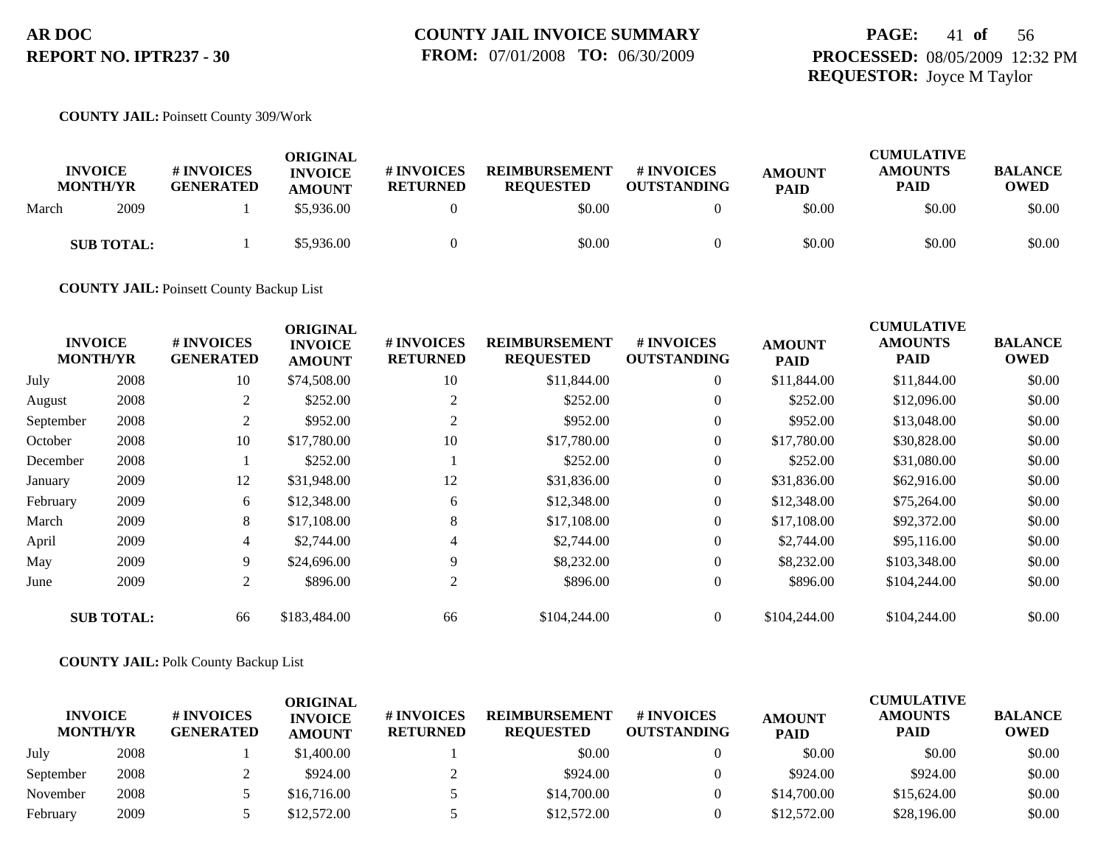## **PAGE:** 41 **of** 56 **PROCESSED:** 08/05/2009 12:32 PM **REQUESTOR:** Joyce M Taylor

#### **COUNTY JAIL:** Poinsett County 309/Work

| <b>INVOICE</b><br><b>MONTH/YR</b> |                   | # INVOICES<br><b>GENERATED</b> | ORIGINAL<br><b>INVOICE</b><br><b>AMOUNT</b> | <b>#INVOICES</b><br><b>RETURNED</b> | <b>REIMBURSEMENT</b><br><b>REQUESTED</b> | # INVOICES<br><b>OUTSTANDING</b> | <b>AMOUNT</b><br><b>PAID</b> | <b>CUMULATIVE</b><br><b>AMOUNTS</b><br><b>PAID</b> | <b>BALANCE</b><br><b>OWED</b> |
|-----------------------------------|-------------------|--------------------------------|---------------------------------------------|-------------------------------------|------------------------------------------|----------------------------------|------------------------------|----------------------------------------------------|-------------------------------|
| March                             | 2009              |                                | \$5,936.00                                  |                                     | \$0.00                                   |                                  | \$0.00                       | \$0.00                                             | \$0.00                        |
|                                   | <b>SUB TOTAL:</b> |                                | \$5,936.00                                  |                                     | \$0.00                                   |                                  | \$0.00                       | \$0.00                                             | \$0.00                        |

**COUNTY JAIL:** Poinsett County Backup List

|           |                                   |                                | <b>ORIGINAL</b>                 |                               |                                          |                                        |                              | <b>CUMULATIVE</b>      |                               |
|-----------|-----------------------------------|--------------------------------|---------------------------------|-------------------------------|------------------------------------------|----------------------------------------|------------------------------|------------------------|-------------------------------|
|           | <b>INVOICE</b><br><b>MONTH/YR</b> | # INVOICES<br><b>GENERATED</b> | <b>INVOICE</b><br><b>AMOUNT</b> | # INVOICES<br><b>RETURNED</b> | <b>REIMBURSEMENT</b><br><b>REQUESTED</b> | <b>#INVOICES</b><br><b>OUTSTANDING</b> | <b>AMOUNT</b><br><b>PAID</b> | <b>AMOUNTS</b><br>PAID | <b>BALANCE</b><br><b>OWED</b> |
| July      | 2008                              | 10                             | \$74,508.00                     | 10                            | \$11,844.00                              | $\overline{0}$                         | \$11,844.00                  | \$11,844.00            | \$0.00                        |
| August    | 2008                              | 2                              | \$252.00                        | 2                             | \$252.00                                 | $\overline{0}$                         | \$252.00                     | \$12,096.00            | \$0.00                        |
| September | 2008                              | $\overline{c}$                 | \$952.00                        | 2                             | \$952.00                                 | $\overline{0}$                         | \$952.00                     | \$13,048.00            | \$0.00                        |
| October   | 2008                              | 10                             | \$17,780.00                     | 10                            | \$17,780.00                              | $\overline{0}$                         | \$17,780.00                  | \$30,828.00            | \$0.00                        |
| December  | 2008                              |                                | \$252.00                        |                               | \$252.00                                 | $\overline{0}$                         | \$252.00                     | \$31,080.00            | \$0.00                        |
| January   | 2009                              | 12                             | \$31,948.00                     | 12                            | \$31,836.00                              | $\overline{0}$                         | \$31,836.00                  | \$62,916.00            | \$0.00                        |
| February  | 2009                              | 6                              | \$12,348.00                     | 6                             | \$12,348.00                              | $\overline{0}$                         | \$12,348.00                  | \$75,264.00            | \$0.00                        |
| March     | 2009                              | 8                              | \$17,108.00                     | 8                             | \$17,108.00                              | $\overline{0}$                         | \$17,108.00                  | \$92,372.00            | \$0.00                        |
| April     | 2009                              | 4                              | \$2,744.00                      | 4                             | \$2,744.00                               | $\overline{0}$                         | \$2,744.00                   | \$95,116.00            | \$0.00                        |
| May       | 2009                              | 9                              | \$24,696.00                     | 9                             | \$8,232.00                               | $\overline{0}$                         | \$8,232.00                   | \$103,348.00           | \$0.00                        |
| June      | 2009                              | 2                              | \$896.00                        | 2                             | \$896.00                                 | $\overline{0}$                         | \$896.00                     | \$104,244.00           | \$0.00                        |
|           | <b>SUB TOTAL:</b>                 | 66                             | \$183,484.00                    | 66                            | \$104,244.00                             | $\overline{0}$                         | \$104,244.00                 | \$104,244.00           | \$0.00                        |

#### **COUNTY JAIL:** Polk County Backup List

| <b>INVOICE</b><br><b>MONTH/YR</b> |      | # INVOICES<br><b>GENERATED</b> | ORIGINAL<br><b>INVOICE</b><br><b>AMOUNT</b> | <b>#INVOICES</b><br><b>RETURNED</b> | <b>REIMBURSEMENT</b><br><b>REOUESTED</b> | <b>#INVOICES</b><br><b>OUTSTANDING</b> | <b>AMOUNT</b><br><b>PAID</b> | <b>CUMULATIVE</b><br><b>AMOUNTS</b><br><b>PAID</b> | <b>BALANCE</b><br><b>OWED</b> |
|-----------------------------------|------|--------------------------------|---------------------------------------------|-------------------------------------|------------------------------------------|----------------------------------------|------------------------------|----------------------------------------------------|-------------------------------|
| July                              | 2008 |                                | \$1,400.00                                  |                                     | \$0.00                                   |                                        | \$0.00                       | \$0.00                                             | \$0.00                        |
| September                         | 2008 |                                | \$924.00                                    |                                     | \$924.00                                 |                                        | \$924.00                     | \$924.00                                           | \$0.00                        |
| November                          | 2008 |                                | \$16,716.00                                 |                                     | \$14,700.00                              |                                        | \$14,700.00                  | \$15,624.00                                        | \$0.00                        |
| February                          | 2009 |                                | \$12,572.00                                 |                                     | \$12,572.00                              |                                        | \$12,572.00                  | \$28,196.00                                        | \$0.00                        |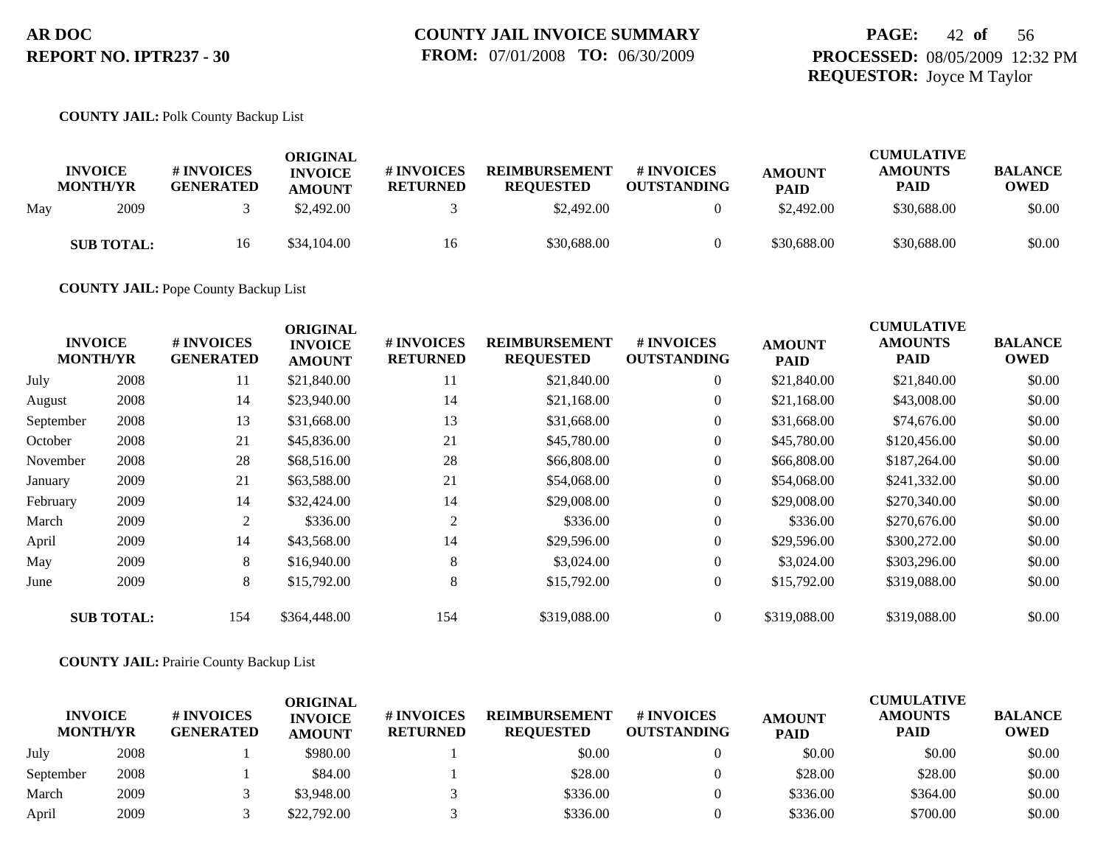## **PAGE:** 42 **of** 56 **PROCESSED:** 08/05/2009 12:32 PM **REQUESTOR:** Joyce M Taylor

#### **COUNTY JAIL:** Polk County Backup List

|     | <b>INVOICE</b><br><b>MONTH/YR</b> | # INVOICES<br><b>GENERATED</b> | ORIGINAL<br><b>INVOICE</b><br><b>AMOUNT</b> | # INVOICES<br><b>RETURNED</b> | <b>REIMBURSEMENT</b><br><b>REQUESTED</b> | # INVOICES<br><b>OUTSTANDING</b> | <b>AMOUNT</b><br>PAID | <b>CUMULATIVE</b><br><b>AMOUNTS</b><br>PAID | <b>BALANCE</b><br><b>OWED</b> |
|-----|-----------------------------------|--------------------------------|---------------------------------------------|-------------------------------|------------------------------------------|----------------------------------|-----------------------|---------------------------------------------|-------------------------------|
| May | 2009                              |                                | \$2,492.00                                  |                               | \$2,492.00                               |                                  | \$2,492.00            | \$30,688,00                                 | \$0.00                        |
|     | <b>SUB TOTAL:</b>                 | 16                             | \$34,104.00                                 | 16                            | \$30,688.00                              |                                  | \$30,688.00           | \$30,688.00                                 | \$0.00                        |

**COUNTY JAIL:** Pope County Backup List

|           |                                   |                                | <b>ORIGINAL</b>                 |                               |                                          |                                  |                              | <b>CUMULATIVE</b>      |                               |
|-----------|-----------------------------------|--------------------------------|---------------------------------|-------------------------------|------------------------------------------|----------------------------------|------------------------------|------------------------|-------------------------------|
|           | <b>INVOICE</b><br><b>MONTH/YR</b> | # INVOICES<br><b>GENERATED</b> | <b>INVOICE</b><br><b>AMOUNT</b> | # INVOICES<br><b>RETURNED</b> | <b>REIMBURSEMENT</b><br><b>REQUESTED</b> | # INVOICES<br><b>OUTSTANDING</b> | <b>AMOUNT</b><br><b>PAID</b> | <b>AMOUNTS</b><br>PAID | <b>BALANCE</b><br><b>OWED</b> |
| July      | 2008                              | 11                             | \$21,840.00                     | 11                            | \$21,840.00                              | $\overline{0}$                   | \$21,840.00                  | \$21,840.00            | \$0.00                        |
| August    | 2008                              | 14                             | \$23,940.00                     | 14                            | \$21,168.00                              | $\mathbf{0}$                     | \$21,168.00                  | \$43,008.00            | \$0.00                        |
| September | 2008                              | 13                             | \$31,668.00                     | 13                            | \$31,668.00                              | $\overline{0}$                   | \$31,668.00                  | \$74,676.00            | \$0.00                        |
| October   | 2008                              | 21                             | \$45,836.00                     | 21                            | \$45,780.00                              | $\overline{0}$                   | \$45,780.00                  | \$120,456.00           | \$0.00                        |
| November  | 2008                              | 28                             | \$68,516.00                     | 28                            | \$66,808.00                              | $\overline{0}$                   | \$66,808.00                  | \$187,264.00           | \$0.00                        |
| January   | 2009                              | 21                             | \$63,588.00                     | 21                            | \$54,068.00                              | $\overline{0}$                   | \$54,068.00                  | \$241,332.00           | \$0.00                        |
| February  | 2009                              | 14                             | \$32,424.00                     | 14                            | \$29,008.00                              | $\overline{0}$                   | \$29,008.00                  | \$270,340.00           | \$0.00                        |
| March     | 2009                              | 2                              | \$336.00                        | 2                             | \$336.00                                 | $\overline{0}$                   | \$336.00                     | \$270,676.00           | \$0.00                        |
| April     | 2009                              | 14                             | \$43,568.00                     | 14                            | \$29,596.00                              | $\overline{0}$                   | \$29,596.00                  | \$300,272.00           | \$0.00                        |
| May       | 2009                              | 8                              | \$16,940.00                     | 8                             | \$3,024.00                               | $\overline{0}$                   | \$3,024.00                   | \$303,296.00           | \$0.00                        |
| June      | 2009                              | 8                              | \$15,792.00                     | 8                             | \$15,792.00                              | $\mathbf{0}$                     | \$15,792.00                  | \$319,088.00           | \$0.00                        |
|           | <b>SUB TOTAL:</b>                 | 154                            | \$364,448.00                    | 154                           | \$319,088.00                             | $\overline{0}$                   | \$319,088.00                 | \$319,088.00           | \$0.00                        |

#### **COUNTY JAIL:** Prairie County Backup List

| <b>INVOICE</b>  |      | <b># INVOICES</b> | ORIGINAL<br><b>INVOICE</b> | # INVOICES      | <b>REIMBURSEMENT</b> | <b>#INVOICES</b>   | <b>AMOUNT</b> | <b>CUMULATIVE</b><br><b>AMOUNTS</b> | <b>BALANCE</b> |
|-----------------|------|-------------------|----------------------------|-----------------|----------------------|--------------------|---------------|-------------------------------------|----------------|
| <b>MONTH/YR</b> |      | <b>GENERATED</b>  | <b>AMOUNT</b>              | <b>RETURNED</b> | <b>REOUESTED</b>     | <b>OUTSTANDING</b> | <b>PAID</b>   | <b>PAID</b>                         | <b>OWED</b>    |
| July            | 2008 |                   | \$980.00                   |                 | \$0.00               |                    | \$0.00        | \$0.00                              | \$0.00         |
| September       | 2008 |                   | \$84.00                    |                 | \$28.00              |                    | \$28.00       | \$28.00                             | \$0.00         |
| March           | 2009 |                   | \$3,948.00                 |                 | \$336.00             |                    | \$336.00      | \$364.00                            | \$0.00         |
| April           | 2009 |                   | \$22,792.00                |                 | \$336.00             |                    | \$336.00      | \$700.00                            | \$0.00         |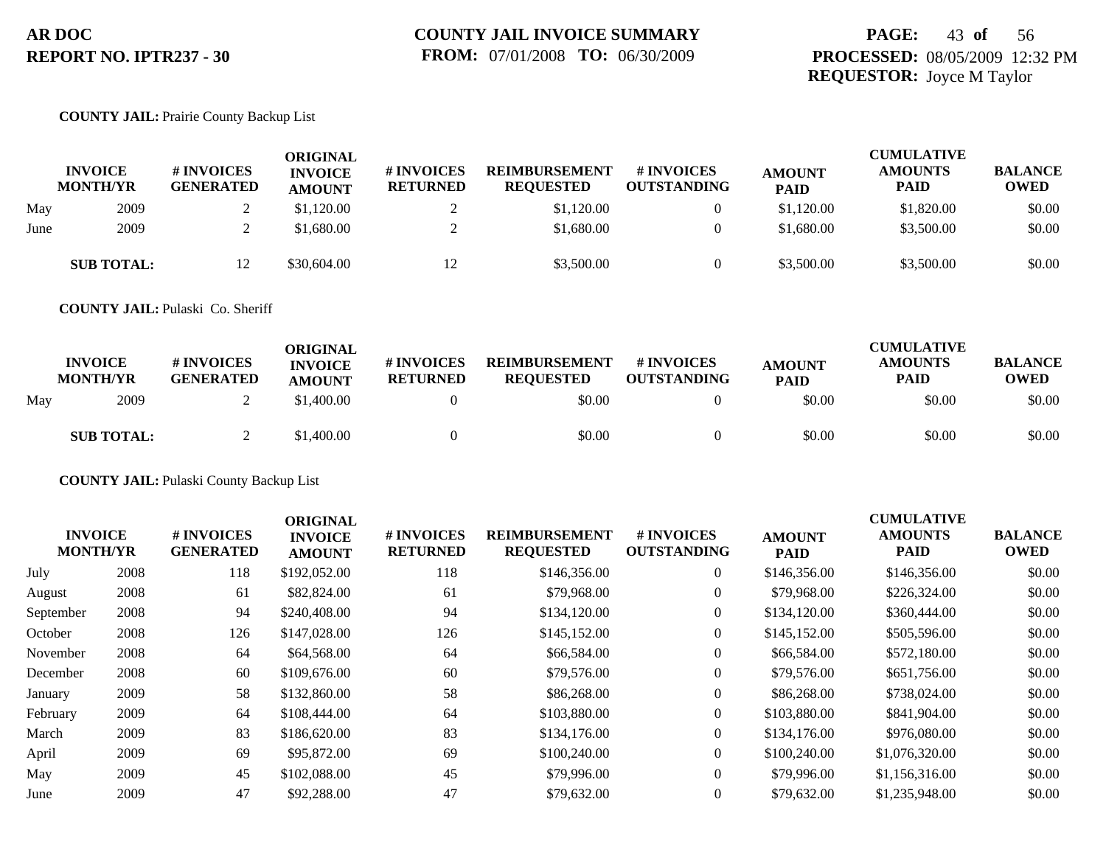## **PAGE:** 43 **of** 56 **PROCESSED:** 08/05/2009 12:32 PM **REQUESTOR:** Joyce M Taylor

#### **COUNTY JAIL:** Prairie County Backup List

|      | <b>INVOICE</b><br><b>MONTH/YR</b> | # INVOICES<br><b>GENERATED</b> | <b>ORIGINAL</b><br><b>INVOICE</b><br><b>AMOUNT</b> | # INVOICES<br><b>RETURNED</b> | <b>REIMBURSEMENT</b><br><b>REQUESTED</b> | # INVOICES<br><b>OUTSTANDING</b> | <b>AMOUNT</b><br><b>PAID</b> | <b>CUMULATIVE</b><br><b>AMOUNTS</b><br>PAID | <b>BALANCE</b><br><b>OWED</b> |
|------|-----------------------------------|--------------------------------|----------------------------------------------------|-------------------------------|------------------------------------------|----------------------------------|------------------------------|---------------------------------------------|-------------------------------|
| May  | 2009                              |                                | \$1,120.00                                         |                               | \$1,120.00                               | $\theta$                         | \$1,120.00                   | \$1,820.00                                  | \$0.00                        |
| June | 2009                              |                                | \$1,680.00                                         |                               | \$1,680.00                               | $\theta$                         | \$1,680.00                   | \$3,500.00                                  | \$0.00                        |
|      | <b>SUB TOTAL:</b>                 | 12                             | \$30,604.00                                        |                               | \$3,500.00                               | $\theta$                         | \$3,500.00                   | \$3,500.00                                  | \$0.00                        |

**COUNTY JAIL:** Pulaski Co. Sheriff

|     | <b>INVOICE</b><br><b>MONTH/YR</b> | # INVOICES<br><b>GENERATED</b> | ORIGINAL<br><b>INVOICE</b><br><b>AMOUNT</b> | <b># INVOICES</b><br><b>RETURNED</b> | <b>REIMBURSEMENT</b><br><b>REQUESTED</b> | <b>#INVOICES</b><br><b>OUTSTANDING</b> | <b>AMOUNT</b><br><b>PAID</b> | <b>CUMULATIVE</b><br><b>AMOUNTS</b><br><b>PAID</b> | <b>BALANCE</b><br><b>OWED</b> |
|-----|-----------------------------------|--------------------------------|---------------------------------------------|--------------------------------------|------------------------------------------|----------------------------------------|------------------------------|----------------------------------------------------|-------------------------------|
| Mav | 2009                              |                                | \$1,400.00                                  |                                      | \$0.00                                   |                                        | \$0.00                       | \$0.00                                             | \$0.00                        |
|     | <b>SUB TOTAL:</b>                 |                                | \$1,400.00                                  |                                      | \$0.00                                   |                                        | \$0.00                       | \$0.00                                             | \$0.00                        |

**COUNTY JAIL:** Pulaski County Backup List

| <b>INVOICE</b><br><b>MONTH/YR</b> |      | # INVOICES<br><b>GENERATED</b> | <b>ORIGINAL</b><br><b>INVOICE</b><br><b>AMOUNT</b> | # INVOICES<br><b>RETURNED</b> | <b>REIMBURSEMENT</b><br><b>REQUESTED</b> | # INVOICES<br><b>OUTSTANDING</b> | <b>AMOUNT</b><br><b>PAID</b> | <b>CUMULATIVE</b><br><b>AMOUNTS</b><br>PAID | <b>BALANCE</b><br><b>OWED</b> |
|-----------------------------------|------|--------------------------------|----------------------------------------------------|-------------------------------|------------------------------------------|----------------------------------|------------------------------|---------------------------------------------|-------------------------------|
| July                              | 2008 | 118                            | \$192,052.00                                       | 118                           | \$146,356.00                             | $\overline{0}$                   | \$146,356.00                 | \$146,356.00                                | \$0.00                        |
| August                            | 2008 | 61                             | \$82,824.00                                        | 61                            | \$79,968.00                              | $\overline{0}$                   | \$79,968.00                  | \$226,324.00                                | \$0.00                        |
| September                         | 2008 | 94                             | \$240,408.00                                       | 94                            | \$134,120.00                             | $\overline{0}$                   | \$134,120.00                 | \$360,444.00                                | \$0.00                        |
| October                           | 2008 | 126                            | \$147,028.00                                       | 126                           | \$145,152.00                             | $\overline{0}$                   | \$145,152.00                 | \$505,596.00                                | \$0.00                        |
| November                          | 2008 | 64                             | \$64,568.00                                        | 64                            | \$66,584.00                              | $\overline{0}$                   | \$66,584.00                  | \$572,180.00                                | \$0.00                        |
| December                          | 2008 | 60                             | \$109,676.00                                       | 60                            | \$79,576.00                              | $\overline{0}$                   | \$79,576.00                  | \$651,756.00                                | \$0.00                        |
| January                           | 2009 | 58                             | \$132,860.00                                       | 58                            | \$86,268.00                              | $\overline{0}$                   | \$86,268.00                  | \$738,024.00                                | \$0.00                        |
| February                          | 2009 | 64                             | \$108,444.00                                       | 64                            | \$103,880.00                             | $\overline{0}$                   | \$103,880.00                 | \$841,904.00                                | \$0.00                        |
| March                             | 2009 | 83                             | \$186,620.00                                       | 83                            | \$134,176.00                             | $\overline{0}$                   | \$134,176.00                 | \$976,080.00                                | \$0.00                        |
| April                             | 2009 | 69                             | \$95,872.00                                        | 69                            | \$100,240.00                             | $\overline{0}$                   | \$100,240.00                 | \$1,076,320.00                              | \$0.00                        |
| May                               | 2009 | 45                             | \$102,088.00                                       | 45                            | \$79,996.00                              | $\theta$                         | \$79,996.00                  | \$1,156,316.00                              | \$0.00                        |
| June                              | 2009 | 47                             | \$92,288.00                                        | 47                            | \$79,632.00                              | $\overline{0}$                   | \$79,632.00                  | \$1,235,948.00                              | \$0.00                        |
|                                   |      |                                |                                                    |                               |                                          |                                  |                              |                                             |                               |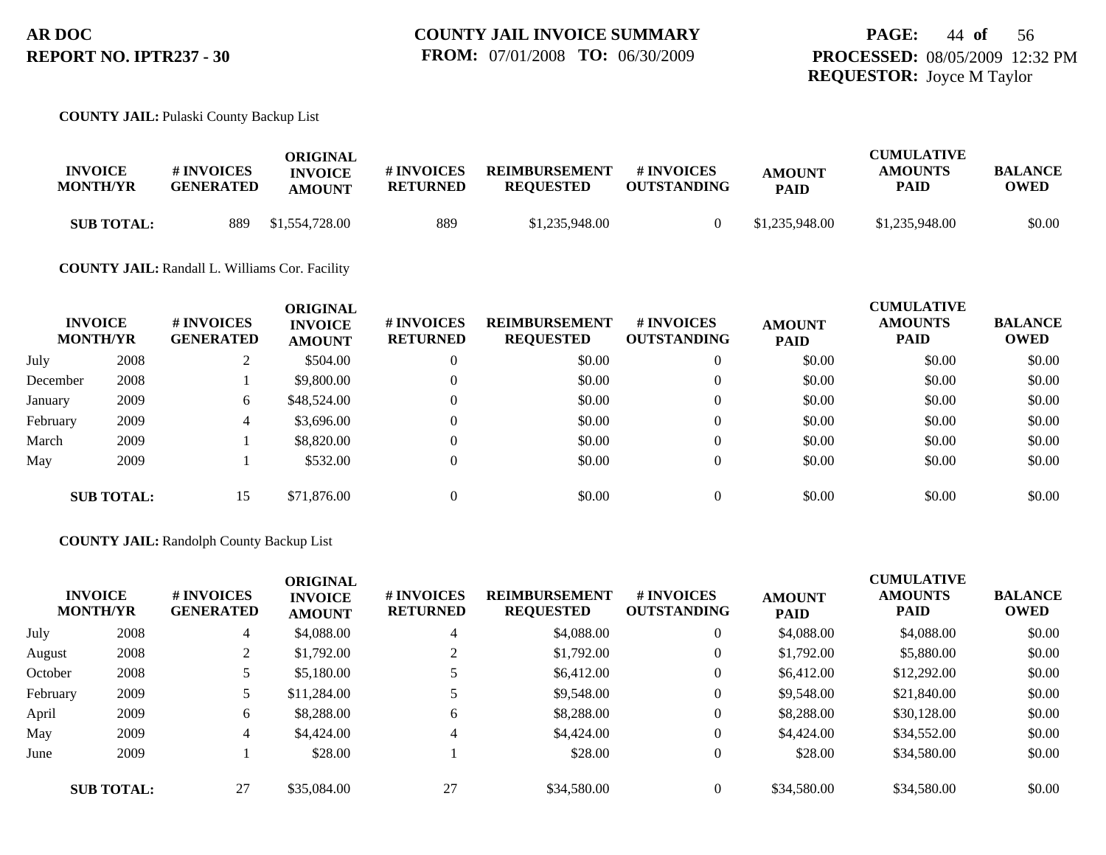#### **COUNTY JAIL:** Pulaski County Backup List

| <b>INVOICE</b><br><b>MONTH/YR</b> | <b># INVOICES</b><br><b>GENERATED</b> | ORIGINAL<br><b>INVOICE</b><br><b>AMOUNT</b> | # INVOICES<br>RETURNED | <b>REIMBURSEMENT</b><br><b>REQUESTED</b> | # INVOICES<br><b>OUTSTANDING</b> | <b>AMOUNT</b><br><b>PAID</b> | <b>CUMULATIVE</b><br><b>AMOUNTS</b><br>PAID | <b>BALANCE</b><br><b>OWED</b> |
|-----------------------------------|---------------------------------------|---------------------------------------------|------------------------|------------------------------------------|----------------------------------|------------------------------|---------------------------------------------|-------------------------------|
| <b>SUB TOTAL:</b>                 | 889                                   | \$1,554,728.00                              | 889                    | \$1,235,948.00                           |                                  | \$1,235,948.00               | \$1,235,948.00                              | \$0.00                        |

#### **COUNTY JAIL:** Randall L. Williams Cor. Facility

|          | <b>INVOICE</b><br><b>MONTH/YR</b> | # INVOICES<br><b>GENERATED</b> | <b>ORIGINAL</b><br><b>INVOICE</b><br><b>AMOUNT</b> | # INVOICES<br><b>RETURNED</b> | <b>REIMBURSEMENT</b><br><b>REQUESTED</b> | <b>#INVOICES</b><br><b>OUTSTANDING</b> | <b>AMOUNT</b><br><b>PAID</b> | <b>CUMULATIVE</b><br><b>AMOUNTS</b><br>PAID | <b>BALANCE</b><br><b>OWED</b> |
|----------|-----------------------------------|--------------------------------|----------------------------------------------------|-------------------------------|------------------------------------------|----------------------------------------|------------------------------|---------------------------------------------|-------------------------------|
| July     | 2008                              |                                | \$504.00                                           | $\theta$                      | \$0.00                                   | $\theta$                               | \$0.00                       | \$0.00                                      | \$0.00                        |
| December | 2008                              |                                | \$9,800.00                                         | $\theta$                      | \$0.00                                   | $\overline{0}$                         | \$0.00                       | \$0.00                                      | \$0.00                        |
| January  | 2009                              | 6                              | \$48,524.00                                        | $\theta$                      | \$0.00                                   | $\overline{0}$                         | \$0.00                       | \$0.00                                      | \$0.00                        |
| February | 2009                              | 4                              | \$3,696.00                                         | $\theta$                      | \$0.00                                   | $\overline{0}$                         | \$0.00                       | \$0.00                                      | \$0.00                        |
| March    | 2009                              |                                | \$8,820.00                                         | $\Omega$                      | \$0.00                                   | $\overline{0}$                         | \$0.00                       | \$0.00                                      | \$0.00                        |
| May      | 2009                              |                                | \$532.00                                           | $\mathbf{0}$                  | \$0.00                                   | $\overline{0}$                         | \$0.00                       | \$0.00                                      | \$0.00                        |
|          | <b>SUB TOTAL:</b>                 | 15                             | \$71,876.00                                        | $\theta$                      | \$0.00                                   | $\Omega$                               | \$0.00                       | \$0.00                                      | \$0.00                        |

#### **COUNTY JAIL:** Randolph County Backup List

|          | <b>INVOICE</b><br><b>MONTH/YR</b> | # INVOICES<br><b>GENERATED</b><br>4 | <b>ORIGINAL</b><br><b>INVOICE</b><br><b>AMOUNT</b><br>\$4,088.00 | # INVOICES<br><b>RETURNED</b> | <b>REIMBURSEMENT</b><br><b>REQUESTED</b> | # INVOICES<br><b>OUTSTANDING</b> | <b>AMOUNT</b><br><b>PAID</b> | <b>CUMULATIVE</b><br><b>AMOUNTS</b><br><b>PAID</b> | <b>BALANCE</b><br><b>OWED</b> |
|----------|-----------------------------------|-------------------------------------|------------------------------------------------------------------|-------------------------------|------------------------------------------|----------------------------------|------------------------------|----------------------------------------------------|-------------------------------|
| July     | 2008                              |                                     |                                                                  | $\overline{4}$                | \$4,088.00                               | $\theta$                         | \$4,088.00                   | \$4,088.00                                         | \$0.00                        |
| August   | 2008                              | 2                                   | \$1,792.00                                                       |                               | \$1,792.00                               | $\theta$                         | \$1,792.00                   | \$5,880.00                                         | \$0.00                        |
| October  | 2008                              |                                     | \$5,180.00                                                       |                               | \$6,412.00                               | $\theta$                         | \$6,412.00                   | \$12,292.00                                        | \$0.00                        |
| February | 2009                              |                                     | \$11,284.00                                                      |                               | \$9,548.00                               | $\theta$                         | \$9,548.00                   | \$21,840.00                                        | \$0.00                        |
| April    | 2009                              | 6                                   | \$8,288.00                                                       | 6                             | \$8,288.00                               | $\overline{0}$                   | \$8,288.00                   | \$30,128.00                                        | \$0.00                        |
| May      | 2009                              | 4                                   | \$4,424.00                                                       | $\overline{4}$                | \$4,424.00                               | $\theta$                         | \$4,424.00                   | \$34,552.00                                        | \$0.00                        |
| June     | 2009                              |                                     | \$28.00                                                          |                               | \$28.00                                  | $\overline{0}$                   | \$28.00                      | \$34,580.00                                        | \$0.00                        |
|          | <b>SUB TOTAL:</b>                 | 27                                  | \$35,084.00                                                      | 27                            | \$34,580.00                              | $\Omega$                         | \$34,580.00                  | \$34,580.00                                        | \$0.00                        |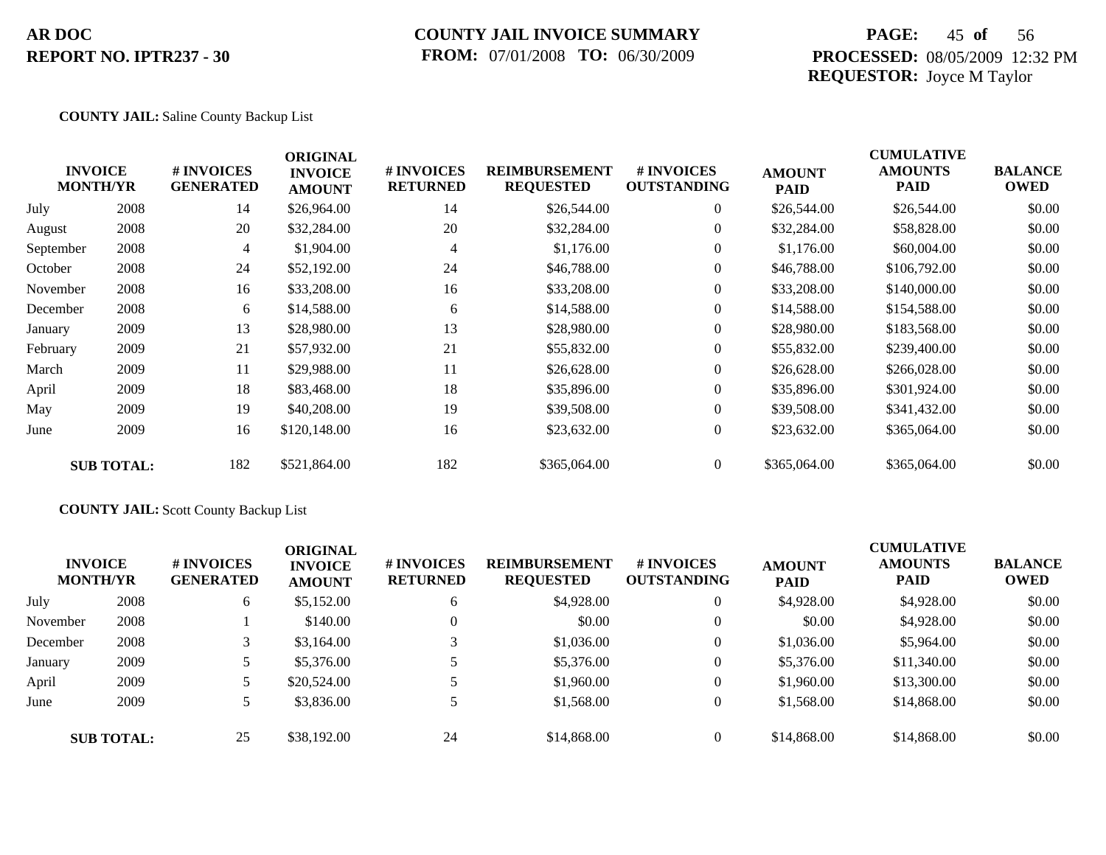### **COUNTY JAIL INVOICE SUMMARY FROM:** 07/01/2008 **TO:** 06/30/2009

## **PAGE:** 45 **of** 56 **PROCESSED:** 08/05/2009 12:32 PM **REQUESTOR:** Joyce M Taylor

#### **COUNTY JAIL:** Saline County Backup List

|           | <b>INVOICE</b><br><b>MONTH/YR</b> | # INVOICES<br><b>GENERATED</b> | <b>ORIGINAL</b><br><b>INVOICE</b><br><b>AMOUNT</b> | # INVOICES<br><b>RETURNED</b> | <b>REIMBURSEMENT</b><br><b>REQUESTED</b> | <b># INVOICES</b><br><b>OUTSTANDING</b> | <b>AMOUNT</b><br><b>PAID</b> | <b>CUMULATIVE</b><br><b>AMOUNTS</b><br><b>PAID</b> | <b>BALANCE</b><br><b>OWED</b> |
|-----------|-----------------------------------|--------------------------------|----------------------------------------------------|-------------------------------|------------------------------------------|-----------------------------------------|------------------------------|----------------------------------------------------|-------------------------------|
| July      | 2008                              | 14                             | \$26,964.00                                        | 14                            | \$26,544.00                              | $\overline{0}$                          | \$26,544.00                  | \$26,544.00                                        | \$0.00                        |
| August    | 2008                              | 20                             | \$32,284.00                                        | 20                            | \$32,284.00                              | $\overline{0}$                          | \$32,284.00                  | \$58,828.00                                        | \$0.00                        |
| September | 2008                              | $\overline{4}$                 | \$1,904.00                                         | 4                             | \$1,176.00                               | $\overline{0}$                          | \$1,176.00                   | \$60,004.00                                        | \$0.00                        |
| October   | 2008                              | 24                             | \$52,192.00                                        | 24                            | \$46,788.00                              | $\overline{0}$                          | \$46,788.00                  | \$106,792.00                                       | \$0.00                        |
| November  | 2008                              | 16                             | \$33,208.00                                        | 16                            | \$33,208.00                              | $\overline{0}$                          | \$33,208.00                  | \$140,000.00                                       | \$0.00                        |
| December  | 2008                              | 6                              | \$14,588.00                                        | 6                             | \$14,588.00                              | $\overline{0}$                          | \$14,588.00                  | \$154,588.00                                       | \$0.00                        |
| January   | 2009                              | 13                             | \$28,980.00                                        | 13                            | \$28,980.00                              | $\overline{0}$                          | \$28,980.00                  | \$183,568.00                                       | \$0.00                        |
| February  | 2009                              | 21                             | \$57,932.00                                        | 21                            | \$55,832.00                              | $\overline{0}$                          | \$55,832.00                  | \$239,400.00                                       | \$0.00                        |
| March     | 2009                              | 11                             | \$29,988.00                                        | 11                            | \$26,628.00                              | $\overline{0}$                          | \$26,628.00                  | \$266,028.00                                       | \$0.00                        |
| April     | 2009                              | 18                             | \$83,468.00                                        | 18                            | \$35,896.00                              | $\overline{0}$                          | \$35,896.00                  | \$301,924.00                                       | \$0.00                        |
| May       | 2009                              | 19                             | \$40,208.00                                        | 19                            | \$39,508.00                              | $\overline{0}$                          | \$39,508.00                  | \$341,432.00                                       | \$0.00                        |
| June      | 2009                              | 16                             | \$120,148.00                                       | 16                            | \$23,632.00                              | $\overline{0}$                          | \$23,632.00                  | \$365,064.00                                       | \$0.00                        |
|           | <b>SUB TOTAL:</b>                 | 182                            | \$521,864.00                                       | 182                           | \$365,064.00                             | $\overline{0}$                          | \$365,064.00                 | \$365,064.00                                       | \$0.00                        |

### **COUNTY JAIL:** Scott County Backup List

| <b>INVOICE</b><br><b>MONTH/YR</b> |                   | <b># INVOICES</b><br><b>GENERATED</b> | <b>ORIGINAL</b><br><b>INVOICE</b><br><b>AMOUNT</b> | # INVOICES<br><b>RETURNED</b> | <b>REIMBURSEMENT</b><br><b>REQUESTED</b> | # INVOICES<br><b>OUTSTANDING</b> | <b>AMOUNT</b><br><b>PAID</b> | <b>CUMULATIVE</b><br><b>AMOUNTS</b><br><b>PAID</b> | <b>BALANCE</b><br><b>OWED</b> |
|-----------------------------------|-------------------|---------------------------------------|----------------------------------------------------|-------------------------------|------------------------------------------|----------------------------------|------------------------------|----------------------------------------------------|-------------------------------|
| July                              | 2008              | 6                                     | \$5,152.00                                         | 6                             | \$4,928.00                               | $\overline{0}$                   | \$4,928.00                   | \$4,928.00                                         | \$0.00                        |
| November                          | 2008              |                                       | \$140.00                                           | $\theta$                      | \$0.00                                   | $\theta$                         | \$0.00                       | \$4,928.00                                         | \$0.00                        |
| December                          | 2008              |                                       | \$3,164.00                                         |                               | \$1,036.00                               | $\theta$                         | \$1,036.00                   | \$5,964.00                                         | \$0.00                        |
| January                           | 2009              |                                       | \$5,376.00                                         |                               | \$5,376.00                               | $\overline{0}$                   | \$5,376.00                   | \$11,340.00                                        | \$0.00                        |
| April                             | 2009              |                                       | \$20,524.00                                        |                               | \$1,960.00                               | $\overline{0}$                   | \$1,960.00                   | \$13,300.00                                        | \$0.00                        |
| June                              | 2009              |                                       | \$3,836.00                                         |                               | \$1,568.00                               | $\theta$                         | \$1,568.00                   | \$14,868.00                                        | \$0.00                        |
|                                   | <b>SUB TOTAL:</b> | 25                                    | \$38,192.00                                        | 24                            | \$14,868,00                              | $\overline{0}$                   | \$14,868.00                  | \$14,868.00                                        | \$0.00                        |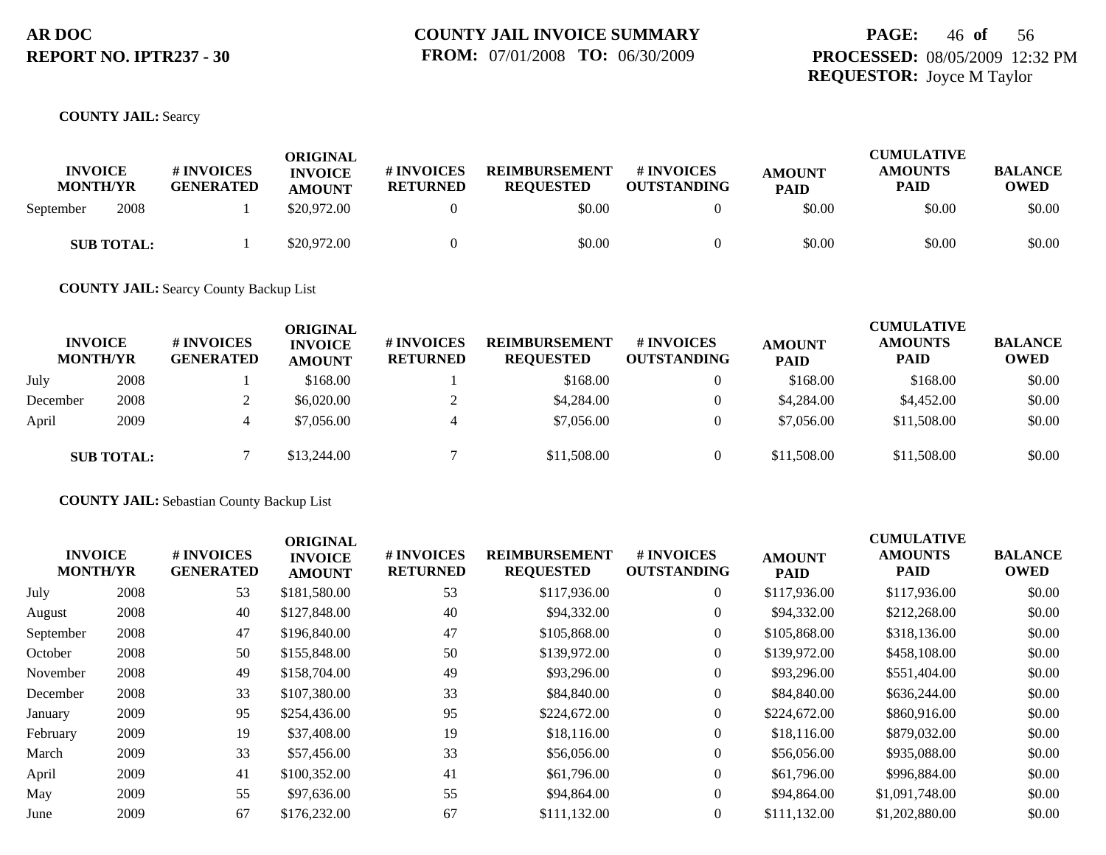## **PAGE:** 46 **of** 56 **PROCESSED:** 08/05/2009 12:32 PM **REQUESTOR:** Joyce M Taylor

#### **COUNTY JAIL:** Searcy

| <b>INVOICE</b><br><b>MONTH/YR</b> | <b># INVOICES</b><br><b>GENERATED</b> | <b>ORIGINAL</b><br><b>INVOICE</b><br><b>AMOUNT</b> | # INVOICES<br><b>RETURNED</b> | <b>REIMBURSEMENT</b><br><b>REQUESTED</b> | <b>#INVOICES</b><br><b>OUTSTANDING</b> | <b>AMOUNT</b><br><b>PAID</b> | <b>CUMULATIVE</b><br><b>AMOUNTS</b><br>PAID | <b>BALANCE</b><br><b>OWED</b> |
|-----------------------------------|---------------------------------------|----------------------------------------------------|-------------------------------|------------------------------------------|----------------------------------------|------------------------------|---------------------------------------------|-------------------------------|
| 2008<br>September                 |                                       | \$20,972.00                                        |                               | \$0.00                                   |                                        | \$0.00                       | \$0.00                                      | \$0.00                        |
| <b>SUB TOTAL:</b>                 |                                       | \$20,972.00                                        |                               | \$0.00                                   |                                        | \$0.00                       | \$0.00                                      | \$0.00                        |

**COUNTY JAIL:** Searcy County Backup List

|          | <b>INVOICE</b><br><b>MONTH/YR</b> | # INVOICES<br><b>GENERATED</b> | <b>ORIGINAL</b><br><b>INVOICE</b><br><b>AMOUNT</b> | <b>#INVOICES</b><br><b>RETURNED</b> | <b>REIMBURSEMENT</b><br><b>REQUESTED</b> | <b>#INVOICES</b><br><b>OUTSTANDING</b> | <b>AMOUNT</b><br><b>PAID</b> | <b>CUMULATIVE</b><br><b>AMOUNTS</b><br><b>PAID</b> | <b>BALANCE</b><br>OWED |
|----------|-----------------------------------|--------------------------------|----------------------------------------------------|-------------------------------------|------------------------------------------|----------------------------------------|------------------------------|----------------------------------------------------|------------------------|
| July     | 2008                              |                                | \$168.00                                           |                                     | \$168.00                                 |                                        | \$168.00                     | \$168.00                                           | \$0.00                 |
| December | 2008                              |                                | \$6,020.00                                         |                                     | \$4,284.00                               | 0                                      | \$4,284.00                   | \$4,452.00                                         | \$0.00                 |
| April    | 2009                              |                                | \$7,056.00                                         | 4                                   | \$7,056.00                               |                                        | \$7,056.00                   | \$11,508.00                                        | \$0.00                 |
|          | <b>SUB TOTAL:</b>                 |                                | \$13,244.00                                        |                                     | \$11,508.00                              |                                        | \$11,508.00                  | \$11,508.00                                        | \$0.00                 |

**COUNTY JAIL:** Sebastian County Backup List

| <b>INVOICE</b><br><b>MONTH/YR</b> |      | <b># INVOICES</b><br><b>GENERATED</b> | <b>ORIGINAL</b><br><b>INVOICE</b><br><b>AMOUNT</b> | # INVOICES<br><b>RETURNED</b> | <b>REIMBURSEMENT</b><br><b>REQUESTED</b> | # INVOICES<br><b>OUTSTANDING</b> | <b>AMOUNT</b><br><b>PAID</b> | <b>CUMULATIVE</b><br><b>AMOUNTS</b><br><b>PAID</b> | <b>BALANCE</b><br><b>OWED</b> |
|-----------------------------------|------|---------------------------------------|----------------------------------------------------|-------------------------------|------------------------------------------|----------------------------------|------------------------------|----------------------------------------------------|-------------------------------|
| July                              | 2008 | 53                                    | \$181,580.00                                       | 53                            | \$117,936.00                             | 0                                | \$117,936.00                 | \$117,936.00                                       | \$0.00                        |
| August                            | 2008 | 40                                    | \$127,848.00                                       | 40                            | \$94,332.00                              | 0                                | \$94,332.00                  | \$212,268.00                                       | \$0.00                        |
| September                         | 2008 | 47                                    | \$196,840.00                                       | 47                            | \$105,868.00                             | $\overline{0}$                   | \$105,868.00                 | \$318,136.00                                       | \$0.00                        |
| October                           | 2008 | 50                                    | \$155,848.00                                       | 50                            | \$139,972.00                             | $\overline{0}$                   | \$139,972.00                 | \$458,108.00                                       | \$0.00                        |
| November                          | 2008 | 49                                    | \$158,704.00                                       | 49                            | \$93,296.00                              | $\overline{0}$                   | \$93,296.00                  | \$551,404.00                                       | \$0.00                        |
| December                          | 2008 | 33                                    | \$107,380.00                                       | 33                            | \$84,840.00                              | $\overline{0}$                   | \$84,840.00                  | \$636,244.00                                       | \$0.00                        |
| January                           | 2009 | 95                                    | \$254,436.00                                       | 95                            | \$224,672.00                             | $\Omega$                         | \$224,672.00                 | \$860,916.00                                       | \$0.00                        |
| February                          | 2009 | 19                                    | \$37,408.00                                        | 19                            | \$18,116.00                              | $\overline{0}$                   | \$18,116.00                  | \$879,032.00                                       | \$0.00                        |
| March                             | 2009 | 33                                    | \$57,456.00                                        | 33                            | \$56,056.00                              | $\overline{0}$                   | \$56,056.00                  | \$935,088,00                                       | \$0.00                        |
| April                             | 2009 | 41                                    | \$100,352.00                                       | 41                            | \$61,796.00                              | $\overline{0}$                   | \$61,796.00                  | \$996,884.00                                       | \$0.00                        |
| May                               | 2009 | 55                                    | \$97,636.00                                        | 55                            | \$94,864.00                              | $\overline{0}$                   | \$94,864.00                  | \$1,091,748.00                                     | \$0.00                        |
| June                              | 2009 | 67                                    | \$176,232.00                                       | 67                            | \$111,132.00                             | $\Omega$                         | \$111,132.00                 | \$1,202,880.00                                     | \$0.00                        |
|                                   |      |                                       |                                                    |                               |                                          |                                  |                              |                                                    |                               |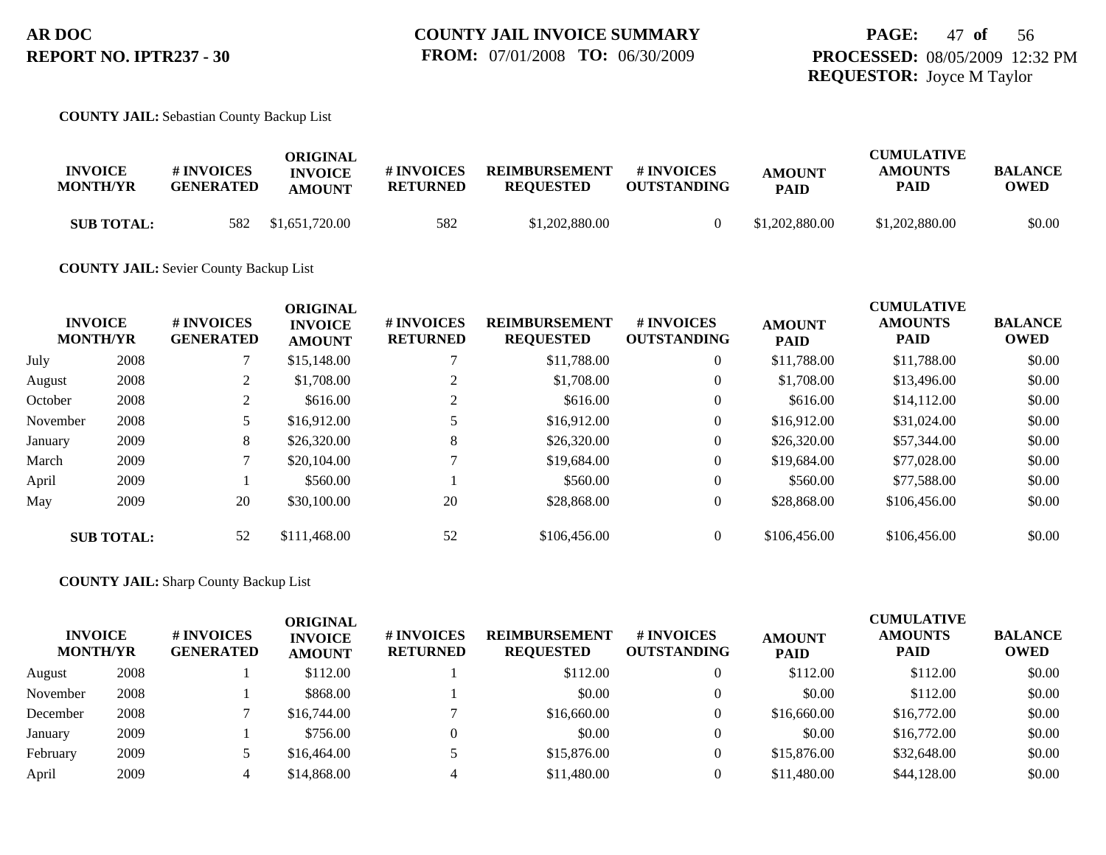#### **COUNTY JAIL:** Sebastian County Backup List

|                   |                  | ORIGINAL       |                 |                      |                    |                | <b>CUMULATIVE</b> |                |
|-------------------|------------------|----------------|-----------------|----------------------|--------------------|----------------|-------------------|----------------|
| <b>INVOICE</b>    | <b>#INVOICES</b> | <b>INVOICE</b> | # INVOICES      | <b>REIMBURSEMENT</b> | # INVOICES         | <b>AMOUNT</b>  | <b>AMOUNTS</b>    | <b>BALANCE</b> |
| <b>MONTH/YR</b>   | <b>GENERATED</b> | <b>AMOUNT</b>  | <b>RETURNED</b> | <b>REQUESTED</b>     | <b>OUTSTANDING</b> | <b>PAID</b>    | PAID              | OWED           |
| <b>SUB TOTAL:</b> | 582              | \$1,651,720.00 | 582             | \$1,202,880.00       |                    | \$1,202,880.00 | \$1,202,880.00    | \$0.00         |

#### **COUNTY JAIL:** Sevier County Backup List

|          | <b>INVOICE</b><br><b>MONTH/YR</b> | # INVOICES<br><b>GENERATED</b> | <b>ORIGINAL</b><br><b>INVOICE</b><br><b>AMOUNT</b> | # INVOICES<br><b>RETURNED</b> | <b>REIMBURSEMENT</b><br><b>REQUESTED</b> | # INVOICES<br><b>OUTSTANDING</b> | <b>AMOUNT</b><br><b>PAID</b> | <b>CUMULATIVE</b><br><b>AMOUNTS</b><br><b>PAID</b> | <b>BALANCE</b><br><b>OWED</b> |
|----------|-----------------------------------|--------------------------------|----------------------------------------------------|-------------------------------|------------------------------------------|----------------------------------|------------------------------|----------------------------------------------------|-------------------------------|
| July     | 2008                              |                                | \$15,148.00                                        |                               | \$11,788.00                              | $\overline{0}$                   | \$11,788.00                  | \$11,788.00                                        | \$0.00                        |
| August   | 2008                              | $\mathcal{L}$<br>∠             | \$1,708.00                                         |                               | \$1,708.00                               | $\overline{0}$                   | \$1,708.00                   | \$13,496.00                                        | \$0.00                        |
| October  | 2008                              | ◠<br>∠                         | \$616.00                                           |                               | \$616.00                                 | $\overline{0}$                   | \$616.00                     | \$14,112.00                                        | \$0.00                        |
| November | 2008                              |                                | \$16,912.00                                        |                               | \$16,912.00                              | $\overline{0}$                   | \$16,912.00                  | \$31,024.00                                        | \$0.00                        |
| January  | 2009                              | 8                              | \$26,320.00                                        | 8                             | \$26,320.00                              | $\overline{0}$                   | \$26,320.00                  | \$57,344.00                                        | \$0.00                        |
| March    | 2009                              |                                | \$20,104.00                                        |                               | \$19,684.00                              | $\overline{0}$                   | \$19,684.00                  | \$77,028.00                                        | \$0.00                        |
| April    | 2009                              |                                | \$560.00                                           |                               | \$560.00                                 | $\overline{0}$                   | \$560.00                     | \$77,588.00                                        | \$0.00                        |
| May      | 2009                              | 20                             | \$30,100.00                                        | 20                            | \$28,868.00                              | $\overline{0}$                   | \$28,868.00                  | \$106,456.00                                       | \$0.00                        |
|          | <b>SUB TOTAL:</b>                 | 52                             | \$111,468,00                                       | 52                            | \$106,456.00                             | $\overline{0}$                   | \$106,456.00                 | \$106,456.00                                       | \$0.00                        |

#### **COUNTY JAIL:** Sharp County Backup List

| <b>MONTH/YR</b> | <b>INVOICE</b> | # INVOICES<br><b>GENERATED</b> | <b>ORIGINAL</b><br><b>INVOICE</b><br><b>AMOUNT</b> | # INVOICES<br><b>RETURNED</b> | <b>REIMBURSEMENT</b><br><b>REQUESTED</b> | <b># INVOICES</b><br><b>OUTSTANDING</b> | <b>AMOUNT</b><br><b>PAID</b> | <b>CUMULATIVE</b><br><b>AMOUNTS</b><br><b>PAID</b> | <b>BALANCE</b><br><b>OWED</b> |
|-----------------|----------------|--------------------------------|----------------------------------------------------|-------------------------------|------------------------------------------|-----------------------------------------|------------------------------|----------------------------------------------------|-------------------------------|
| August          | 2008           |                                | \$112.00                                           |                               | \$112.00                                 |                                         | \$112.00                     | \$112.00                                           | \$0.00                        |
| November        | 2008           |                                | \$868.00                                           |                               | \$0.00                                   |                                         | \$0.00                       | \$112.00                                           | \$0.00                        |
| December        | 2008           |                                | \$16,744.00                                        |                               | \$16,660.00                              |                                         | \$16,660.00                  | \$16,772.00                                        | \$0.00                        |
| January         | 2009           |                                | \$756.00                                           |                               | \$0.00                                   |                                         | \$0.00                       | \$16,772.00                                        | \$0.00                        |
| February        | 2009           |                                | \$16,464.00                                        |                               | \$15,876.00                              |                                         | \$15,876.00                  | \$32,648.00                                        | \$0.00                        |
| April           | 2009           |                                | \$14,868.00                                        |                               | \$11,480.00                              |                                         | \$11,480.00                  | \$44,128,00                                        | \$0.00                        |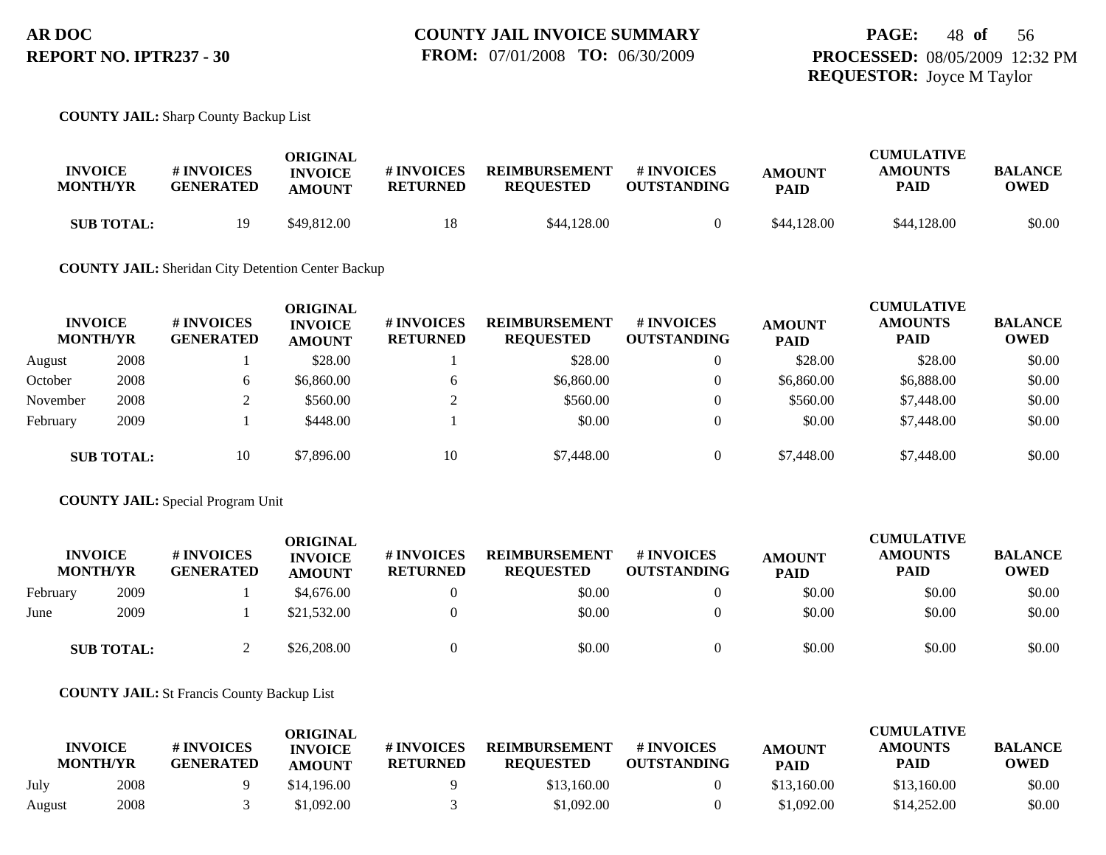#### **COUNTY JAIL:** Sharp County Backup List

| <b>INVOICE</b><br><b>MONTH/YR</b> | <b># INVOICES</b><br><b>GENERATED</b> | ORIGINAL<br><b>INVOICE</b><br><b>AMOUNT</b> | # INVOICES<br><b>RETURNED</b> | <b>REIMBURSEMENT</b><br><b>REOUESTED</b> | # INVOICES<br><b>OUTSTANDING</b> | <b>AMOUNT</b><br><b>PAID</b> | <b>CUMULATIVE</b><br><b>AMOUNTS</b><br><b>PAID</b> | <b>BALANCE</b><br><b>OWED</b> |
|-----------------------------------|---------------------------------------|---------------------------------------------|-------------------------------|------------------------------------------|----------------------------------|------------------------------|----------------------------------------------------|-------------------------------|
| <b>SUB TOTAL:</b>                 | 19                                    | \$49,812.00                                 | 18                            | \$44,128,00                              |                                  | \$44,128,00                  | \$44,128,00                                        | \$0.00                        |

#### **COUNTY JAIL:** Sheridan City Detention Center Backup

| <b>INVOICE</b><br><b>MONTH/YR</b> |                   | # INVOICES<br><b>GENERATED</b> | ORIGINAL<br><b>INVOICE</b><br><b>AMOUNT</b> | # INVOICES<br><b>RETURNED</b> | <b>REIMBURSEMENT</b><br><b>REQUESTED</b> | # INVOICES<br><b>OUTSTANDING</b> | <b>AMOUNT</b><br><b>PAID</b> | <b>CUMULATIVE</b><br><b>AMOUNTS</b><br><b>PAID</b> | <b>BALANCE</b><br><b>OWED</b> |
|-----------------------------------|-------------------|--------------------------------|---------------------------------------------|-------------------------------|------------------------------------------|----------------------------------|------------------------------|----------------------------------------------------|-------------------------------|
| August                            | 2008              |                                | \$28.00                                     |                               | \$28.00                                  | $\mathbf{0}$                     | \$28.00                      | \$28.00                                            | \$0.00                        |
| October                           | 2008              | h.                             | \$6,860.00                                  | <sub>0</sub>                  | \$6,860.00                               | $\theta$                         | \$6,860.00                   | \$6,888.00                                         | \$0.00                        |
| November                          | 2008              |                                | \$560.00                                    | ◠                             | \$560.00                                 | $\mathbf{0}$                     | \$560.00                     | \$7,448.00                                         | \$0.00                        |
| February                          | 2009              |                                | \$448.00                                    |                               | \$0.00                                   | $\mathbf{0}$                     | \$0.00                       | \$7,448.00                                         | \$0.00                        |
|                                   | <b>SUB TOTAL:</b> | 10                             | \$7,896.00                                  | 10                            | \$7,448.00                               | $\overline{0}$                   | \$7,448.00                   | \$7,448.00                                         | \$0.00                        |

#### **COUNTY JAIL:** Special Program Unit

|          | <b>INVOICE</b><br><b>MONTH/YR</b> | # INVOICES<br><b>GENERATED</b> | <b>ORIGINAL</b><br><b>INVOICE</b><br><b>AMOUNT</b> | # INVOICES<br><b>RETURNED</b> | <b>REIMBURSEMENT</b><br><b>REQUESTED</b> | <b>#INVOICES</b><br><b>OUTSTANDING</b> | <b>AMOUNT</b><br><b>PAID</b> | <b>CUMULATIVE</b><br><b>AMOUNTS</b><br><b>PAID</b> | <b>BALANCE</b><br><b>OWED</b> |
|----------|-----------------------------------|--------------------------------|----------------------------------------------------|-------------------------------|------------------------------------------|----------------------------------------|------------------------------|----------------------------------------------------|-------------------------------|
| February | 2009                              |                                | \$4,676.00                                         |                               | \$0.00                                   |                                        | \$0.00                       | \$0.00                                             | \$0.00                        |
| June     | 2009                              |                                | \$21,532.00                                        |                               | \$0.00                                   |                                        | \$0.00                       | \$0.00                                             | \$0.00                        |
|          | <b>SUB TOTAL:</b>                 |                                | \$26,208.00                                        |                               | \$0.00                                   |                                        | \$0.00                       | \$0.00                                             | \$0.00                        |

#### **COUNTY JAIL:** St Francis County Backup List

|        | <b>INVOICE</b><br><b>MONTH/YR</b> | # INVOICES<br><b>GENERATED</b> | ORIGINAL<br><b>INVOICE</b><br><b>AMOUNT</b> | # INVOICES<br><b>RETURNED</b> | <b>REIMBURSEMENT</b><br><b>REOUESTED</b> | <b>#INVOICES</b><br><b>OUTSTANDING</b> | <b>AMOUNT</b><br><b>PAID</b> | <b>CUMULATIVE</b><br><b>AMOUNTS</b><br>PAID | <b>BALANCE</b><br><b>OWED</b> |
|--------|-----------------------------------|--------------------------------|---------------------------------------------|-------------------------------|------------------------------------------|----------------------------------------|------------------------------|---------------------------------------------|-------------------------------|
| July   | 2008                              |                                | \$14,196.00                                 |                               | \$13,160.00                              |                                        | \$13,160.00                  | \$13,160.00                                 | \$0.00                        |
| August | 2008                              |                                | \$1.092.00                                  |                               | \$1,092.00                               |                                        | \$1.092.00                   | \$14,252.00                                 | \$0.00                        |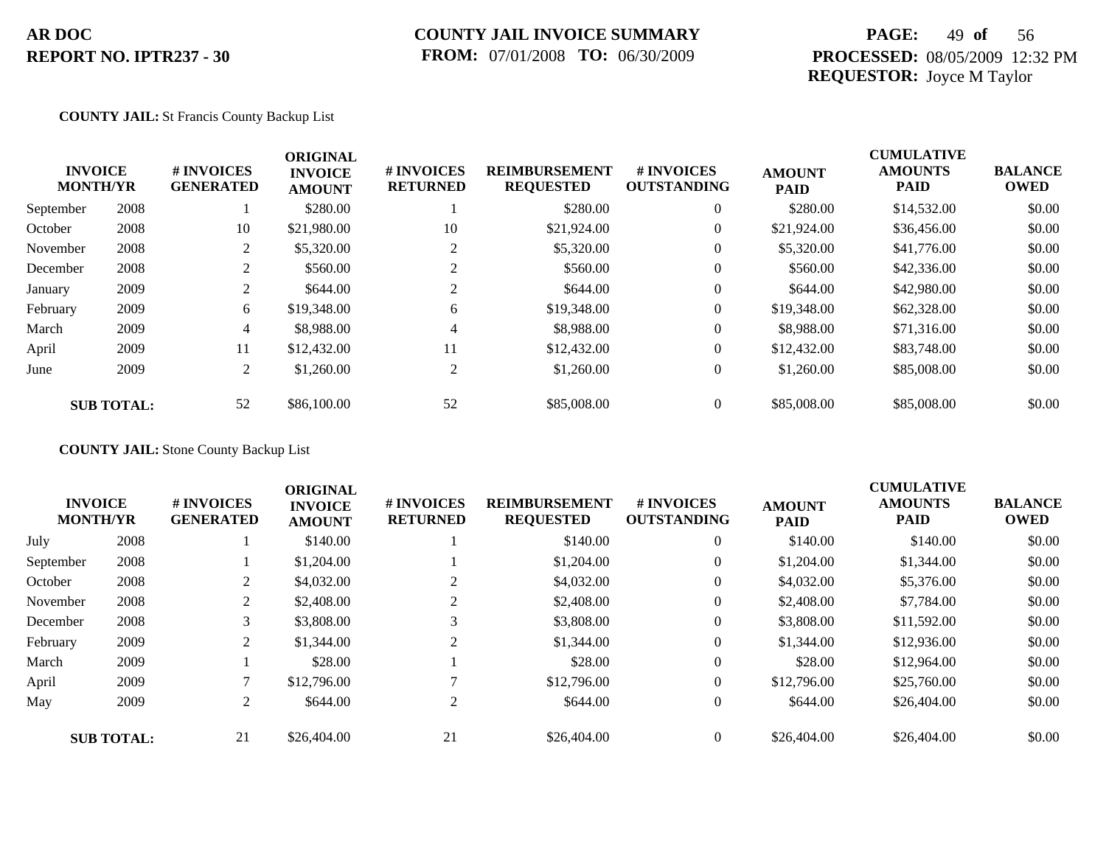### **COUNTY JAIL INVOICE SUMMARY FROM:** 07/01/2008 **TO:** 06/30/2009

## **PAGE:** 49 **of** 56 **PROCESSED:** 08/05/2009 12:32 PM **REQUESTOR:** Joyce M Taylor

#### **COUNTY JAIL:** St Francis County Backup List

|           | <b>INVOICE</b><br><b>MONTH/YR</b> | # INVOICES<br><b>GENERATED</b> | <b>ORIGINAL</b><br><b>INVOICE</b><br><b>AMOUNT</b> | # INVOICES<br><b>RETURNED</b> | <b>REIMBURSEMENT</b><br><b>REQUESTED</b> | <b>#INVOICES</b><br><b>OUTSTANDING</b> | <b>AMOUNT</b><br><b>PAID</b> | <b>CUMULATIVE</b><br><b>AMOUNTS</b><br><b>PAID</b> | <b>BALANCE</b><br><b>OWED</b> |
|-----------|-----------------------------------|--------------------------------|----------------------------------------------------|-------------------------------|------------------------------------------|----------------------------------------|------------------------------|----------------------------------------------------|-------------------------------|
| September | 2008                              |                                | \$280.00                                           |                               | \$280.00                                 | $\overline{0}$                         | \$280.00                     | \$14,532.00                                        | \$0.00                        |
| October   | 2008                              | 10                             | \$21,980.00                                        | 10                            | \$21,924.00                              | $\overline{0}$                         | \$21,924.00                  | \$36,456.00                                        | \$0.00                        |
| November  | 2008                              | 2                              | \$5,320.00                                         | 2                             | \$5,320.00                               | $\overline{0}$                         | \$5,320.00                   | \$41,776.00                                        | \$0.00                        |
| December  | 2008                              | 2                              | \$560.00                                           | 2                             | \$560.00                                 | $\boldsymbol{0}$                       | \$560.00                     | \$42,336.00                                        | \$0.00                        |
| January   | 2009                              | 2                              | \$644.00                                           | $\bigcap$                     | \$644.00                                 | $\overline{0}$                         | \$644.00                     | \$42,980.00                                        | \$0.00                        |
| February  | 2009                              | 6                              | \$19,348.00                                        | 6                             | \$19,348.00                              | $\overline{0}$                         | \$19,348.00                  | \$62,328.00                                        | \$0.00                        |
| March     | 2009                              | 4                              | \$8,988.00                                         | 4                             | \$8,988.00                               | $\overline{0}$                         | \$8,988.00                   | \$71,316.00                                        | \$0.00                        |
| April     | 2009                              | 11                             | \$12,432.00                                        | 11                            | \$12,432.00                              | $\overline{0}$                         | \$12,432.00                  | \$83,748.00                                        | \$0.00                        |
| June      | 2009                              | 2                              | \$1,260.00                                         | 2                             | \$1,260.00                               | $\boldsymbol{0}$                       | \$1,260.00                   | \$85,008.00                                        | \$0.00                        |
|           | <b>SUB TOTAL:</b>                 | 52                             | \$86,100.00                                        | 52                            | \$85,008.00                              | $\overline{0}$                         | \$85,008.00                  | \$85,008.00                                        | \$0.00                        |

**COUNTY JAIL:** Stone County Backup List

|           | <b>INVOICE</b><br><b>MONTH/YR</b> | # INVOICES<br><b>GENERATED</b> | <b>ORIGINAL</b><br><b>INVOICE</b><br><b>AMOUNT</b> | # INVOICES<br><b>RETURNED</b> | <b>REIMBURSEMENT</b><br><b>REQUESTED</b> | <b>#INVOICES</b><br><b>OUTSTANDING</b> | <b>AMOUNT</b><br><b>PAID</b> | <b>CUMULATIVE</b><br><b>AMOUNTS</b><br><b>PAID</b> | <b>BALANCE</b><br><b>OWED</b> |
|-----------|-----------------------------------|--------------------------------|----------------------------------------------------|-------------------------------|------------------------------------------|----------------------------------------|------------------------------|----------------------------------------------------|-------------------------------|
| July      | 2008                              |                                | \$140.00                                           |                               | \$140.00                                 | $\overline{0}$                         | \$140.00                     | \$140.00                                           | \$0.00                        |
| September | 2008                              |                                | \$1,204.00                                         |                               | \$1,204.00                               | $\theta$                               | \$1,204.00                   | \$1,344.00                                         | \$0.00                        |
| October   | 2008                              |                                | \$4,032.00                                         |                               | \$4,032.00                               | $\theta$                               | \$4,032.00                   | \$5,376.00                                         | \$0.00                        |
| November  | 2008                              | 2                              | \$2,408.00                                         |                               | \$2,408.00                               | $\theta$                               | \$2,408.00                   | \$7,784.00                                         | \$0.00                        |
| December  | 2008                              | 3                              | \$3,808.00                                         | 3                             | \$3,808.00                               | $\theta$                               | \$3,808.00                   | \$11,592.00                                        | \$0.00                        |
| February  | 2009                              | 2                              | \$1,344.00                                         | 2                             | \$1,344.00                               | $\theta$                               | \$1,344.00                   | \$12,936.00                                        | \$0.00                        |
| March     | 2009                              |                                | \$28.00                                            |                               | \$28.00                                  | $\theta$                               | \$28.00                      | \$12,964.00                                        | \$0.00                        |
| April     | 2009                              |                                | \$12,796.00                                        |                               | \$12,796.00                              | $\overline{0}$                         | \$12,796.00                  | \$25,760.00                                        | \$0.00                        |
| May       | 2009                              | 2                              | \$644.00                                           | 2                             | \$644.00                                 | $\theta$                               | \$644.00                     | \$26,404.00                                        | \$0.00                        |
|           | <b>SUB TOTAL:</b>                 | 21                             | \$26,404.00                                        | 21                            | \$26,404.00                              | $\overline{0}$                         | \$26,404.00                  | \$26,404.00                                        | \$0.00                        |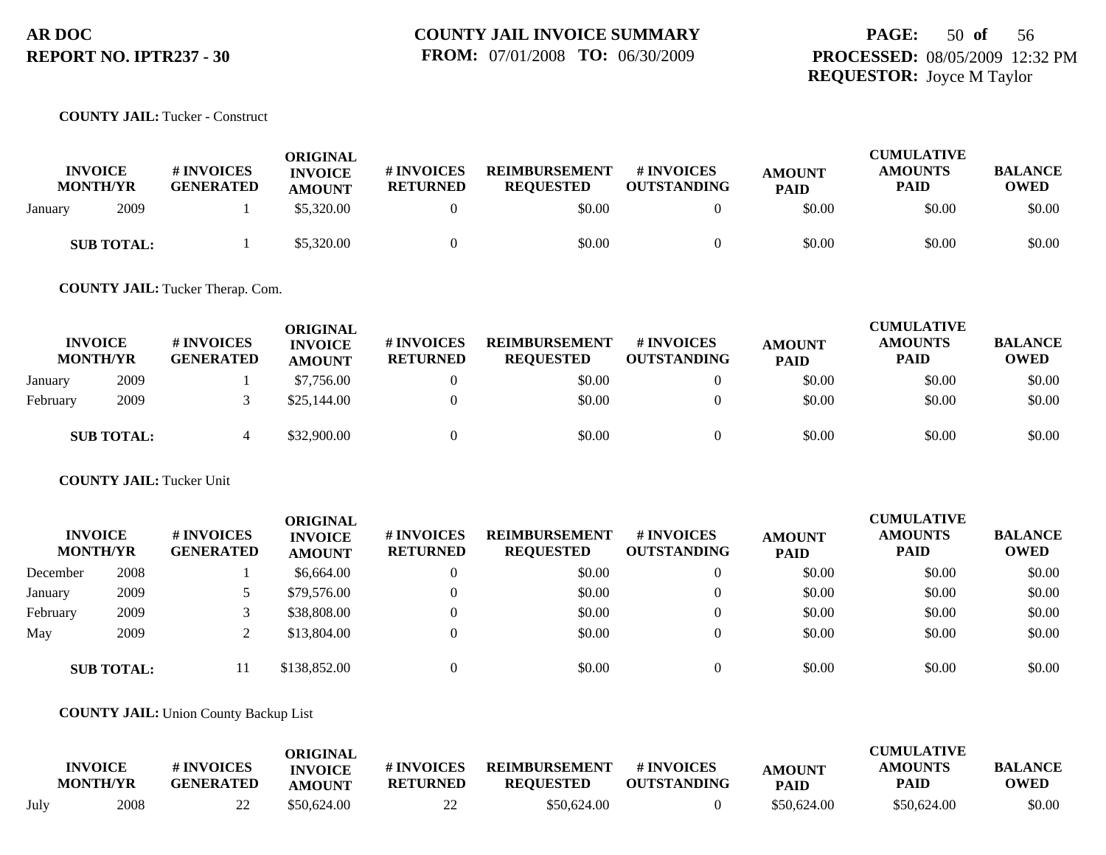## **PAGE:** 50 **of** 56 **PROCESSED:** 08/05/2009 12:32 PM **REQUESTOR:** Joyce M Taylor

**COUNTY JAIL:** Tucker - Construct

| <b>INVOICE</b><br><b>MONTH/YR</b> | # INVOICES<br><b>GENERATED</b> | <b>ORIGINAL</b><br><b>INVOICE</b><br><b>AMOUNT</b> | # INVOICES<br><b>RETURNED</b> | <b>REIMBURSEMENT</b><br><b>REQUESTED</b> | # INVOICES<br><b>OUTSTANDING</b> | <b>AMOUNT</b><br><b>PAID</b> | <b>CUMULATIVE</b><br><b>AMOUNTS</b><br>PAID | <b>BALANCE</b><br>OWED |
|-----------------------------------|--------------------------------|----------------------------------------------------|-------------------------------|------------------------------------------|----------------------------------|------------------------------|---------------------------------------------|------------------------|
| 2009<br>January                   |                                | \$5,320.00                                         |                               | \$0.00                                   |                                  | \$0.00                       | \$0.00                                      | \$0.00                 |
| <b>SUB TOTAL:</b>                 |                                | \$5,320.00                                         |                               | \$0.00                                   |                                  | \$0.00                       | \$0.00                                      | \$0.00                 |

**COUNTY JAIL:** Tucker Therap. Com.

|          | <b>INVOICE</b><br><b>MONTH/YR</b> | <b># INVOICES</b><br><b>GENERATED</b> | <b>ORIGINAL</b><br><b>INVOICE</b><br><b>AMOUNT</b> | <b># INVOICES</b><br><b>RETURNED</b> | <b>REIMBURSEMENT</b><br><b>REOUESTED</b> | <b>#INVOICES</b><br><b>OUTSTANDING</b> | <b>AMOUNT</b><br><b>PAID</b> | <b>CUMULATIVE</b><br><b>AMOUNTS</b><br><b>PAID</b> | <b>BALANCE</b><br><b>OWED</b> |
|----------|-----------------------------------|---------------------------------------|----------------------------------------------------|--------------------------------------|------------------------------------------|----------------------------------------|------------------------------|----------------------------------------------------|-------------------------------|
| January  | 2009                              |                                       | \$7,756.00                                         |                                      | \$0.00                                   |                                        | \$0.00                       | \$0.00                                             | \$0.00                        |
| February | 2009                              |                                       | \$25,144.00                                        |                                      | \$0.00                                   |                                        | \$0.00                       | \$0.00                                             | \$0.00                        |
|          | <b>SUB TOTAL:</b>                 |                                       | \$32,900.00                                        |                                      | \$0.00                                   |                                        | \$0.00                       | \$0.00                                             | \$0.00                        |

**COUNTY JAIL:** Tucker Unit

| <b>INVOICE</b><br><b>MONTH/YR</b> |                   | # INVOICES<br><b>GENERATED</b> | <b>ORIGINAL</b><br><b>INVOICE</b><br><b>AMOUNT</b> | <b>#INVOICES</b><br><b>RETURNED</b> | <b>REIMBURSEMENT</b><br><b>REQUESTED</b> | <b>#INVOICES</b><br><b>OUTSTANDING</b> | <b>AMOUNT</b><br><b>PAID</b> | <b>CUMULATIVE</b><br><b>AMOUNTS</b><br><b>PAID</b> | <b>BALANCE</b><br><b>OWED</b> |
|-----------------------------------|-------------------|--------------------------------|----------------------------------------------------|-------------------------------------|------------------------------------------|----------------------------------------|------------------------------|----------------------------------------------------|-------------------------------|
| December                          | 2008              |                                | \$6,664.00                                         | $\overline{0}$                      | \$0.00                                   |                                        | \$0.00                       | \$0.00                                             | \$0.00                        |
| January                           | 2009              |                                | \$79,576.00                                        |                                     | \$0.00                                   |                                        | \$0.00                       | \$0.00                                             | \$0.00                        |
| February                          | 2009              |                                | \$38,808.00                                        |                                     | \$0.00                                   |                                        | \$0.00                       | \$0.00                                             | \$0.00                        |
| May                               | 2009              |                                | \$13,804.00                                        |                                     | \$0.00                                   |                                        | \$0.00                       | \$0.00                                             | \$0.00                        |
|                                   | <b>SUB TOTAL:</b> |                                | \$138,852.00                                       |                                     | \$0.00                                   |                                        | \$0.00                       | \$0.00                                             | \$0.00                        |

**COUNTY JAIL:** Union County Backup List

|      |                                   |                                | ORIGINAL                        |                               |                                          |                                  |                              | <b>CUMULATIVE</b>      |                        |
|------|-----------------------------------|--------------------------------|---------------------------------|-------------------------------|------------------------------------------|----------------------------------|------------------------------|------------------------|------------------------|
|      | <b>INVOICE</b><br><b>MONTH/YR</b> | # INVOICES<br><b>GENERATED</b> | <b>INVOICE</b><br><b>AMOUNT</b> | # INVOICES<br><b>RETURNED</b> | <b>REIMBURSEMENT</b><br><b>REQUESTED</b> | # INVOICES<br><b>OUTSTANDING</b> | <b>AMOUNT</b><br><b>PAID</b> | <b>AMOUNTS</b><br>PAID | <b>BALANCE</b><br>OWED |
| Julv | 2008                              | ∠∠                             | \$50,624.00                     | 22<br>∠∠                      | \$50.624.00                              |                                  | \$50,624.00                  | \$50,624.00            | \$0.00                 |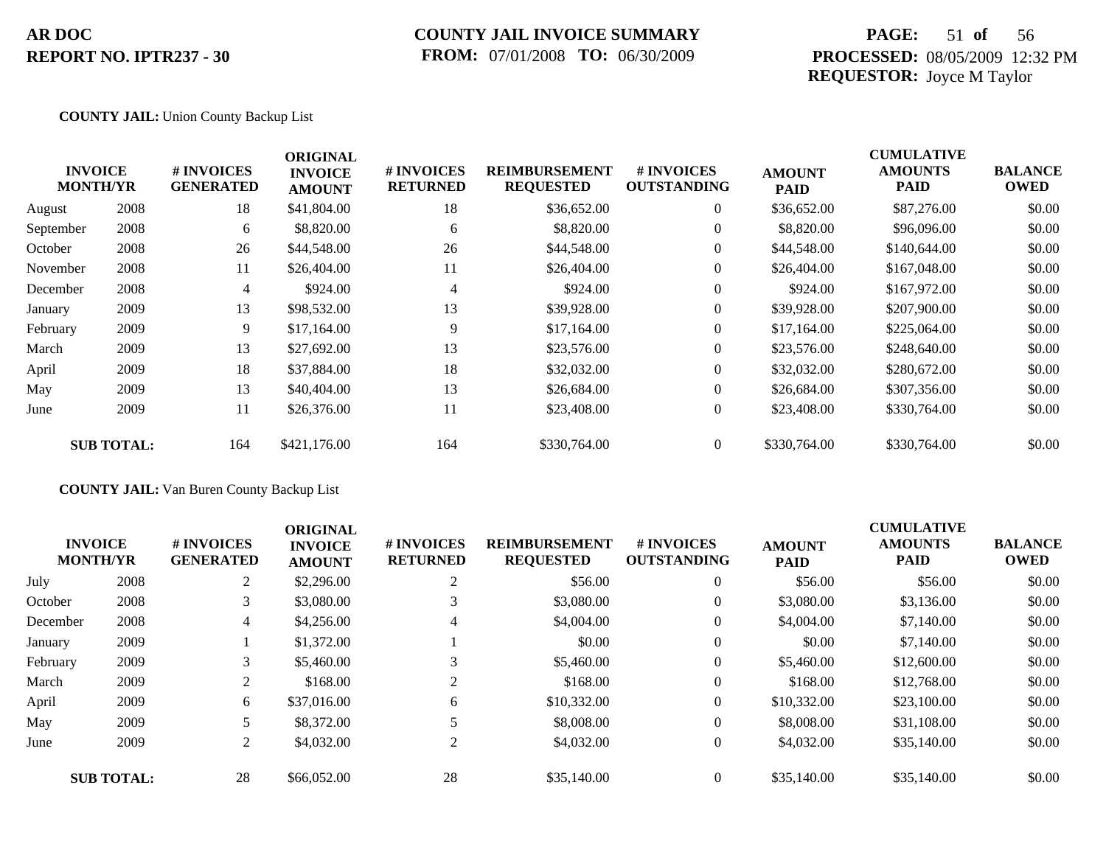### **COUNTY JAIL INVOICE SUMMARY FROM:** 07/01/2008 **TO:** 06/30/2009

## **PAGE:** 51 **of** 56 **PROCESSED:** 08/05/2009 12:32 PM **REQUESTOR:** Joyce M Taylor

#### **COUNTY JAIL:** Union County Backup List

|           |                                   |                                | <b>ORIGINAL</b>                 |                               |                                          |                                  |                              | <b>CUMULATIVE</b>             |                               |
|-----------|-----------------------------------|--------------------------------|---------------------------------|-------------------------------|------------------------------------------|----------------------------------|------------------------------|-------------------------------|-------------------------------|
|           | <b>INVOICE</b><br><b>MONTH/YR</b> | # INVOICES<br><b>GENERATED</b> | <b>INVOICE</b><br><b>AMOUNT</b> | # INVOICES<br><b>RETURNED</b> | <b>REIMBURSEMENT</b><br><b>REQUESTED</b> | # INVOICES<br><b>OUTSTANDING</b> | <b>AMOUNT</b><br><b>PAID</b> | <b>AMOUNTS</b><br><b>PAID</b> | <b>BALANCE</b><br><b>OWED</b> |
| August    | 2008                              | 18                             | \$41,804.00                     | 18                            | \$36,652.00                              | $\overline{0}$                   | \$36,652.00                  | \$87,276.00                   | \$0.00                        |
| September | 2008                              | 6                              | \$8,820.00                      | 6                             | \$8,820.00                               | $\overline{0}$                   | \$8,820.00                   | \$96,096.00                   | \$0.00                        |
| October   | 2008                              | 26                             | \$44,548.00                     | 26                            | \$44,548.00                              | $\overline{0}$                   | \$44,548.00                  | \$140,644.00                  | \$0.00                        |
| November  | 2008                              | 11                             | \$26,404.00                     | 11                            | \$26,404.00                              | $\overline{0}$                   | \$26,404.00                  | \$167,048.00                  | \$0.00                        |
| December  | 2008                              | $\overline{4}$                 | \$924.00                        | 4                             | \$924.00                                 | $\overline{0}$                   | \$924.00                     | \$167,972.00                  | \$0.00                        |
| January   | 2009                              | 13                             | \$98,532.00                     | 13                            | \$39,928.00                              | $\overline{0}$                   | \$39,928.00                  | \$207,900.00                  | \$0.00                        |
| February  | 2009                              | 9                              | \$17,164.00                     | 9                             | \$17,164.00                              | $\overline{0}$                   | \$17,164.00                  | \$225,064.00                  | \$0.00                        |
| March     | 2009                              | 13                             | \$27,692.00                     | 13                            | \$23,576.00                              | $\overline{0}$                   | \$23,576.00                  | \$248,640.00                  | \$0.00                        |
| April     | 2009                              | 18                             | \$37,884.00                     | 18                            | \$32,032.00                              | $\overline{0}$                   | \$32,032.00                  | \$280,672.00                  | \$0.00                        |
| May       | 2009                              | 13                             | \$40,404.00                     | 13                            | \$26,684.00                              | $\overline{0}$                   | \$26,684.00                  | \$307,356.00                  | \$0.00                        |
| June      | 2009                              | 11                             | \$26,376.00                     | 11                            | \$23,408.00                              | $\overline{0}$                   | \$23,408.00                  | \$330,764.00                  | \$0.00                        |
|           | <b>SUB TOTAL:</b>                 | 164                            | \$421,176.00                    | 164                           | \$330,764.00                             | $\overline{0}$                   | \$330,764.00                 | \$330,764.00                  | \$0.00                        |

### **COUNTY JAIL:** Van Buren County Backup List

|          | <b>INVOICE</b><br><b>MONTH/YR</b> | # INVOICES<br><b>GENERATED</b> | <b>ORIGINAL</b><br><b>INVOICE</b><br><b>AMOUNT</b> | # INVOICES<br><b>RETURNED</b> | <b>REIMBURSEMENT</b><br><b>REQUESTED</b> | # INVOICES<br><b>OUTSTANDING</b> | <b>AMOUNT</b><br><b>PAID</b> | <b>CUMULATIVE</b><br><b>AMOUNTS</b><br><b>PAID</b> | <b>BALANCE</b><br><b>OWED</b> |
|----------|-----------------------------------|--------------------------------|----------------------------------------------------|-------------------------------|------------------------------------------|----------------------------------|------------------------------|----------------------------------------------------|-------------------------------|
| July     | 2008                              | 2                              | \$2,296.00                                         | 2                             | \$56.00                                  | $\Omega$                         | \$56.00                      | \$56.00                                            | \$0.00                        |
| October  | 2008                              |                                | \$3,080.00                                         | 3                             | \$3,080.00                               | $\theta$                         | \$3,080.00                   | \$3,136.00                                         | \$0.00                        |
| December | 2008                              | 4                              | \$4,256.00                                         | $\overline{4}$                | \$4,004.00                               | $\overline{0}$                   | \$4,004.00                   | \$7,140.00                                         | \$0.00                        |
| January  | 2009                              |                                | \$1,372.00                                         |                               | \$0.00                                   | $\theta$                         | \$0.00                       | \$7,140.00                                         | \$0.00                        |
| February | 2009                              |                                | \$5,460.00                                         | 3                             | \$5,460.00                               | $\theta$                         | \$5,460.00                   | \$12,600.00                                        | \$0.00                        |
| March    | 2009                              | 2                              | \$168.00                                           | 2                             | \$168.00                                 | $\theta$                         | \$168.00                     | \$12,768.00                                        | \$0.00                        |
| April    | 2009                              | 6                              | \$37,016.00                                        | 6                             | \$10,332.00                              | $\theta$                         | \$10,332.00                  | \$23,100.00                                        | \$0.00                        |
| May      | 2009                              |                                | \$8,372.00                                         | 5                             | \$8,008.00                               | $\theta$                         | \$8,008.00                   | \$31,108.00                                        | \$0.00                        |
| June     | 2009                              | 2                              | \$4,032.00                                         | 2                             | \$4,032.00                               | $\theta$                         | \$4,032.00                   | \$35,140.00                                        | \$0.00                        |
|          | <b>SUB TOTAL:</b>                 | 28                             | \$66,052.00                                        | 28                            | \$35,140.00                              | $\Omega$                         | \$35,140.00                  | \$35,140.00                                        | \$0.00                        |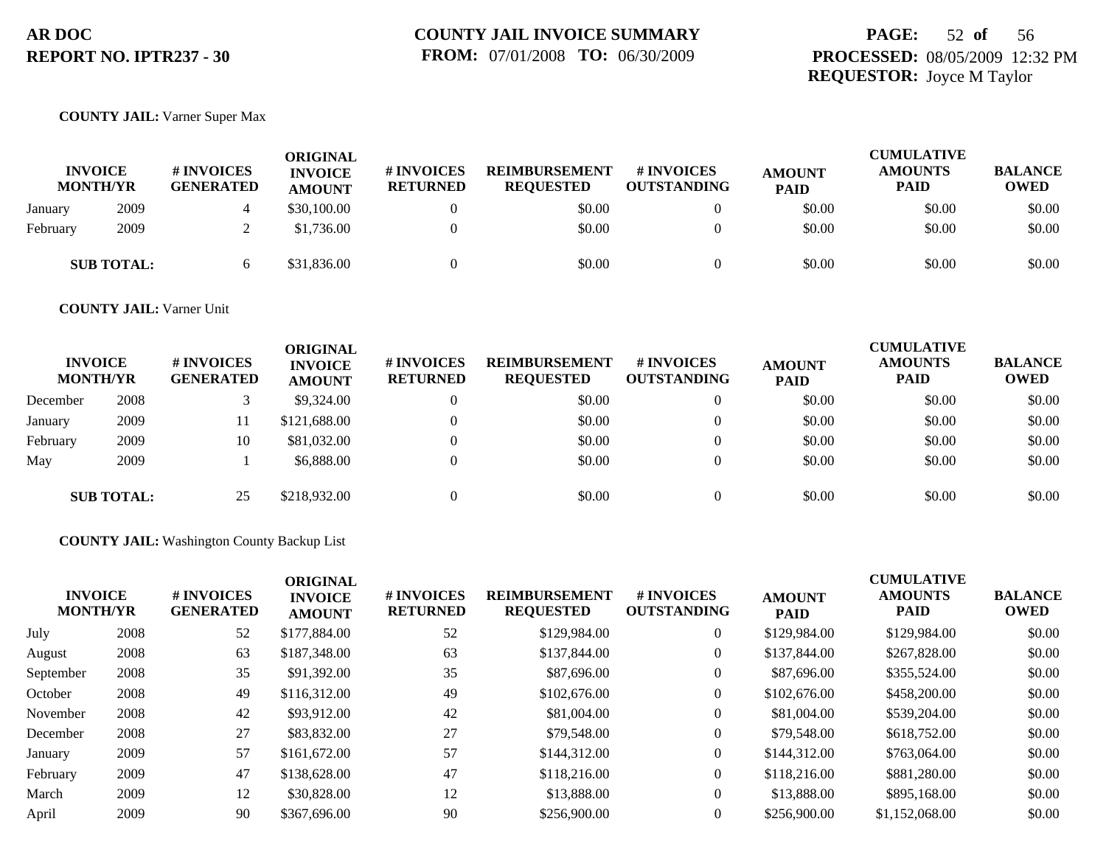## **PAGE:** 52 **of** 56 **PROCESSED:** 08/05/2009 12:32 PM **REQUESTOR:** Joyce M Taylor

#### **COUNTY JAIL:** Varner Super Max

| <b>INVOICE</b> | <b>MONTH/YR</b>   | <b># INVOICES</b><br><b>GENERATED</b> | <b>ORIGINAL</b><br><b>INVOICE</b><br><b>AMOUNT</b> | # INVOICES<br><b>RETURNED</b> | <b>REIMBURSEMENT</b><br><b>REOUESTED</b> | # INVOICES<br><b>OUTSTANDING</b> | <b>AMOUNT</b><br><b>PAID</b> | <b>CUMULATIVE</b><br><b>AMOUNTS</b><br>PAID | <b>BALANCE</b><br><b>OWED</b> |
|----------------|-------------------|---------------------------------------|----------------------------------------------------|-------------------------------|------------------------------------------|----------------------------------|------------------------------|---------------------------------------------|-------------------------------|
| January        | 2009              |                                       | \$30,100.00                                        |                               | \$0.00                                   | $\Omega$                         | \$0.00                       | \$0.00                                      | \$0.00                        |
| February       | 2009              |                                       | \$1,736.00                                         |                               | \$0.00                                   | $\theta$                         | \$0.00                       | \$0.00                                      | \$0.00                        |
|                | <b>SUB TOTAL:</b> |                                       | \$31,836.00                                        |                               | \$0.00                                   | 0                                | \$0.00                       | \$0.00                                      | \$0.00                        |

**COUNTY JAIL:** Varner Unit

| <b>INVOICE</b><br><b>MONTH/YR</b> |                   | # INVOICES<br><b>GENERATED</b> | ORIGINAL<br><b>INVOICE</b><br><b>AMOUNT</b> | # INVOICES<br><b>RETURNED</b> | <b>REIMBURSEMENT</b><br><b>REQUESTED</b> | # INVOICES<br><b>OUTSTANDING</b> | <b>AMOUNT</b><br><b>PAID</b> | <b>CUMULATIVE</b><br><b>AMOUNTS</b><br><b>PAID</b> | <b>BALANCE</b><br><b>OWED</b> |
|-----------------------------------|-------------------|--------------------------------|---------------------------------------------|-------------------------------|------------------------------------------|----------------------------------|------------------------------|----------------------------------------------------|-------------------------------|
| December                          | 2008              |                                | \$9,324.00                                  | 0                             | \$0.00                                   | $\theta$                         | \$0.00                       | \$0.00                                             | \$0.00                        |
| January                           | 2009              |                                | \$121,688.00                                | $\Omega$                      | \$0.00                                   | $\theta$                         | \$0.00                       | \$0.00                                             | \$0.00                        |
| February                          | 2009              | 10                             | \$81,032.00                                 |                               | \$0.00                                   | $\theta$                         | \$0.00                       | \$0.00                                             | \$0.00                        |
| May                               | 2009              |                                | \$6,888.00                                  | $\Omega$                      | \$0.00                                   | $\theta$                         | \$0.00                       | \$0.00                                             | \$0.00                        |
|                                   | <b>SUB TOTAL:</b> | 25                             | \$218,932.00                                |                               | \$0.00                                   | $\Omega$                         | \$0.00                       | \$0.00                                             | \$0.00                        |

**COUNTY JAIL:** Washington County Backup List

| <b>INVOICE</b><br><b>MONTH/YR</b> | # INVOICES<br><b>GENERATED</b> | <b>ORIGINAL</b><br><b>INVOICE</b><br><b>AMOUNT</b> | # INVOICES<br><b>RETURNED</b> | <b>REIMBURSEMENT</b><br><b>REQUESTED</b> | # INVOICES<br><b>OUTSTANDING</b> | <b>AMOUNT</b><br><b>PAID</b> | <b>CUMULATIVE</b><br><b>AMOUNTS</b><br><b>PAID</b> | <b>BALANCE</b><br><b>OWED</b> |
|-----------------------------------|--------------------------------|----------------------------------------------------|-------------------------------|------------------------------------------|----------------------------------|------------------------------|----------------------------------------------------|-------------------------------|
| 2008                              | 52                             | \$177,884.00                                       | 52                            | \$129,984.00                             | $\theta$                         | \$129,984.00                 | \$129,984.00                                       | \$0.00                        |
| 2008                              | 63                             | \$187,348.00                                       | 63                            | \$137,844.00                             | $\theta$                         | \$137,844.00                 | \$267,828.00                                       | \$0.00                        |
| 2008                              | 35                             | \$91,392.00                                        | 35                            | \$87,696.00                              | $\theta$                         | \$87,696.00                  | \$355,524.00                                       | \$0.00                        |
| 2008                              | 49                             | \$116,312.00                                       | 49                            | \$102,676.00                             | $\theta$                         | \$102,676.00                 | \$458,200.00                                       | \$0.00                        |
| 2008                              | 42                             | \$93,912.00                                        | 42                            | \$81,004.00                              | $\theta$                         | \$81,004.00                  | \$539,204.00                                       | \$0.00                        |
| 2008                              | 27                             | \$83,832.00                                        | 27                            | \$79,548.00                              | $\overline{0}$                   | \$79,548.00                  | \$618,752.00                                       | \$0.00                        |
| 2009                              | 57                             | \$161,672.00                                       | 57                            | \$144,312.00                             | $\theta$                         | \$144,312.00                 | \$763,064.00                                       | \$0.00                        |
| 2009                              | 47                             | \$138,628.00                                       | 47                            | \$118,216.00                             | $\theta$                         | \$118,216.00                 | \$881,280.00                                       | \$0.00                        |
| 2009                              | 12                             | \$30,828.00                                        | 12                            | \$13,888.00                              | $\overline{0}$                   | \$13,888.00                  | \$895,168.00                                       | \$0.00                        |
| 2009                              | 90                             | \$367,696.00                                       | 90                            | \$256,900.00                             | $\theta$                         | \$256,900.00                 | \$1,152,068.00                                     | \$0.00                        |
|                                   |                                |                                                    |                               |                                          |                                  |                              |                                                    |                               |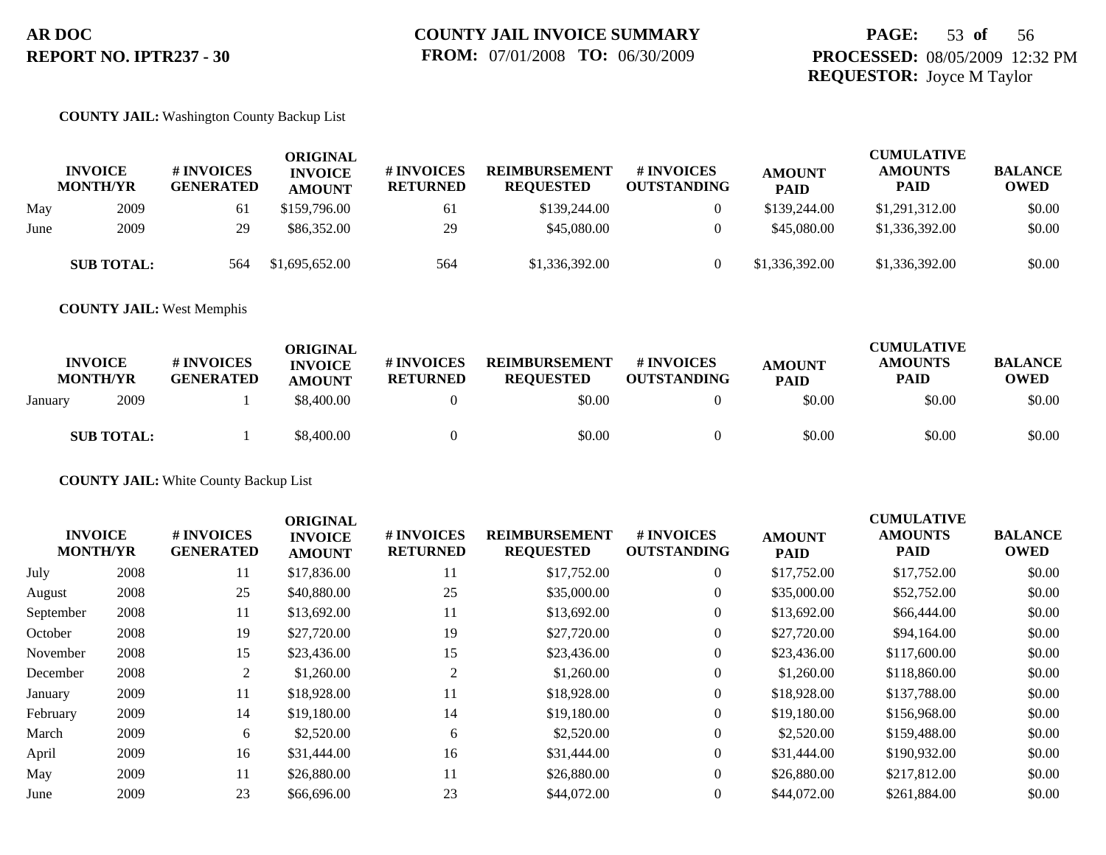#### **COUNTY JAIL:** Washington County Backup List

|      | <b>INVOICE</b><br><b>MONTH/YR</b> | <b># INVOICES</b><br><b>GENERATED</b> | <b>ORIGINAL</b><br><b>INVOICE</b><br><b>AMOUNT</b> | <b>#INVOICES</b><br><b>RETURNED</b> | <b>REIMBURSEMENT</b><br><b>REQUESTED</b> | # INVOICES<br><b>OUTSTANDING</b> | <b>AMOUNT</b><br><b>PAID</b> | <b>CUMULATIVE</b><br><b>AMOUNTS</b><br><b>PAID</b> | <b>BALANCE</b><br>OWED |
|------|-----------------------------------|---------------------------------------|----------------------------------------------------|-------------------------------------|------------------------------------------|----------------------------------|------------------------------|----------------------------------------------------|------------------------|
| May  | 2009                              | 61                                    | \$159,796.00                                       | 61                                  | \$139,244.00                             |                                  | \$139,244.00                 | \$1,291,312.00                                     | \$0.00                 |
| June | 2009                              | 29                                    | \$86,352.00                                        | 29                                  | \$45,080.00                              |                                  | \$45,080.00                  | \$1,336,392.00                                     | \$0.00                 |
|      | <b>SUB TOTAL:</b>                 | 564                                   | \$1,695,652.00                                     | 564                                 | \$1,336,392.00                           |                                  | \$1,336,392.00               | \$1,336,392.00                                     | \$0.00                 |

**COUNTY JAIL:** West Memphis

| <b>INVOICE</b><br><b>MONTH/YR</b> | # INVOICES<br><b>GENERATED</b> | ORIGINAL<br><b>INVOICE</b><br><b>AMOUNT</b> | <b>#INVOICES</b><br><b>RETURNED</b> | <b>REIMBURSEMENT</b><br><b>REQUESTED</b> | # INVOICES<br><b>OUTSTANDING</b> | <b>AMOUNT</b><br><b>PAID</b> | <b>CUMULATIVE</b><br><b>AMOUNTS</b><br>PAID | <b>BALANCE</b><br><b>OWED</b> |
|-----------------------------------|--------------------------------|---------------------------------------------|-------------------------------------|------------------------------------------|----------------------------------|------------------------------|---------------------------------------------|-------------------------------|
| 2009<br>January                   |                                | \$8,400.00                                  |                                     | \$0.00                                   |                                  | \$0.00                       | \$0.00                                      | \$0.00                        |
| <b>SUB TOTAL:</b>                 |                                | \$8,400.00                                  |                                     | \$0.00                                   |                                  | \$0.00                       | \$0.00                                      | \$0.00                        |

**COUNTY JAIL:** White County Backup List

| <b>INVOICE</b><br><b>MONTH/YR</b> |      | # INVOICES<br><b>GENERATED</b> | <b>ORIGINAL</b><br><b>INVOICE</b><br><b>AMOUNT</b> | # INVOICES<br><b>RETURNED</b> | <b>REIMBURSEMENT</b><br><b>REQUESTED</b> | # INVOICES<br><b>OUTSTANDING</b> | <b>AMOUNT</b><br><b>PAID</b> | <b>CUMULATIVE</b><br><b>AMOUNTS</b><br>PAID | <b>BALANCE</b><br><b>OWED</b> |
|-----------------------------------|------|--------------------------------|----------------------------------------------------|-------------------------------|------------------------------------------|----------------------------------|------------------------------|---------------------------------------------|-------------------------------|
| July                              | 2008 | 11                             | \$17,836.00                                        | 11                            | \$17,752.00                              | $\overline{0}$                   | \$17,752.00                  | \$17,752.00                                 | \$0.00                        |
| August                            | 2008 | 25                             | \$40,880.00                                        | 25                            | \$35,000.00                              | $\overline{0}$                   | \$35,000.00                  | \$52,752.00                                 | \$0.00                        |
| September                         | 2008 | 11                             | \$13,692.00                                        | 11                            | \$13,692.00                              | $\overline{0}$                   | \$13,692.00                  | \$66,444.00                                 | \$0.00                        |
| October                           | 2008 | 19                             | \$27,720.00                                        | 19                            | \$27,720.00                              | $\overline{0}$                   | \$27,720.00                  | \$94,164.00                                 | \$0.00                        |
| November                          | 2008 | 15                             | \$23,436.00                                        | 15                            | \$23,436.00                              | $\overline{0}$                   | \$23,436.00                  | \$117,600.00                                | \$0.00                        |
| December                          | 2008 | 2                              | \$1,260.00                                         | 2                             | \$1,260.00                               | $\overline{0}$                   | \$1,260.00                   | \$118,860.00                                | \$0.00                        |
| January                           | 2009 | 11                             | \$18,928.00                                        | 11                            | \$18,928.00                              | $\Omega$                         | \$18,928.00                  | \$137,788.00                                | \$0.00                        |
| February                          | 2009 | 14                             | \$19,180.00                                        | 14                            | \$19,180.00                              | $\overline{0}$                   | \$19,180.00                  | \$156,968.00                                | \$0.00                        |
| March                             | 2009 | 6                              | \$2,520.00                                         | 6                             | \$2,520.00                               | $\overline{0}$                   | \$2,520.00                   | \$159,488.00                                | \$0.00                        |
| April                             | 2009 | 16                             | \$31,444.00                                        | 16                            | \$31,444.00                              | $\overline{0}$                   | \$31,444.00                  | \$190,932.00                                | \$0.00                        |
| May                               | 2009 | 11                             | \$26,880.00                                        | 11                            | \$26,880.00                              | $\overline{0}$                   | \$26,880.00                  | \$217,812.00                                | \$0.00                        |
| June                              | 2009 | 23                             | \$66,696.00                                        | 23                            | \$44,072.00                              | $\theta$                         | \$44,072.00                  | \$261,884.00                                | \$0.00                        |
|                                   |      |                                |                                                    |                               |                                          |                                  |                              |                                             |                               |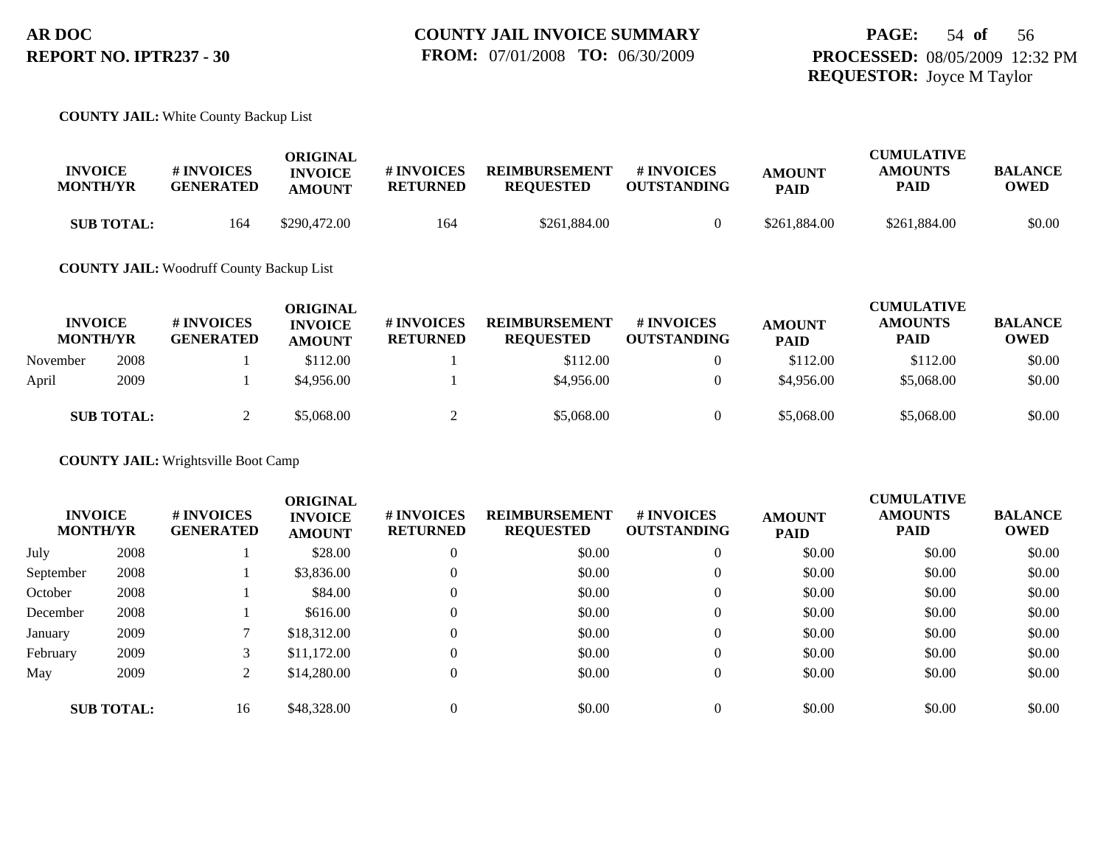#### **COUNTY JAIL:** White County Backup List

| <b>INVOICE</b><br><b>MONTH/YR</b> | <b># INVOICES</b><br><b>GENERATED</b> | ORIGINAL<br><b>INVOICE</b><br><b>AMOUNT</b> | # INVOICES<br><b>RETURNED</b> | <b>REIMBURSEMENT</b><br><b>REQUESTED</b> | # INVOICES<br><b>OUTSTANDING</b> | <b>AMOUNT</b><br><b>PAID</b> | <b>CUMULATIVE</b><br><b>AMOUNTS</b><br>PAID | <b>BALANCE</b><br>OWED |
|-----------------------------------|---------------------------------------|---------------------------------------------|-------------------------------|------------------------------------------|----------------------------------|------------------------------|---------------------------------------------|------------------------|
| <b>SUB TOTAL:</b>                 | 164                                   | \$290,472.00                                | 164                           | \$261,884.00                             |                                  | \$261,884,00                 | \$261,884.00                                | \$0.00                 |

#### **COUNTY JAIL:** Woodruff County Backup List

| <b>INVOICE</b><br><b>MONTH/YR</b> |                   | <b># INVOICES</b><br><b>GENERATED</b> | ORIGINAL<br><b>INVOICE</b><br><b>AMOUNT</b> | <b># INVOICES</b><br><b>RETURNED</b> | <b>REIMBURSEMENT</b><br><b>REQUESTED</b> | <b>#INVOICES</b><br><b>OUTSTANDING</b> | <b>AMOUNT</b><br><b>PAID</b> | <b>CUMULATIVE</b><br><b>AMOUNTS</b><br><b>PAID</b> | <b>BALANCE</b><br><b>OWED</b> |
|-----------------------------------|-------------------|---------------------------------------|---------------------------------------------|--------------------------------------|------------------------------------------|----------------------------------------|------------------------------|----------------------------------------------------|-------------------------------|
| November                          | 2008              |                                       | \$112.00                                    |                                      | \$112.00                                 | $\theta$                               | \$112.00                     | \$112.00                                           | \$0.00                        |
| April                             | 2009              |                                       | \$4,956.00                                  |                                      | \$4,956.00                               | 0                                      | \$4,956.00                   | \$5,068,00                                         | \$0.00                        |
|                                   | <b>SUB TOTAL:</b> |                                       | \$5,068.00                                  |                                      | \$5,068.00                               | $\Omega$                               | \$5,068.00                   | \$5,068.00                                         | \$0.00                        |

**COUNTY JAIL:** Wrightsville Boot Camp

|           | <b>INVOICE</b><br><b>MONTH/YR</b> | # INVOICES<br><b>GENERATED</b> | <b>ORIGINAL</b><br><b>INVOICE</b><br><b>AMOUNT</b> | # INVOICES<br><b>RETURNED</b> | <b>REIMBURSEMENT</b><br><b>REQUESTED</b> | # INVOICES<br><b>OUTSTANDING</b> | <b>AMOUNT</b><br><b>PAID</b> | <b>CUMULATIVE</b><br><b>AMOUNTS</b><br>PAID | <b>BALANCE</b><br><b>OWED</b> |
|-----------|-----------------------------------|--------------------------------|----------------------------------------------------|-------------------------------|------------------------------------------|----------------------------------|------------------------------|---------------------------------------------|-------------------------------|
| July      | 2008                              |                                | \$28.00                                            | $\theta$                      | \$0.00                                   | $\overline{0}$                   | \$0.00                       | \$0.00                                      | \$0.00                        |
| September | 2008                              |                                | \$3,836.00                                         | $\theta$                      | \$0.00                                   | $\mathbf{0}$                     | \$0.00                       | \$0.00                                      | \$0.00                        |
| October   | 2008                              |                                | \$84.00                                            | $\theta$                      | \$0.00                                   | $\mathbf{0}$                     | \$0.00                       | \$0.00                                      | \$0.00                        |
| December  | 2008                              |                                | \$616.00                                           | $\Omega$                      | \$0.00                                   | $\mathbf{0}$                     | \$0.00                       | \$0.00                                      | \$0.00                        |
| January   | 2009                              |                                | \$18,312.00                                        | $\theta$                      | \$0.00                                   | $\mathbf{0}$                     | \$0.00                       | \$0.00                                      | \$0.00                        |
| February  | 2009                              |                                | \$11,172.00                                        | $\Omega$                      | \$0.00                                   | $\Omega$                         | \$0.00                       | \$0.00                                      | \$0.00                        |
| May       | 2009                              |                                | \$14,280.00                                        | $\theta$                      | \$0.00                                   | $\mathbf{0}$                     | \$0.00                       | \$0.00                                      | \$0.00                        |
|           | <b>SUB TOTAL:</b>                 | 16                             | \$48,328.00                                        | $\Omega$                      | \$0.00                                   | $\theta$                         | \$0.00                       | \$0.00                                      | \$0.00                        |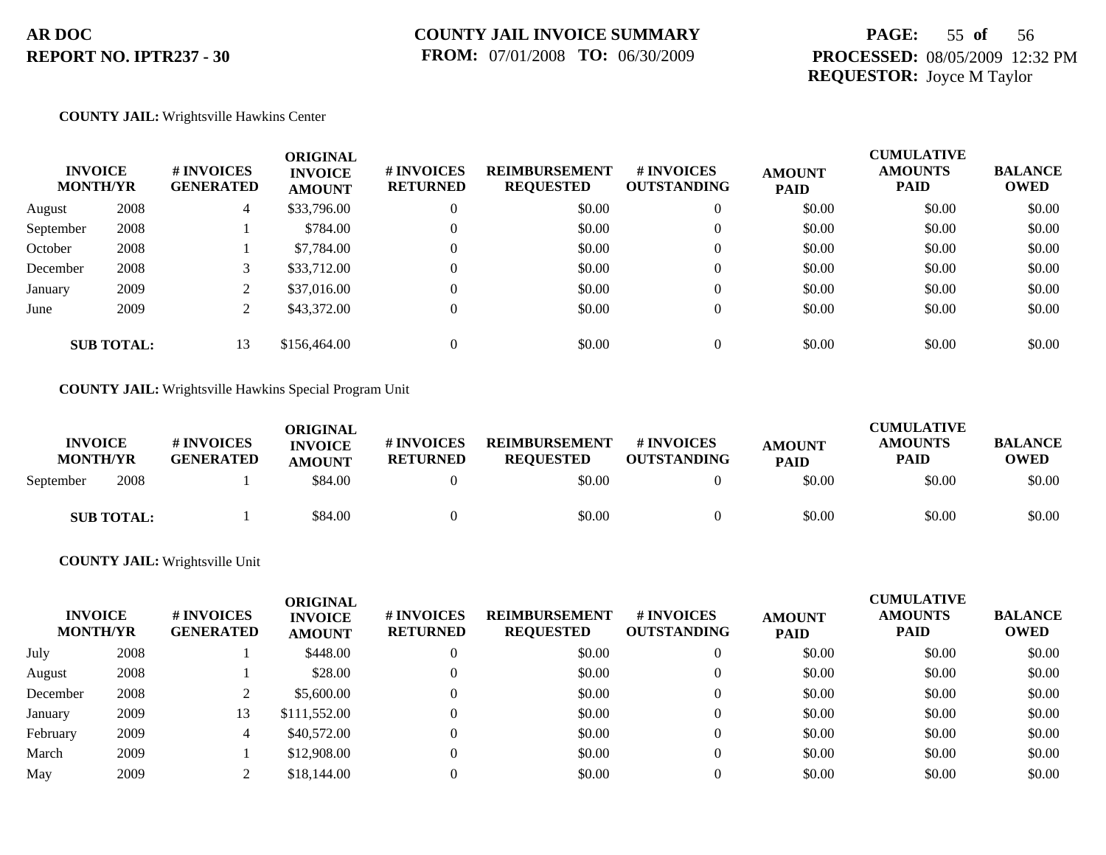## **PAGE:** 55 **of** 56 **PROCESSED:** 08/05/2009 12:32 PM **REQUESTOR:** Joyce M Taylor

#### **COUNTY JAIL:** Wrightsville Hawkins Center

|                   | <b>INVOICE</b><br><b>MONTH/YR</b> | # INVOICES<br><b>GENERATED</b><br>4 | <b>ORIGINAL</b><br><b>INVOICE</b><br><b>AMOUNT</b> | # INVOICES<br><b>RETURNED</b> | <b>REIMBURSEMENT</b><br><b>REQUESTED</b> | <b># INVOICES</b><br><b>OUTSTANDING</b> | <b>AMOUNT</b><br><b>PAID</b> | <b>CUMULATIVE</b><br><b>AMOUNTS</b><br><b>PAID</b> | <b>BALANCE</b><br><b>OWED</b> |
|-------------------|-----------------------------------|-------------------------------------|----------------------------------------------------|-------------------------------|------------------------------------------|-----------------------------------------|------------------------------|----------------------------------------------------|-------------------------------|
| August            | 2008                              |                                     | \$33,796.00                                        | $\Omega$                      | \$0.00                                   | $\overline{0}$                          | \$0.00                       | \$0.00                                             | \$0.00                        |
| September         | 2008                              |                                     | \$784.00                                           | $\Omega$                      | \$0.00                                   | $\overline{0}$                          | \$0.00                       | \$0.00                                             | \$0.00                        |
| October           | 2008                              |                                     | \$7,784.00                                         |                               | \$0.00                                   | $\overline{0}$                          | \$0.00                       | \$0.00                                             | \$0.00                        |
| December          | 2008                              |                                     | \$33,712.00                                        |                               | \$0.00                                   | $\overline{0}$                          | \$0.00                       | \$0.00                                             | \$0.00                        |
| January           | 2009                              |                                     | \$37,016.00                                        |                               | \$0.00                                   | $\overline{0}$                          | \$0.00                       | \$0.00                                             | \$0.00                        |
| June              | 2009                              | ◠<br>∠                              | \$43,372.00                                        | $\Omega$                      | \$0.00                                   | $\overline{0}$                          | \$0.00                       | \$0.00                                             | \$0.00                        |
| <b>SUB TOTAL:</b> |                                   | 13                                  | \$156,464.00                                       |                               | \$0.00                                   | $\Omega$                                | \$0.00                       | \$0.00                                             | \$0.00                        |

**COUNTY JAIL:** Wrightsville Hawkins Special Program Unit

| <b>INVOICE</b><br><b>MONTH/YR</b> |                   | <b># INVOICES</b><br><b>GENERATED</b> | ORIGINAL<br><b>INVOICE</b><br><b>AMOUNT</b> | # INVOICES<br><b>RETURNED</b> | <b>REIMBURSEMENT</b><br><b>REQUESTED</b> | <b>#INVOICES</b><br><b>OUTSTANDING</b> | <b>AMOUNT</b><br><b>PAID</b> | <b>CUMULATIVE</b><br><b>AMOUNTS</b><br><b>PAID</b> | <b>BALANCE</b><br><b>OWED</b> |
|-----------------------------------|-------------------|---------------------------------------|---------------------------------------------|-------------------------------|------------------------------------------|----------------------------------------|------------------------------|----------------------------------------------------|-------------------------------|
| September                         | 2008              |                                       | \$84.00                                     |                               | \$0.00                                   |                                        | \$0.00                       | \$0.00                                             | \$0.00                        |
|                                   | <b>SUB TOTAL:</b> |                                       | \$84.00                                     |                               | \$0.00                                   |                                        | \$0.00                       | \$0.00                                             | \$0.00                        |

#### **COUNTY JAIL:** Wrightsville Unit

| <b>MONTH/YR</b> | <b>INVOICE</b> | # INVOICES<br><b>GENERATED</b> | ORIGINAL<br><b>INVOICE</b><br><b>AMOUNT</b> | <b>#INVOICES</b><br><b>RETURNED</b> | <b>REIMBURSEMENT</b><br><b>REQUESTED</b> | # INVOICES<br><b>OUTSTANDING</b> | <b>AMOUNT</b><br><b>PAID</b> | <b>CUMULATIVE</b><br><b>AMOUNTS</b><br><b>PAID</b> | <b>BALANCE</b><br><b>OWED</b> |
|-----------------|----------------|--------------------------------|---------------------------------------------|-------------------------------------|------------------------------------------|----------------------------------|------------------------------|----------------------------------------------------|-------------------------------|
| July            | 2008           |                                | \$448.00                                    | $\theta$                            | \$0.00                                   | 0                                | \$0.00                       | \$0.00                                             | \$0.00                        |
| August          | 2008           |                                | \$28.00                                     | $\Omega$                            | \$0.00                                   | 0                                | \$0.00                       | \$0.00                                             | \$0.00                        |
| December        | 2008           |                                | \$5,600.00                                  | $\theta$                            | \$0.00                                   | $\Omega$                         | \$0.00                       | \$0.00                                             | \$0.00                        |
| January         | 2009           | 13                             | \$111,552.00                                | $\Omega$                            | \$0.00                                   | $\Omega$                         | \$0.00                       | \$0.00                                             | \$0.00                        |
| February        | 2009           | 4                              | \$40,572.00                                 | $\Omega$                            | \$0.00                                   | 0                                | \$0.00                       | \$0.00                                             | \$0.00                        |
| March           | 2009           |                                | \$12,908.00                                 | $\theta$                            | \$0.00                                   | 0                                | \$0.00                       | \$0.00                                             | \$0.00                        |
| May             | 2009           |                                | \$18,144.00                                 | $\Omega$                            | \$0.00                                   | 0                                | \$0.00                       | \$0.00                                             | \$0.00                        |